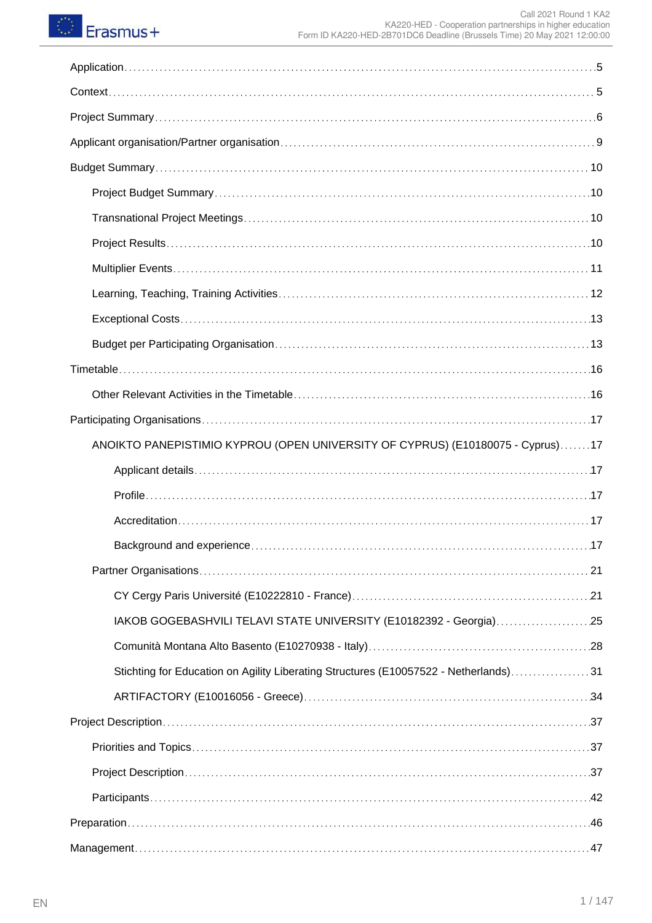# **C** Erasmus+

| ANOIKTO PANEPISTIMIO KYPROU (OPEN UNIVERSITY OF CYPRUS) (E10180075 - Cyprus)17       |
|--------------------------------------------------------------------------------------|
|                                                                                      |
|                                                                                      |
|                                                                                      |
| .17                                                                                  |
|                                                                                      |
|                                                                                      |
| IAKOB GOGEBASHVILI TELAVI STATE UNIVERSITY (E10182392 - Georgia)25                   |
|                                                                                      |
| Stichting for Education on Agility Liberating Structures (E10057522 - Netherlands)31 |
|                                                                                      |
|                                                                                      |
|                                                                                      |
|                                                                                      |
|                                                                                      |
|                                                                                      |
|                                                                                      |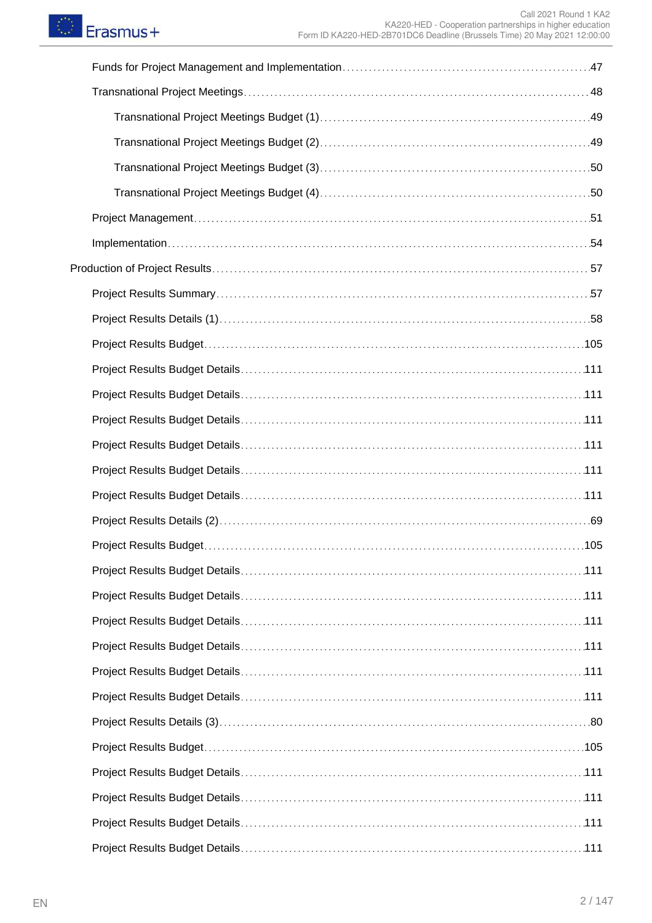| Project Results Budget.<br>105 |
|--------------------------------|
|                                |
|                                |
|                                |
|                                |
|                                |
|                                |
|                                |
|                                |
|                                |
|                                |
|                                |
|                                |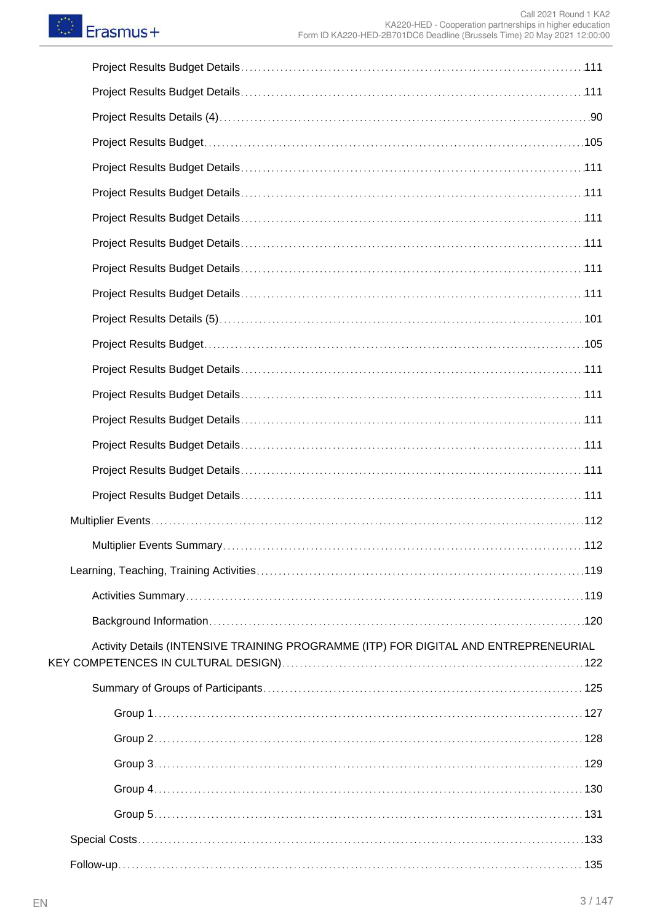| Activity Details (INTENSIVE TRAINING PROGRAMME (ITP) FOR DIGITAL AND ENTREPRENEURIAL |  |
|--------------------------------------------------------------------------------------|--|
|                                                                                      |  |
|                                                                                      |  |
|                                                                                      |  |
|                                                                                      |  |
|                                                                                      |  |
|                                                                                      |  |
|                                                                                      |  |
|                                                                                      |  |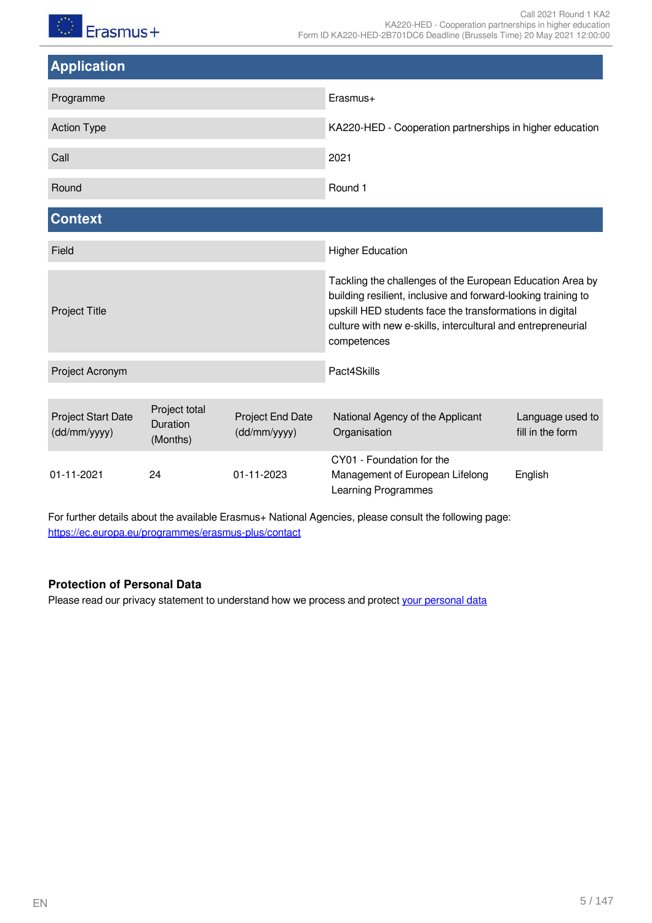毛泽  $F<sub>transmus+</sub>$ 

<span id="page-4-1"></span><span id="page-4-0"></span>

| <b>Application</b>                        |                                       |                                  |                                                                                                                                                                                                                                                                       |                                      |  |
|-------------------------------------------|---------------------------------------|----------------------------------|-----------------------------------------------------------------------------------------------------------------------------------------------------------------------------------------------------------------------------------------------------------------------|--------------------------------------|--|
| Programme                                 |                                       |                                  | Erasmus+                                                                                                                                                                                                                                                              |                                      |  |
| <b>Action Type</b>                        |                                       |                                  | KA220-HED - Cooperation partnerships in higher education                                                                                                                                                                                                              |                                      |  |
| Call                                      |                                       |                                  | 2021                                                                                                                                                                                                                                                                  |                                      |  |
| Round                                     |                                       |                                  | Round 1                                                                                                                                                                                                                                                               |                                      |  |
| <b>Context</b>                            |                                       |                                  |                                                                                                                                                                                                                                                                       |                                      |  |
| Field                                     |                                       |                                  | <b>Higher Education</b>                                                                                                                                                                                                                                               |                                      |  |
| <b>Project Title</b>                      |                                       |                                  | Tackling the challenges of the European Education Area by<br>building resilient, inclusive and forward-looking training to<br>upskill HED students face the transformations in digital<br>culture with new e-skills, intercultural and entrepreneurial<br>competences |                                      |  |
| Project Acronym                           |                                       |                                  | Pact4Skills                                                                                                                                                                                                                                                           |                                      |  |
| <b>Project Start Date</b><br>(dd/mm/yyyy) | Project total<br>Duration<br>(Months) | Project End Date<br>(dd/mm/yyyy) | National Agency of the Applicant<br>Organisation                                                                                                                                                                                                                      | Language used to<br>fill in the form |  |
| 01-11-2021                                | 24                                    | 01-11-2023                       | CY01 - Foundation for the<br>Management of European Lifelong<br>Learning Programmes                                                                                                                                                                                   | English                              |  |

For further details about the available Erasmus+ National Agencies, please consult the following page: <https://ec.europa.eu/programmes/erasmus-plus/contact>

### **Protection of Personal Data**

Please read our privacy statement to understand how we process and protect [your personal data](https://webgate.ec.europa.eu/erasmus-esc/index/privacy-statement)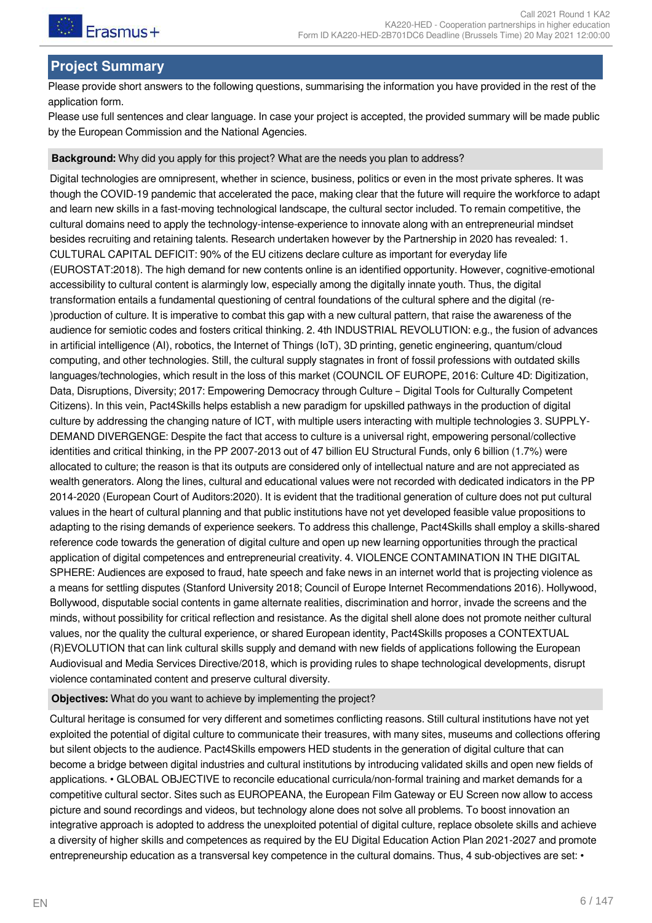

# <span id="page-5-0"></span>**Project Summary**

Please provide short answers to the following questions, summarising the information you have provided in the rest of the application form.

Please use full sentences and clear language. In case your project is accepted, the provided summary will be made public by the European Commission and the National Agencies.

#### **Background:** Why did you apply for this project? What are the needs you plan to address?

Digital technologies are omnipresent, whether in science, business, politics or even in the most private spheres. It was though the COVID-19 pandemic that accelerated the pace, making clear that the future will require the workforce to adapt and learn new skills in a fast-moving technological landscape, the cultural sector included. To remain competitive, the cultural domains need to apply the technology-intense-experience to innovate along with an entrepreneurial mindset besides recruiting and retaining talents. Research undertaken however by the Partnership in 2020 has revealed: 1. CULTURAL CAPITAL DEFICIT: 90% of the EU citizens declare culture as important for everyday life (EUROSTAT:2018). The high demand for new contents online is an identified opportunity. However, cognitive-emotional accessibility to cultural content is alarmingly low, especially among the digitally innate youth. Thus, the digital transformation entails a fundamental questioning of central foundations of the cultural sphere and the digital (re- )production of culture. It is imperative to combat this gap with a new cultural pattern, that raise the awareness of the audience for semiotic codes and fosters critical thinking. 2. 4th INDUSTRIAL REVOLUTION: e.g., the fusion of advances in artificial intelligence (AI), robotics, the Internet of Things (IoT), 3D printing, genetic engineering, quantum/cloud computing, and other technologies. Still, the cultural supply stagnates in front of fossil professions with outdated skills languages/technologies, which result in the loss of this market (COUNCIL OF EUROPE, 2016: Culture 4D: Digitization, Data, Disruptions, Diversity; 2017: Empowering Democracy through Culture – Digital Tools for Culturally Competent Citizens). In this vein, Pact4Skills helps establish a new paradigm for upskilled pathways in the production of digital culture by addressing the changing nature of ICT, with multiple users interacting with multiple technologies 3. SUPPLY-DEMAND DIVERGENGE: Despite the fact that access to culture is a universal right, empowering personal/collective identities and critical thinking, in the PP 2007-2013 out of 47 billion EU Structural Funds, only 6 billion (1.7%) were allocated to culture; the reason is that its outputs are considered only of intellectual nature and are not appreciated as wealth generators. Along the lines, cultural and educational values were not recorded with dedicated indicators in the PP 2014-2020 (European Court of Auditors:2020). It is evident that the traditional generation of culture does not put cultural values in the heart of cultural planning and that public institutions have not yet developed feasible value propositions to adapting to the rising demands of experience seekers. To address this challenge, Pact4Skills shall employ a skills-shared reference code towards the generation of digital culture and open up new learning opportunities through the practical application of digital competences and entrepreneurial creativity. 4. VIOLENCE CONTAMINATION IN THE DIGITAL SPHERE: Audiences are exposed to fraud, hate speech and fake news in an internet world that is projecting violence as a means for settling disputes (Stanford University 2018; Council of Europe Internet Recommendations 2016). Hollywood, Bollywood, disputable social contents in game alternate realities, discrimination and horror, invade the screens and the minds, without possibility for critical reflection and resistance. As the digital shell alone does not promote neither cultural values, nor the quality the cultural experience, or shared European identity, Pact4Skills proposes a CONTEXTUAL (R)EVOLUTION that can link cultural skills supply and demand with new fields of applications following the European Audiovisual and Media Services Directive/2018, which is providing rules to shape technological developments, disrupt violence contaminated content and preserve cultural diversity.

#### **Objectives:** What do you want to achieve by implementing the project?

Cultural heritage is consumed for very different and sometimes conflicting reasons. Still cultural institutions have not yet exploited the potential of digital culture to communicate their treasures, with many sites, museums and collections offering but silent objects to the audience. Pact4Skills empowers HED students in the generation of digital culture that can become a bridge between digital industries and cultural institutions by introducing validated skills and open new fields of applications. • GLOBAL OBJECTIVE to reconcile educational curricula/non-formal training and market demands for a competitive cultural sector. Sites such as EUROPEANA, the European Film Gateway or EU Screen now allow to access picture and sound recordings and videos, but technology alone does not solve all problems. Το boost innovation an integrative approach is adopted to address the unexploited potential of digital culture, replace obsolete skills and achieve a diversity of higher skills and competences as required by the EU Digital Education Action Plan 2021-2027 and promote entrepreneurship education as a transversal key competence in the cultural domains. Thus, 4 sub-objectives are set: •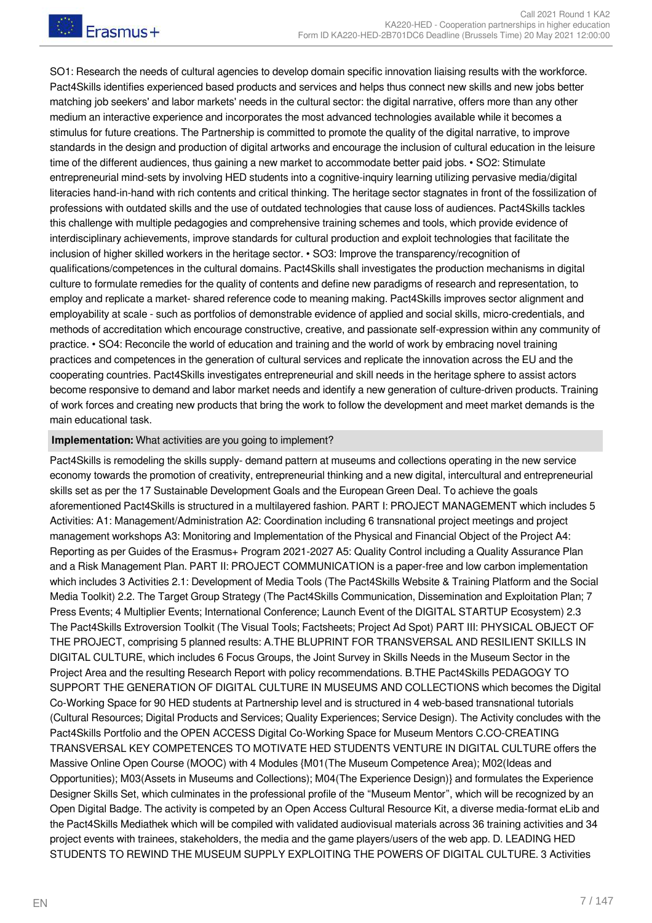SO1: Research the needs of cultural agencies to develop domain specific innovation liaising results with the workforce. Pact4Skills identifies experienced based products and services and helps thus connect new skills and new jobs better matching job seekers' and labor markets' needs in the cultural sector: the digital narrative, offers more than any other medium an interactive experience and incorporates the most advanced technologies available while it becomes a stimulus for future creations. The Partnership is committed to promote the quality of the digital narrative, to improve standards in the design and production of digital artworks and encourage the inclusion of cultural education in the leisure time of the different audiences, thus gaining a new market to accommodate better paid jobs. • SO2: Stimulate entrepreneurial mind-sets by involving HED students into a cognitive-inquiry learning utilizing pervasive media/digital literacies hand-in-hand with rich contents and critical thinking. The heritage sector stagnates in front of the fossilization of professions with outdated skills and the use of outdated technologies that cause loss of audiences. Pact4Skills tackles this challenge with multiple pedagogies and comprehensive training schemes and tools, which provide evidence of interdisciplinary achievements, improve standards for cultural production and exploit technologies that facilitate the inclusion of higher skilled workers in the heritage sector. • SO3: Improve the transparency/recognition of qualifications/competences in the cultural domains. Pact4Skills shall investigates the production mechanisms in digital culture to formulate remedies for the quality of contents and define new paradigms of research and representation, to employ and replicate a market- shared reference code to meaning making. Pact4Skills improves sector alignment and employability at scale - such as portfolios of demonstrable evidence of applied and social skills, micro-credentials, and methods of accreditation which encourage constructive, creative, and passionate self-expression within any community of practice. • SO4: Reconcile the world of education and training and the world of work by embracing novel training practices and competences in the generation of cultural services and replicate the innovation across the EU and the cooperating countries. Pact4Skills investigates entrepreneurial and skill needs in the heritage sphere to assist actors become responsive to demand and labor market needs and identify a new generation of culture-driven products. Training of work forces and creating new products that bring the work to follow the development and meet market demands is the main educational task.

#### **Implementation:** What activities are you going to implement?

Pact4Skills is remodeling the skills supply- demand pattern at museums and collections operating in the new service economy towards the promotion of creativity, entrepreneurial thinking and a new digital, intercultural and entrepreneurial skills set as per the 17 Sustainable Development Goals and the European Green Deal. To achieve the goals aforementioned Pact4Skills is structured in a multilayered fashion. PART I: PROJECT MANAGEMENT which includes 5 Activities: A1: Management/Administration A2: Coordination including 6 transnational project meetings and project management workshops A3: Monitoring and Implementation of the Physical and Financial Object of the Project A4: Reporting as per Guides of the Erasmus+ Program 2021-2027 A5: Quality Control including a Quality Assurance Plan and a Risk Management Plan. PART II: PROJECT COMMUNICATION is a paper-free and low carbon implementation which includes 3 Activities 2.1: Development of Media Tools (The Pact4Skills Website & Training Platform and the Social Media Toolkit) 2.2. The Target Group Strategy (The Pact4Skills Communication, Dissemination and Exploitation Plan; 7 Press Events; 4 Multiplier Events; International Conference; Launch Event of the DIGITAL STARTUP Ecosystem) 2.3 The Pact4Skills Extroversion Toolkit (The Visual Tools; Factsheets; Project Ad Spot) PART III: PHYSICAL OBJECT OF THE PROJECT, comprising 5 planned results: A.THE BLUPRINT FOR TRANSVERSAL AND RESILIENT SKILLS IN DIGITAL CULTURE, which includes 6 Focus Groups, the Joint Survey in Skills Needs in the Museum Sector in the Project Area and the resulting Research Report with policy recommendations. B.THE Pact4Skills PEDAGOGY TO SUPPORT THE GENERATION OF DIGITAL CULTURE IN MUSEUMS AND COLLECTIONS which becomes the Digital Co-Working Space for 90 HED students at Partnership level and is structured in 4 web-based transnational tutorials (Cultural Resources; Digital Products and Services; Quality Experiences; Service Design). The Activity concludes with the Pact4Skills Portfolio and the OPEN ACCESS Digital Co-Working Space for Museum Mentors C.CO-CREATING TRANSVERSAL KEY COMPETENCES TO MOTIVATE HED STUDENTS VENTURE IN DIGITAL CULTURE offers the Massive Online Open Course (MOOC) with 4 Modules {M01(The Museum Competence Area); M02(Ideas and Opportunities); M03(Assets in Museums and Collections); M04(The Experience Design)} and formulates the Experience Designer Skills Set, which culminates in the professional profile of the "Museum Mentor", which will be recognized by an Open Digital Badge. The activity is competed by an Open Access Cultural Resource Kit, a diverse media-format eLib and the Pact4Skills Mediathek which will be compiled with validated audiovisual materials across 36 training activities and 34 project events with trainees, stakeholders, the media and the game players/users of the web app. D. LEADING HED STUDENTS TO REWIND THE MUSEUM SUPPLY EXPLOITING THE POWERS OF DIGITAL CULTURE. 3 Activities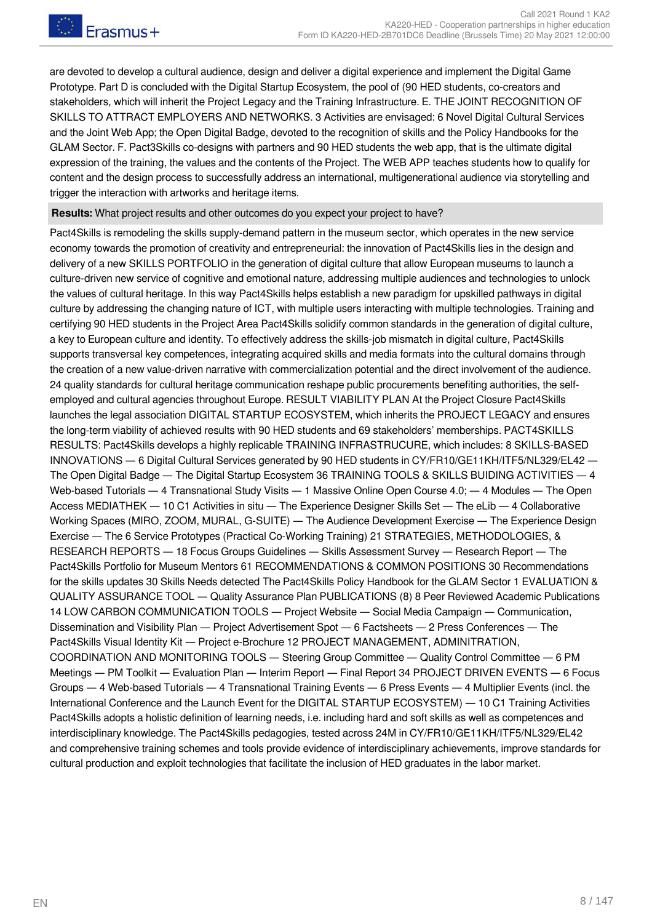are devoted to develop a cultural audience, design and deliver a digital experience and implement the Digital Game Prototype. Part D is concluded with the Digital Startup Ecosystem, the pool of (90 HED students, co-creators and stakeholders, which will inherit the Project Legacy and the Training Infrastructure. E. THE JOINT RECOGNITION OF SKILLS TO ATTRACT EMPLOYERS AND NETWORKS. 3 Activities are envisaged: 6 Novel Digital Cultural Services and the Joint Web App; the Open Digital Badge, devoted to the recognition of skills and the Policy Handbooks for the GLAM Sector. F. Pact3Skills co-designs with partners and 90 HED students the web app, that is the ultimate digital expression of the training, the values and the contents of the Project. The WEB APP teaches students how to qualify for content and the design process to successfully address an international, multigenerational audience via storytelling and trigger the interaction with artworks and heritage items.

#### **Results:** What project results and other outcomes do you expect your project to have?

Pact4Skills is remodeling the skills supply-demand pattern in the museum sector, which operates in the new service economy towards the promotion of creativity and entrepreneurial: the innovation of Pact4Skills lies in the design and delivery of a new SKILLS PORTFOLIO in the generation of digital culture that allow European museums to launch a culture-driven new service of cognitive and emotional nature, addressing multiple audiences and technologies to unlock the values of cultural heritage. In this way Pact4Skills helps establish a new paradigm for upskilled pathways in digital culture by addressing the changing nature of ICT, with multiple users interacting with multiple technologies. Training and certifying 90 HED students in the Project Area Pact4Skills solidify common standards in the generation of digital culture, a key to European culture and identity. To effectively address the skills-job mismatch in digital culture, Pact4Skills supports transversal key competences, integrating acquired skills and media formats into the cultural domains through the creation of a new value-driven narrative with commercialization potential and the direct involvement of the audience. 24 quality standards for cultural heritage communication reshape public procurements benefiting authorities, the selfemployed and cultural agencies throughout Europe. RESULT VIABILITY PLAN At the Project Closure Pact4Skills launches the legal association DIGITAL STARTUP ECOSYSTEM, which inherits the PROJECT LEGACY and ensures the long-term viability of achieved results with 90 HED students and 69 stakeholders' memberships. PACT4SKILLS RESULTS: Pact4Skills develops a highly replicable TRAINING INFRASTRUCURE, which includes: 8 SKILLS-BASED INNOVATIONS ― 6 Digital Cultural Services generated by 90 HED students in CY/FR10/GE11ΚΗ/ITF5/NL329/EL42 ― The Open Digital Badge ― The Digital Startup Ecosystem 36 TRAINING TOOLS & SKILLS BUIDING ACTIVITIES ― 4 Web-based Tutorials — 4 Transnational Study Visits — 1 Massive Online Open Course 4.0; — 4 Modules — The Open Access MEDIATHEK ― 10 C1 Activities in situ ― The Experience Designer Skills Set ― The eLib ― 4 Collaborative Working Spaces (MIRO, ZOOM, MURAL, G-SUITE) — The Audience Development Exercise — The Experience Design Exercise ― The 6 Service Prototypes (Practical Co-Working Training) 21 STRATEGIES, METHODOLOGIES, & RESEARCH REPORTS ― 18 Focus Groups Guidelines ― Skills Assessment Survey ― Research Report ― The Pact4Skills Portfolio for Museum Mentors 61 RECOMMENDATIONS & COMMON POSITIONS 30 Recommendations for the skills updates 30 Skills Needs detected The Pact4Skills Policy Handbook for the GLAM Sector 1 EVALUATION & QUALITY ASSURANCE TOOL ― Quality Assurance Plan PUBLICATIONS (8) 8 Peer Reviewed Academic Publications 14 LOW CARBON COMMUNICATION TOOLS ― Project Website ― Social Media Campaign ― Communication, Dissemination and Visibility Plan — Project Advertisement Spot — 6 Factsheets — 2 Press Conferences — The Pact4Skills Visual Identity Kit ― Project e-Brochure 12 PROJECT MANAGEMENT, ADMINITRATION, COORDINATION AND MONITORING TOOLS ― Steering Group Committee ― Quality Control Committee ― 6 PM Meetings ― PM Toolkit ― Evaluation Plan ― Interim Report ― Final Report 34 PROJECT DRIVEN EVENTS ― 6 Focus Groups ― 4 Web-based Tutorials ― 4 Transnational Training Events ― 6 Press Events ― 4 Multiplier Events (incl. the International Conference and the Launch Event for the DIGITAL STARTUP ECOSYSTEM) ― 10 C1 Training Activities Pact4Skills adopts a holistic definition of learning needs, i.e. including hard and soft skills as well as competences and interdisciplinary knowledge. The Pact4Skills pedagogies, tested across 24M in CY/FR10/GE11ΚΗ/ITF5/NL329/EL42 and comprehensive training schemes and tools provide evidence of interdisciplinary achievements, improve standards for cultural production and exploit technologies that facilitate the inclusion of HED graduates in the labor market.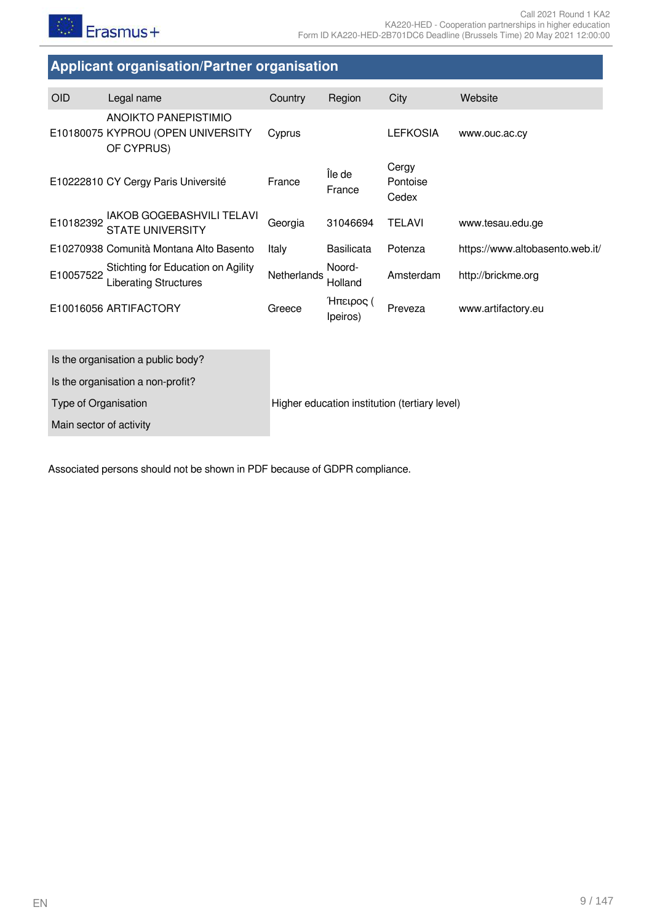# <span id="page-8-0"></span>**Applicant organisation/Partner organisation**

| <b>OID</b> | Legal name                                                              | Country     | Region                | City                       | Website                         |
|------------|-------------------------------------------------------------------------|-------------|-----------------------|----------------------------|---------------------------------|
|            | ANOIKTO PANEPISTIMIO<br>E10180075 KYPROU (OPEN UNIVERSITY<br>OF CYPRUS) | Cyprus      |                       | <b>LEFKOSIA</b>            | www.ouc.ac.cy                   |
|            | E10222810 CY Cergy Paris Université                                     | France      | Île de<br>France      | Cergy<br>Pontoise<br>Cedex |                                 |
| E10182392  | <b>IAKOB GOGEBASHVILI TELAVI</b><br><b>STATE UNIVERSITY</b>             | Georgia     | 31046694              | <b>TELAVI</b>              | www.tesau.edu.ge                |
|            | E10270938 Comunità Montana Alto Basento                                 | Italy       | <b>Basilicata</b>     | Potenza                    | https://www.altobasento.web.it/ |
| E10057522  | Stichting for Education on Agility<br><b>Liberating Structures</b>      | Netherlands | Noord-<br>Holland     | Amsterdam                  | http://brickme.org              |
|            | E10016056 ARTIFACTORY                                                   | Greece      | Ήπειρος (<br>Ipeiros) | Preveza                    | www.artifactory.eu              |
|            |                                                                         |             |                       |                            |                                 |
|            | Is the organisation a public body?                                      |             |                       |                            |                                 |
|            | Is the organisation a non-profit?                                       |             |                       |                            |                                 |

Type of Organisation **Higher education institution (tertiary level)** 

Main sector of activity

Associated persons should not be shown in PDF because of GDPR compliance.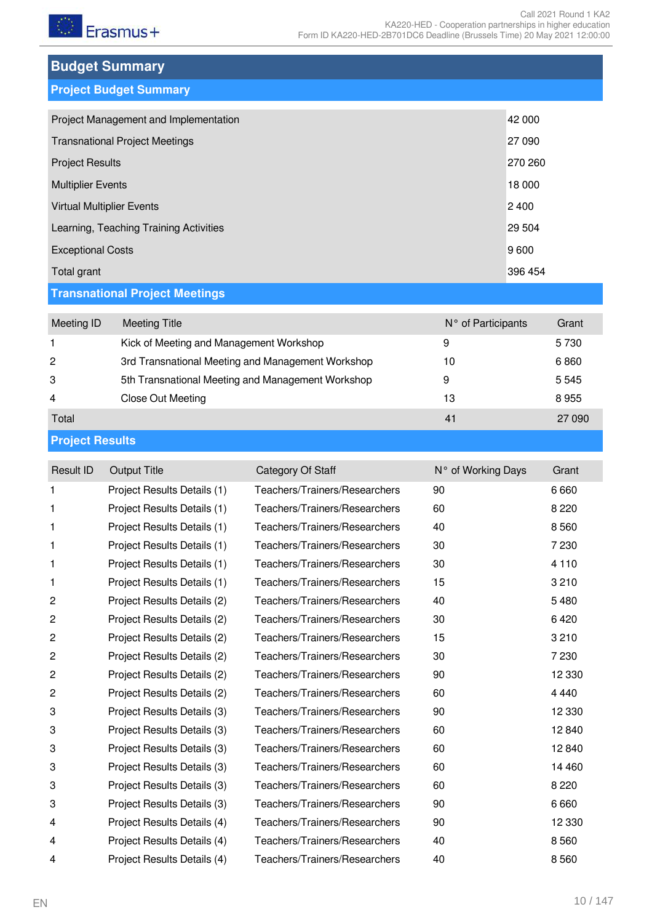<span id="page-9-0"></span>

| <b>Budget Summary</b> |  |
|-----------------------|--|
|                       |  |

<span id="page-9-1"></span>

|  |  | <b>Project Budget Summary</b> |  |
|--|--|-------------------------------|--|
|  |  |                               |  |

| Project Management and Implementation  | 42 000  |
|----------------------------------------|---------|
| <b>Transnational Project Meetings</b>  | 27 090  |
| <b>Project Results</b>                 | 270 260 |
| <b>Multiplier Events</b>               | 18 000  |
| <b>Virtual Multiplier Events</b>       | 2 4 0 0 |
| Learning, Teaching Training Activities | 29 504  |
| <b>Exceptional Costs</b>               | 9600    |
| Total grant                            | 396 454 |

# <span id="page-9-2"></span>**Transnational Project Meetings**

| Meeting ID | Meeting Title                                     | N° of Participants | Grant  |
|------------|---------------------------------------------------|--------------------|--------|
|            | Kick of Meeting and Management Workshop           | 9                  | 5730   |
| 2          | 3rd Transnational Meeting and Management Workshop | 10                 | 6860   |
| 3          | 5th Transnational Meeting and Management Workshop | 9                  | 5545   |
| 4          | Close Out Meeting                                 | 13                 | 8955   |
| Total      |                                                   | 41                 | 27 090 |
|            |                                                   |                    |        |

## <span id="page-9-3"></span>**Project Results**

| Result ID      | <b>Output Title</b>         | Category Of Staff             | N° of Working Days | Grant   |
|----------------|-----------------------------|-------------------------------|--------------------|---------|
| 1              | Project Results Details (1) | Teachers/Trainers/Researchers | 90                 | 6660    |
| 1              | Project Results Details (1) | Teachers/Trainers/Researchers | 60                 | 8 2 2 0 |
| 1              | Project Results Details (1) | Teachers/Trainers/Researchers | 40                 | 8560    |
| 1              | Project Results Details (1) | Teachers/Trainers/Researchers | 30                 | 7 2 3 0 |
| 1              | Project Results Details (1) | Teachers/Trainers/Researchers | 30                 | 4 1 1 0 |
| 1              | Project Results Details (1) | Teachers/Trainers/Researchers | 15                 | 3 2 1 0 |
| $\overline{c}$ | Project Results Details (2) | Teachers/Trainers/Researchers | 40                 | 5480    |
| 2              | Project Results Details (2) | Teachers/Trainers/Researchers | 30                 | 6420    |
| 2              | Project Results Details (2) | Teachers/Trainers/Researchers | 15                 | 3 2 1 0 |
| 2              | Project Results Details (2) | Teachers/Trainers/Researchers | 30                 | 7 2 3 0 |
| 2              | Project Results Details (2) | Teachers/Trainers/Researchers | 90                 | 12 3 30 |
| 2              | Project Results Details (2) | Teachers/Trainers/Researchers | 60                 | 4 4 4 0 |
| 3              | Project Results Details (3) | Teachers/Trainers/Researchers | 90                 | 12 3 30 |
| 3              | Project Results Details (3) | Teachers/Trainers/Researchers | 60                 | 12840   |
| 3              | Project Results Details (3) | Teachers/Trainers/Researchers | 60                 | 12840   |
| 3              | Project Results Details (3) | Teachers/Trainers/Researchers | 60                 | 14 4 60 |
| 3              | Project Results Details (3) | Teachers/Trainers/Researchers | 60                 | 8 2 2 0 |
| 3              | Project Results Details (3) | Teachers/Trainers/Researchers | 90                 | 6660    |
| 4              | Project Results Details (4) | Teachers/Trainers/Researchers | 90                 | 12 3 30 |
| 4              | Project Results Details (4) | Teachers/Trainers/Researchers | 40                 | 8560    |
| 4              | Project Results Details (4) | Teachers/Trainers/Researchers | 40                 | 8560    |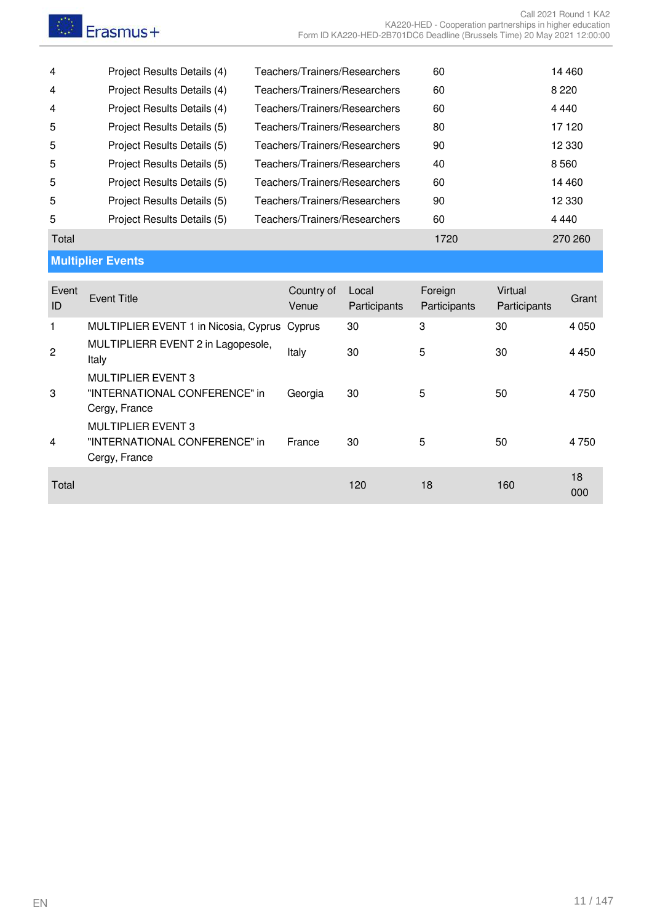<span id="page-10-0"></span>

| 4           | Project Results Details (4)                                          | Teachers/Trainers/Researchers |                       | 60                      |                         | 14 4 60 |
|-------------|----------------------------------------------------------------------|-------------------------------|-----------------------|-------------------------|-------------------------|---------|
| 4           | Project Results Details (4)                                          | Teachers/Trainers/Researchers |                       | 60                      |                         | 8 2 2 0 |
| 4           | Project Results Details (4)                                          | Teachers/Trainers/Researchers |                       | 60                      |                         | 4 4 4 0 |
| 5           | Project Results Details (5)                                          | Teachers/Trainers/Researchers |                       | 80                      |                         | 17 120  |
| 5           | Project Results Details (5)                                          | Teachers/Trainers/Researchers |                       | 90                      |                         | 12 3 30 |
| 5           | Project Results Details (5)                                          | Teachers/Trainers/Researchers |                       | 40                      |                         | 8560    |
| 5           | Project Results Details (5)                                          | Teachers/Trainers/Researchers |                       | 60                      |                         | 14 4 60 |
| 5           | Project Results Details (5)                                          | Teachers/Trainers/Researchers |                       | 90                      |                         | 12 3 30 |
| 5           | Project Results Details (5)                                          | Teachers/Trainers/Researchers |                       | 60                      |                         | 4 4 4 0 |
| Total       |                                                                      |                               |                       | 1720                    |                         | 270 260 |
|             | <b>Multiplier Events</b>                                             |                               |                       |                         |                         |         |
| Event<br>ID | <b>Event Title</b>                                                   | Country of<br>Venue           | Local<br>Participants | Foreign<br>Participants | Virtual<br>Participants | Grant   |
| 1           | MULTIPLIER EVENT 1 in Nicosia, Cyprus                                | Cyprus                        | 30                    | 3                       | 30                      | 4 0 5 0 |
| 2           | MULTIPLIERR EVENT 2 in Lagopesole,<br>Italy                          | Italy                         | 30                    | 5                       | 30                      | 4 4 5 0 |
| 3           | MULTIPLIER EVENT 3<br>"INTERNATIONAL CONFERENCE" in<br>Cergy, France | Georgia                       | 30                    | 5                       | 50                      | 4750    |
| 4           | MULTIPLIER EVENT 3<br>"INTERNATIONAL CONFERENCE" in<br>Cergy, France | France                        | 30                    | 5                       | 50                      | 4750    |
|             |                                                                      |                               |                       |                         |                         | 18      |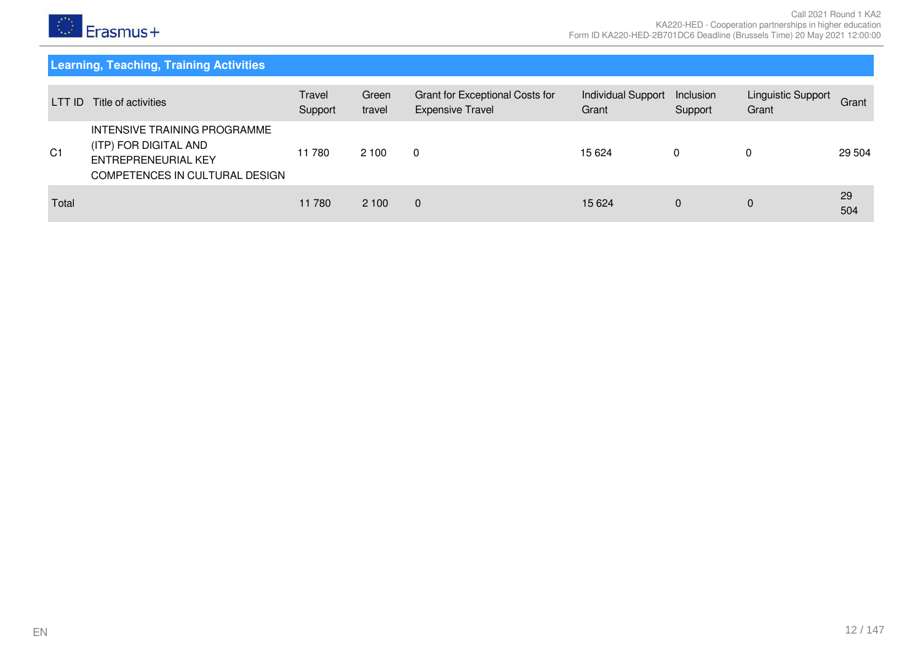

# **Learning, Teaching, Training Activities**

<span id="page-11-0"></span>

| LTT ID         | Title of activities                                                                                            | Travel<br>Support | Green<br>travel | Grant for Exceptional Costs for<br><b>Expensive Travel</b> | Individual Support<br>Grant | Inclusion<br>Support | Linguistic Support<br>Grant | Grant     |
|----------------|----------------------------------------------------------------------------------------------------------------|-------------------|-----------------|------------------------------------------------------------|-----------------------------|----------------------|-----------------------------|-----------|
| C <sub>1</sub> | INTENSIVE TRAINING PROGRAMME<br>(ITP) FOR DIGITAL AND<br>ENTREPRENEURIAL KEY<br>COMPETENCES IN CULTURAL DESIGN | 11 780            | 2 100           | $\Omega$                                                   | 15 6 24                     | 0                    |                             | 29 504    |
| Total          |                                                                                                                | 11 780            | 2 100           | $\mathbf{0}$                                               | 15 6 24                     | 0                    | 0                           | 29<br>504 |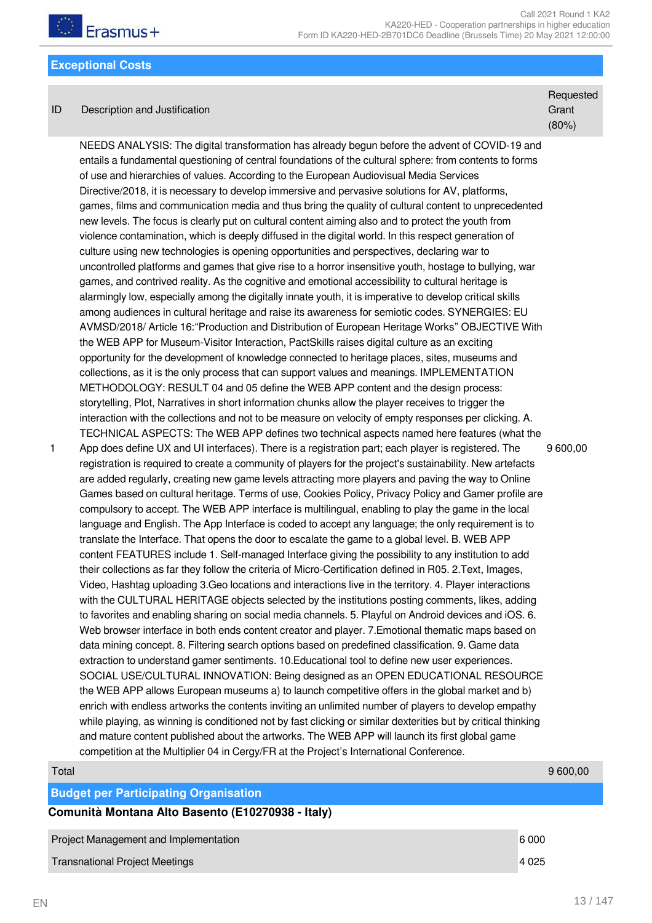

#### <span id="page-12-0"></span>**Exceptional Costs**

#### ID Description and Justification

**Requested Grant** (80%)

NEEDS ANALYSIS: The digital transformation has already begun before the advent of COVID-19 and entails a fundamental questioning of central foundations of the cultural sphere: from contents to forms of use and hierarchies of values. According to the European Audiovisual Media Services Directive/2018, it is necessary to develop immersive and pervasive solutions for AV, platforms, games, films and communication media and thus bring the quality of cultural content to unprecedented new levels. The focus is clearly put on cultural content aiming also and to protect the youth from violence contamination, which is deeply diffused in the digital world. In this respect generation of culture using new technologies is opening opportunities and perspectives, declaring war to uncontrolled platforms and games that give rise to a horror insensitive youth, hostage to bullying, war games, and contrived reality. As the cognitive and emotional accessibility to cultural heritage is alarmingly low, especially among the digitally innate youth, it is imperative to develop critical skills among audiences in cultural heritage and raise its awareness for semiotic codes. SYNERGIES: EU AVMSD/2018/ Article 16:"Production and Distribution of European Heritage Works" OBJECTIVE With the WEB APP for Museum-Visitor Interaction, PactSkills raises digital culture as an exciting opportunity for the development of knowledge connected to heritage places, sites, museums and collections, as it is the only process that can support values and meanings. IMPLEMENTATION METHODOLOGY: RESULT 04 and 05 define the WEB APP content and the design process: storytelling, Plot, Narratives in short information chunks allow the player receives to trigger the interaction with the collections and not to be measure on velocity of empty responses per clicking. A. TECHNICAL ASPECTS: The WEB APP defines two technical aspects named here features (what the App does define UX and UI interfaces). There is a registration part; each player is registered. The registration is required to create a community of players for the project's sustainability. New artefacts are added regularly, creating new game levels attracting more players and paving the way to Online Games based on cultural heritage. Terms of use, Cookies Policy, Privacy Policy and Gamer profile are compulsory to accept. The WEB APP interface is multilingual, enabling to play the game in the local language and English. The App Interface is coded to accept any language; the only requirement is to translate the Interface. That opens the door to escalate the game to a global level. B. WEB APP content FEATURES include 1. Self-managed Interface giving the possibility to any institution to add their collections as far they follow the criteria of Micro-Certification defined in R05. 2.Text, Images, Video, Hashtag uploading 3.Geo locations and interactions live in the territory. 4. Player interactions with the CULTURAL HERITAGE objects selected by the institutions posting comments, likes, adding to favorites and enabling sharing on social media channels. 5. Playful on Android devices and iOS. 6. Web browser interface in both ends content creator and player. 7.Emotional thematic maps based on data mining concept. 8. Filtering search options based on predefined classification. 9. Game data extraction to understand gamer sentiments. 10.Educational tool to define new user experiences. SOCIAL USE/CULTURAL INNOVATION: Being designed as an OPEN EDUCATIONAL RESOURCE the WEB APP allows European museums a) to launch competitive offers in the global market and b) enrich with endless artworks the contents inviting an unlimited number of players to develop empathy while playing, as winning is conditioned not by fast clicking or similar dexterities but by critical thinking and mature content published about the artworks. The WEB APP will launch its first global game competition at the Multiplier 04 in Cergy/FR at the Project's International Conference. 9 600,00

1

<span id="page-12-1"></span>

| Total                                             | 9 600.00 |
|---------------------------------------------------|----------|
| <b>Budget per Participating Organisation</b>      |          |
| Comunità Montana Alto Basento (E10270938 - Italy) |          |
| Project Management and Implementation             | 6000     |

Transnational Project Meetings 4 025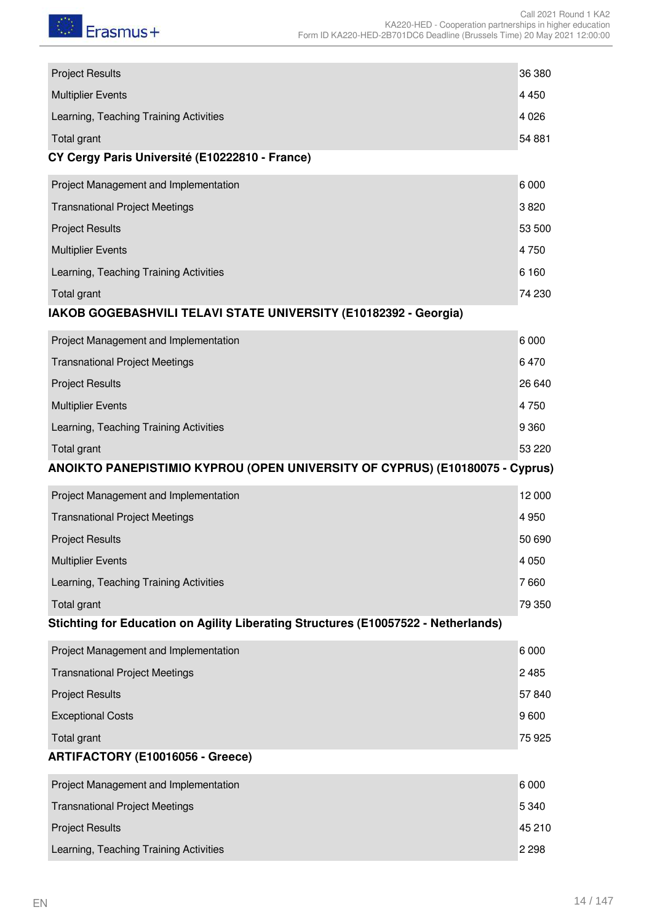

| <b>Project Results</b>                                                             | 36 380  |
|------------------------------------------------------------------------------------|---------|
| <b>Multiplier Events</b>                                                           | 4 4 5 0 |
| Learning, Teaching Training Activities                                             | 4 0 2 6 |
| Total grant                                                                        | 54 881  |
| CY Cergy Paris Université (E10222810 - France)                                     |         |
| Project Management and Implementation                                              | 6000    |
| <b>Transnational Project Meetings</b>                                              | 3820    |
| <b>Project Results</b>                                                             | 53 500  |
| <b>Multiplier Events</b>                                                           | 4750    |
| Learning, Teaching Training Activities                                             | 6 1 6 0 |
| Total grant                                                                        | 74 230  |
| IAKOB GOGEBASHVILI TELAVI STATE UNIVERSITY (E10182392 - Georgia)                   |         |
| Project Management and Implementation                                              | 6 0 0 0 |
| <b>Transnational Project Meetings</b>                                              | 6470    |
| <b>Project Results</b>                                                             | 26 640  |
| <b>Multiplier Events</b>                                                           | 4750    |
| Learning, Teaching Training Activities                                             | 9 3 6 0 |
| Total grant                                                                        | 53 2 20 |
| ANOIKTO PANEPISTIMIO KYPROU (OPEN UNIVERSITY OF CYPRUS) (E10180075 - Cyprus)       |         |
| Project Management and Implementation                                              | 12 000  |
| <b>Transnational Project Meetings</b>                                              | 4 9 5 0 |
| <b>Project Results</b>                                                             | 50 690  |
| <b>Multiplier Events</b>                                                           | 4 0 5 0 |
| Learning, Teaching Training Activities                                             | 7660    |
| Total grant                                                                        | 79 350  |
| Stichting for Education on Agility Liberating Structures (E10057522 - Netherlands) |         |
| Project Management and Implementation                                              | 6 0 0 0 |
| <b>Transnational Project Meetings</b>                                              | 2 4 8 5 |
| <b>Project Results</b>                                                             | 57840   |
| <b>Exceptional Costs</b>                                                           | 9600    |
| Total grant                                                                        | 75 925  |
| ARTIFACTORY (E10016056 - Greece)                                                   |         |
| Project Management and Implementation                                              | 6000    |
| <b>Transnational Project Meetings</b>                                              | 5 3 4 0 |
| <b>Project Results</b>                                                             | 45 210  |
| Learning, Teaching Training Activities                                             | 2 2 9 8 |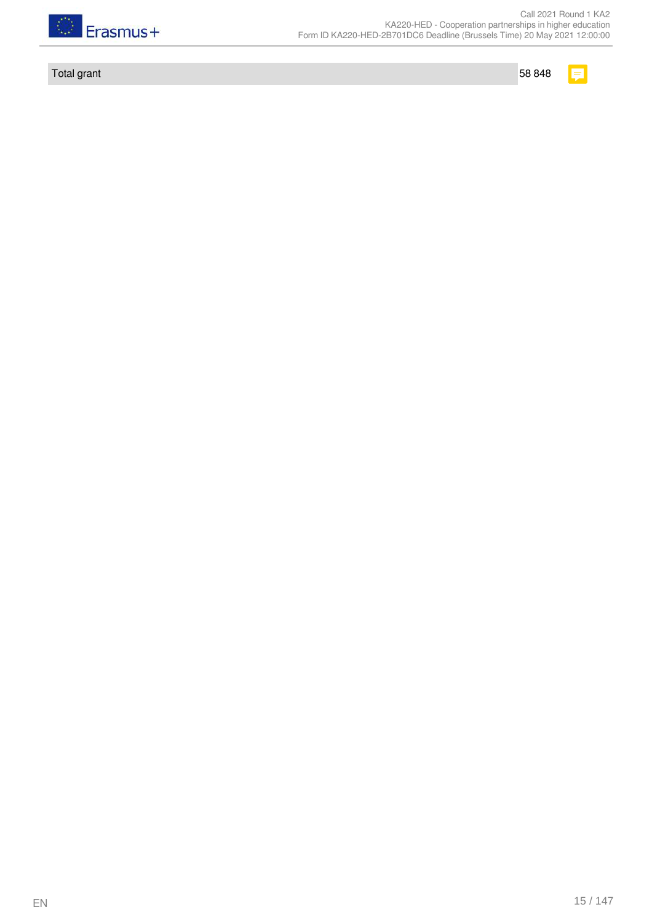

Total grant 58 848

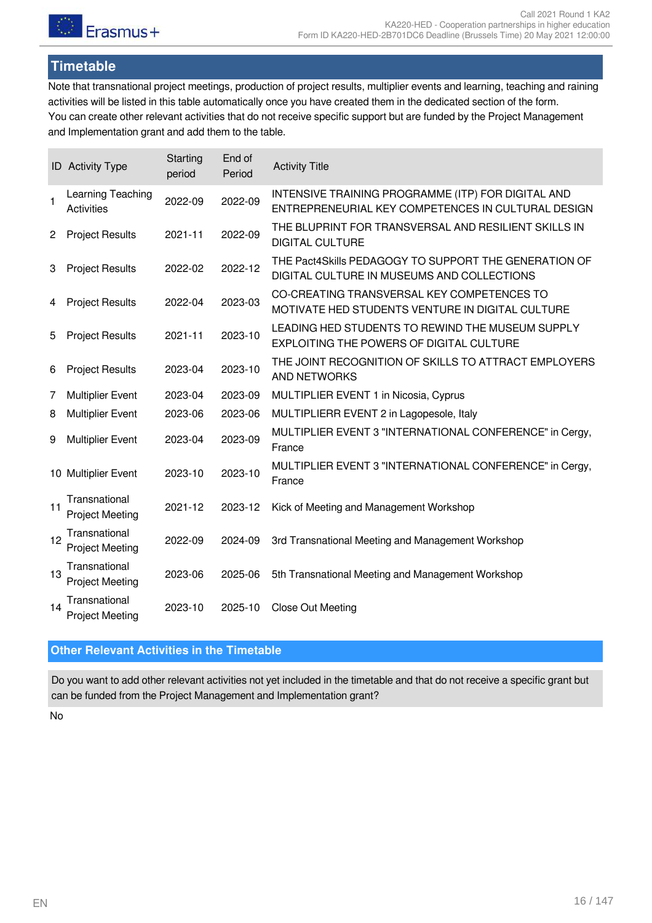# <span id="page-15-0"></span>**Timetable**

Note that transnational project meetings, production of project results, multiplier events and learning, teaching and raining activities will be listed in this table automatically once you have created them in the dedicated section of the form. You can create other relevant activities that do not receive specific support but are funded by the Project Management and Implementation grant and add them to the table.

|              | <b>ID</b> Activity Type                 | Starting<br>period | End of<br>Period | <b>Activity Title</b>                                                                                    |
|--------------|-----------------------------------------|--------------------|------------------|----------------------------------------------------------------------------------------------------------|
| $\mathbf{1}$ | Learning Teaching<br><b>Activities</b>  | 2022-09            | 2022-09          | INTENSIVE TRAINING PROGRAMME (ITP) FOR DIGITAL AND<br>ENTREPRENEURIAL KEY COMPETENCES IN CULTURAL DESIGN |
| $\mathbf{2}$ | <b>Project Results</b>                  | 2021-11            | 2022-09          | THE BLUPRINT FOR TRANSVERSAL AND RESILIENT SKILLS IN<br><b>DIGITAL CULTURE</b>                           |
| 3            | <b>Project Results</b>                  | 2022-02            | 2022-12          | THE Pact4Skills PEDAGOGY TO SUPPORT THE GENERATION OF<br>DIGITAL CULTURE IN MUSEUMS AND COLLECTIONS      |
| 4            | <b>Project Results</b>                  | 2022-04            | 2023-03          | CO-CREATING TRANSVERSAL KEY COMPETENCES TO<br>MOTIVATE HED STUDENTS VENTURE IN DIGITAL CULTURE           |
| 5            | <b>Project Results</b>                  | 2021-11            | 2023-10          | LEADING HED STUDENTS TO REWIND THE MUSEUM SUPPLY<br>EXPLOITING THE POWERS OF DIGITAL CULTURE             |
| 6            | <b>Project Results</b>                  | 2023-04            | 2023-10          | THE JOINT RECOGNITION OF SKILLS TO ATTRACT EMPLOYERS<br><b>AND NETWORKS</b>                              |
| 7            | <b>Multiplier Event</b>                 | 2023-04            | 2023-09          | MULTIPLIER EVENT 1 in Nicosia, Cyprus                                                                    |
| 8            | <b>Multiplier Event</b>                 | 2023-06            | 2023-06          | MULTIPLIERR EVENT 2 in Lagopesole, Italy                                                                 |
| 9            | <b>Multiplier Event</b>                 | 2023-04            | 2023-09          | MULTIPLIER EVENT 3 "INTERNATIONAL CONFERENCE" in Cergy,<br>France                                        |
|              | 10 Multiplier Event                     | 2023-10            | 2023-10          | MULTIPLIER EVENT 3 "INTERNATIONAL CONFERENCE" in Cergy,<br>France                                        |
| 11           | Transnational<br><b>Project Meeting</b> | 2021-12            | 2023-12          | Kick of Meeting and Management Workshop                                                                  |
| 12           | Transnational<br><b>Project Meeting</b> | 2022-09            | 2024-09          | 3rd Transnational Meeting and Management Workshop                                                        |
| 13           | Transnational<br><b>Project Meeting</b> | 2023-06            | 2025-06          | 5th Transnational Meeting and Management Workshop                                                        |
| 14           | Transnational<br><b>Project Meeting</b> | 2023-10            | 2025-10          | Close Out Meeting                                                                                        |

### <span id="page-15-1"></span>**Other Relevant Activities in the Timetable**

Do you want to add other relevant activities not yet included in the timetable and that do not receive a specific grant but can be funded from the Project Management and Implementation grant?

No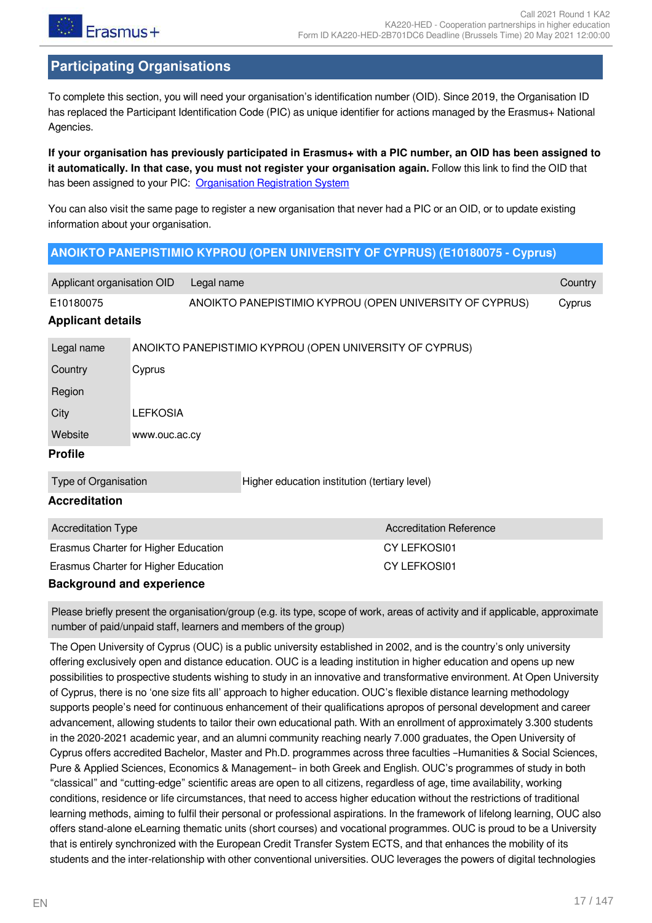

# <span id="page-16-0"></span>**Participating Organisations**

To complete this section, you will need your organisation's identification number (OID). Since 2019, the Organisation ID has replaced the Participant Identification Code (PIC) as unique identifier for actions managed by the Erasmus+ National Agencies.

**If your organisation has previously participated in Erasmus+ with a PIC number, an OID has been assigned to it automatically. In that case, you must not register your organisation again.** Follow this link to find the OID that has been assigned to your PIC: [Organisation Registration System](https://webgate.ec.europa.eu/erasmus-esc/home/organisations/search-for-an-organisation)

You can also visit the same page to register a new organisation that never had a PIC or an OID, or to update existing information about your organisation.

#### <span id="page-16-1"></span>**ANOIKTO PANEPISTIMIO KYPROU (OPEN UNIVERSITY OF CYPRUS) (E10180075 - Cyprus)**

<span id="page-16-2"></span>

| Applicant organisation OID<br>Legal name |        |                                               |                                                         | Country      |  |
|------------------------------------------|--------|-----------------------------------------------|---------------------------------------------------------|--------------|--|
| E10180075                                |        |                                               | ANOIKTO PANEPISTIMIO KYPROU (OPEN UNIVERSITY OF CYPRUS) | Cyprus       |  |
| <b>Applicant details</b>                 |        |                                               |                                                         |              |  |
| Legal name                               |        |                                               | ANOIKTO PANEPISTIMIO KYPROU (OPEN UNIVERSITY OF CYPRUS) |              |  |
| Country                                  | Cyprus |                                               |                                                         |              |  |
| Region                                   |        |                                               |                                                         |              |  |
| <b>LEFKOSIA</b><br>City                  |        |                                               |                                                         |              |  |
| Website<br>www.ouc.ac.cy                 |        |                                               |                                                         |              |  |
| <b>Profile</b>                           |        |                                               |                                                         |              |  |
| Type of Organisation                     |        | Higher education institution (tertiary level) |                                                         |              |  |
| <b>Accreditation</b>                     |        |                                               |                                                         |              |  |
| <b>Accreditation Type</b>                |        |                                               | <b>Accreditation Reference</b>                          |              |  |
| Erasmus Charter for Higher Education     |        |                                               |                                                         | CY LEFKOSI01 |  |
| Erasmus Charter for Higher Education     |        |                                               |                                                         | CY LEFKOSI01 |  |

#### <span id="page-16-5"></span><span id="page-16-4"></span><span id="page-16-3"></span>**Background and experience**

Please briefly present the organisation/group (e.g. its type, scope of work, areas of activity and if applicable, approximate number of paid/unpaid staff, learners and members of the group)

The Open University of Cyprus (OUC) is a public university established in 2002, and is the country's only university offering exclusively open and distance education. OUC is a leading institution in higher education and opens up new possibilities to prospective students wishing to study in an innovative and transformative environment. At Open University of Cyprus, there is no 'one size fits all' approach to higher education. OUC's flexible distance learning methodology supports people's need for continuous enhancement of their qualifications apropos of personal development and career advancement, allowing students to tailor their own educational path. With an enrollment of approximately 3.300 students in the 2020-2021 academic year, and an alumni community reaching nearly 7.000 graduates, the Open University of Cyprus offers accredited Bachelor, Master and Ph.D. programmes across three faculties –Humanities & Social Sciences, Pure & Applied Sciences, Economics & Management– in both Greek and English. OUC's programmes of study in both "classical" and "cutting-edge" scientific areas are open to all citizens, regardless of age, time availability, working conditions, residence or life circumstances, that need to access higher education without the restrictions of traditional learning methods, aiming to fulfil their personal or professional aspirations. In the framework of lifelong learning, OUC also offers stand-alone eLearning thematic units (short courses) and vocational programmes. OUC is proud to be a University that is entirely synchronized with the European Credit Transfer System ECTS, and that enhances the mobility of its students and the inter-relationship with other conventional universities. OUC leverages the powers of digital technologies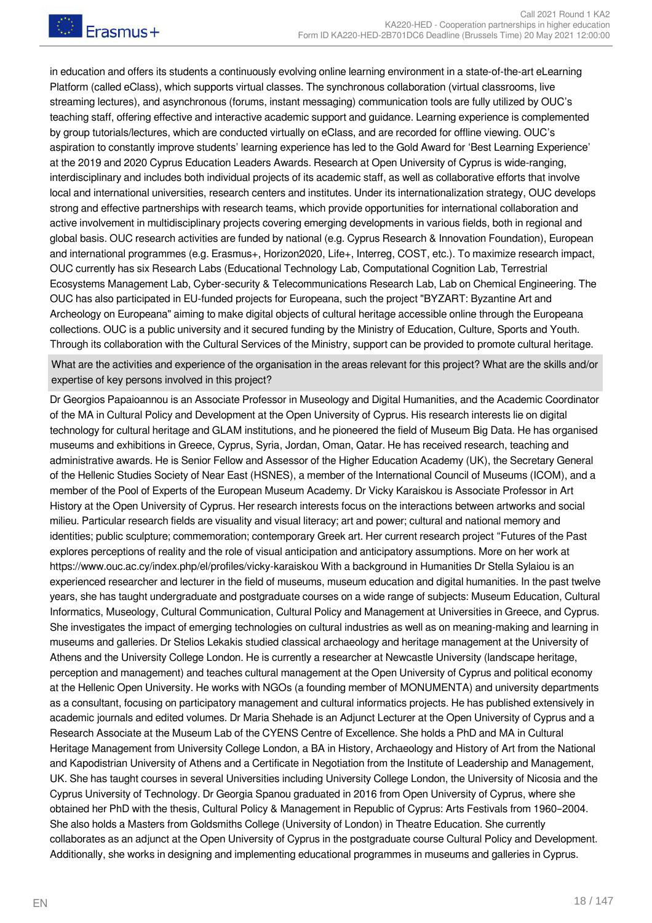in education and offers its students a continuously evolving online learning environment in a state-of-the-art eLearning Platform (called eClass), which supports virtual classes. The synchronous collaboration (virtual classrooms, live streaming lectures), and asynchronous (forums, instant messaging) communication tools are fully utilized by OUC's teaching staff, offering effective and interactive academic support and guidance. Learning experience is complemented by group tutorials/lectures, which are conducted virtually on eClass, and are recorded for offline viewing. OUC's aspiration to constantly improve students' learning experience has led to the Gold Award for 'Best Learning Experience' at the 2019 and 2020 Cyprus Education Leaders Awards. Research at Open University of Cyprus is wide-ranging, interdisciplinary and includes both individual projects of its academic staff, as well as collaborative efforts that involve local and international universities, research centers and institutes. Under its internationalization strategy, OUC develops strong and effective partnerships with research teams, which provide opportunities for international collaboration and active involvement in multidisciplinary projects covering emerging developments in various fields, both in regional and global basis. OUC research activities are funded by national (e.g. Cyprus Research & Innovation Foundation), European and international programmes (e.g. Erasmus+, Horizon2020, Life+, Interreg, COST, etc.). To maximize research impact, OUC currently has six Research Labs (Educational Technology Lab, Computational Cognition Lab, Terrestrial Ecosystems Management Lab, Cyber-security & Telecommunications Research Lab, Lab on Chemical Engineering. The OUC has also participated in EU-funded projects for Europeana, such the project "BYZART: Byzantine Art and Archeology on Europeana" aiming to make digital objects of cultural heritage accessible online through the Europeana collections. OUC is a public university and it secured funding by the Ministry of Education, Culture, Sports and Youth. Through its collaboration with the Cultural Services of the Ministry, support can be provided to promote cultural heritage.

What are the activities and experience of the organisation in the areas relevant for this project? What are the skills and/or expertise of key persons involved in this project?

Dr Georgios Papaioannou is an Associate Professor in Museology and Digital Humanities, and the Academic Coordinator of the MA in Cultural Policy and Development at the Open University of Cyprus. His research interests lie on digital technology for cultural heritage and GLAM institutions, and he pioneered the field of Museum Big Data. He has organised museums and exhibitions in Greece, Cyprus, Syria, Jordan, Oman, Qatar. He has received research, teaching and administrative awards. He is Senior Fellow and Assessor of the Higher Education Academy (UK), the Secretary General of the Hellenic Studies Society of Near East (HSNES), a member of the International Council of Museums (ICOM), and a member of the Pool of Experts of the European Museum Academy. Dr Vicky Karaiskou is Associate Professor in Art History at the Open University of Cyprus. Her research interests focus on the interactions between artworks and social milieu. Particular research fields are visuality and visual literacy; art and power; cultural and national memory and identities; public sculpture; commemoration; contemporary Greek art. Her current research project "Futures of the Past explores perceptions of reality and the role of visual anticipation and anticipatory assumptions. More on her work at https://www.ouc.ac.cy/index.php/el/profiles/vicky-karaiskou With a background in Humanities Dr Stella Sylaiou is an experienced researcher and lecturer in the field of museums, museum education and digital humanities. In the past twelve years, she has taught undergraduate and postgraduate courses on a wide range of subjects: Museum Education, Cultural Informatics, Museology, Cultural Communication, Cultural Policy and Management at Universities in Greece, and Cyprus. She investigates the impact of emerging technologies on cultural industries as well as on meaning-making and learning in museums and galleries. Dr Stelios Lekakis studied classical archaeology and heritage management at the University of Athens and the University College London. He is currently a researcher at Newcastle University (landscape heritage, perception and management) and teaches cultural management at the Open University of Cyprus and political economy at the Hellenic Open University. He works with NGOs (a founding member of MONUMENTA) and university departments as a consultant, focusing on participatory management and cultural informatics projects. He has published extensively in academic journals and edited volumes. Dr Maria Shehade is an Adjunct Lecturer at the Open University of Cyprus and a Research Associate at the Museum Lab of the CYENS Centre of Excellence. She holds a PhD and MA in Cultural Heritage Management from University College London, a BA in History, Archaeology and History of Art from the National and Kapodistrian University of Athens and a Certificate in Negotiation from the Institute of Leadership and Management, UK. She has taught courses in several Universities including University College London, the University of Nicosia and the Cyprus University of Technology. Dr Georgia Spanou graduated in 2016 from Open University of Cyprus, where she obtained her PhD with the thesis, Cultural Policy & Management in Republic of Cyprus: Arts Festivals from 1960–2004. She also holds a Masters from Goldsmiths College (University of London) in Theatre Education. She currently collaborates as an adjunct at the Open University of Cyprus in the postgraduate course Cultural Policy and Development. Additionally, she works in designing and implementing educational programmes in museums and galleries in Cyprus.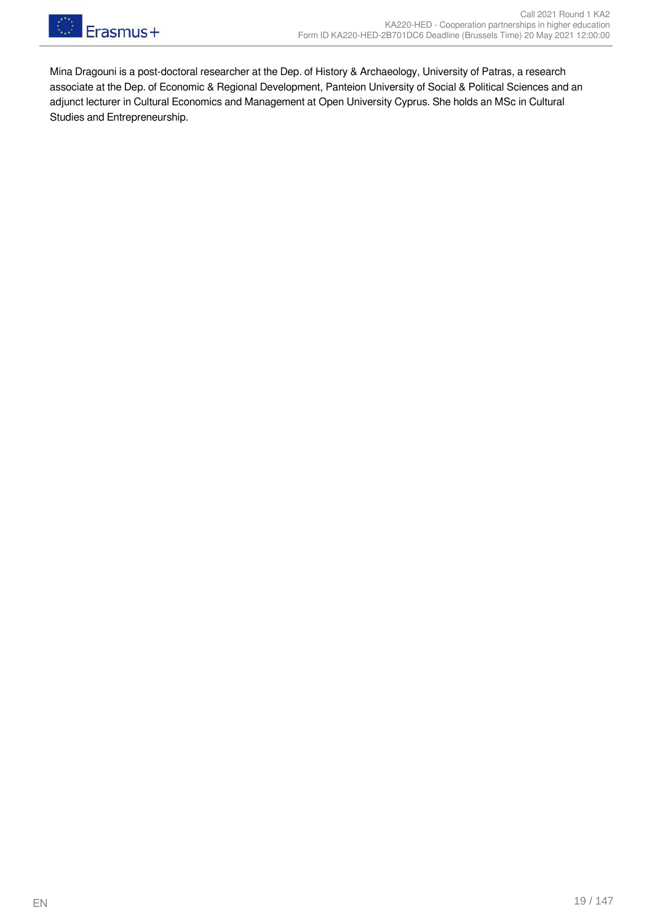

Mina Dragouni is a post-doctoral researcher at the Dep. of History & Archaeology, University of Patras, a research associate at the Dep. of Economic & Regional Development, Panteion University of Social & Political Sciences and an adjunct lecturer in Cultural Economics and Management at Open University Cyprus. She holds an MSc in Cultural Studies and Entrepreneurship.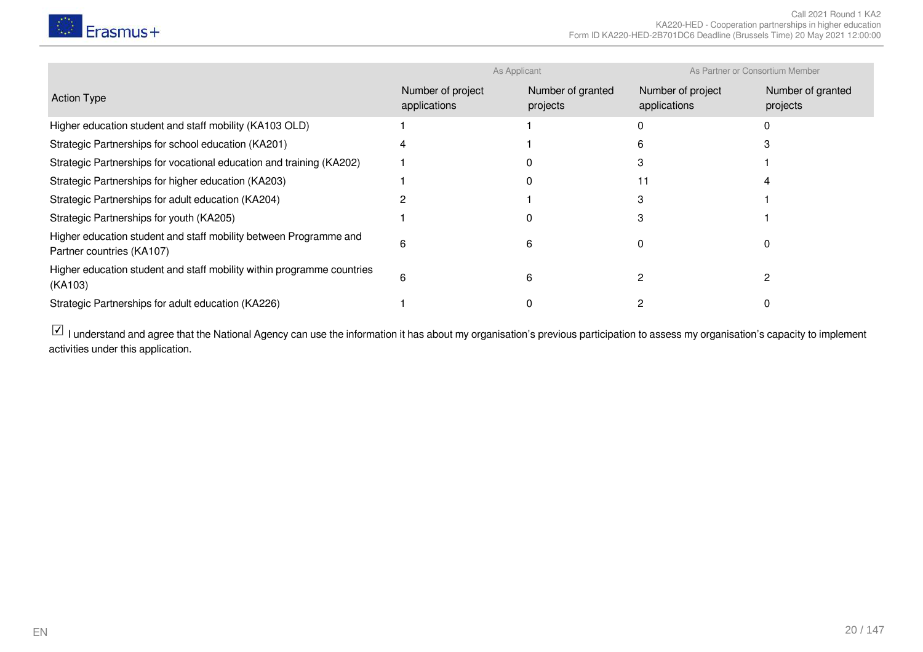

|                                                                                                | As Applicant                      |                               | As Partner or Consortium Member   |                               |
|------------------------------------------------------------------------------------------------|-----------------------------------|-------------------------------|-----------------------------------|-------------------------------|
| <b>Action Type</b>                                                                             | Number of project<br>applications | Number of granted<br>projects | Number of project<br>applications | Number of granted<br>projects |
| Higher education student and staff mobility (KA103 OLD)                                        |                                   |                               |                                   |                               |
| Strategic Partnerships for school education (KA201)                                            |                                   |                               |                                   |                               |
| Strategic Partnerships for vocational education and training (KA202)                           |                                   |                               |                                   |                               |
| Strategic Partnerships for higher education (KA203)                                            |                                   |                               |                                   |                               |
| Strategic Partnerships for adult education (KA204)                                             |                                   |                               |                                   |                               |
| Strategic Partnerships for youth (KA205)                                                       |                                   |                               |                                   |                               |
| Higher education student and staff mobility between Programme and<br>Partner countries (KA107) | n                                 |                               |                                   |                               |
| Higher education student and staff mobility within programme countries<br>(KA103)              | n                                 | n                             |                                   |                               |
| Strategic Partnerships for adult education (KA226)                                             |                                   |                               |                                   |                               |

 $\Box$  I understand and agree that the National Agency can use the information it has about my organisation's previous participation to assess my organisation's capacity to implement activities under this application.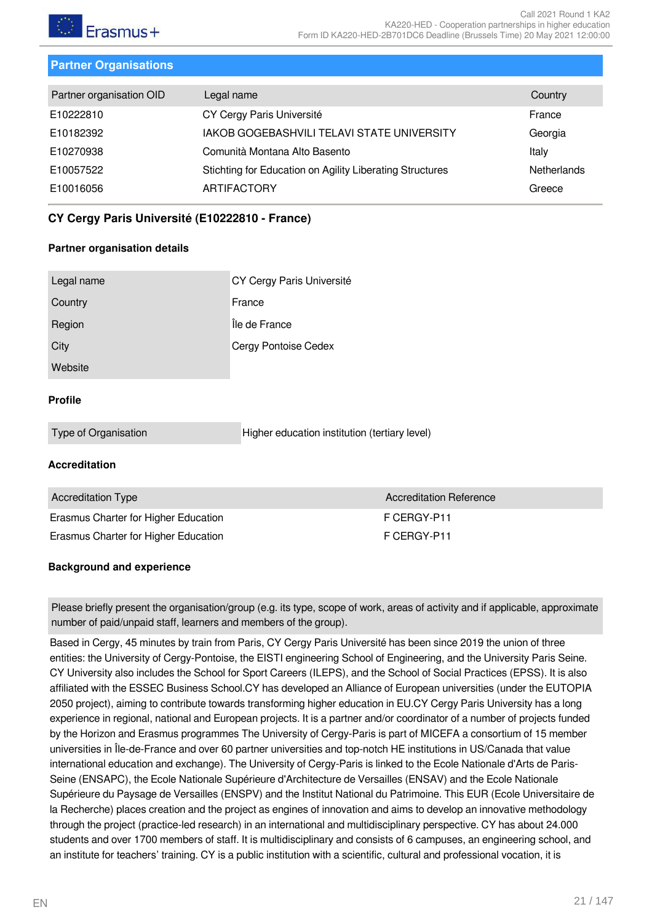

#### <span id="page-20-0"></span>**Partner Organisations**

| <b>Netherlands</b> |
|--------------------|
|                    |
|                    |

#### <span id="page-20-1"></span>**CY Cergy Paris Université (E10222810 - France)**

#### **Partner organisation details**

| Legal name | CY Cergy Paris Université |
|------------|---------------------------|
| Country    | France                    |
| Region     | Île de France             |
| City       | Cergy Pontoise Cedex      |
| Website    |                           |

#### **Profile**

| Type of Organisation | Higher education institution (tertiary level) |  |
|----------------------|-----------------------------------------------|--|

#### **Accreditation**

| <b>Accreditation Type</b>            | Accreditation Reference |
|--------------------------------------|-------------------------|
| Erasmus Charter for Higher Education | F CFRGY-P11             |
| Erasmus Charter for Higher Education | F CFRGY-P11             |

#### **Background and experience**

Please briefly present the organisation/group (e.g. its type, scope of work, areas of activity and if applicable, approximate number of paid/unpaid staff, learners and members of the group).

Based in Cergy, 45 minutes by train from Paris, CY Cergy Paris Université has been since 2019 the union of three entities: the University of Cergy-Pontoise, the EISTI engineering School of Engineering, and the University Paris Seine. CY University also includes the School for Sport Careers (ILEPS), and the School of Social Practices (EPSS). It is also affiliated with the ESSEC Business School.CY has developed an Alliance of European universities (under the EUTOPIA 2050 project), aiming to contribute towards transforming higher education in EU.CY Cergy Paris University has a long experience in regional, national and European projects. It is a partner and/or coordinator of a number of projects funded by the Horizon and Erasmus programmes The University of Cergy-Paris is part of MICEFA a consortium of 15 member universities in Île-de-France and over 60 partner universities and top-notch HE institutions in US/Canada that value international education and exchange). The University of Cergy-Paris is linked to the Ecole Nationale d'Arts de Paris-Seine (ENSAPC), the Ecole Nationale Supérieure d'Architecture de Versailles (ENSAV) and the Ecole Nationale Supérieure du Paysage de Versailles (ENSPV) and the Institut National du Patrimoine. This EUR (Ecole Universitaire de la Recherche) places creation and the project as engines of innovation and aims to develop an innovative methodology through the project (practice-led research) in an international and multidisciplinary perspective. CY has about 24.000 students and over 1700 members of staff. It is multidisciplinary and consists of 6 campuses, an engineering school, and an institute for teachers' training. CY is a public institution with a scientific, cultural and professional vocation, it is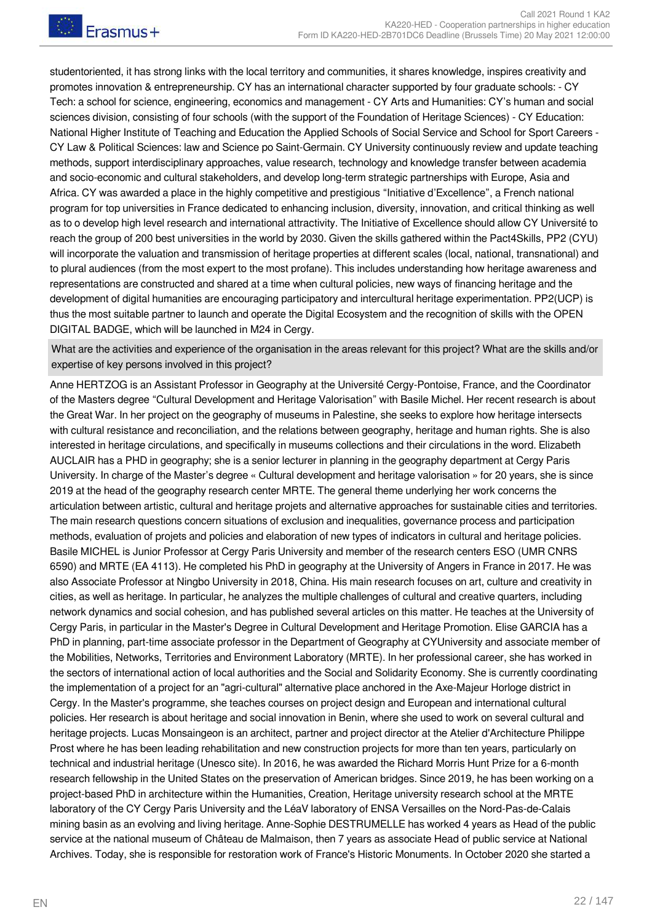studentoriented, it has strong links with the local territory and communities, it shares knowledge, inspires creativity and promotes innovation & entrepreneurship. CY has an international character supported by four graduate schools: - CY Tech: a school for science, engineering, economics and management - CY Arts and Humanities: CY's human and social sciences division, consisting of four schools (with the support of the Foundation of Heritage Sciences) - CY Education: National Higher Institute of Teaching and Education the Applied Schools of Social Service and School for Sport Careers - CY Law & Political Sciences: law and Science po Saint-Germain. CY University continuously review and update teaching methods, support interdisciplinary approaches, value research, technology and knowledge transfer between academia and socio-economic and cultural stakeholders, and develop long-term strategic partnerships with Europe, Asia and Africa. CY was awarded a place in the highly competitive and prestigious "Initiative d'Excellence", a French national program for top universities in France dedicated to enhancing inclusion, diversity, innovation, and critical thinking as well as to o develop high level research and international attractivity. The Initiative of Excellence should allow CY Université to reach the group of 200 best universities in the world by 2030. Given the skills gathered within the Pact4Skills, PP2 (CYU) will incorporate the valuation and transmission of heritage properties at different scales (local, national, transnational) and to plural audiences (from the most expert to the most profane). This includes understanding how heritage awareness and representations are constructed and shared at a time when cultural policies, new ways of financing heritage and the development of digital humanities are encouraging participatory and intercultural heritage experimentation. PP2(UCP) is thus the most suitable partner to launch and operate the Digital Ecosystem and the recognition of skills with the OPEN DIGITAL BADGE, which will be launched in M24 in Cergy.

What are the activities and experience of the organisation in the areas relevant for this project? What are the skills and/or expertise of key persons involved in this project?

Anne HERTZOG is an Assistant Professor in Geography at the Université Cergy-Pontoise, France, and the Coordinator of the Masters degree "Cultural Development and Heritage Valorisation" with Basile Michel. Her recent research is about the Great War. In her project on the geography of museums in Palestine, she seeks to explore how heritage intersects with cultural resistance and reconciliation, and the relations between geography, heritage and human rights. She is also interested in heritage circulations, and specifically in museums collections and their circulations in the word. Elizabeth AUCLAIR has a PHD in geography; she is a senior lecturer in planning in the geography department at Cergy Paris University. In charge of the Master's degree « Cultural development and heritage valorisation » for 20 years, she is since 2019 at the head of the geography research center MRTE. The general theme underlying her work concerns the articulation between artistic, cultural and heritage projets and alternative approaches for sustainable cities and territories. The main research questions concern situations of exclusion and inequalities, governance process and participation methods, evaluation of projets and policies and elaboration of new types of indicators in cultural and heritage policies. Basile MICHEL is Junior Professor at Cergy Paris University and member of the research centers ESO (UMR CNRS 6590) and MRTE (EA 4113). He completed his PhD in geography at the University of Angers in France in 2017. He was also Associate Professor at Ningbo University in 2018, China. His main research focuses on art, culture and creativity in cities, as well as heritage. In particular, he analyzes the multiple challenges of cultural and creative quarters, including network dynamics and social cohesion, and has published several articles on this matter. He teaches at the University of Cergy Paris, in particular in the Master's Degree in Cultural Development and Heritage Promotion. Elise GARCIA has a PhD in planning, part-time associate professor in the Department of Geography at CYUniversity and associate member of the Mobilities, Networks, Territories and Environment Laboratory (MRTE). In her professional career, she has worked in the sectors of international action of local authorities and the Social and Solidarity Economy. She is currently coordinating the implementation of a project for an "agri-cultural" alternative place anchored in the Axe-Majeur Horloge district in Cergy. In the Master's programme, she teaches courses on project design and European and international cultural policies. Her research is about heritage and social innovation in Benin, where she used to work on several cultural and heritage projects. Lucas Monsaingeon is an architect, partner and project director at the Atelier d'Architecture Philippe Prost where he has been leading rehabilitation and new construction projects for more than ten years, particularly on technical and industrial heritage (Unesco site). In 2016, he was awarded the Richard Morris Hunt Prize for a 6-month research fellowship in the United States on the preservation of American bridges. Since 2019, he has been working on a project-based PhD in architecture within the Humanities, Creation, Heritage university research school at the MRTE laboratory of the CY Cergy Paris University and the LéaV laboratory of ENSA Versailles on the Nord-Pas-de-Calais mining basin as an evolving and living heritage. Anne-Sophie DESTRUMELLE has worked 4 years as Head of the public service at the national museum of Château de Malmaison, then 7 years as associate Head of public service at National Archives. Today, she is responsible for restoration work of France's Historic Monuments. In October 2020 she started a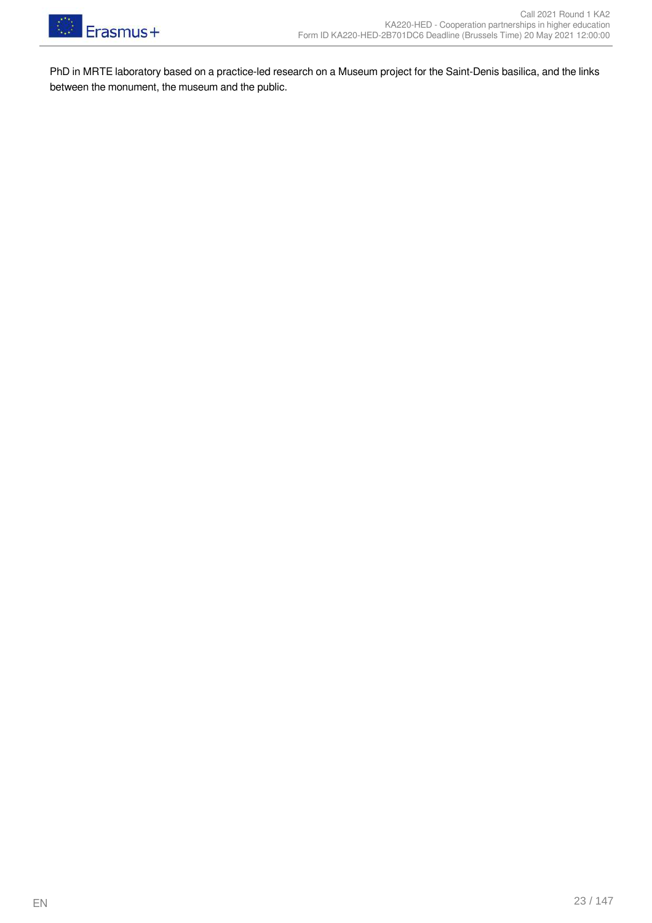

PhD in MRTE laboratory based on a practice-led research on a Museum project for the Saint-Denis basilica, and the links between the monument, the museum and the public.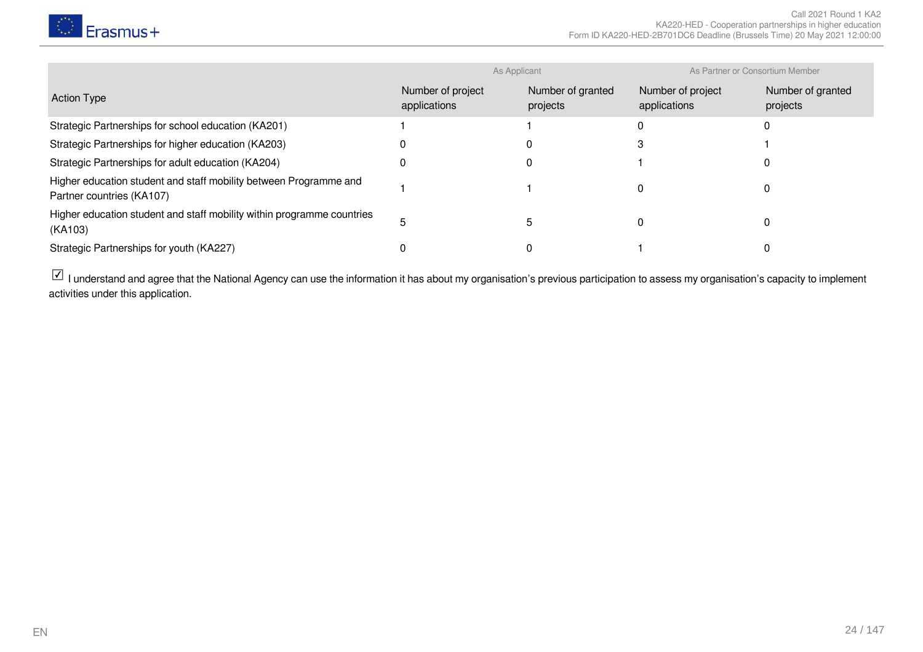

|                                                                                                | As Applicant                      |                               | As Partner or Consortium Member   |                               |
|------------------------------------------------------------------------------------------------|-----------------------------------|-------------------------------|-----------------------------------|-------------------------------|
| <b>Action Type</b>                                                                             | Number of project<br>applications | Number of granted<br>projects | Number of project<br>applications | Number of granted<br>projects |
| Strategic Partnerships for school education (KA201)                                            |                                   |                               |                                   |                               |
| Strategic Partnerships for higher education (KA203)                                            |                                   |                               |                                   |                               |
| Strategic Partnerships for adult education (KA204)                                             |                                   |                               |                                   |                               |
| Higher education student and staff mobility between Programme and<br>Partner countries (KA107) |                                   |                               |                                   |                               |
| Higher education student and staff mobility within programme countries<br>(KA103)              |                                   |                               |                                   |                               |
| Strategic Partnerships for youth (KA227)                                                       |                                   |                               |                                   |                               |

 $\boxdot$  I understand and agree that the National Agency can use the information it has about my organisation's previous participation to assess my organisation's capacity to implement activities under this application.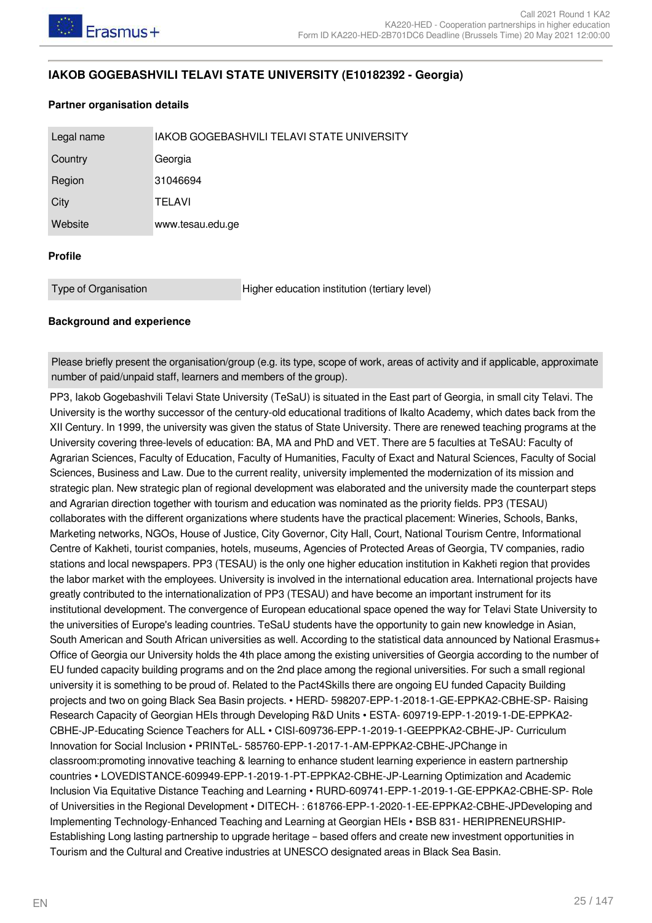#### <span id="page-24-0"></span>**IAKOB GOGEBASHVILI TELAVI STATE UNIVERSITY (E10182392 - Georgia)**

#### **Partner organisation details**

| Legal name     | IAKOB GOGEBASHVILI TELAVI STATE UNIVERSITY |  |  |
|----------------|--------------------------------------------|--|--|
| Country        | Georgia                                    |  |  |
| Region         | 31046694                                   |  |  |
| City           | <b>TELAVI</b>                              |  |  |
| Website        | www.tesau.edu.ge                           |  |  |
| <b>Profile</b> |                                            |  |  |

Type of Organisation Higher education institution (tertiary level)

#### **Background and experience**

Please briefly present the organisation/group (e.g. its type, scope of work, areas of activity and if applicable, approximate number of paid/unpaid staff, learners and members of the group).

PP3, Iakob Gogebashvili Telavi State University (TeSaU) is situated in the East part of Georgia, in small city Telavi. The University is the worthy successor of the century-old educational traditions of Ikalto Academy, which dates back from the XII Century. In 1999, the university was given the status of State University. There are renewed teaching programs at the University covering three-levels of education: BA, MA and PhD and VET. There are 5 faculties at TeSAU: Faculty of Agrarian Sciences, Faculty of Education, Faculty of Humanities, Faculty of Exact and Natural Sciences, Faculty of Social Sciences, Business and Law. Due to the current reality, university implemented the modernization of its mission and strategic plan. New strategic plan of regional development was elaborated and the university made the counterpart steps and Agrarian direction together with tourism and education was nominated as the priority fields. PP3 (TESAU) collaborates with the different organizations where students have the practical placement: Wineries, Schools, Banks, Marketing networks, NGOs, House of Justice, City Governor, City Hall, Court, National Tourism Centre, Informational Centre of Kakheti, tourist companies, hotels, museums, Agencies of Protected Areas of Georgia, TV companies, radio stations and local newspapers. PP3 (TESAU) is the only one higher education institution in Kakheti region that provides the labor market with the employees. University is involved in the international education area. International projects have greatly contributed to the internationalization of PP3 (TESAU) and have become an important instrument for its institutional development. The convergence of European educational space opened the way for Telavi State University to the universities of Europe's leading countries. TeSaU students have the opportunity to gain new knowledge in Asian, South American and South African universities as well. According to the statistical data announced by National Erasmus+ Office of Georgia our University holds the 4th place among the existing universities of Georgia according to the number of EU funded capacity building programs and on the 2nd place among the regional universities. For such a small regional university it is something to be proud of. Related to the Pact4Skills there are ongoing EU funded Capacity Building projects and two on going Black Sea Basin projects. • HERD- 598207-EPP-1-2018-1-GE-EPPKA2-CBHE-SP- Raising Research Capacity of Georgian HEIs through Developing R&D Units • ESTA- 609719-EPP-1-2019-1-DE-EPPKA2- CBHE-JP-Educating Science Teachers for ALL • CISI-609736-EPP-1-2019-1-GEEPPKA2-CBHE-JP- Curriculum Innovation for Social Inclusion • PRINTeL- 585760-EPP-1-2017-1-AM-EPPKA2-CBHE-JPChange in classroom:promoting innovative teaching & learning to enhance student learning experience in eastern partnership countries • LOVEDISTANCE-609949-EPP-1-2019-1-PT-EPPKA2-CBHE-JP-Learning Optimization and Academic Inclusion Via Equitative Distance Teaching and Learning • RURD-609741-EPP-1-2019-1-GE-EPPKA2-CBHE-SP- Role of Universities in the Regional Development • DITECH- : 618766-EPP-1-2020-1-EE-EPPKA2-CBHE-JPDeveloping and Implementing Technology-Enhanced Teaching and Learning at Georgian HEIs • BSB 831- HERIPRENEURSHIP-Establishing Long lasting partnership to upgrade heritage – based offers and create new investment opportunities in Tourism and the Cultural and Creative industries at UNESCO designated areas in Black Sea Basin.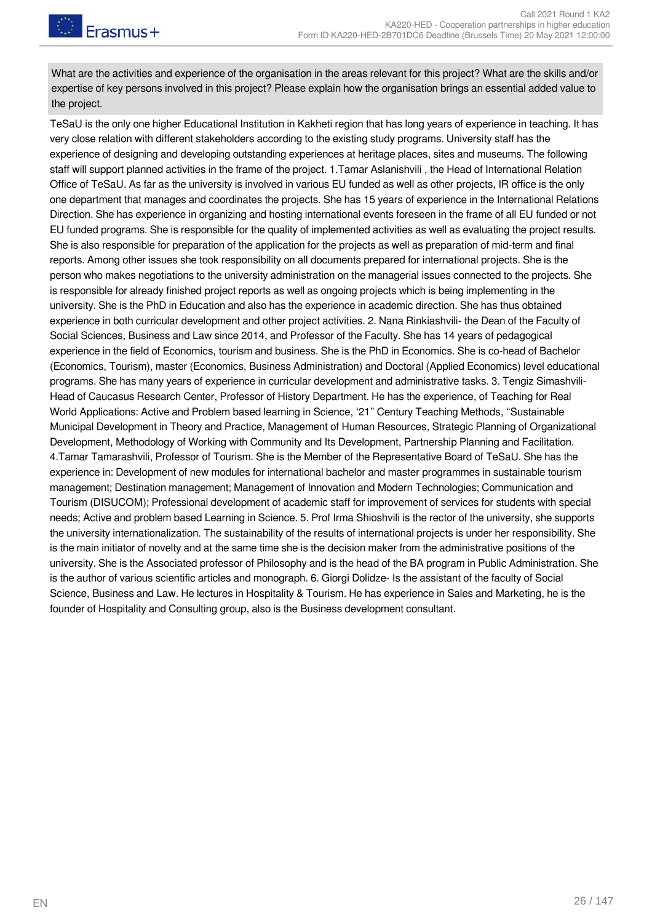What are the activities and experience of the organisation in the areas relevant for this project? What are the skills and/or expertise of key persons involved in this project? Please explain how the organisation brings an essential added value to the project.

TeSaU is the only one higher Educational Institution in Kakheti region that has long years of experience in teaching. It has very close relation with different stakeholders according to the existing study programs. University staff has the experience of designing and developing outstanding experiences at heritage places, sites and museums. The following staff will support planned activities in the frame of the project. 1.Tamar Aslanishvili , the Head of International Relation Office of TeSaU. As far as the university is involved in various EU funded as well as other projects, IR office is the only one department that manages and coordinates the projects. She has 15 years of experience in the International Relations Direction. She has experience in organizing and hosting international events foreseen in the frame of all EU funded or not EU funded programs. She is responsible for the quality of implemented activities as well as evaluating the project results. She is also responsible for preparation of the application for the projects as well as preparation of mid-term and final reports. Among other issues she took responsibility on all documents prepared for international projects. She is the person who makes negotiations to the university administration on the managerial issues connected to the projects. She is responsible for already finished project reports as well as ongoing projects which is being implementing in the university. She is the PhD in Education and also has the experience in academic direction. She has thus obtained experience in both curricular development and other project activities. 2. Nana Rinkiashvili- the Dean of the Faculty of Social Sciences, Business and Law since 2014, and Professor of the Faculty. She has 14 years of pedagogical experience in the field of Economics, tourism and business. She is the PhD in Economics. She is co-head of Bachelor (Economics, Tourism), master (Economics, Business Administration) and Doctoral (Applied Economics) level educational programs. She has many years of experience in curricular development and administrative tasks. 3. Tengiz Simashvili-Head of Caucasus Research Center, Professor of History Department. He has the experience, of Teaching for Real World Applications: Active and Problem based learning in Science, '21" Century Teaching Methods, "Sustainable Municipal Development in Theory and Practice, Management of Human Resources, Strategic Planning of Organizational Development, Methodology of Working with Community and Its Development, Partnership Planning and Facilitation. 4.Tamar Tamarashvili, Professor of Tourism. She is the Member of the Representative Board of TeSaU. She has the experience in: Development of new modules for international bachelor and master programmes in sustainable tourism management; Destination management; Management of Innovation and Modern Technologies; Communication and Tourism (DISUCOM); Professional development of academic staff for improvement of services for students with special needs; Active and problem based Learning in Science. 5. Prof Irma Shioshvili is the rector of the university, she supports the university internationalization. The sustainability of the results of international projects is under her responsibility. She is the main initiator of novelty and at the same time she is the decision maker from the administrative positions of the university. She is the Associated professor of Philosophy and is the head of the BA program in Public Administration. She is the author of various scientific articles and monograph. 6. Giorgi Dolidze- Is the assistant of the faculty of Social Science, Business and Law. He lectures in Hospitality & Tourism. He has experience in Sales and Marketing, he is the founder of Hospitality and Consulting group, also is the Business development consultant.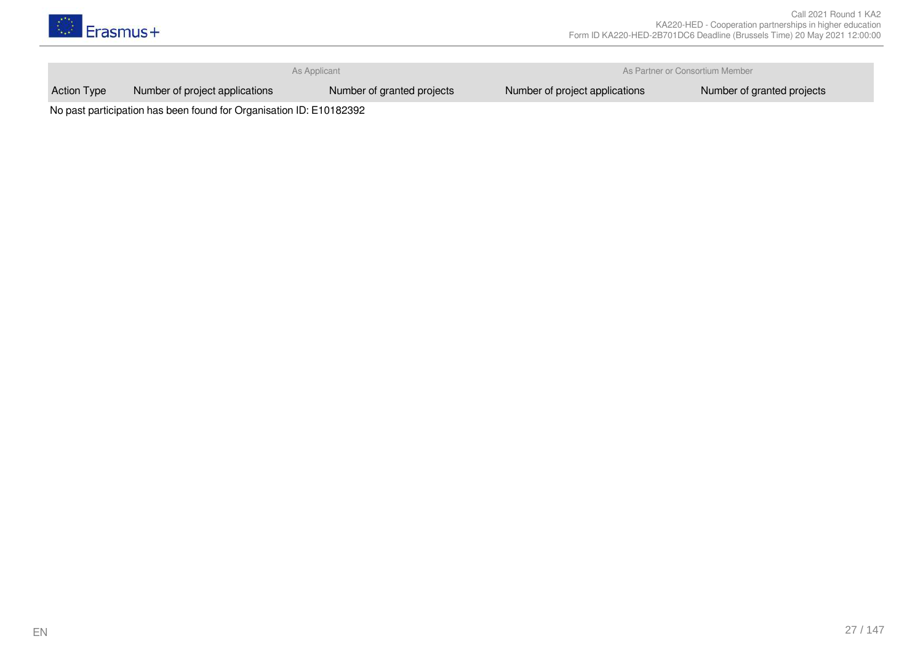

**As Applicant As Applicant As Applicant** As Partner or Consortium Member

Action Type Number of project applications Number of granted projects Number of project applications Number of granted projects

No past participation has been found for Organisation ID: E10182392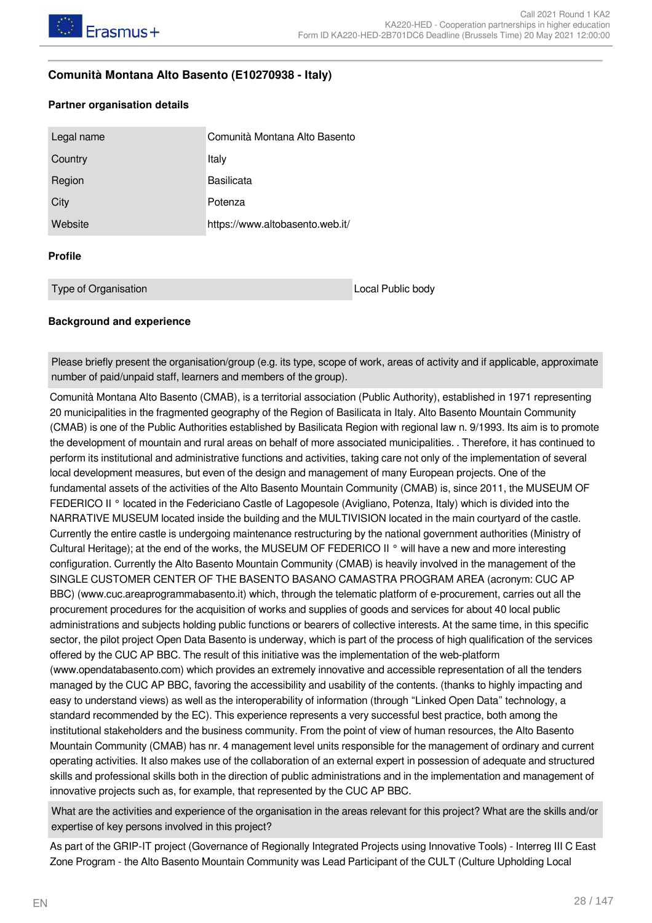#### <span id="page-27-0"></span>**Comunità Montana Alto Basento (E10270938 - Italy)**

#### **Partner organisation details**

| Legal name           | Comunità Montana Alto Basento   |                   |
|----------------------|---------------------------------|-------------------|
| Country              | Italy                           |                   |
| Region               | <b>Basilicata</b>               |                   |
| City                 | Potenza                         |                   |
| Website              | https://www.altobasento.web.it/ |                   |
| <b>Profile</b>       |                                 |                   |
| Type of Organisation |                                 | Local Public body |

#### **Background and experience**

Please briefly present the organisation/group (e.g. its type, scope of work, areas of activity and if applicable, approximate number of paid/unpaid staff, learners and members of the group).

Comunità Montana Alto Basento (CMAB), is a territorial association (Public Authority), established in 1971 representing 20 municipalities in the fragmented geography of the Region of Basilicata in Italy. Alto Basento Mountain Community (CMAB) is one of the Public Authorities established by Basilicata Region with regional law n. 9/1993. Its aim is to promote the development of mountain and rural areas on behalf of more associated municipalities. . Therefore, it has continued to perform its institutional and administrative functions and activities, taking care not only of the implementation of several local development measures, but even of the design and management of many European projects. One of the fundamental assets of the activities of the Alto Basento Mountain Community (CMAB) is, since 2011, the MUSEUM OF FEDERICO II ° located in the Federiciano Castle of Lagopesole (Avigliano, Potenza, Italy) which is divided into the NARRATIVE MUSEUM located inside the building and the MULTIVISION located in the main courtyard of the castle. Currently the entire castle is undergoing maintenance restructuring by the national government authorities (Ministry of Cultural Heritage); at the end of the works, the MUSEUM OF FEDERICO II ° will have a new and more interesting configuration. Currently the Alto Basento Mountain Community (CMAB) is heavily involved in the management of the SINGLE CUSTOMER CENTER OF THE BASENTO BASANO CAMASTRA PROGRAM AREA (acronym: CUC AP BBC) (www.cuc.areaprogrammabasento.it) which, through the telematic platform of e-procurement, carries out all the procurement procedures for the acquisition of works and supplies of goods and services for about 40 local public administrations and subjects holding public functions or bearers of collective interests. At the same time, in this specific sector, the pilot project Open Data Basento is underway, which is part of the process of high qualification of the services offered by the CUC AP BBC. The result of this initiative was the implementation of the web-platform (www.opendatabasento.com) which provides an extremely innovative and accessible representation of all the tenders managed by the CUC AP BBC, favoring the accessibility and usability of the contents. (thanks to highly impacting and easy to understand views) as well as the interoperability of information (through "Linked Open Data" technology, a standard recommended by the EC). This experience represents a very successful best practice, both among the institutional stakeholders and the business community. From the point of view of human resources, the Alto Basento Mountain Community (CMAB) has nr. 4 management level units responsible for the management of ordinary and current operating activities. It also makes use of the collaboration of an external expert in possession of adequate and structured skills and professional skills both in the direction of public administrations and in the implementation and management of innovative projects such as, for example, that represented by the CUC AP BBC.

What are the activities and experience of the organisation in the areas relevant for this project? What are the skills and/or expertise of key persons involved in this project?

As part of the GRIP-IT project (Governance of Regionally Integrated Projects using Innovative Tools) - Interreg III C East Zone Program - the Alto Basento Mountain Community was Lead Participant of the CULT (Culture Upholding Local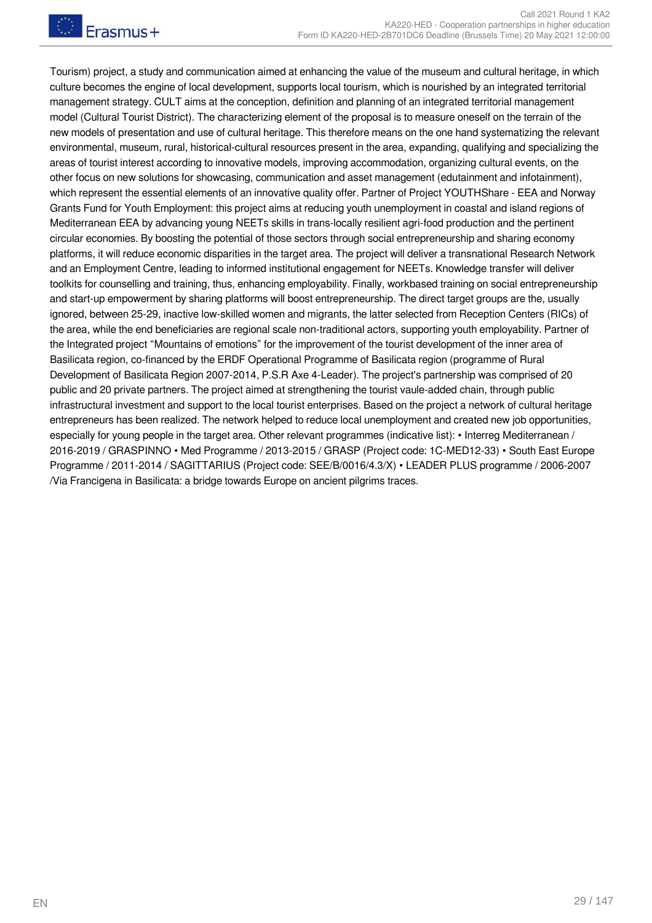Tourism) project, a study and communication aimed at enhancing the value of the museum and cultural heritage, in which culture becomes the engine of local development, supports local tourism, which is nourished by an integrated territorial management strategy. CULT aims at the conception, definition and planning of an integrated territorial management model (Cultural Tourist District). The characterizing element of the proposal is to measure oneself on the terrain of the new models of presentation and use of cultural heritage. This therefore means on the one hand systematizing the relevant environmental, museum, rural, historical-cultural resources present in the area, expanding, qualifying and specializing the areas of tourist interest according to innovative models, improving accommodation, organizing cultural events, on the other focus on new solutions for showcasing, communication and asset management (edutainment and infotainment), which represent the essential elements of an innovative quality offer. Partner of Project YOUTHShare - EEA and Norway Grants Fund for Youth Employment: this project aims at reducing youth unemployment in coastal and island regions of Mediterranean EEA by advancing young NEETs skills in trans-locally resilient agri-food production and the pertinent circular economies. By boosting the potential of those sectors through social entrepreneurship and sharing economy platforms, it will reduce economic disparities in the target area. The project will deliver a transnational Research Network and an Employment Centre, leading to informed institutional engagement for NEETs. Knowledge transfer will deliver toolkits for counselling and training, thus, enhancing employability. Finally, workbased training on social entrepreneurship and start-up empowerment by sharing platforms will boost entrepreneurship. The direct target groups are the, usually ignored, between 25-29, inactive low-skilled women and migrants, the latter selected from Reception Centers (RICs) of the area, while the end beneficiaries are regional scale non-traditional actors, supporting youth employability. Partner of the Integrated project "Mountains of emotions" for the improvement of the tourist development of the inner area of Basilicata region, co-financed by the ERDF Operational Programme of Basilicata region (programme of Rural Development of Basilicata Region 2007-2014, P.S.R Axe 4-Leader). The project's partnership was comprised of 20 public and 20 private partners. The project aimed at strengthening the tourist vaule-added chain, through public infrastructural investment and support to the local tourist enterprises. Based on the project a network of cultural heritage entrepreneurs has been realized. The network helped to reduce local unemployment and created new job opportunities, especially for young people in the target area. Other relevant programmes (indicative list): • Interreg Mediterranean / 2016-2019 / GRASPINNO • Med Programme / 2013-2015 / GRASP (Project code: 1C-MED12-33) • South East Europe Programme / 2011-2014 / SAGITTARIUS (Project code: SEE/B/0016/4.3/X) • LEADER PLUS programme / 2006-2007 /Via Francigena in Basilicata: a bridge towards Europe on ancient pilgrims traces.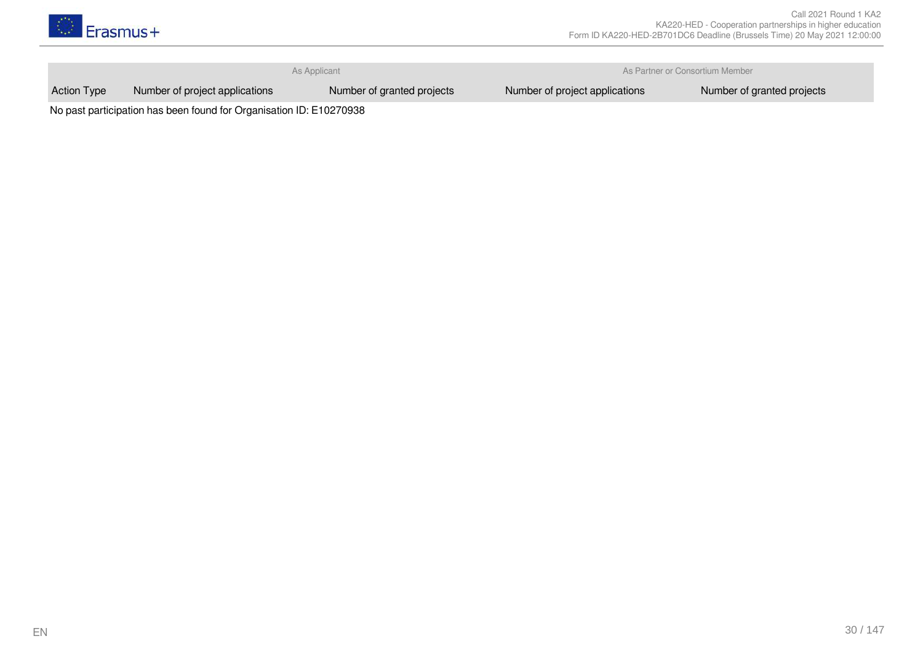

As Applicant As Applicant As Applicant As Partner or Consortium Member

Action Type Number of project applications Number of granted projects Number of project applications Number of granted projects

No past participation has been found for Organisation ID: E10270938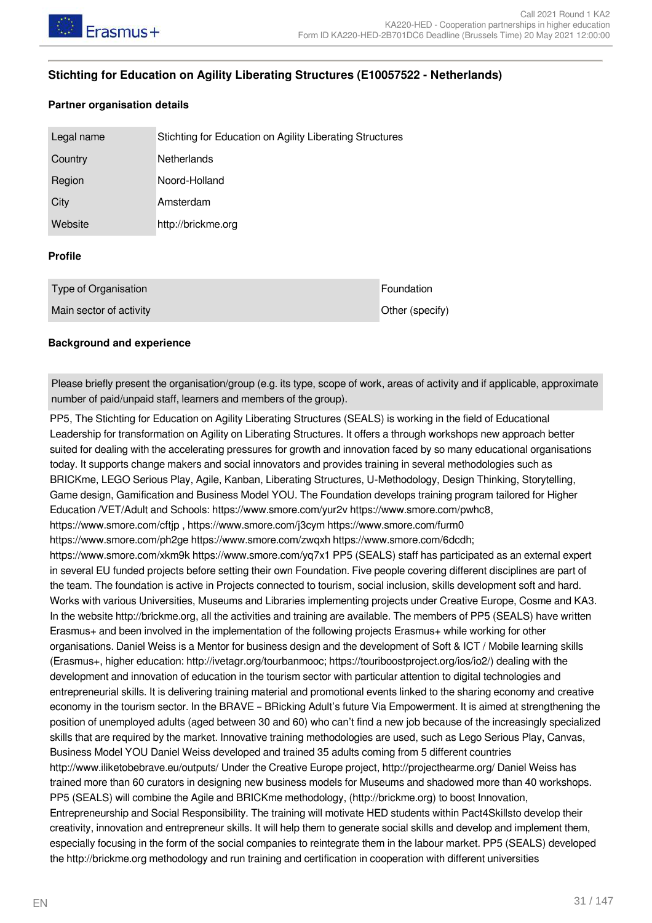#### <span id="page-30-0"></span>**Stichting for Education on Agility Liberating Structures (E10057522 - Netherlands)**

#### **Partner organisation details**

| Legal name                                 | Stichting for Education on Agility Liberating Structures |            |  |  |
|--------------------------------------------|----------------------------------------------------------|------------|--|--|
| Country                                    | <b>Netherlands</b>                                       |            |  |  |
| Region                                     | Noord-Holland                                            |            |  |  |
| City                                       | Amsterdam                                                |            |  |  |
| Website                                    | http://brickme.org                                       |            |  |  |
| <b>Profile</b>                             |                                                          |            |  |  |
| Type of Organisation                       |                                                          | Foundation |  |  |
| Main sector of activity<br>Other (specify) |                                                          |            |  |  |

#### **Background and experience**

Please briefly present the organisation/group (e.g. its type, scope of work, areas of activity and if applicable, approximate number of paid/unpaid staff, learners and members of the group).

PP5, The Stichting for Education on Agility Liberating Structures (SEALS) is working in the field of Educational Leadership for transformation on Agility on Liberating Structures. It offers a through workshops new approach better suited for dealing with the accelerating pressures for growth and innovation faced by so many educational organisations today. It supports change makers and social innovators and provides training in several methodologies such as BRICKme, LEGO Serious Play, Agile, Kanban, Liberating Structures, U-Methodology, Design Thinking, Storytelling, Game design, Gamification and Business Model YOU. The Foundation develops training program tailored for Higher Education /VET/Adult and Schools: https://www.smore.com/yur2v https://www.smore.com/pwhc8, https://www.smore.com/cftjp , https://www.smore.com/j3cym https://www.smore.com/furm0 https://www.smore.com/ph2ge https://www.smore.com/zwqxh https://www.smore.com/6dcdh; https://www.smore.com/xkm9k https://www.smore.com/yq7x1 PP5 (SEALS) staff has participated as an external expert in several EU funded projects before setting their own Foundation. Five people covering different disciplines are part of the team. The foundation is active in Projects connected to tourism, social inclusion, skills development soft and hard. Works with various Universities, Museums and Libraries implementing projects under Creative Europe, Cosme and KA3. In the website http://brickme.org, all the activities and training are available. The members of PP5 (SEALS) have written Erasmus+ and been involved in the implementation of the following projects Erasmus+ while working for other organisations. Daniel Weiss is a Mentor for business design and the development of Soft & ICT / Mobile learning skills (Erasmus+, higher education: http://ivetagr.org/tourbanmooc; https://touriboostproject.org/ios/io2/) dealing with the development and innovation of education in the tourism sector with particular attention to digital technologies and entrepreneurial skills. It is delivering training material and promotional events linked to the sharing economy and creative economy in the tourism sector. In the BRAVE – BRicking Adult's future Via Empowerment. It is aimed at strengthening the position of unemployed adults (aged between 30 and 60) who can't find a new job because of the increasingly specialized skills that are required by the market. Innovative training methodologies are used, such as Lego Serious Play, Canvas, Business Model YOU Daniel Weiss developed and trained 35 adults coming from 5 different countries http://www.iliketobebrave.eu/outputs/ Under the Creative Europe project, http://projecthearme.org/ Daniel Weiss has trained more than 60 curators in designing new business models for Museums and shadowed more than 40 workshops. PP5 (SEALS) will combine the Agile and BRICKme methodology, (http://brickme.org) to boost Innovation, Entrepreneurship and Social Responsibility. The training will motivate HED students within Pact4Skillsto develop their creativity, innovation and entrepreneur skills. It will help them to generate social skills and develop and implement them, especially focusing in the form of the social companies to reintegrate them in the labour market. PP5 (SEALS) developed the http://brickme.org methodology and run training and certification in cooperation with different universities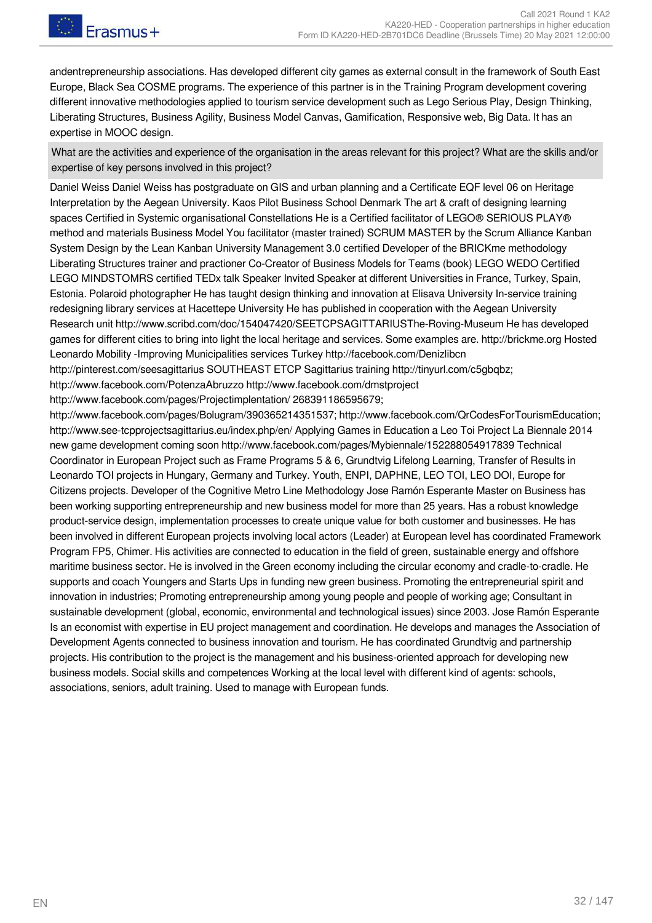andentrepreneurship associations. Has developed different city games as external consult in the framework of South East Europe, Black Sea COSME programs. The experience of this partner is in the Training Program development covering different innovative methodologies applied to tourism service development such as Lego Serious Play, Design Thinking, Liberating Structures, Business Agility, Business Model Canvas, Gamification, Responsive web, Big Data. It has an expertise in MOOC design.

What are the activities and experience of the organisation in the areas relevant for this project? What are the skills and/or expertise of key persons involved in this project?

Daniel Weiss Daniel Weiss has postgraduate on GIS and urban planning and a Certificate EQF level 06 on Heritage Interpretation by the Aegean University. Kaos Pilot Business School Denmark The art & craft of designing learning spaces Certified in Systemic organisational Constellations He is a Certified facilitator of LEGO® SERIOUS PLAY® method and materials Business Model You facilitator (master trained) SCRUM MASTER by the Scrum Alliance Kanban System Design by the Lean Kanban University Management 3.0 certified Developer of the BRICKme methodology Liberating Structures trainer and practioner Co-Creator of Business Models for Teams (book) LEGO WEDO Certified LEGO MINDSTOMRS certified TEDx talk Speaker Invited Speaker at different Universities in France, Turkey, Spain, Estonia. Polaroid photographer He has taught design thinking and innovation at Elisava University In-service training redesigning library services at Hacettepe University He has published in cooperation with the Aegean University Research unit http://www.scribd.com/doc/154047420/SEETCPSAGITTARIUSThe-Roving-Museum He has developed games for different cities to bring into light the local heritage and services. Some examples are. http://brickme.org Hosted Leonardo Mobility -Improving Municipalities services Turkey http://facebook.com/Denizlibcn

http://pinterest.com/seesagittarius SOUTHEAST ETCP Sagittarius training http://tinyurl.com/c5gbqbz;

http://www.facebook.com/PotenzaAbruzzo http://www.facebook.com/dmstproject

http://www.facebook.com/pages/Projectimplentation/ 268391186595679;

http://www.facebook.com/pages/Bolugram/390365214351537; http://www.facebook.com/QrCodesForTourismEducation; http://www.see-tcpprojectsagittarius.eu/index.php/en/ Applying Games in Education a Leo Toi Project La Biennale 2014 new game development coming soon http://www.facebook.com/pages/Mybiennale/152288054917839 Technical Coordinator in European Project such as Frame Programs 5 & 6, Grundtvig Lifelong Learning, Transfer of Results in Leonardo TOI projects in Hungary, Germany and Turkey. Youth, ENPI, DAPHNE, LEO TOI, LEO DOI, Europe for Citizens projects. Developer of the Cognitive Metro Line Methodology Jose Ramón Esperante Master on Business has been working supporting entrepreneurship and new business model for more than 25 years. Has a robust knowledge product-service design, implementation processes to create unique value for both customer and businesses. He has been involved in different European projects involving local actors (Leader) at European level has coordinated Framework Program FP5, Chimer. His activities are connected to education in the field of green, sustainable energy and offshore maritime business sector. He is involved in the Green economy including the circular economy and cradle-to-cradle. He supports and coach Youngers and Starts Ups in funding new green business. Promoting the entrepreneurial spirit and innovation in industries; Promoting entrepreneurship among young people and people of working age; Consultant in sustainable development (global, economic, environmental and technological issues) since 2003. Jose Ramón Esperante Is an economist with expertise in EU project management and coordination. He develops and manages the Association of Development Agents connected to business innovation and tourism. He has coordinated Grundtvig and partnership projects. His contribution to the project is the management and his business-oriented approach for developing new business models. Social skills and competences Working at the local level with different kind of agents: schools, associations, seniors, adult training. Used to manage with European funds.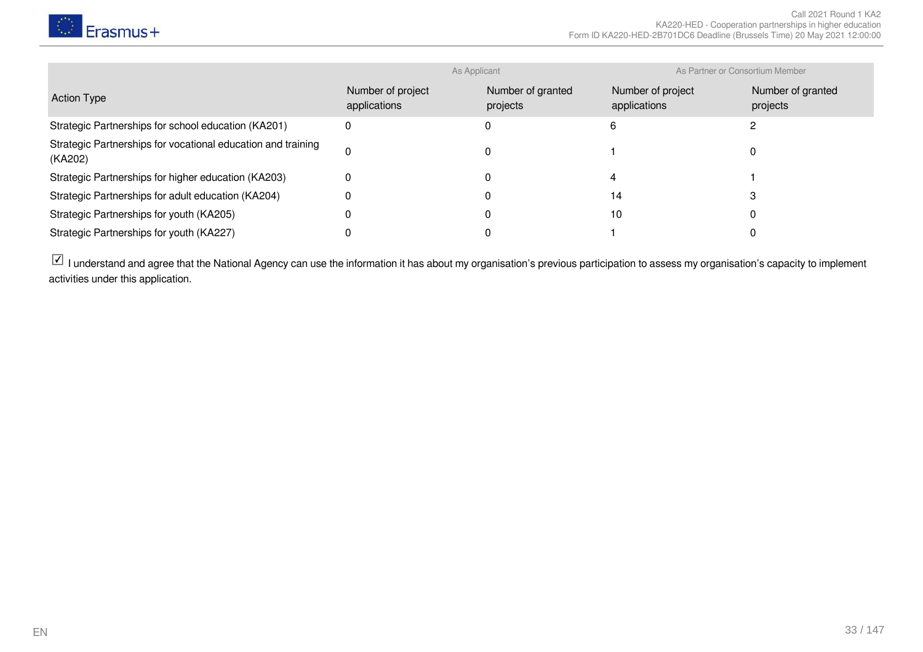

|                                                                         | As Applicant                      |                               | As Partner or Consortium Member   |                               |
|-------------------------------------------------------------------------|-----------------------------------|-------------------------------|-----------------------------------|-------------------------------|
| <b>Action Type</b>                                                      | Number of project<br>applications | Number of granted<br>projects | Number of project<br>applications | Number of granted<br>projects |
| Strategic Partnerships for school education (KA201)                     | 0                                 |                               |                                   |                               |
| Strategic Partnerships for vocational education and training<br>(KA202) | $\Omega$                          |                               |                                   |                               |
| Strategic Partnerships for higher education (KA203)                     | 0                                 |                               |                                   |                               |
| Strategic Partnerships for adult education (KA204)                      |                                   |                               | 14                                |                               |
| Strategic Partnerships for youth (KA205)                                |                                   |                               | 10                                |                               |
| Strategic Partnerships for youth (KA227)                                |                                   |                               |                                   |                               |

 $\boxed{\checkmark}$  I understand and agree that the National Agency can use the information it has about my organisation's previous participation to assess my organisation's capacity to implement activities under this application.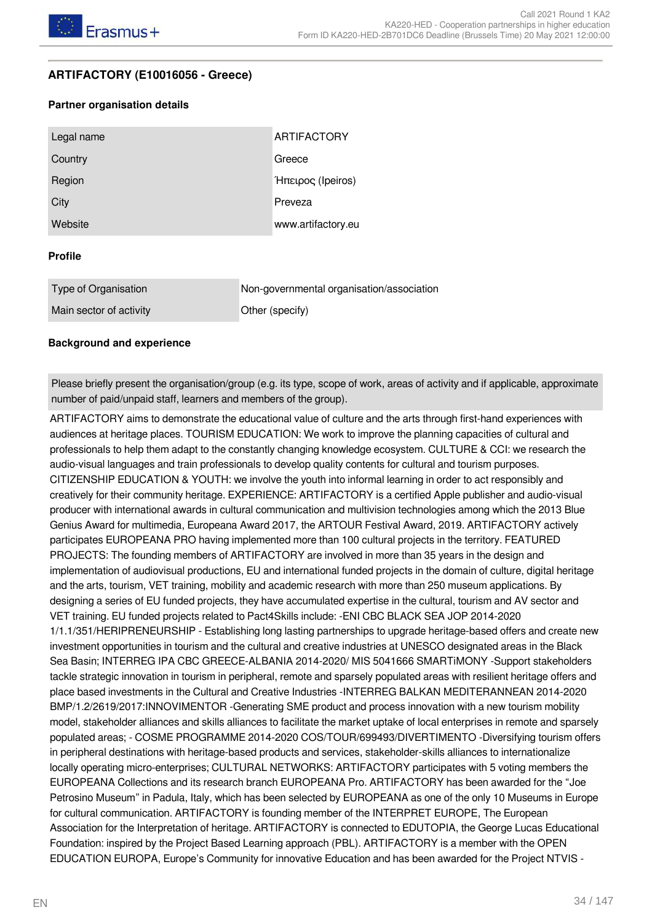#### <span id="page-33-0"></span>**ARTIFACTORY (E10016056 - Greece)**

#### **Partner organisation details**

| Legal name | <b>ARTIFACTORY</b> |
|------------|--------------------|
| Country    | Greece             |
| Region     | Ήπειρος (Ipeiros)  |
| City       | Preveza            |
| Website    | www.artifactory.eu |

#### **Profile**

| Type of Organisation    | Non-governmental organisation/association |
|-------------------------|-------------------------------------------|
| Main sector of activity | Other (specify)                           |

#### **Background and experience**

Please briefly present the organisation/group (e.g. its type, scope of work, areas of activity and if applicable, approximate number of paid/unpaid staff, learners and members of the group).

ARTIFACTORY aims to demonstrate the educational value of culture and the arts through first-hand experiences with audiences at heritage places. TOURISM EDUCATION: We work to improve the planning capacities of cultural and professionals to help them adapt to the constantly changing knowledge ecosystem. CULTURE & CCI: we research the audio-visual languages and train professionals to develop quality contents for cultural and tourism purposes. CITIZENSHIP EDUCATION & YOUTH: we involve the youth into informal learning in order to act responsibly and creatively for their community heritage. EXPERIENCE: ARTIFACTORY is a certified Apple publisher and audio-visual producer with international awards in cultural communication and multivision technologies among which the 2013 Blue Genius Award for multimedia, Europeana Award 2017, the ARTOUR Festival Award, 2019. ARTIFACTORY actively participates EUROPEANA PRO having implemented more than 100 cultural projects in the territory. FEATURED PROJECTS: The founding members of ARTIFACTORY are involved in more than 35 years in the design and implementation of audiovisual productions, EU and international funded projects in the domain of culture, digital heritage and the arts, tourism, VET training, mobility and academic research with more than 250 museum applications. By designing a series of EU funded projects, they have accumulated expertise in the cultural, tourism and AV sector and VET training. EU funded projects related to Pact4Skills include: -ENI CBC BLACK SEA JOP 2014-2020 1/1.1/351/HERIPRENEURSHIP - Establishing long lasting partnerships to upgrade heritage-based offers and create new investment opportunities in tourism and the cultural and creative industries at UNESCO designated areas in the Black Sea Basin; INTERREG IPA CBC GREECE-ALBANIA 2014-2020/ MIS 5041666 SMARTiMONY -Support stakeholders tackle strategic innovation in tourism in peripheral, remote and sparsely populated areas with resilient heritage offers and place based investments in the Cultural and Creative Industries -INTERREG BALKAN MEDITERANNEAN 2014-2020 BMP/1.2/2619/2017:INNOVIMENTOR -Generating SME product and process innovation with a new tourism mobility model, stakeholder alliances and skills alliances to facilitate the market uptake of local enterprises in remote and sparsely populated areas; - COSME PROGRAMME 2014-2020 COS/TOUR/699493/DIVERTIMENTO -Diversifying tourism offers in peripheral destinations with heritage-based products and services, stakeholder-skills alliances to internationalize locally operating micro-enterprises; CULTURAL NETWORKS: ARTIFACTORY participates with 5 voting members the EUROPEANA Collections and its research branch EUROPEANA Pro. ARTIFACTORY has been awarded for the "Joe Petrosino Museum" in Padula, Italy, which has been selected by EUROPEANA as one of the only 10 Museums in Europe for cultural communication. ARTIFACTORY is founding member of the INTERPRET EUROPE, The European Association for the Interpretation of heritage. ARTIFACTORY is connected to EDUTOPIA, the George Lucas Educational Foundation: inspired by the Project Based Learning approach (PBL). ARTIFACTORY is a member with the OPEN EDUCATION EUROPA, Europe's Community for innovative Education and has been awarded for the Project NTVIS -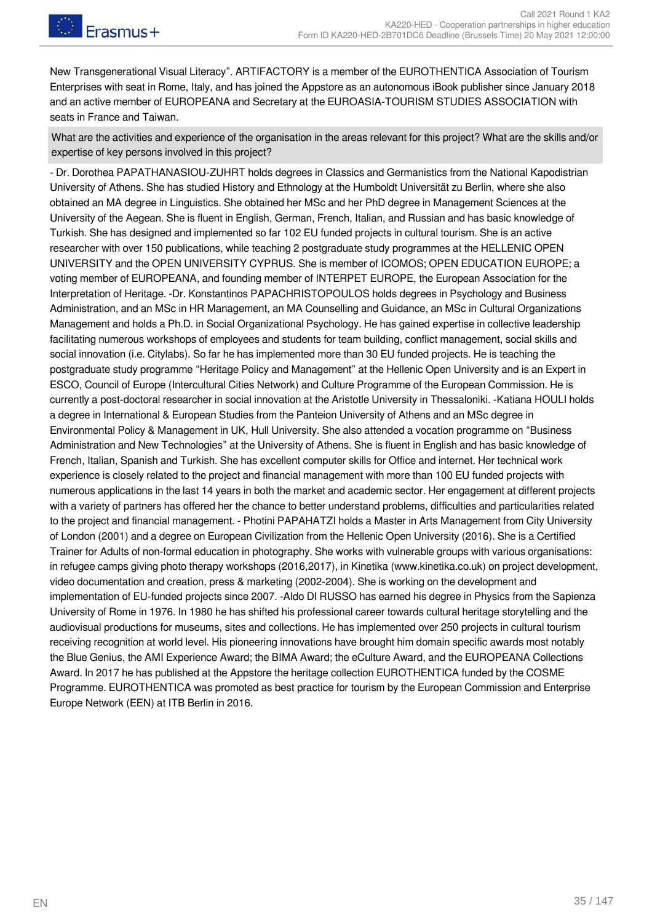Frasmus+

New Transgenerational Visual Literacy". ARTIFACTORY is a member of the EUROTHENTICA Association of Tourism Enterprises with seat in Rome, Italy, and has joined the Appstore as an autonomous iBook publisher since January 2018 and an active member of EUROPEANA and Secretary at the EUROASIA-TOURISM STUDIES ASSOCIATION with seats in France and Taiwan.

What are the activities and experience of the organisation in the areas relevant for this project? What are the skills and/or expertise of key persons involved in this project?

- Dr. Dorothea PAPATHANASIOU-ZUHRT holds degrees in Classics and Germanistics from the National Kapodistrian University of Athens. She has studied History and Ethnology at the Humboldt Universität zu Berlin, where she also obtained an MA degree in Linguistics. She obtained her MSc and her PhD degree in Management Sciences at the University of the Aegean. She is fluent in English, German, French, Italian, and Russian and has basic knowledge of Turkish. She has designed and implemented so far 102 EU funded projects in cultural tourism. She is an active researcher with over 150 publications, while teaching 2 postgraduate study programmes at the HELLENIC OPEN UNIVERSITY and the OPEN UNIVERSITY CYPRUS. She is member of ICOMOS; OPEN EDUCATION EUROPE; a voting member of EUROPEANA, and founding member of INTERPET EUROPE, the European Association for the Interpretation of Heritage. -Dr. Konstantinos PAPACHRISTOPOULOS holds degrees in Psychology and Business Administration, and an MSc in HR Management, an MA Counselling and Guidance, an MSc in Cultural Organizations Management and holds a Ph.D. in Social Organizational Psychology. He has gained expertise in collective leadership facilitating numerous workshops of employees and students for team building, conflict management, social skills and social innovation (i.e. Citylabs). So far he has implemented more than 30 EU funded projects. He is teaching the postgraduate study programme "Heritage Policy and Management" at the Hellenic Open University and is an Expert in ESCO, Council of Europe (Intercultural Cities Network) and Culture Programme of the European Commission. He is currently a post-doctoral researcher in social innovation at the Aristotle University in Thessaloniki. -Katiana HOULI holds a degree in International & European Studies from the Panteion University of Athens and an MSc degree in Environmental Policy & Management in UK, Hull University. She also attended a vocation programme on "Business Administration and New Technologies" at the University of Athens. She is fluent in English and has basic knowledge of French, Italian, Spanish and Turkish. She has excellent computer skills for Office and internet. Her technical work experience is closely related to the project and financial management with more than 100 EU funded projects with numerous applications in the last 14 years in both the market and academic sector. Her engagement at different projects with a variety of partners has offered her the chance to better understand problems, difficulties and particularities related to the project and financial management. - Photini PAPAHATZI holds a Master in Arts Management from City University of London (2001) and a degree on European Civilization from the Hellenic Open University (2016). She is a Certified Trainer for Adults of non-formal education in photography. She works with vulnerable groups with various organisations: in refugee camps giving photo therapy workshops (2016,2017), in Kinetika (www.kinetika.co.uk) on project development, video documentation and creation, press & marketing (2002-2004). She is working on the development and implementation of EU-funded projects since 2007. -Aldo DI RUSSO has earned his degree in Physics from the Sapienza University of Rome in 1976. In 1980 he has shifted his professional career towards cultural heritage storytelling and the audiovisual productions for museums, sites and collections. He has implemented over 250 projects in cultural tourism receiving recognition at world level. His pioneering innovations have brought him domain specific awards most notably the Blue Genius, the AMI Experience Award; the BIMA Award; the eCulture Award, and the EUROPEANA Collections Award. In 2017 he has published at the Appstore the heritage collection EUROTHENTICA funded by the COSME Programme. EUROTHENTICA was promoted as best practice for tourism by the European Commission and Enterprise Europe Network (EEN) at ITB Berlin in 2016.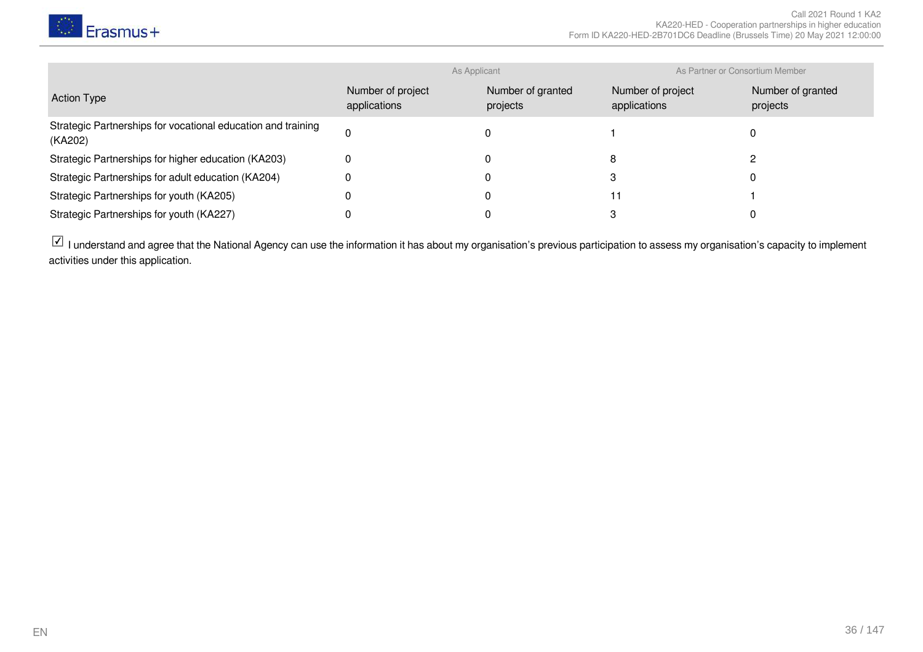

|                                                                         | As Applicant                      |                               | As Partner or Consortium Member   |                               |
|-------------------------------------------------------------------------|-----------------------------------|-------------------------------|-----------------------------------|-------------------------------|
| <b>Action Type</b>                                                      | Number of project<br>applications | Number of granted<br>projects | Number of project<br>applications | Number of granted<br>projects |
| Strategic Partnerships for vocational education and training<br>(KA202) | $\Omega$                          |                               |                                   |                               |
| Strategic Partnerships for higher education (KA203)                     | 0                                 |                               | 8                                 |                               |
| Strategic Partnerships for adult education (KA204)                      | 0                                 |                               |                                   |                               |
| Strategic Partnerships for youth (KA205)                                |                                   |                               | 11                                |                               |
| Strategic Partnerships for youth (KA227)                                |                                   |                               |                                   |                               |

 $\boxdot$  I understand and agree that the National Agency can use the information it has about my organisation's previous participation to assess my organisation's capacity to implement activities under this application.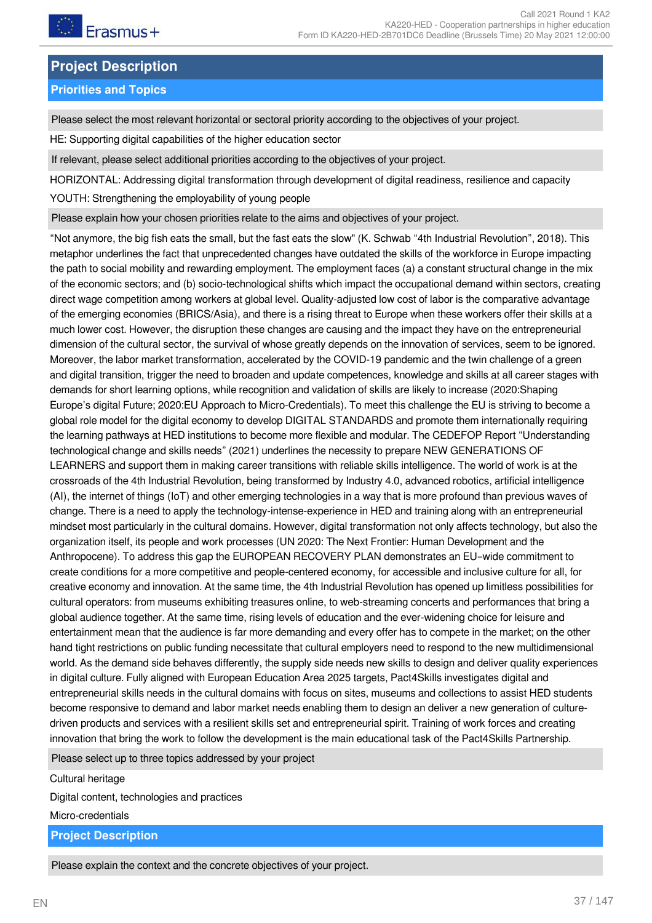## **Project Description**

## **Priorities and Topics**

Please select the most relevant horizontal or sectoral priority according to the objectives of your project.

HE: Supporting digital capabilities of the higher education sector

If relevant, please select additional priorities according to the objectives of your project.

```
HORIZONTAL: Addressing digital transformation through development of digital readiness, resilience and capacity
```
YOUTH: Strengthening the employability of young people

Please explain how your chosen priorities relate to the aims and objectives of your project.

"Not anymore, the big fish eats the small, but the fast eats the slow" (K. Schwab "4th Industrial Revolution", 2018). This metaphor underlines the fact that unprecedented changes have outdated the skills of the workforce in Europe impacting the path to social mobility and rewarding employment. The employment faces (a) a constant structural change in the mix of the economic sectors; and (b) socio-technological shifts which impact the occupational demand within sectors, creating direct wage competition among workers at global level. Quality-adjusted low cost of labor is the comparative advantage of the emerging economies (BRICS/Asia), and there is a rising threat to Europe when these workers offer their skills at a much lower cost. However, the disruption these changes are causing and the impact they have on the entrepreneurial dimension of the cultural sector, the survival of whose greatly depends on the innovation of services, seem to be ignored. Moreover, the labor market transformation, accelerated by the COVID-19 pandemic and the twin challenge of a green and digital transition, trigger the need to broaden and update competences, knowledge and skills at all career stages with demands for short learning options, while recognition and validation of skills are likely to increase (2020:Shaping Europe's digital Future; 2020:EU Approach to Micro-Credentials). To meet this challenge the EU is striving to become a global role model for the digital economy to develop DIGITAL STANDARDS and promote them internationally requiring the learning pathways at HED institutions to become more flexible and modular. The CEDEFOP Report "Understanding technological change and skills needs" (2021) underlines the necessity to prepare NEW GENERATIONS OF LEARNERS and support them in making career transitions with reliable skills intelligence. The world of work is at the crossroads of the 4th Industrial Revolution, being transformed by Industry 4.0, advanced robotics, artificial intelligence (AI), the internet of things (IoT) and other emerging technologies in a way that is more profound than previous waves of change. There is a need to apply the technology-intense-experience in HED and training along with an entrepreneurial mindset most particularly in the cultural domains. However, digital transformation not only affects technology, but also the organization itself, its people and work processes (UN 2020: The Next Frontier: Human Development and the Anthropocene). To address this gap the EUROPEAN RECOVERY PLAN demonstrates an EU–wide commitment to create conditions for a more competitive and people-centered economy, for accessible and inclusive culture for all, for creative economy and innovation. At the same time, the 4th Industrial Revolution has opened up limitless possibilities for cultural operators: from museums exhibiting treasures online, to web-streaming concerts and performances that bring a global audience together. At the same time, rising levels of education and the ever-widening choice for leisure and entertainment mean that the audience is far more demanding and every offer has to compete in the market; on the other hand tight restrictions on public funding necessitate that cultural employers need to respond to the new multidimensional world. As the demand side behaves differently, the supply side needs new skills to design and deliver quality experiences in digital culture. Fully aligned with European Education Area 2025 targets, Pact4Skills investigates digital and entrepreneurial skills needs in the cultural domains with focus on sites, museums and collections to assist HED students become responsive to demand and labor market needs enabling them to design an deliver a new generation of culturedriven products and services with a resilient skills set and entrepreneurial spirit. Training of work forces and creating innovation that bring the work to follow the development is the main educational task of the Pact4Skills Partnership.

Please select up to three topics addressed by your project

Cultural heritage

Digital content, technologies and practices

Micro-credentials

**Project Description**

Please explain the context and the concrete objectives of your project.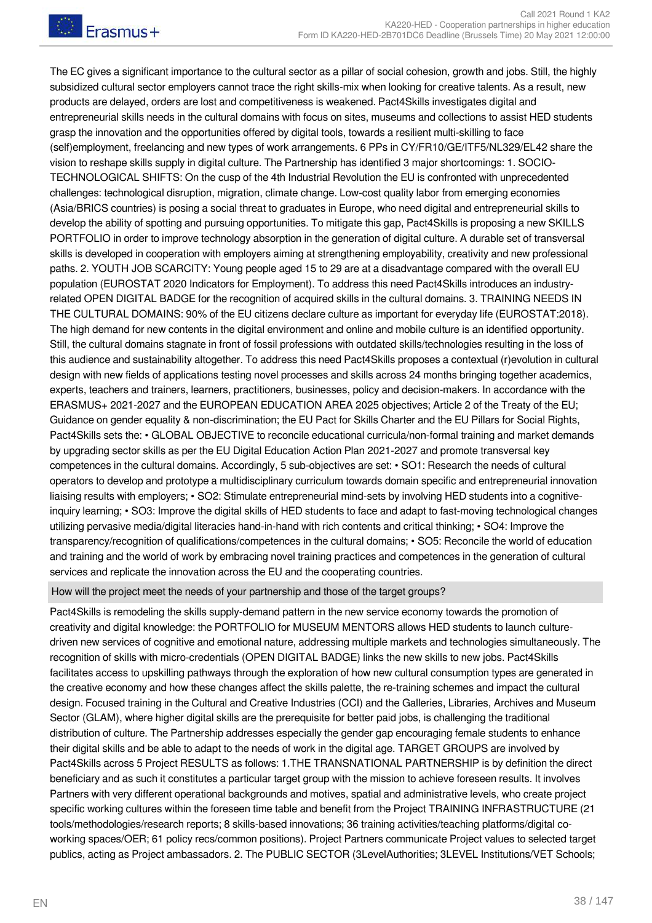The EC gives a significant importance to the cultural sector as a pillar of social cohesion, growth and jobs. Still, the highly subsidized cultural sector employers cannot trace the right skills-mix when looking for creative talents. As a result, new products are delayed, orders are lost and competitiveness is weakened. Pact4Skills investigates digital and entrepreneurial skills needs in the cultural domains with focus on sites, museums and collections to assist HED students grasp the innovation and the opportunities offered by digital tools, towards a resilient multi-skilling to face (self)employment, freelancing and new types of work arrangements. 6 PPs in CY/FR10/GE/ITF5/NL329/EL42 share the vision to reshape skills supply in digital culture. The Partnership has identified 3 major shortcomings: 1. SOCIO-TECHNOLOGICAL SHIFTS: On the cusp of the 4th Industrial Revolution the EU is confronted with unprecedented challenges: technological disruption, migration, climate change. Low-cost quality labor from emerging economies (Asia/BRICS countries) is posing a social threat to graduates in Europe, who need digital and entrepreneurial skills to develop the ability of spotting and pursuing opportunities. To mitigate this gap, Pact4Skills is proposing a new SKILLS PORTFOLIO in order to improve technology absorption in the generation of digital culture. A durable set of transversal skills is developed in cooperation with employers aiming at strengthening employability, creativity and new professional paths. 2. YOUTH JOB SCARCITY: Young people aged 15 to 29 are at a disadvantage compared with the overall EU population (EUROSTAT 2020 Indicators for Employment). To address this need Pact4Skills introduces an industryrelated OPEN DIGITAL BADGE for the recognition of acquired skills in the cultural domains. 3. TRAINING NEEDS IN THE CULTURAL DOMAINS: 90% of the EU citizens declare culture as important for everyday life (EUROSTAT:2018). The high demand for new contents in the digital environment and online and mobile culture is an identified opportunity. Still, the cultural domains stagnate in front of fossil professions with outdated skills/technologies resulting in the loss of this audience and sustainability altogether. To address this need Pact4Skills proposes a contextual (r)evolution in cultural design with new fields of applications testing novel processes and skills across 24 months bringing together academics, experts, teachers and trainers, learners, practitioners, businesses, policy and decision-makers. In accordance with the ERASMUS+ 2021-2027 and the EUROPEAN EDUCATION AREA 2025 objectives; Article 2 of the Treaty of the EU; Guidance on gender equality & non-discrimination; the EU Pact for Skills Charter and the EU Pillars for Social Rights, Pact4Skills sets the: • GLOBAL OBJECTIVE to reconcile educational curricula/non-formal training and market demands by upgrading sector skills as per the EU Digital Education Action Plan 2021-2027 and promote transversal key competences in the cultural domains. Accordingly, 5 sub-objectives are set: • SO1: Research the needs of cultural operators to develop and prototype a multidisciplinary curriculum towards domain specific and entrepreneurial innovation liaising results with employers; • SO2: Stimulate entrepreneurial mind-sets by involving HED students into a cognitiveinquiry learning; • SO3: Improve the digital skills of HED students to face and adapt to fast-moving technological changes utilizing pervasive media/digital literacies hand-in-hand with rich contents and critical thinking; • SO4: Improve the transparency/recognition of qualifications/competences in the cultural domains; • SO5: Reconcile the world of education and training and the world of work by embracing novel training practices and competences in the generation of cultural services and replicate the innovation across the EU and the cooperating countries.

#### How will the project meet the needs of your partnership and those of the target groups?

Pact4Skills is remodeling the skills supply-demand pattern in the new service economy towards the promotion of creativity and digital knowledge: the PORTFOLIO for MUSEUM MENTORS allows HED students to launch culturedriven new services of cognitive and emotional nature, addressing multiple markets and technologies simultaneously. The recognition of skills with micro-credentials (OPEN DIGITAL BADGE) links the new skills to new jobs. Pact4Skills facilitates access to upskilling pathways through the exploration of how new cultural consumption types are generated in the creative economy and how these changes affect the skills palette, the re-training schemes and impact the cultural design. Focused training in the Cultural and Creative Industries (CCI) and the Galleries, Libraries, Archives and Museum Sector (GLAM), where higher digital skills are the prerequisite for better paid jobs, is challenging the traditional distribution of culture. The Partnership addresses especially the gender gap encouraging female students to enhance their digital skills and be able to adapt to the needs of work in the digital age. TARGET GROUPS are involved by Pact4Skills across 5 Project RESULTS as follows: 1.THE TRANSNATIONAL PARTNERSHIP is by definition the direct beneficiary and as such it constitutes a particular target group with the mission to achieve foreseen results. It involves Partners with very different operational backgrounds and motives, spatial and administrative levels, who create project specific working cultures within the foreseen time table and benefit from the Project TRAINING INFRASTRUCTURE (21 tools/methodologies/research reports; 8 skills-based innovations; 36 training activities/teaching platforms/digital coworking spaces/OER; 61 policy recs/common positions). Project Partners communicate Project values to selected target publics, acting as Project ambassadors. 2. The PUBLIC SECTOR (3LevelAuthorities; 3LEVEL Institutions/VET Schools;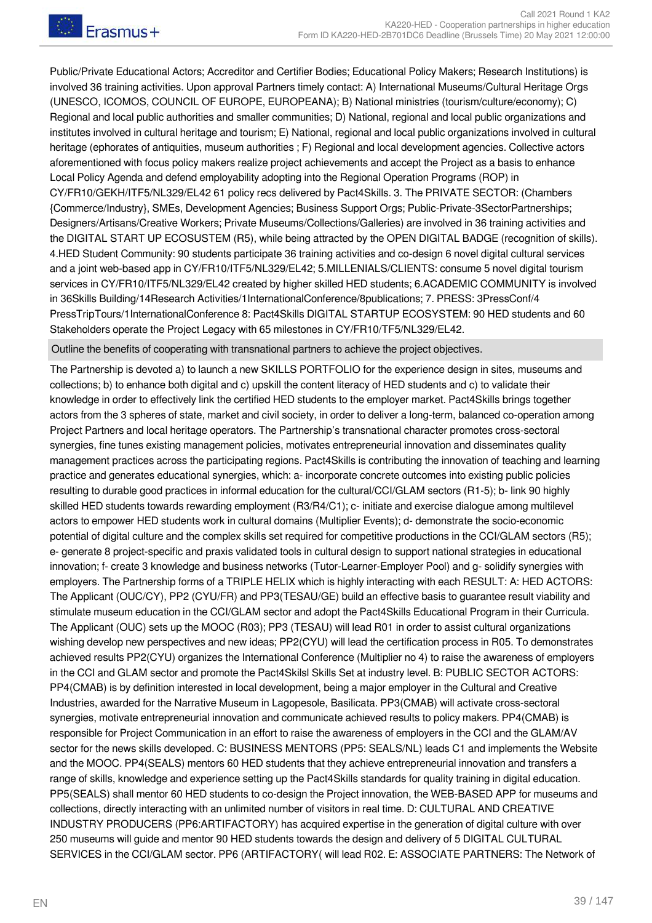Public/Private Educational Actors; Accreditor and Certifier Bodies; Educational Policy Makers; Research Institutions) is involved 36 training activities. Upon approval Partners timely contact: A) International Museums/Cultural Heritage Orgs (UNESCO, ICOMOS, COUNCIL OF EUROPE, EUROPEANA); B) National ministries (tourism/culture/economy); C) Regional and local public authorities and smaller communities; D) National, regional and local public organizations and institutes involved in cultural heritage and tourism; E) National, regional and local public organizations involved in cultural heritage (ephorates of antiquities, museum authorities ; F) Regional and local development agencies. Collective actors aforementioned with focus policy makers realize project achievements and accept the Project as a basis to enhance Local Policy Agenda and defend employability adopting into the Regional Operation Programs (ROP) in CY/FR10/GEKH/ITF5/NL329/EL42 61 policy recs delivered by Pact4Skills. 3. The PRIVATE SECTOR: (Chambers {Commerce/Industry}, SMEs, Development Agencies; Business Support Orgs; Public-Private-3SectorPartnerships; Designers/Artisans/Creative Workers; Private Museums/Collections/Galleries) are involved in 36 training activities and the DIGITAL START UP ECOSUSTEM (R5), while being attracted by the OPEN DIGITAL BADGE (recognition of skills). 4.HED Student Community: 90 students participate 36 training activities and co-design 6 novel digital cultural services and a joint web-based app in CY/FR10/ITF5/NL329/EL42; 5.MILLENIALS/CLIENTS: consume 5 novel digital tourism services in CY/FR10/ITF5/NL329/EL42 created by higher skilled HED students; 6.ACADEMIC COMMUNITY is involved in 36Skills Building/14Research Activities/1InternationalConference/8publications; 7. PRESS: 3PressConf/4 PressTripTours/1InternationalConference 8: Pact4Skills DIGITAL STARTUP ECΟSYSTEM: 90 HED students and 60 Stakeholders operate the Project Legacy with 65 milestones in CY/FR10/TF5/NL329/EL42.

Outline the benefits of cooperating with transnational partners to achieve the project objectives.

The Partnership is devoted a) to launch a new SKILLS PORTFOLIO for the experience design in sites, museums and collections; b) to enhance both digital and c) upskill the content literacy of HED students and c) to validate their knowledge in order to effectively link the certified HED students to the employer market. Pact4Skills brings together actors from the 3 spheres of state, market and civil society, in order to deliver a long-term, balanced co-operation among Project Partners and local heritage operators. The Partnership's transnational character promotes cross-sectoral synergies, fine tunes existing management policies, motivates entrepreneurial innovation and disseminates quality management practices across the participating regions. Pact4Skills is contributing the innovation of teaching and learning practice and generates educational synergies, which: a- incorporate concrete outcomes into existing public policies resulting to durable good practices in informal education for the cultural/CCI/GLAM sectors (R1-5); b- link 90 highly skilled HED students towards rewarding employment (R3/R4/C1); c- initiate and exercise dialogue among multilevel actors to empower HED students work in cultural domains (Multiplier Events); d- demonstrate the socio-economic potential of digital culture and the complex skills set required for competitive productions in the CCI/GLAM sectors (R5); e- generate 8 project-specific and praxis validated tools in cultural design to support national strategies in educational innovation; f- create 3 knowledge and business networks (Tutor-Learner-Employer Pool) and g- solidify synergies with employers. The Partnership forms of a TRIPLE HELIX which is highly interacting with each RESULT: A: HED ACTORS: The Applicant (OUC/CY), PP2 (CYU/FR) and PP3(TESAU/GE) build an effective basis to guarantee result viability and stimulate museum education in the CCI/GLAM sector and adopt the Pact4Skills Educational Program in their Curricula. The Applicant (OUC) sets up the MOOC (R03); PP3 (TESAU) will lead R01 in order to assist cultural organizations wishing develop new perspectives and new ideas; PP2(CYU) will lead the certification process in R05. To demonstrates achieved results PP2(CYU) organizes the International Conference (Multiplier no 4) to raise the awareness of employers in the CCI and GLAM sector and promote the Pact4Skilsl Skills Set at industry level. B: PUBLIC SECTOR ACTORS: PP4(CMAB) is by definition interested in local development, being a major employer in the Cultural and Creative Industries, awarded for the Narrative Museum in Lagopesole, Basilicata. PP3(CMAB) will activate cross-sectoral synergies, motivate entrepreneurial innovation and communicate achieved results to policy makers. PP4(CMAB) is responsible for Project Communication in an effort to raise the awareness of employers in the CCI and the GLAM/AV sector for the news skills developed. C: BUSINESS MENTORS (PP5: SEALS/NL) leads C1 and implements the Website and the MOOC. PP4(SEALS) mentors 60 HED students that they achieve entrepreneurial innovation and transfers a range of skills, knowledge and experience setting up the Pact4Skills standards for quality training in digital education. PP5(SEALS) shall mentor 60 HED students to co-design the Project innovation, the WEB-BASED APP for museums and collections, directly interacting with an unlimited number of visitors in real time. D: CULTURAL AND CREATIVE INDUSTRY PRODUCERS (PP6:ARTIFACTORY) has acquired expertise in the generation of digital culture with over 250 museums will guide and mentor 90 HED students towards the design and delivery of 5 DIGITAL CULTURAL SERVICES in the CCI/GLAM sector. PP6 (ARTIFACTORY( will lead R02. E: ASSOCIATE PARTNERS: The Network of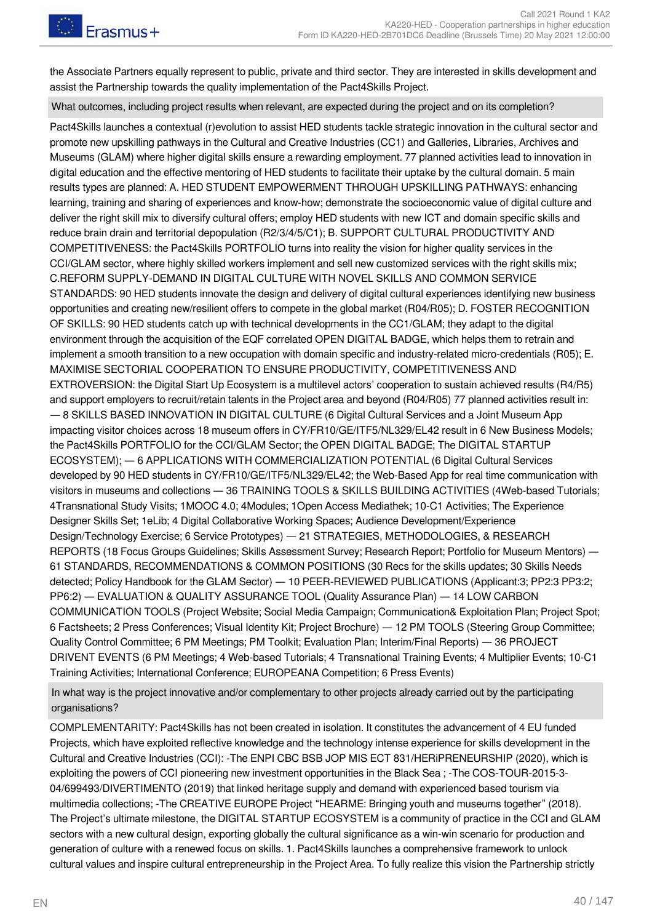the Associate Partners equally represent to public, private and third sector. They are interested in skills development and assist the Partnership towards the quality implementation of the Pact4Skills Project.

What outcomes, including project results when relevant, are expected during the project and on its completion?

Pact4Skills launches a contextual (r)evolution to assist HED students tackle strategic innovation in the cultural sector and promote new upskilling pathways in the Cultural and Creative Industries (CC1) and Galleries, Libraries, Archives and Museums (GLAM) where higher digital skills ensure a rewarding employment. 77 planned activities lead to innovation in digital education and the effective mentoring of HED students to facilitate their uptake by the cultural domain. 5 main results types are planned: A. HED STUDENT EMPOWERMENT THROUGH UPSKILLING PATHWAYS: enhancing learning, training and sharing of experiences and know‐how; demonstrate the socioeconomic value of digital culture and deliver the right skill mix to diversify cultural offers; employ HED students with new ICT and domain specific skills and reduce brain drain and territorial depopulation (R2/3/4/5/C1); B. SUPPORT CULTURAL PRODUCTIVITY AND COMPETITIVENESS: the Pact4Skills PORTFOLIO turns into reality the vision for higher quality services in the CCI/GLAM sector, where highly skilled workers implement and sell new customized services with the right skills mix; C.REFORM SUPPLY-DEMAND IN DIGITAL CULTURE WITH NOVEL SKILLS AND COMMON SERVICE STANDARDS: 90 HED students innovate the design and delivery of digital cultural experiences identifying new business opportunities and creating new/resilient offers to compete in the global market (R04/R05); D. FOSTER RECOGNITION OF SKILLS: 90 HED students catch up with technical developments in the CC1/GLAM; they adapt to the digital environment through the acquisition of the EQF correlated OPEN DIGITAL BADGE, which helps them to retrain and implement a smooth transition to a new occupation with domain specific and industry-related micro-credentials (R05); E. MAXIMISE SECTORIAL COOPERATION TO ENSURE PRODUCTIVITY, COMPETITIVENESS AND EXTROVERSION: the Digital Start Up Ecosystem is a multilevel actors' cooperation to sustain achieved results (R4/R5) and support employers to recruit/retain talents in the Project area and beyond (R04/R05) 77 planned activities result in: ― 8 SKILLS BASED INNOVATION IN DIGITAL CULTURE (6 Digital Cultural Services and a Joint Museum App impacting visitor choices across 18 museum offers in CY/FR10/GE/ITF5/NL329/EL42 result in 6 New Business Models; the Pact4Skills PORTFOLIO for the CCI/GLAM Sector; the OPEN DIGITAL BADGE; The DIGITAL STARTUP ECOSYSTEM); ― 6 APPLICATIONS WITH COMMERCIALIZATION POTENTIAL (6 Digital Cultural Services developed by 90 HED students in CY/FR10/GE/ITF5/NL329/EL42; the Web-Based App for real time communication with visitors in museums and collections ― 36 TRAINING TOOLS & SKILLS BUILDING ACTIVITIES (4Web-based Tutorials; 4Transnational Study Visits; 1MOOC 4.0; 4Modules; 1Open Access Mediathek; 10-C1 Activities; The Experience Designer Skills Set; 1eLib; 4 Digital Collaborative Working Spaces; Audience Development/Experience Design/Technology Exercise; 6 Service Prototypes) ― 21 STRATEGIES, METHODOLOGIES, & RESEARCH REPORTS (18 Focus Groups Guidelines; Skills Assessment Survey; Research Report; Portfolio for Museum Mentors) ― 61 STANDARDS, RECOMMENDATIONS & COMMON POSITIONS (30 Recs for the skills updates; 30 Skills Needs detected; Policy Handbook for the GLAM Sector) ― 10 PEER-REVIEWED PUBLICATIONS (Applicant:3; PP2:3 PP3:2; PP6:2) ― EVALUATION & QUALITY ASSURANCE TOOL (Quality Assurance Plan) ― 14 LOW CARBON COMMUNICATION TOOLS (Project Website; Social Media Campaign; Communication& Exploitation Plan; Project Spot; 6 Factsheets; 2 Press Conferences; Visual Identity Kit; Project Brochure) ― 12 PM TOOLS (Steering Group Committee; Quality Control Committee; 6 PM Meetings; PM Toolkit; Evaluation Plan; Interim/Final Reports) ― 36 PROJECT DRIVENT EVENTS (6 PM Meetings; 4 Web-based Tutorials; 4 Transnational Training Events; 4 Multiplier Events; 10-C1 Training Activities; International Conference; EUROPEANA Competition; 6 Press Events)

In what way is the project innovative and/or complementary to other projects already carried out by the participating organisations?

COMPLEMENTARITY: Pact4Skills has not been created in isolation. It constitutes the advancement of 4 EU funded Projects, which have exploited reflective knowledge and the technology intense experience for skills development in the Cultural and Creative Industries (CCI): -The ENPI CBC BSB JOP MIS ECT 831/HERiPRENEURSHIP (2020), which is exploiting the powers of CCI pioneering new investment opportunities in the Black Sea ; -The COS-TOUR-2015-3- 04/699493/DIVERTIMENTO (2019) that linked heritage supply and demand with experienced based tourism via multimedia collections; -The CREATIVE EUROPE Project "HEARME: Bringing youth and museums together" (2018). The Project's ultimate milestone, the DIGITAL STARTUP ECOSYSTEM is a community of practice in the CCI and GLAM sectors with a new cultural design, exporting globally the cultural significance as a win-win scenario for production and generation of culture with a renewed focus on skills. 1. Pact4Skills launches a comprehensive framework to unlock cultural values and inspire cultural entrepreneurship in the Project Area. To fully realize this vision the Partnership strictly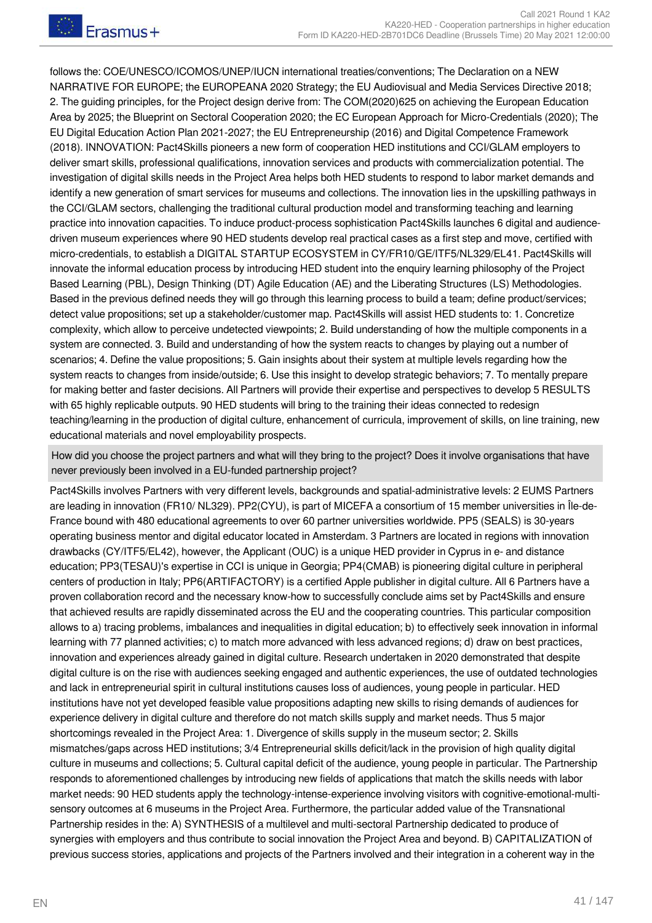follows the: COE/UNESCO/ICOMOS/UNEP/IUCN international treaties/conventions; The Declaration on a NEW NARRATIVE FOR EUROPE; the EUROPEANA 2020 Strategy; the EU Audiovisual and Media Services Directive 2018; 2. The guiding principles, for the Project design derive from: The COM(2020)625 on achieving the European Education Area by 2025; the Blueprint on Sectoral Cooperation 2020; the EC European Approach for Micro-Credentials (2020); The EU Digital Education Action Plan 2021-2027; the EU Entrepreneurship (2016) and Digital Competence Framework (2018). INNOVATION: Pact4Skills pioneers a new form of cooperation HED institutions and CCI/GLAM employers to deliver smart skills, professional qualifications, innovation services and products with commercialization potential. The investigation of digital skills needs in the Project Area helps both HED students to respond to labor market demands and identify a new generation of smart services for museums and collections. The innovation lies in the upskilling pathways in the CCI/GLAM sectors, challenging the traditional cultural production model and transforming teaching and learning practice into innovation capacities. To induce product-process sophistication Pact4Skills launches 6 digital and audiencedriven museum experiences where 90 HED students develop real practical cases as a first step and move, certified with micro-credentials, to establish a DIGITAL STARTUP ECOSYSTEM in CY/FR10/GE/ITF5/NL329/EL41. Pact4Skills will innovate the informal education process by introducing HED student into the enquiry learning philosophy of the Project Based Learning (PBL), Design Thinking (DT) Agile Education (AE) and the Liberating Structures (LS) Methodologies. Based in the previous defined needs they will go through this learning process to build a team; define product/services; detect value propositions; set up a stakeholder/customer map. Pact4Skills will assist HED students to: 1. Concretize complexity, which allow to perceive undetected viewpoints; 2. Build understanding of how the multiple components in a system are connected. 3. Build and understanding of how the system reacts to changes by playing out a number of scenarios; 4. Define the value propositions; 5. Gain insights about their system at multiple levels regarding how the system reacts to changes from inside/outside; 6. Use this insight to develop strategic behaviors; 7. To mentally prepare for making better and faster decisions. All Partners will provide their expertise and perspectives to develop 5 RESULTS with 65 highly replicable outputs. 90 HED students will bring to the training their ideas connected to redesign teaching/learning in the production of digital culture, enhancement of curricula, improvement of skills, on line training, new educational materials and novel employability prospects.

How did you choose the project partners and what will they bring to the project? Does it involve organisations that have never previously been involved in a EU-funded partnership project?

Pact4Skills involves Partners with very different levels, backgrounds and spatial-administrative levels: 2 EUMS Partners are leading in innovation (FR10/ NL329). PP2(CYU), is part of MICEFA a consortium of 15 member universities in Île-de-France bound with 480 educational agreements to over 60 partner universities worldwide. PP5 (SEALS) is 30-years operating business mentor and digital educator located in Amsterdam. 3 Partners are located in regions with innovation drawbacks (CY/ITF5/EL42), however, the Applicant (OUC) is a unique HED provider in Cyprus in e- and distance education; PP3(TESAU)'s expertise in CCI is unique in Georgia; PP4(CMAB) is pioneering digital culture in peripheral centers of production in Italy; PP6(ARTIFACTORY) is a certified Apple publisher in digital culture. All 6 Partners have a proven collaboration record and the necessary know-how to successfully conclude aims set by Pact4Skills and ensure that achieved results are rapidly disseminated across the EU and the cooperating countries. This particular composition allows to a) tracing problems, imbalances and inequalities in digital education; b) to effectively seek innovation in informal learning with 77 planned activities; c) to match more advanced with less advanced regions; d) draw on best practices, innovation and experiences already gained in digital culture. Research undertaken in 2020 demonstrated that despite digital culture is on the rise with audiences seeking engaged and authentic experiences, the use of outdated technologies and lack in entrepreneurial spirit in cultural institutions causes loss of audiences, young people in particular. HED institutions have not yet developed feasible value propositions adapting new skills to rising demands of audiences for experience delivery in digital culture and therefore do not match skills supply and market needs. Thus 5 major shortcomings revealed in the Project Area: 1. Divergence of skills supply in the museum sector; 2. Skills mismatches/gaps across HED institutions; 3/4 Entrepreneurial skills deficit/lack in the provision of high quality digital culture in museums and collections; 5. Cultural capital deficit of the audience, young people in particular. The Partnership responds to aforementioned challenges by introducing new fields of applications that match the skills needs with labor market needs: 90 HED students apply the technology-intense-experience involving visitors with cognitive-emotional-multisensory outcomes at 6 museums in the Project Area. Furthermore, the particular added value of the Transnational Partnership resides in the: A) SYNTHESIS of a multilevel and multi-sectoral Partnership dedicated to produce of synergies with employers and thus contribute to social innovation the Project Area and beyond. B) CAPITALIZATION of previous success stories, applications and projects of the Partners involved and their integration in a coherent way in the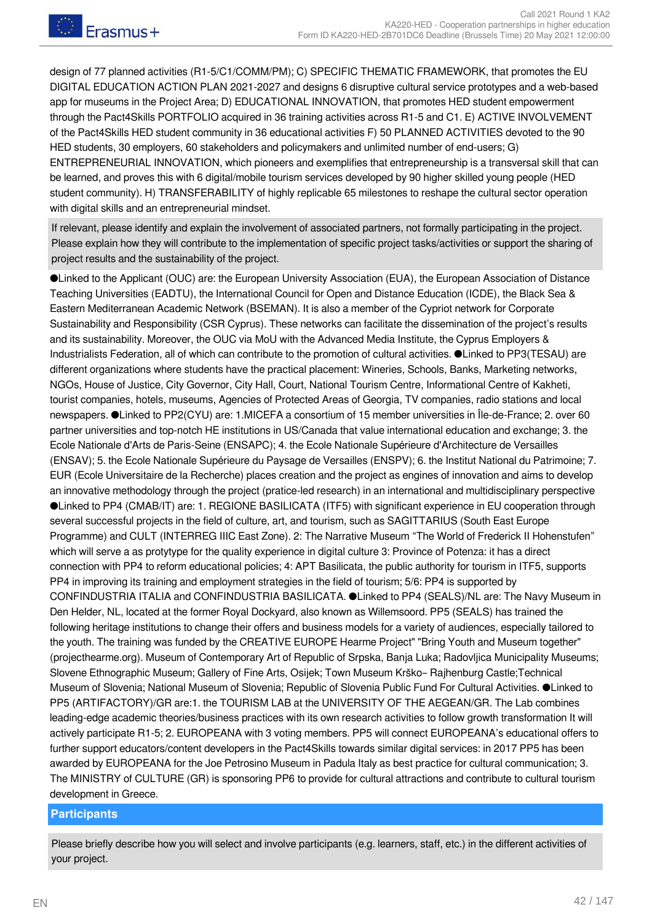design of 77 planned activities (R1-5/C1/COMM/PM); C) SPECIFIC THEMATIC FRAMEWORK, that promotes the EU DIGITAL EDUCATION ACTION PLAN 2021-2027 and designs 6 disruptive cultural service prototypes and a web-based app for museums in the Project Area; D) EDUCATIONAL INNOVATION, that promotes HED student empowerment through the Pact4Skills PORTFOLIO acquired in 36 training activities across R1-5 and C1. E) ACTIVE INVOLVEMENT of the Pact4Skills HED student community in 36 educational activities F) 50 PLANNED ACTIVITIES devoted to the 90 HED students, 30 employers, 60 stakeholders and policymakers and unlimited number of end-users; G) ENTREPRENEURIAL INNOVATION, which pioneers and exemplifies that entrepreneurship is a transversal skill that can be learned, and proves this with 6 digital/mobile tourism services developed by 90 higher skilled young people (HED student community). H) TRANSFERABILITY of highly replicable 65 milestones to reshape the cultural sector operation with digital skills and an entrepreneurial mindset.

If relevant, please identify and explain the involvement of associated partners, not formally participating in the project. Please explain how they will contribute to the implementation of specific project tasks/activities or support the sharing of project results and the sustainability of the project.

●Linked to the Applicant (OUC) are: the European University Association (EUA), the European Association of Distance Teaching Universities (EADTU), the International Council for Open and Distance Education (ICDE), the Black Sea & Eastern Mediterranean Academic Network (BSEMAN). It is also a member of the Cypriot network for Corporate Sustainability and Responsibility (CSR Cyprus). These networks can facilitate the dissemination of the project's results and its sustainability. Moreover, the OUC via MoU with the Advanced Media Institute, the Cyprus Employers & Industrialists Federation, all of which can contribute to the promotion of cultural activities. ●Linked to PP3(TESAU) are different organizations where students have the practical placement: Wineries, Schools, Banks, Marketing networks, NGOs, House of Justice, City Governor, City Hall, Court, National Tourism Centre, Informational Centre of Kakheti, tourist companies, hotels, museums, Agencies of Protected Areas of Georgia, TV companies, radio stations and local newspapers. ●Linked to PP2(CYU) are: 1.MICEFA a consortium of 15 member universities in Île-de-France; 2. over 60 partner universities and top-notch HE institutions in US/Canada that value international education and exchange; 3. the Ecole Nationale d'Arts de Paris-Seine (ENSAPC); 4. the Ecole Nationale Supérieure d'Architecture de Versailles (ENSAV); 5. the Ecole Nationale Supérieure du Paysage de Versailles (ENSPV); 6. the Institut National du Patrimoine; 7. EUR (Ecole Universitaire de la Recherche) places creation and the project as engines of innovation and aims to develop an innovative methodology through the project (pratice-led research) in an international and multidisciplinary perspective ●Linked to PP4 (CMAB/IT) are: 1. REGIONE BASILICATA (ITF5) with significant experience in EU cooperation through several successful projects in the field of culture, art, and tourism, such as SAGITTARIUS (South East Europe Programme) and CULT (INTERREG IIIC East Zone). 2: The Narrative Museum "The World of Frederick II Hohenstufen" which will serve a as protytype for the quality experience in digital culture 3: Province of Potenza: it has a direct connection with PP4 to reform educational policies; 4: APT Basilicata, the public authority for tourism in ITF5, supports PP4 in improving its training and employment strategies in the field of tourism; 5/6: PP4 is supported by CONFINDUSTRIA ITALIA and CONFINDUSTRIA BASILICATA. ●Linked to PP4 (SEALS)/NL are: The Navy Museum in Den Helder, NL, located at the former Royal Dockyard, also known as Willemsoord. PP5 (SEALS) has trained the following heritage institutions to change their offers and business models for a variety of audiences, especially tailored to the youth. The training was funded by the CREATIVE EUROPE Hearme Project" "Bring Youth and Museum together" (projecthearme.org). Museum of Contemporary Art of Republic of Srpska, Banja Luka; Radovljica Municipality Museums; Slovene Ethnographic Museum; Gallery of Fine Arts, Osijek; Town Museum Krško– Rajhenburg Castle;Technical Museum of Slovenia; National Museum of Slovenia; Republic of Slovenia Public Fund For Cultural Activities. ●Linked to PP5 (ARTIFACTORY)/GR are:1. the TOURISM LAB at the UNIVERSITY OF THE AEGEAN/GR. The Lab combines leading-edge academic theories/business practices with its own research activities to follow growth transformation It will actively participate R1-5; 2. EUROPEANA with 3 voting members. PP5 will connect EUROPEANA's educational offers to further support educators/content developers in the Pact4Skills towards similar digital services: in 2017 PP5 has been awarded by EUROPEANA for the Joe Petrosino Museum in Padula Italy as best practice for cultural communication; 3. The MINISTRY of CULTURE (GR) is sponsoring PP6 to provide for cultural attractions and contribute to cultural tourism development in Greece.

#### **Participants**

Please briefly describe how you will select and involve participants (e.g. learners, staff, etc.) in the different activities of your project.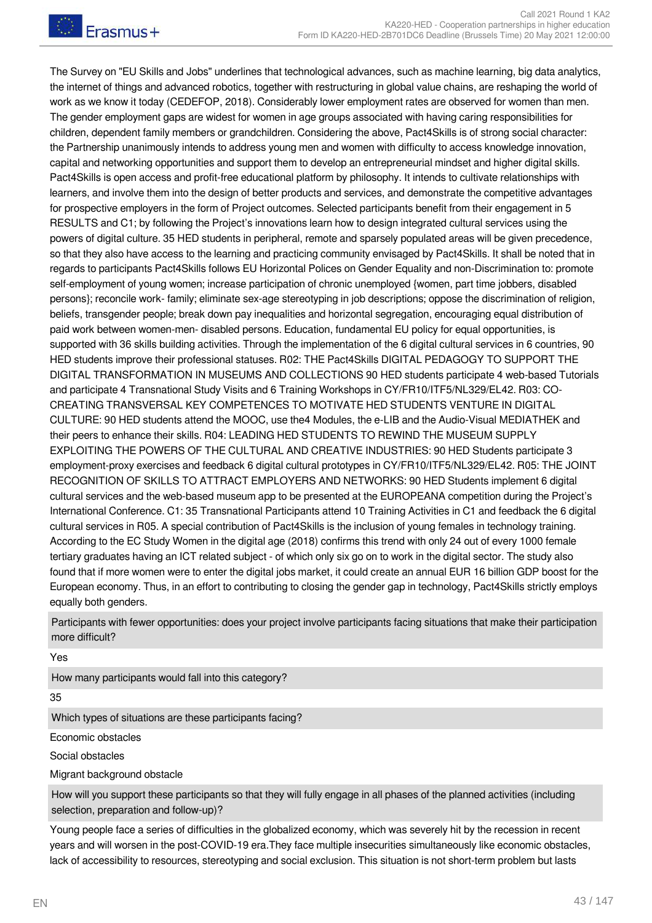The Survey on "EU Skills and Jobs" underlines that technological advances, such as machine learning, big data analytics, the internet of things and advanced robotics, together with restructuring in global value chains, are reshaping the world of work as we know it today (CEDEFOP, 2018). Considerably lower employment rates are observed for women than men. The gender employment gaps are widest for women in age groups associated with having caring responsibilities for children, dependent family members or grandchildren. Considering the above, Pact4Skills is of strong social character: the Partnership unanimously intends to address young men and women with difficulty to access knowledge innovation, capital and networking opportunities and support them to develop an entrepreneurial mindset and higher digital skills. Pact4Skills is open access and profit-free educational platform by philosophy. It intends to cultivate relationships with learners, and involve them into the design of better products and services, and demonstrate the competitive advantages for prospective employers in the form of Project outcomes. Selected participants benefit from their engagement in 5 RESULTS and C1; by following the Project's innovations learn how to design integrated cultural services using the powers of digital culture. 35 HED students in peripheral, remote and sparsely populated areas will be given precedence, so that they also have access to the learning and practicing community envisaged by Pact4Skills. It shall be noted that in regards to participants Pact4Skills follows EU Horizontal Polices on Gender Equality and non-Discrimination to: promote self-employment of young women; increase participation of chronic unemployed {women, part time jobbers, disabled persons}; reconcile work- family; eliminate sex-age stereotyping in job descriptions; oppose the discrimination of religion, beliefs, transgender people; break down pay inequalities and horizontal segregation, encouraging equal distribution of paid work between women-men- disabled persons. Education, fundamental EU policy for equal opportunities, is supported with 36 skills building activities. Through the implementation of the 6 digital cultural services in 6 countries, 90 HED students improve their professional statuses. R02: THE Pact4Skills DIGITAL PEDAGOGY TO SUPPORT THE DIGITAL TRANSFORMATION IN MUSEUMS AND COLLECTIONS 90 HED students participate 4 web-based Tutorials and participate 4 Transnational Study Visits and 6 Training Workshops in CY/FR10/ITF5/NL329/EL42. R03: CO-CREATING TRANSVERSAL KEY COMPETENCES TO MOTIVATE HED STUDENTS VENTURE IN DIGITAL CULTURE: 90 HED students attend the MOOC, use the4 Modules, the e-LIB and the Audio-Visual MEDIATHEK and their peers to enhance their skills. R04: LEADING HED STUDENTS TO REWIND THE MUSEUM SUPPLY EXPLOITING THE POWERS OF THE CULTURAL AND CREATIVE INDUSTRIES: 90 HED Students participate 3 employment-proxy exercises and feedback 6 digital cultural prototypes in CY/FR10/ITF5/NL329/EL42. R05: THE JOINT RECOGNITION OF SKILLS TO ATTRACT EMPLOYERS AND NETWORKS: 90 HED Students implement 6 digital cultural services and the web-based museum app to be presented at the EUROPEANA competition during the Project's International Conference. C1: 35 Transnational Participants attend 10 Training Activities in C1 and feedback the 6 digital cultural services in R05. A special contribution of Pact4Skills is the inclusion of young females in technology training. According to the EC Study Women in the digital age (2018) confirms this trend with only 24 out of every 1000 female tertiary graduates having an ICT related subject - of which only six go on to work in the digital sector. The study also found that if more women were to enter the digital jobs market, it could create an annual EUR 16 billion GDP boost for the European economy. Thus, in an effort to contributing to closing the gender gap in technology, Pact4Skills strictly employs equally both genders.

Participants with fewer opportunities: does your project involve participants facing situations that make their participation more difficult?

Yes

How many participants would fall into this category?

35

Which types of situations are these participants facing?

Economic obstacles

Social obstacles

Migrant background obstacle

How will you support these participants so that they will fully engage in all phases of the planned activities (including selection, preparation and follow-up)?

Young people face a series of difficulties in the globalized economy, which was severely hit by the recession in recent years and will worsen in the post-COVID-19 era.They face multiple insecurities simultaneously like economic obstacles, lack of accessibility to resources, stereotyping and social exclusion. This situation is not short-term problem but lasts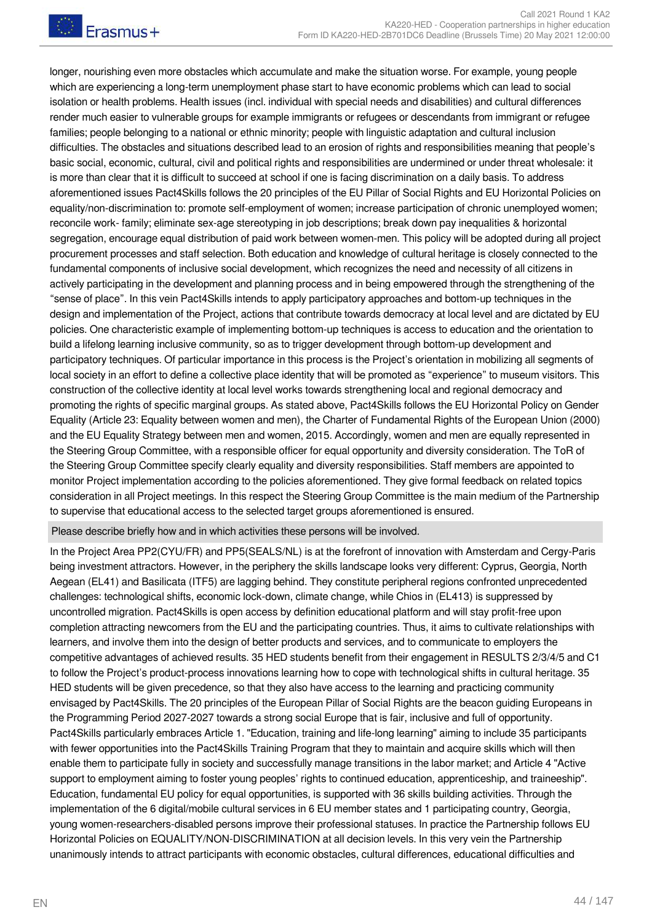longer, nourishing even more obstacles which accumulate and make the situation worse. For example, young people which are experiencing a long-term unemployment phase start to have economic problems which can lead to social isolation or health problems. Health issues (incl. individual with special needs and disabilities) and cultural differences render much easier to vulnerable groups for example immigrants or refugees or descendants from immigrant or refugee families; people belonging to a national or ethnic minority; people with linguistic adaptation and cultural inclusion difficulties. The obstacles and situations described lead to an erosion of rights and responsibilities meaning that people's basic social, economic, cultural, civil and political rights and responsibilities are undermined or under threat wholesale: it is more than clear that it is difficult to succeed at school if one is facing discrimination on a daily basis. To address aforementioned issues Pact4Skills follows the 20 principles of the EU Pillar of Social Rights and EU Horizontal Policies on equality/non-discrimination to: promote self-employment of women; increase participation of chronic unemployed women; reconcile work- family; eliminate sex-age stereotyping in job descriptions; break down pay inequalities & horizontal segregation, encourage equal distribution of paid work between women-men. This policy will be adopted during all project procurement processes and staff selection. Both education and knowledge of cultural heritage is closely connected to the fundamental components of inclusive social development, which recognizes the need and necessity of all citizens in actively participating in the development and planning process and in being empowered through the strengthening of the "sense of place". In this vein Pact4Skills intends to apply participatory approaches and bottom-up techniques in the design and implementation of the Project, actions that contribute towards democracy at local level and are dictated by EU policies. One characteristic example of implementing bottom-up techniques is access to education and the orientation to build a lifelong learning inclusive community, so as to trigger development through bottom-up development and participatory techniques. Of particular importance in this process is the Project's orientation in mobilizing all segments of local society in an effort to define a collective place identity that will be promoted as "experience" to museum visitors. This construction of the collective identity at local level works towards strengthening local and regional democracy and promoting the rights of specific marginal groups. As stated above, Pact4Skills follows the EU Horizontal Policy on Gender Equality (Article 23: Equality between women and men), the Charter of Fundamental Rights of the European Union (2000) and the EU Equality Strategy between men and women, 2015. Accordingly, women and men are equally represented in the Steering Group Committee, with a responsible officer for equal opportunity and diversity consideration. The ToR of the Steering Group Committee specify clearly equality and diversity responsibilities. Staff members are appointed to monitor Project implementation according to the policies aforementioned. They give formal feedback on related topics consideration in all Project meetings. In this respect the Steering Group Committee is the main medium of the Partnership to supervise that educational access to the selected target groups aforementioned is ensured.

#### Please describe briefly how and in which activities these persons will be involved.

In the Project Area PP2(CYU/FR) and PP5(SEALS/NL) is at the forefront of innovation with Amsterdam and Cergy-Paris being investment attractors. However, in the periphery the skills landscape looks very different: Cyprus, Georgia, North Aegean (EL41) and Basilicata (ITF5) are lagging behind. They constitute peripheral regions confronted unprecedented challenges: technological shifts, economic lock-down, climate change, while Chios in (EL413) is suppressed by uncontrolled migration. Pact4Skills is open access by definition educational platform and will stay profit-free upon completion attracting newcomers from the EU and the participating countries. Thus, it aims to cultivate relationships with learners, and involve them into the design of better products and services, and to communicate to employers the competitive advantages of achieved results. 35 HED students benefit from their engagement in RESULTS 2/3/4/5 and C1 to follow the Project's product-process innovations learning how to cope with technological shifts in cultural heritage. 35 HED students will be given precedence, so that they also have access to the learning and practicing community envisaged by Pact4Skills. The 20 principles of the European Pillar of Social Rights are the beacon guiding Europeans in the Programming Period 2027-2027 towards a strong social Europe that is fair, inclusive and full of opportunity. Pact4Skills particularly embraces Article 1. "Education, training and life-long learning" aiming to include 35 participants with fewer opportunities into the Pact4Skills Training Program that they to maintain and acquire skills which will then enable them to participate fully in society and successfully manage transitions in the labor market; and Article 4 "Active support to employment aiming to foster young peoples' rights to continued education, apprenticeship, and traineeship". Education, fundamental EU policy for equal opportunities, is supported with 36 skills building activities. Through the implementation of the 6 digital/mobile cultural services in 6 EU member states and 1 participating country, Georgia, young women-researchers-disabled persons improve their professional statuses. In practice the Partnership follows EU Horizontal Policies on EQUALITY/NON-DISCRIMINATION at all decision levels. In this very vein the Partnership unanimously intends to attract participants with economic obstacles, cultural differences, educational difficulties and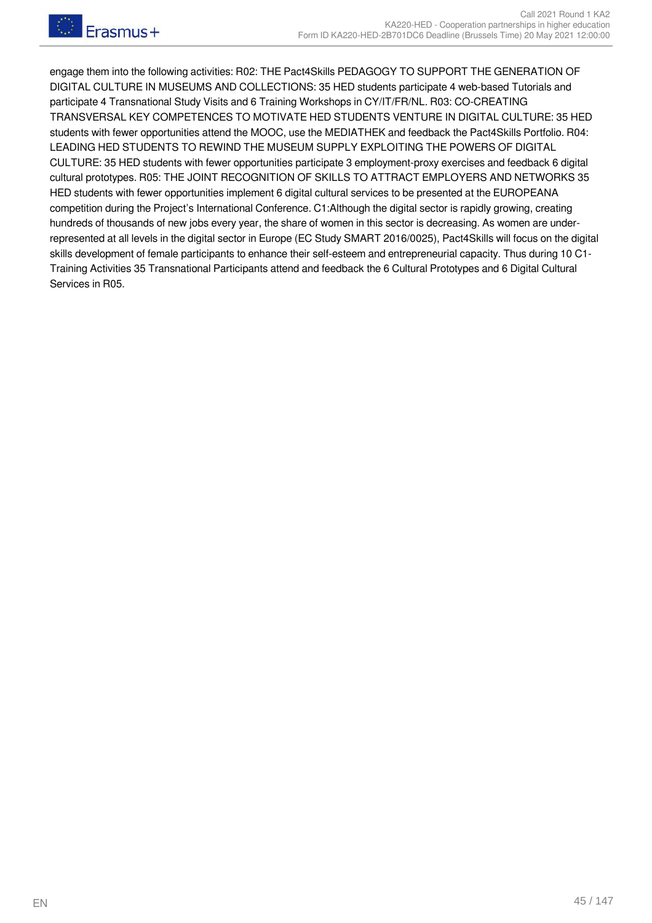engage them into the following activities: R02: THE Pact4Skills PEDAGOGY TO SUPPORT THE GENERATION OF DIGITAL CULTURE IN MUSEUMS AND COLLECTIONS: 35 HED students participate 4 web-based Tutorials and participate 4 Transnational Study Visits and 6 Training Workshops in CY/IT/FR/NL. R03: CO-CREATING TRANSVERSAL KEY COMPETENCES TO MOTIVATE HED STUDENTS VENTURE IN DIGITAL CULTURE: 35 HED students with fewer opportunities attend the MOOC, use the MEDIATHEK and feedback the Pact4Skills Portfolio. R04: LEADING HED STUDENTS TO REWIND THE MUSEUM SUPPLY EXPLOITING THE POWERS OF DIGITAL CULTURE: 35 HED students with fewer opportunities participate 3 employment-proxy exercises and feedback 6 digital cultural prototypes. R05: THE JOINT RECOGNITION OF SKILLS TO ATTRACT EMPLOYERS AND NETWORKS 35 HED students with fewer opportunities implement 6 digital cultural services to be presented at the EUROPEANA competition during the Project's International Conference. C1:Although the digital sector is rapidly growing, creating hundreds of thousands of new jobs every year, the share of women in this sector is decreasing. As women are underrepresented at all levels in the digital sector in Europe (EC Study SMART 2016/0025), Pact4Skills will focus on the digital skills development of female participants to enhance their self-esteem and entrepreneurial capacity. Thus during 10 C1- Training Activities 35 Transnational Participants attend and feedback the 6 Cultural Prototypes and 6 Digital Cultural Services in R05.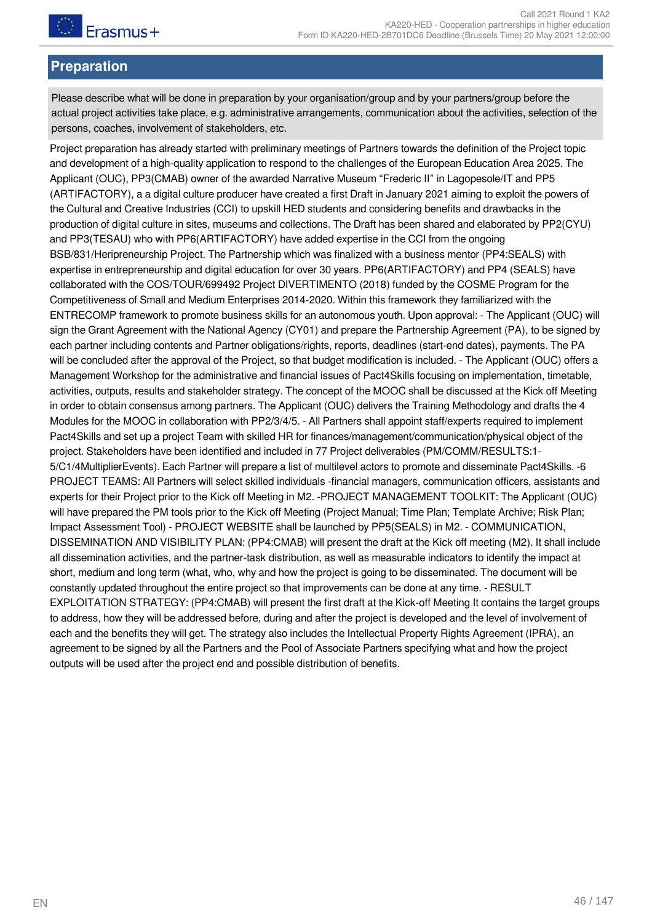## **Preparation**

Please describe what will be done in preparation by your organisation/group and by your partners/group before the actual project activities take place, e.g. administrative arrangements, communication about the activities, selection of the persons, coaches, involvement of stakeholders, etc.

Project preparation has already started with preliminary meetings of Partners towards the definition of the Project topic and development of a high-quality application to respond to the challenges of the European Education Area 2025. The Applicant (OUC), PP3(CMAB) owner of the awarded Narrative Museum "Frederic II" in Lagopesole/IT and PP5 (ARTIFACTORY), a a digital culture producer have created a first Draft in January 2021 aiming to exploit the powers of the Cultural and Creative Industries (CCI) to upskill HED students and considering benefits and drawbacks in the production of digital culture in sites, museums and collections. The Draft has been shared and elaborated by PP2(CYU) and PP3(TESAU) who with PP6(ARTIFACTORY) have added expertise in the CCI from the ongoing BSB/831/Heripreneurship Project. The Partnership which was finalized with a business mentor (PP4:SEALS) with expertise in entrepreneurship and digital education for over 30 years. PP6(ARTIFACTORY) and PP4 (SEALS) have collaborated with the COS/TOUR/699492 Project DIVERTIMENTO (2018) funded by the COSME Program for the Competitiveness of Small and Medium Enterprises 2014-2020. Within this framework they familiarized with the ENTRECOMP framework to promote business skills for an autonomous youth. Upon approval: - The Applicant (OUC) will sign the Grant Agreement with the National Agency (CY01) and prepare the Partnership Agreement (PA), to be signed by each partner including contents and Partner obligations/rights, reports, deadlines (start-end dates), payments. The PA will be concluded after the approval of the Project, so that budget modification is included. - The Applicant (OUC) offers a Management Workshop for the administrative and financial issues of Pact4Skills focusing on implementation, timetable, activities, outputs, results and stakeholder strategy. The concept of the MOOC shall be discussed at the Kick off Meeting in order to obtain consensus among partners. The Applicant (OUC) delivers the Training Methodology and drafts the 4 Modules for the MOOC in collaboration with PP2/3/4/5. - All Partners shall appoint staff/experts required to implement Pact4Skills and set up a project Team with skilled HR for finances/management/communication/physical object of the project. Stakeholders have been identified and included in 77 Project deliverables (PM/COMM/RESULTS:1- 5/C1/4MultiplierEvents). Each Partner will prepare a list of multilevel actors to promote and disseminate Pact4Skills. -6 PROJECT TEAMS: All Partners will select skilled individuals -financial managers, communication officers, assistants and experts for their Project prior to the Kick off Meeting in M2. -PROJECT MANAGEMENT TOOLKIT: The Applicant (OUC) will have prepared the PM tools prior to the Kick off Meeting (Project Manual; Time Plan; Template Archive; Risk Plan; Impact Assessment Tool) - PROJECT WEBSITE shall be launched by PP5(SEALS) in M2. - COMMUNICATION, DISSEMINATION AND VISIBILITY PLAN: (PP4:CMAB) will present the draft at the Kick off meeting (M2). It shall include all dissemination activities, and the partner-task distribution, as well as measurable indicators to identify the impact at short, medium and long term (what, who, why and how the project is going to be disseminated. The document will be constantly updated throughout the entire project so that improvements can be done at any time. - RESULT EXPLOITATION STRATEGY: (PP4:CMAB) will present the first draft at the Kick-off Meeting It contains the target groups to address, how they will be addressed before, during and after the project is developed and the level of involvement of each and the benefits they will get. The strategy also includes the Intellectual Property Rights Agreement (IPRA), an agreement to be signed by all the Partners and the Pool of Associate Partners specifying what and how the project outputs will be used after the project end and possible distribution of benefits.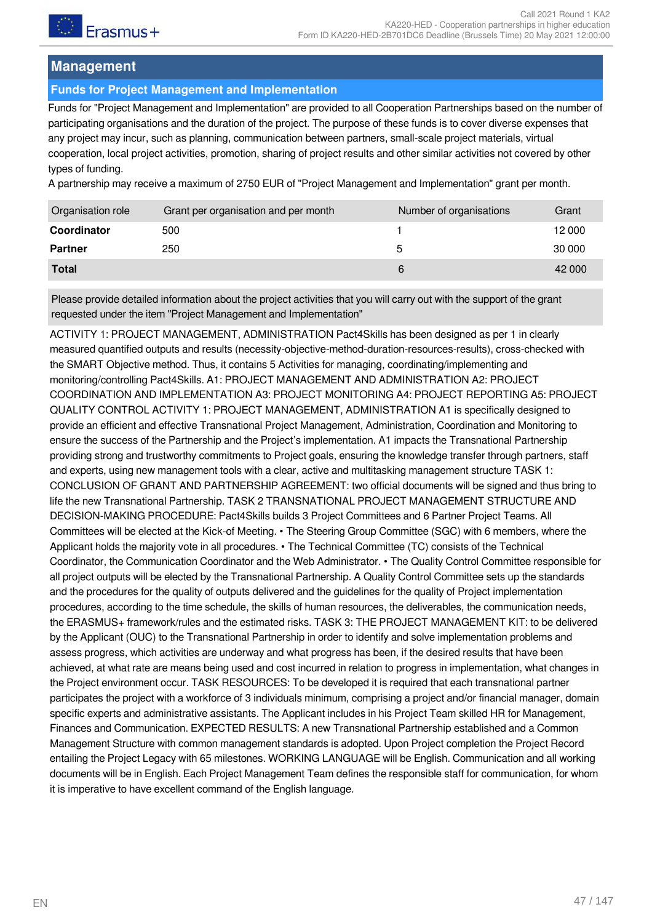## **Management**

### **Funds for Project Management and Implementation**

Funds for "Project Management and Implementation" are provided to all Cooperation Partnerships based on the number of participating organisations and the duration of the project. The purpose of these funds is to cover diverse expenses that any project may incur, such as planning, communication between partners, small-scale project materials, virtual cooperation, local project activities, promotion, sharing of project results and other similar activities not covered by other types of funding.

A partnership may receive a maximum of 2750 EUR of "Project Management and Implementation" grant per month.

| Organisation role | Grant per organisation and per month | Number of organisations | Grant  |
|-------------------|--------------------------------------|-------------------------|--------|
| Coordinator       | 500                                  |                         | 12 000 |
| <b>Partner</b>    | 250                                  | 5                       | 30 000 |
| <b>Total</b>      |                                      | 6                       | 42 000 |

Please provide detailed information about the project activities that you will carry out with the support of the grant requested under the item "Project Management and Implementation"

ACTIVITY 1: PROJECT MANAGEMENT, ADMINISTRATION Pact4Skills has been designed as per 1 in clearly measured quantified outputs and results (necessity-objective-method-duration-resources-results), cross-checked with the SMART Objective method. Thus, it contains 5 Activities for managing, coordinating/implementing and monitoring/controlling Pact4Skills. A1: PROJECT MANAGEMENT AND ADMINISTRATION A2: PROJECT COORDINATION AND IMPLEMENTATION A3: PROJECT MONITORING A4: PROJECT REPORTING A5: PROJECT QUALITY CONTROL ACTIVITY 1: PROJECT MANAGEMENT, ADMINISTRATION A1 is specifically designed to provide an efficient and effective Transnational Project Management, Administration, Coordination and Monitoring to ensure the success of the Partnership and the Project's implementation. A1 impacts the Transnational Partnership providing strong and trustworthy commitments to Project goals, ensuring the knowledge transfer through partners, staff and experts, using new management tools with a clear, active and multitasking management structure TASK 1: CONCLUSION OF GRANT AND PARTNERSHIP AGREEMENT: two official documents will be signed and thus bring to life the new Transnational Partnership. TASK 2 TRANSNATIONAL PROJECT MANAGEMENT STRUCTURE AND DECISION-MAKING PROCEDURE: Pact4Skills builds 3 Project Committees and 6 Partner Project Teams. All Committees will be elected at the Kick-of Meeting. • The Steering Group Committee (SGC) with 6 members, where the Applicant holds the majority vote in all procedures. • The Technical Committee (TC) consists of the Technical Coordinator, the Communication Coordinator and the Web Administrator. • The Quality Control Committee responsible for all project outputs will be elected by the Transnational Partnership. A Quality Control Committee sets up the standards and the procedures for the quality of outputs delivered and the guidelines for the quality of Project implementation procedures, according to the time schedule, the skills of human resources, the deliverables, the communication needs, the ERASMUS+ framework/rules and the estimated risks. TASK 3: THE PROJECT MANAGEMENT KIT: to be delivered by the Applicant (OUC) to the Transnational Partnership in order to identify and solve implementation problems and assess progress, which activities are underway and what progress has been, if the desired results that have been achieved, at what rate are means being used and cost incurred in relation to progress in implementation, what changes in the Project environment occur. TASK RESOURCES: To be developed it is required that each transnational partner participates the project with a workforce of 3 individuals minimum, comprising a project and/or financial manager, domain specific experts and administrative assistants. The Applicant includes in his Project Team skilled HR for Management, Finances and Communication. EXPECTED RESULTS: A new Transnational Partnership established and a Common Management Structure with common management standards is adopted. Upon Project completion the Project Record entailing the Project Legacy with 65 milestones. WORKING LANGUAGE will be English. Communication and all working documents will be in English. Each Project Management Team defines the responsible staff for communication, for whom it is imperative to have excellent command of the English language.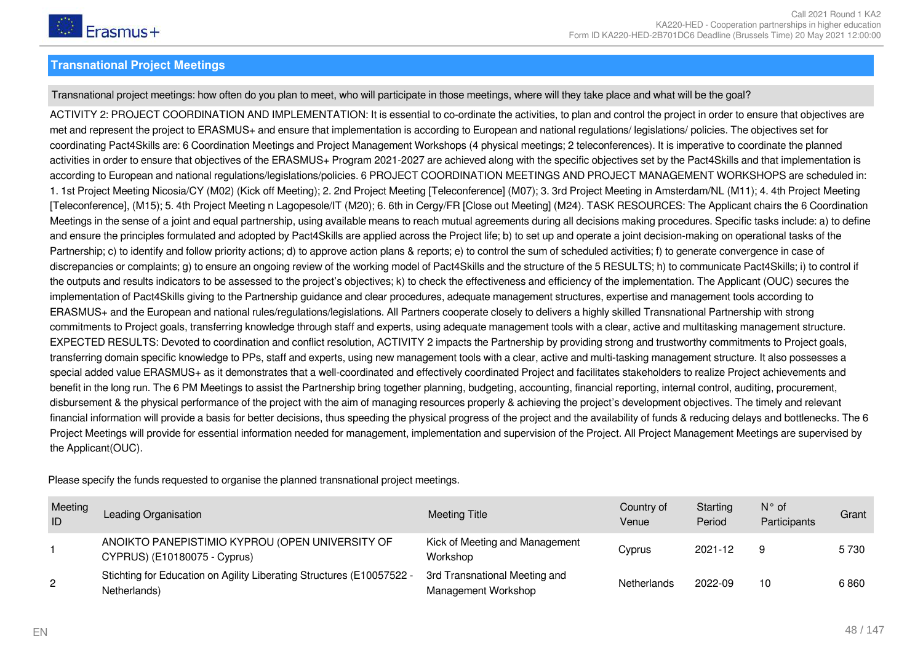

#### **Transnational Project Meetings**

Transnational project meetings: how often do you plan to meet, who will participate in those meetings, where will they take place and what will be the goal?

ACTIVITY 2: PROJECT COORDINATION AND IMPLEMENTATION: It is essential to co-ordinate the activities, to plan and control the project in order to ensure that objectives are met and represent the project to ERASMUS+ and ensure that implementation is according to European and national regulations/ legislations/ policies. The objectives set for coordinating Pact4Skills are: 6 Coordination Meetings and Project Management Workshops (4 physical meetings; 2 teleconferences). It is imperative to coordinate the planned activities in order to ensure that objectives of the ERASMUS+ Program 2021-2027 are achieved along with the specific objectives set by the Pact4Skills and that implementation is according to European and national regulations/legislations/policies. 6 PROJECT COORDINATION MEETINGS AND PROJECT MANAGEMENT WORKSHOPS are scheduled in: 1. 1st Project Meeting Nicosia/CY (M02) (Kick off Meeting); 2. 2nd Project Meeting [Teleconference] (M07); 3. 3rd Project Meeting in Amsterdam/NL (M11); 4. 4th Project Meeting [Teleconference], (M15); 5. 4th Project Meeting n Lagopesole/IT (M20); 6. 6th in Cergy/FR [Close out Meeting] (M24). TASK RESOURCES: The Applicant chairs the 6 Coordination Meetings in the sense of a joint and equal partnership, using available means to reach mutual agreements during all decisions making procedures. Specific tasks include: a) to define and ensure the principles formulated and adopted by Pact4Skills are applied across the Project life; b) to set up and operate a joint decision-making on operational tasks of the Partnership; c) to identify and follow priority actions; d) to approve action plans & reports; e) to control the sum of scheduled activities; f) to generate convergence in case of discrepancies or complaints; g) to ensure an ongoing review of the working model of Pact4Skills and the structure of the 5 RESULTS; h) to communicate Pact4Skills; i) to control if the outputs and results indicators to be assessed to the project's objectives; k) to check the effectiveness and efficiency of the implementation. The Applicant (OUC) secures the implementation of Pact4Skills giving to the Partnership guidance and clear procedures, adequate management structures, expertise and management tools according to ERASMUS+ and the European and national rules/regulations/legislations. All Partners cooperate closely to delivers a highly skilled Transnational Partnership with strong commitments to Project goals, transferring knowledge through staff and experts, using adequate management tools with a clear, active and multitasking management structure. EXPECTED RESULTS: Devoted to coordination and conflict resolution, ACTIVITY 2 impacts the Partnership by providing strong and trustworthy commitments to Project goals, transferring domain specific knowledge to PPs, staff and experts, using new management tools with a clear, active and multi-tasking management structure. It also possesses a special added value ERASMUS+ as it demonstrates that a well-coordinated and effectively coordinated Project and facilitates stakeholders to realize Project achievements and benefit in the long run. The 6 PM Meetings to assist the Partnership bring together planning, budgeting, accounting, financial reporting, internal control, auditing, procurement, disbursement & the physical performance of the project with the aim of managing resources properly & achieving the project's development objectives. The timely and relevant financial information will provide a basis for better decisions, thus speeding the physical progress of the project and the availability of funds & reducing delays and bottlenecks. The 6 Project Meetings will provide for essential information needed for management, implementation and supervision of the Project. All Project Management Meetings are supervised by the Applicant(OUC).

Please specify the funds requested to organise the planned transnational project meetings.

| Meeting<br>ID  | Leading Organisation                                                                  | Meeting Title                                        | Country of<br>Venue | Starting<br>Period | $N^{\circ}$ of<br>Participants | Grant   |
|----------------|---------------------------------------------------------------------------------------|------------------------------------------------------|---------------------|--------------------|--------------------------------|---------|
|                | ANOIKTO PANEPISTIMIO KYPROU (OPEN UNIVERSITY OF<br>CYPRUS) (E10180075 - Cyprus)       | Kick of Meeting and Management<br>Workshop           | Cyprus              | 2021-12            |                                | 5 7 3 0 |
| $\overline{2}$ | Stichting for Education on Agility Liberating Structures (E10057522 -<br>Netherlands) | 3rd Transnational Meeting and<br>Management Workshop | Netherlands         | 2022-09            | 10                             | 6860    |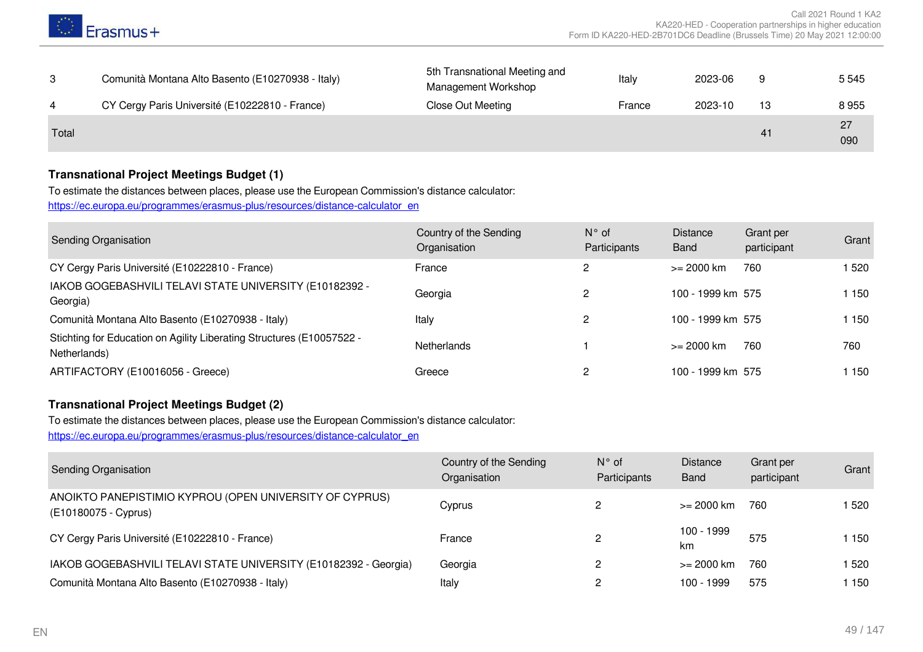

|       | Comunità Montana Alto Basento (E10270938 - Italy) | 5th Transnational Meeting and<br><b>Management Workshop</b> | Italy  | 2023-06 |    | 5 5 4 5   |
|-------|---------------------------------------------------|-------------------------------------------------------------|--------|---------|----|-----------|
| 4     | CY Cergy Paris Université (E10222810 - France)    | Close Out Meeting                                           | France | 2023-10 | 13 | 8955      |
| Total |                                                   |                                                             |        |         | 41 | 27<br>090 |

#### **Transnational Project Meetings Budget (1)**

To estimate the distances between places, please use the European Commission's distance calculator: [https://ec.europa.eu/programmes/erasmus-plus/resources/distance-calculator\\_en](https://ec.europa.eu/programmes/erasmus-plus/resources/distance-calculator_en)

| Sending Organisation                                                                  | Country of the Sending<br>Organisation | $N^{\circ}$ of<br>Participants | <b>Distance</b><br><b>Band</b> | Grant per<br>participant | Grant   |
|---------------------------------------------------------------------------------------|----------------------------------------|--------------------------------|--------------------------------|--------------------------|---------|
| CY Cergy Paris Université (E10222810 - France)                                        | France                                 | 2                              | >= 2000 km                     | 760                      | 1 520   |
| IAKOB GOGEBASHVILI TELAVI STATE UNIVERSITY (E10182392 -<br>Georgia)                   | Georgia                                | $\mathcal{P}$                  | 100 - 1999 km 575              |                          | 1 150   |
| Comunità Montana Alto Basento (E10270938 - Italy)                                     | Italy                                  | 2                              | 100 - 1999 km 575              |                          | 1 1 5 0 |
| Stichting for Education on Agility Liberating Structures (E10057522 -<br>Netherlands) | <b>Netherlands</b>                     |                                | >= 2000 km                     | 760                      | 760     |
| ARTIFACTORY (E10016056 - Greece)                                                      | Greece                                 |                                | 100 - 1999 km 575              |                          | 1 150   |

#### **Transnational Project Meetings Budget (2)**

To estimate the distances between places, please use the European Commission's distance calculator:

[https://ec.europa.eu/programmes/erasmus-plus/resources/distance-calculator\\_en](https://ec.europa.eu/programmes/erasmus-plus/resources/distance-calculator_en)

| <b>Sending Organisation</b>                                                     | Country of the Sending<br>Organisation | $N^{\circ}$ of<br>Participants | <b>Distance</b><br><b>Band</b> | Grant per<br>participant | Grant |
|---------------------------------------------------------------------------------|----------------------------------------|--------------------------------|--------------------------------|--------------------------|-------|
| ANOIKTO PANEPISTIMIO KYPROU (OPEN UNIVERSITY OF CYPRUS)<br>(E10180075 - Cyprus) | Cvprus                                 |                                | >= 2000 km                     | 760                      | ا 520 |
| CY Cergy Paris Université (E10222810 - France)                                  | France                                 | 2                              | 100 - 1999<br>km               | 575                      | l 150 |
| IAKOB GOGEBASHVILI TELAVI STATE UNIVERSITY (E10182392 - Georgia)                | Georgia                                |                                | $>= 2000$ km                   | 760                      | ا 520 |
| Comunità Montana Alto Basento (E10270938 - Italy)                               | Italy                                  |                                | 100 - 1999                     | 575                      | l 150 |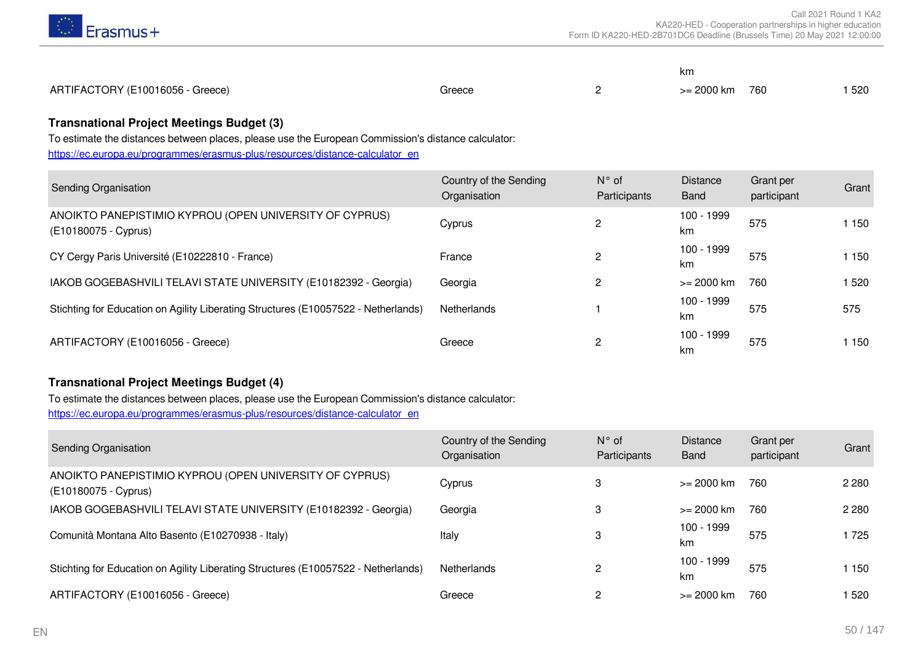

|                                  |        | km                       |     |
|----------------------------------|--------|--------------------------|-----|
| ARTIFACTORY (E10016056 - Greece) | Greece | $>= 2000 \text{ km}$ 760 | 520 |

#### **Transnational Project Meetings Budget (3)**

To estimate the distances between places, please use the European Commission's distance calculator:

[https://ec.europa.eu/programmes/erasmus-plus/resources/distance-calculator\\_en](https://ec.europa.eu/programmes/erasmus-plus/resources/distance-calculator_en)

| Sending Organisation                                                               | Country of the Sending<br>Organisation | $N^{\circ}$ of<br>Participants | <b>Distance</b><br>Band | Grant per<br>participant | Grant |
|------------------------------------------------------------------------------------|----------------------------------------|--------------------------------|-------------------------|--------------------------|-------|
| ANOIKTO PANEPISTIMIO KYPROU (OPEN UNIVERSITY OF CYPRUS)<br>(E10180075 - Cyprus)    | Cyprus                                 | 2                              | 100 - 1999<br>km        | 575                      | 1 150 |
| CY Cergy Paris Université (E10222810 - France)                                     | France                                 | $\mathcal{P}$                  | 100 - 1999<br>km        | 575                      | 1 150 |
| IAKOB GOGEBASHVILI TELAVI STATE UNIVERSITY (E10182392 - Georgia)                   | Georgia                                |                                | $>= 2000$ km            | 760                      | 520   |
| Stichting for Education on Agility Liberating Structures (E10057522 - Netherlands) | Netherlands                            |                                | 100 - 1999<br>km        | 575                      | 575   |
| ARTIFACTORY (E10016056 - Greece)                                                   | Greece                                 | 2                              | 100 - 1999<br>km        | 575                      | 1 150 |

#### **Transnational Project Meetings Budget (4)**

To estimate the distances between places, please use the European Commission's distance calculator: [https://ec.europa.eu/programmes/erasmus-plus/resources/distance-calculator\\_en](https://ec.europa.eu/programmes/erasmus-plus/resources/distance-calculator_en)

| Sending Organisation                                                               | Country of the Sending<br>Organisation | $N^{\circ}$ of<br>Participants | <b>Distance</b><br>Band | Grant per<br>participant | Grant   |
|------------------------------------------------------------------------------------|----------------------------------------|--------------------------------|-------------------------|--------------------------|---------|
| ANOIKTO PANEPISTIMIO KYPROU (OPEN UNIVERSITY OF CYPRUS)<br>(E10180075 - Cyprus)    | Cyprus                                 | 3                              | $>= 2000$ km            | 760                      | 2 2 8 0 |
| IAKOB GOGEBASHVILI TELAVI STATE UNIVERSITY (E10182392 - Georgia)                   | Georgia                                | 3                              | $>= 2000$ km            | 760                      | 2 2 8 0 |
| Comunità Montana Alto Basento (E10270938 - Italy)                                  | Italy                                  | 3                              | 100 - 1999<br>km        | 575                      | 725     |
| Stichting for Education on Agility Liberating Structures (E10057522 - Netherlands) | Netherlands                            | $\mathcal{P}$                  | 100 - 1999<br>km        | 575                      | 1 1 5 0 |
| ARTIFACTORY (E10016056 - Greece)                                                   | Greece                                 | 2                              | $>= 2000$ km            | 760                      | 520     |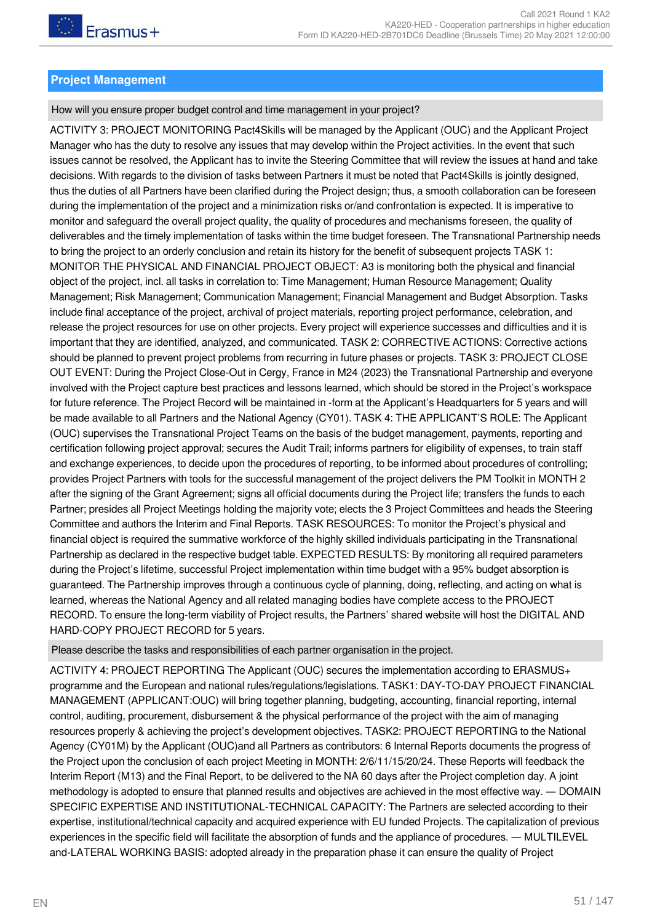## **Project Management**

## How will you ensure proper budget control and time management in your project?

ACTIVITY 3: PROJECT MONITORING Pact4Skills will be managed by the Applicant (OUC) and the Applicant Project Manager who has the duty to resolve any issues that may develop within the Project activities. In the event that such issues cannot be resolved, the Applicant has to invite the Steering Committee that will review the issues at hand and take decisions. With regards to the division of tasks between Partners it must be noted that Pact4Skills is jointly designed, thus the duties of all Partners have been clarified during the Project design; thus, a smooth collaboration can be foreseen during the implementation of the project and a minimization risks or/and confrontation is expected. It is imperative to monitor and safeguard the overall project quality, the quality of procedures and mechanisms foreseen, the quality of deliverables and the timely implementation of tasks within the time budget foreseen. The Transnational Partnership needs to bring the project to an orderly conclusion and retain its history for the benefit of subsequent projects TASK 1: MONITOR THE PHYSICAL AND FINANCIAL PROJECT OBJECT: A3 is monitoring both the physical and financial object of the project, incl. all tasks in correlation to: Time Management; Human Resource Management; Quality Management; Risk Management; Communication Management; Financial Management and Budget Absorption. Tasks include final acceptance of the project, archival of project materials, reporting project performance, celebration, and release the project resources for use on other projects. Every project will experience successes and difficulties and it is important that they are identified, analyzed, and communicated. TASK 2: CORRECTIVE ACTIONS: Corrective actions should be planned to prevent project problems from recurring in future phases or projects. TASK 3: PROJECT CLOSE OUT EVENT: During the Project Close-Out in Cergy, France in M24 (2023) the Transnational Partnership and everyone involved with the Project capture best practices and lessons learned, which should be stored in the Project's workspace for future reference. The Project Record will be maintained in -form at the Applicant's Headquarters for 5 years and will be made available to all Partners and the National Agency (CY01). TASK 4: THE APPLICANT'S ROLE: The Applicant (OUC) supervises the Transnational Project Teams on the basis of the budget management, payments, reporting and certification following project approval; secures the Audit Trail; informs partners for eligibility of expenses, to train staff and exchange experiences, to decide upon the procedures of reporting, to be informed about procedures of controlling; provides Project Partners with tools for the successful management of the project delivers the PM Toolkit in MONTH 2 after the signing of the Grant Agreement; signs all official documents during the Project life; transfers the funds to each Partner; presides all Project Meetings holding the majority vote; elects the 3 Project Committees and heads the Steering Committee and authors the Interim and Final Reports. TASK RESOURCES: To monitor the Project's physical and financial object is required the summative workforce of the highly skilled individuals participating in the Transnational Partnership as declared in the respective budget table. EXPECTED RESULTS: By monitoring all required parameters during the Project's lifetime, successful Project implementation within time budget with a 95% budget absorption is guaranteed. The Partnership improves through a continuous cycle of planning, doing, reflecting, and acting on what is learned, whereas the National Agency and all related managing bodies have complete access to the PROJECT RECORD. To ensure the long-term viability of Project results, the Partners' shared website will host the DIGITAL AND HARD-COPY PROJECT RECORD for 5 years.

Please describe the tasks and responsibilities of each partner organisation in the project.

ACTIVITY 4: PROJECT REPORTING The Applicant (OUC) secures the implementation according to ERASMUS+ programme and the European and national rules/regulations/legislations. TASK1: DAY-TO-DAY PROJECT FINANCIAL MANAGEMENT (APPLICANT:OUC) will bring together planning, budgeting, accounting, financial reporting, internal control, auditing, procurement, disbursement & the physical performance of the project with the aim of managing resources properly & achieving the project's development objectives. TASK2: PROJECT REPORTING to the National Agency (CY01M) by the Applicant (OUC)and all Partners as contributors: 6 Internal Reports documents the progress of the Project upon the conclusion of each project Meeting in MONTH: 2/6/11/15/20/24. These Reports will feedback the Interim Report (M13) and the Final Report, to be delivered to the NA 60 days after the Project completion day. A joint methodology is adopted to ensure that planned results and objectives are achieved in the most effective way. ― DOMAIN SPECIFIC EXPERTISE AND INSTITUTIONAL-TECHNICAL CAPACITY: The Partners are selected according to their expertise, institutional/technical capacity and acquired experience with EU funded Projects. The capitalization of previous experiences in the specific field will facilitate the absorption of funds and the appliance of procedures. ― MULTILEVEL and-LATERAL WORKING BASIS: adopted already in the preparation phase it can ensure the quality of Project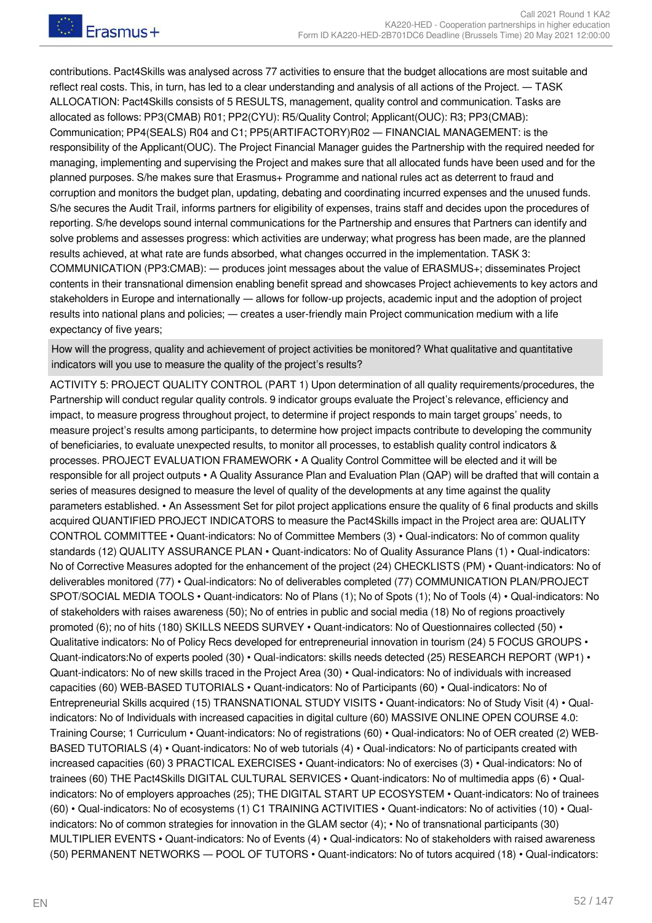Frasmus+

contributions. Pact4Skills was analysed across 77 activities to ensure that the budget allocations are most suitable and reflect real costs. This, in turn, has led to a clear understanding and analysis of all actions of the Project. ― TASK ALLOCATION: Pact4Skills consists of 5 RESULTS, management, quality control and communication. Tasks are allocated as follows: PP3(CMAB) R01; PP2(CYU): R5/Quality Control; Applicant(OUC): R3; PP3(CMAB): Communication; PP4(SEALS) R04 and C1; PP5(ARTIFACTORY)R02 ― FINANCIAL MANAGEMENT: is the responsibility of the Applicant(OUC). The Project Financial Manager guides the Partnership with the required needed for managing, implementing and supervising the Project and makes sure that all allocated funds have been used and for the planned purposes. S/he makes sure that Erasmus+ Programme and national rules act as deterrent to fraud and corruption and monitors the budget plan, updating, debating and coordinating incurred expenses and the unused funds. S/he secures the Audit Trail, informs partners for eligibility of expenses, trains staff and decides upon the procedures of reporting. S/he develops sound internal communications for the Partnership and ensures that Partners can identify and solve problems and assesses progress: which activities are underway; what progress has been made, are the planned results achieved, at what rate are funds absorbed, what changes occurred in the implementation. TASK 3: COMMUNICATION (PP3:CMAB): ― produces joint messages about the value of ERASMUS+; disseminates Project contents in their transnational dimension enabling benefit spread and showcases Project achievements to key actors and stakeholders in Europe and internationally ― allows for follow-up projects, academic input and the adoption of project results into national plans and policies; ― creates a user-friendly main Project communication medium with a life expectancy of five years;

How will the progress, quality and achievement of project activities be monitored? What qualitative and quantitative indicators will you use to measure the quality of the project's results?

ACTIVITY 5: PROJECT QUALITY CONTROL (PART 1) Upon determination of all quality requirements/procedures, the Partnership will conduct regular quality controls. 9 indicator groups evaluate the Project's relevance, efficiency and impact, to measure progress throughout project, to determine if project responds to main target groups' needs, to measure project's results among participants, to determine how project impacts contribute to developing the community of beneficiaries, to evaluate unexpected results, to monitor all processes, to establish quality control indicators & processes. PROJECT EVALUATION FRAMEWORK • A Quality Control Committee will be elected and it will be responsible for all project outputs • A Quality Assurance Plan and Evaluation Plan (QAP) will be drafted that will contain a series of measures designed to measure the level of quality of the developments at any time against the quality parameters established. • An Assessment Set for pilot project applications ensure the quality of 6 final products and skills acquired QUANTIFIED PROJECT INDICATORS to measure the Pact4Skills impact in the Project area are: QUALITY CONTROL COMMITTEE • Quant-indicators: No of Committee Members (3) • Qual-indicators: No of common quality standards (12) QUALITY ASSURANCE PLAN • Quant-indicators: No of Quality Assurance Plans (1) • Qual-indicators: No of Corrective Measures adopted for the enhancement of the project (24) CHECKLISTS (PM) • Quant-indicators: No of deliverables monitored (77) • Qual-indicators: No of deliverables completed (77) COMMUNICATION PLAN/PROJECT SPOT/SOCIAL MEDIA TOOLS • Quant-indicators: No of Plans (1); No of Spots (1); No of Tools (4) • Qual-indicators: No of stakeholders with raises awareness (50); No of entries in public and social media (18) No of regions proactively promoted (6); no of hits (180) SKILLS NEEDS SURVEY • Quant-indicators: No of Questionnaires collected (50) • Qualitative indicators: No of Policy Recs developed for entrepreneurial innovation in tourism (24) 5 FOCUS GROUPS • Quant-indicators:No of experts pooled (30) • Qual-indicators: skills needs detected (25) RESEARCH REPORT (WP1) • Quant-indicators: No of new skills traced in the Project Area (30) • Qual-indicators: No of individuals with increased capacities (60) WEB-BASED TUTORIALS • Quant-indicators: No of Participants (60) • Qual-indicators: No of Entrepreneurial Skills acquired (15) TRANSNATIONAL STUDY VISITS • Quant-indicators: No of Study Visit (4) • Qualindicators: No of Individuals with increased capacities in digital culture (60) MASSIVE ONLINE OPEN COURSE 4.0: Training Course; 1 Curriculum • Quant-indicators: No of registrations (60) • Qual-indicators: No of OER created (2) WEB-BASED TUTORIALS (4) • Quant-indicators: No of web tutorials (4) • Qual-indicators: No of participants created with increased capacities (60) 3 PRACTICAL EXERCISES • Quant-indicators: No of exercises (3) • Qual-indicators: No of trainees (60) THE Pact4Skills DIGITAL CULTURAL SERVICES • Quant-indicators: No of multimedia apps (6) • Qualindicators: No of employers approaches (25); THE DIGITAL START UP ECOSYSTEM • Quant-indicators: No of trainees (60) • Qual-indicators: No of ecosystems (1) C1 TRAINING ACTIVITIES • Quant-indicators: No of activities (10) • Qualindicators: No of common strategies for innovation in the GLAM sector (4); • No of transnational participants (30) MULTIPLIER EVENTS • Quant-indicators: No of Events (4) • Qual-indicators: No of stakeholders with raised awareness (50) PERMANENT NETWORKS ― POOL OF TUTORS • Quant-indicators: No of tutors acquired (18) • Qual-indicators: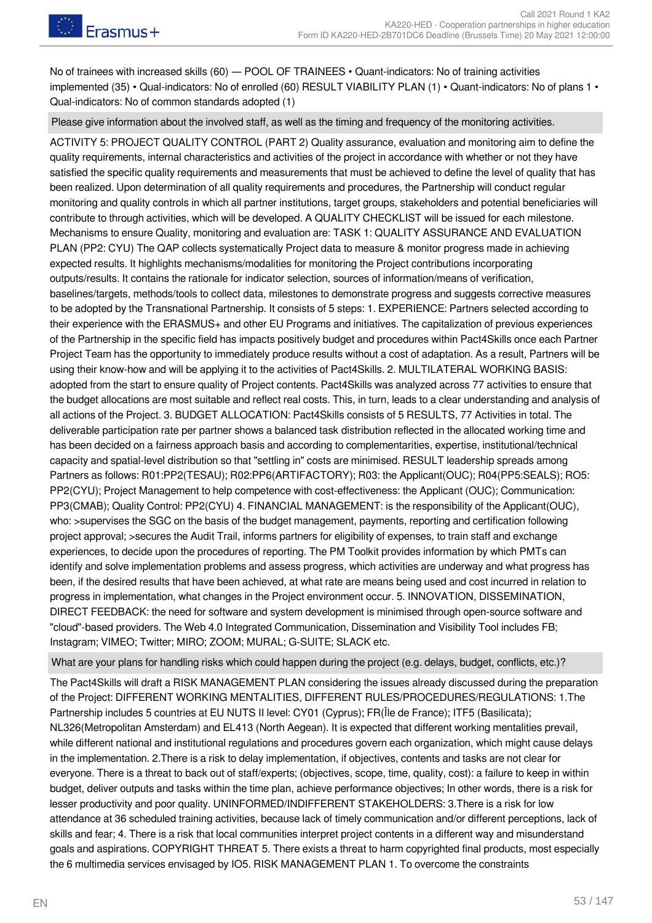No of trainees with increased skills (60) — POOL OF TRAINEES • Quant-indicators: No of training activities implemented (35) • Qual-indicators: No of enrolled (60) RESULT VIABILITY PLAN (1) • Quant-indicators: No of plans 1 • Qual-indicators: No of common standards adopted (1)

Please give information about the involved staff, as well as the timing and frequency of the monitoring activities.

ACTIVITY 5: PROJECT QUALITY CONTROL (PART 2) Quality assurance, evaluation and monitoring aim to define the quality requirements, internal characteristics and activities of the project in accordance with whether or not they have satisfied the specific quality requirements and measurements that must be achieved to define the level of quality that has been realized. Upon determination of all quality requirements and procedures, the Partnership will conduct regular monitoring and quality controls in which all partner institutions, target groups, stakeholders and potential beneficiaries will contribute to through activities, which will be developed. A QUALITY CHECKLIST will be issued for each milestone. Mechanisms to ensure Quality, monitoring and evaluation are: TASK 1: QUALITY ASSURANCE AND EVALUATION PLAN (PP2: CYU) The QAP collects systematically Project data to measure & monitor progress made in achieving expected results. It highlights mechanisms/modalities for monitoring the Project contributions incorporating outputs/results. It contains the rationale for indicator selection, sources of information/means of verification, baselines/targets, methods/tools to collect data, milestones to demonstrate progress and suggests corrective measures to be adopted by the Transnational Partnership. It consists of 5 steps: 1. EXPERIENCE: Partners selected according to their experience with the ERASMUS+ and other EU Programs and initiatives. The capitalization of previous experiences of the Partnership in the specific field has impacts positively budget and procedures within Pact4Skills once each Partner Project Team has the opportunity to immediately produce results without a cost of adaptation. As a result, Partners will be using their know-how and will be applying it to the activities of Pact4Skills. 2. MULTILATERAL WORKING BASIS: adopted from the start to ensure quality of Project contents. Pact4Skills was analyzed across 77 activities to ensure that the budget allocations are most suitable and reflect real costs. This, in turn, leads to a clear understanding and analysis of all actions of the Project. 3. BUDGET ALLOCATION: Pact4Skills consists of 5 RESULTS, 77 Activities in total. The deliverable participation rate per partner shows a balanced task distribution reflected in the allocated working time and has been decided on a fairness approach basis and according to complementarities, expertise, institutional/technical capacity and spatial-level distribution so that "settling in" costs are minimised. RESULT leadership spreads among Partners as follows: R01:PP2(TESAU); R02:PP6(ARTIFACTORY); R03: the Applicant(OUC); R04(PP5:SEALS); RO5: PP2(CYU); Project Management to help competence with cost-effectiveness: the Applicant (OUC); Communication: PP3(CMAB); Quality Control: PP2(CYU) 4. FINANCIAL MANAGEMENT: is the responsibility of the Applicant(OUC), who: >supervises the SGC on the basis of the budget management, payments, reporting and certification following project approval; >secures the Audit Trail, informs partners for eligibility of expenses, to train staff and exchange experiences, to decide upon the procedures of reporting. The PM Toolkit provides information by which PMTs can identify and solve implementation problems and assess progress, which activities are underway and what progress has been, if the desired results that have been achieved, at what rate are means being used and cost incurred in relation to progress in implementation, what changes in the Project environment occur. 5. INNOVATION, DISSEMINATION, DIRECT FEEDBACK: the need for software and system development is minimised through open-source software and "cloud"-based providers. The Web 4.0 Integrated Communication, Dissemination and Visibility Tool includes FB; Instagram; VIMEO; Twitter; MIRO; ZOOM; MURAL; G-SUITE; SLACK etc.

What are your plans for handling risks which could happen during the project (e.g. delays, budget, conflicts, etc.)?

The Pact4Skills will draft a RISK MANAGEMENT PLAN considering the issues already discussed during the preparation of the Project: DIFFERENT WORKING MENTALITIES, DIFFERENT RULES/PROCEDURES/REGULATIONS: 1.The Partnership includes 5 countries at EU NUTS II level: CY01 (Cyprus); FR(Île de France); ITF5 (Basilicata); NL326(Metropolitan Amsterdam) and EL413 (North Aegean). It is expected that different working mentalities prevail, while different national and institutional regulations and procedures govern each organization, which might cause delays in the implementation. 2.There is a risk to delay implementation, if objectives, contents and tasks are not clear for everyone. There is a threat to back out of staff/experts; (objectives, scope, time, quality, cost): a failure to keep in within budget, deliver outputs and tasks within the time plan, achieve performance objectives; In other words, there is a risk for lesser productivity and poor quality. UNINFORMED/INDIFFERENT STAKEHOLDERS: 3.There is a risk for low attendance at 36 scheduled training activities, because lack of timely communication and/or different perceptions, lack of skills and fear; 4. There is a risk that local communities interpret project contents in a different way and misunderstand goals and aspirations. COPYRIGHT THREAT 5. There exists a threat to harm copyrighted final products, most especially the 6 multimedia services envisaged by IO5. RISK MANAGEMENT PLAN 1. To overcome the constraints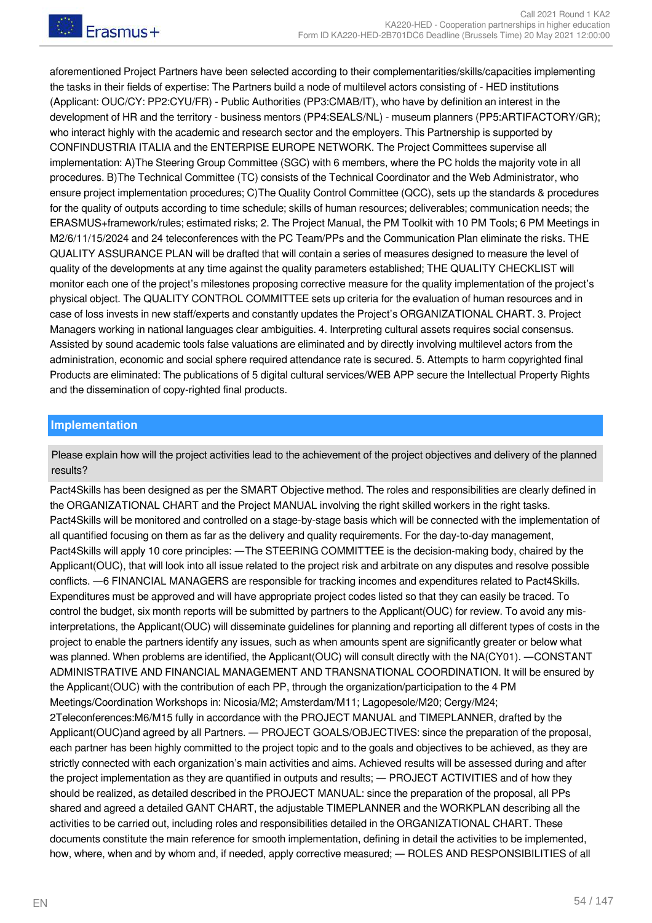aforementioned Project Partners have been selected according to their complementarities/skills/capacities implementing the tasks in their fields of expertise: The Partners build a node of multilevel actors consisting of - HED institutions (Applicant: OUC/CY: PP2:CYU/FR) - Public Authorities (PP3:CMAB/IT), who have by definition an interest in the development of HR and the territory - business mentors (PP4:SEALS/NL) - museum planners (PP5:ARTIFACTORY/GR); who interact highly with the academic and research sector and the employers. This Partnership is supported by CONFINDUSTRIA ITALIA and the ENTERPISE EUROPE NETWORK. The Project Committees supervise all implementation: A)The Steering Group Committee (SGC) with 6 members, where the PC holds the majority vote in all procedures. B)The Technical Committee (TC) consists of the Technical Coordinator and the Web Administrator, who ensure project implementation procedures; C)The Quality Control Committee (QCC), sets up the standards & procedures for the quality of outputs according to time schedule; skills of human resources; deliverables; communication needs; the ERASMUS+framework/rules; estimated risks; 2. The Project Manual, the PM Toolkit with 10 PM Tools; 6 PM Meetings in M2/6/11/15/2024 and 24 teleconferences with the PC Team/PPs and the Communication Plan eliminate the risks. THE QUALITY ASSURANCE PLAN will be drafted that will contain a series of measures designed to measure the level of quality of the developments at any time against the quality parameters established; THE QUALITY CHECKLIST will monitor each one of the project's milestones proposing corrective measure for the quality implementation of the project's physical object. The QUALITY CONTROL COMMITTEE sets up criteria for the evaluation of human resources and in case of loss invests in new staff/experts and constantly updates the Project's ORGANIZATIONAL CHART. 3. Project Managers working in national languages clear ambiguities. 4. Interpreting cultural assets requires social consensus. Assisted by sound academic tools false valuations are eliminated and by directly involving multilevel actors from the administration, economic and social sphere required attendance rate is secured. 5. Attempts to harm copyrighted final Products are eliminated: The publications of 5 digital cultural services/WEB APP secure the Intellectual Property Rights and the dissemination of copy-righted final products.

#### **Implementation**

Please explain how will the project activities lead to the achievement of the project objectives and delivery of the planned results?

Pact4Skills has been designed as per the SMART Objective method. The roles and responsibilities are clearly defined in the ORGANIZATIONAL CHART and the Project MANUAL involving the right skilled workers in the right tasks. Pact4Skills will be monitored and controlled on a stage-by-stage basis which will be connected with the implementation of all quantified focusing on them as far as the delivery and quality requirements. For the day-to-day management, Pact4Skills will apply 10 core principles: ―The STEERING COMMITTEE is the decision-making body, chaired by the Applicant(OUC), that will look into all issue related to the project risk and arbitrate on any disputes and resolve possible conflicts. ―6 FINANCIAL MANAGERS are responsible for tracking incomes and expenditures related to Pact4Skills. Expenditures must be approved and will have appropriate project codes listed so that they can easily be traced. To control the budget, six month reports will be submitted by partners to the Applicant(OUC) for review. To avoid any misinterpretations, the Applicant(OUC) will disseminate guidelines for planning and reporting all different types of costs in the project to enable the partners identify any issues, such as when amounts spent are significantly greater or below what was planned. When problems are identified, the Applicant(OUC) will consult directly with the NA(CY01). —CONSTANT ADMINISTRATIVE AND FINANCIAL MANAGEMENT AND TRANSNATIONAL COORDINATION. It will be ensured by the Applicant(OUC) with the contribution of each PP, through the organization/participation to the 4 PM Meetings/Coordination Workshops in: Nicosia/M2; Amsterdam/M11; Lagopesole/M20; Cergy/M24; 2Teleconferences:M6/M15 fully in accordance with the PROJECT MANUAL and TIMEPLANNER, drafted by the Applicant(OUC)and agreed by all Partners. ― PROJECT GOALS/OBJECTIVES: since the preparation of the proposal, each partner has been highly committed to the project topic and to the goals and objectives to be achieved, as they are strictly connected with each organization's main activities and aims. Achieved results will be assessed during and after the project implementation as they are quantified in outputs and results; ― PROJECT ACTIVITIES and of how they should be realized, as detailed described in the PROJECT MANUAL: since the preparation of the proposal, all PPs shared and agreed a detailed GANT CHART, the adjustable TIMEPLANNER and the WORKPLAN describing all the activities to be carried out, including roles and responsibilities detailed in the ORGANIZATIONAL CHART. These documents constitute the main reference for smooth implementation, defining in detail the activities to be implemented, how, where, when and by whom and, if needed, apply corrective measured; — ROLES AND RESPONSIBILITIES of all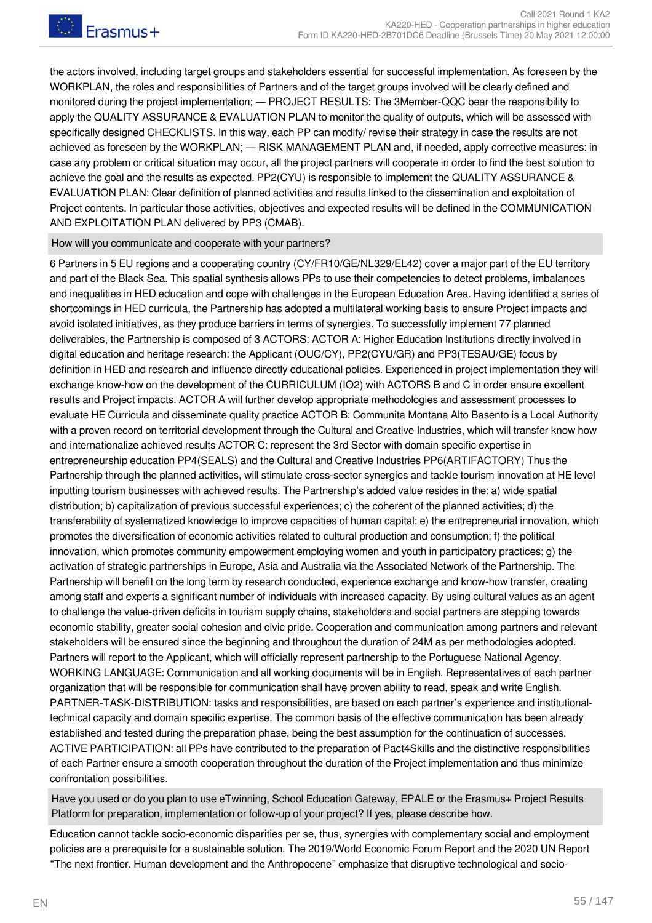the actors involved, including target groups and stakeholders essential for successful implementation. As foreseen by the WORKPLAN, the roles and responsibilities of Partners and of the target groups involved will be clearly defined and monitored during the project implementation; — PROJECT RESULTS: The 3Member-QQC bear the responsibility to apply the QUALITY ASSURANCE & EVALUATION PLAN to monitor the quality of outputs, which will be assessed with specifically designed CHECKLISTS. In this way, each PP can modify/ revise their strategy in case the results are not achieved as foreseen by the WORKPLAN; ― RISK MANAGEMENT PLAN and, if needed, apply corrective measures: in case any problem or critical situation may occur, all the project partners will cooperate in order to find the best solution to achieve the goal and the results as expected. PP2(CYU) is responsible to implement the QUALITY ASSURANCE & EVALUATION PLAN: Clear definition of planned activities and results linked to the dissemination and exploitation of Project contents. In particular those activities, objectives and expected results will be defined in the COMMUNICATION AND EXPLOITATION PLAN delivered by PP3 (CMAB).

#### How will you communicate and cooperate with your partners?

6 Partners in 5 EU regions and a cooperating country (CY/FR10/GE/NL329/EL42) cover a major part of the EU territory and part of the Black Sea. This spatial synthesis allows PPs to use their competencies to detect problems, imbalances and inequalities in HED education and cope with challenges in the European Education Area. Having identified a series of shortcomings in HED curricula, the Partnership has adopted a multilateral working basis to ensure Project impacts and avoid isolated initiatives, as they produce barriers in terms of synergies. To successfully implement 77 planned deliverables, the Partnership is composed of 3 ACTORS: ACTOR A: Higher Education Institutions directly involved in digital education and heritage research: the Applicant (OUC/CY), PP2(CYU/GR) and PP3(TESAU/GE) focus by definition in HED and research and influence directly educational policies. Experienced in project implementation they will exchange know-how on the development of the CURRICULUM (IO2) with ACTORS B and C in order ensure excellent results and Project impacts. ACTOR A will further develop appropriate methodologies and assessment processes to evaluate HE Curricula and disseminate quality practice ACTOR B: Communita Montana Alto Basento is a Local Authority with a proven record on territorial development through the Cultural and Creative Industries, which will transfer know how and internationalize achieved results ACTOR C: represent the 3rd Sector with domain specific expertise in entrepreneurship education PP4(SEALS) and the Cultural and Creative Industries PP6(ARTIFACTORY) Thus the Partnership through the planned activities, will stimulate cross-sector synergies and tackle tourism innovation at HE level inputting tourism businesses with achieved results. The Partnership's added value resides in the: a) wide spatial distribution; b) capitalization of previous successful experiences; c) the coherent of the planned activities; d) the transferability of systematized knowledge to improve capacities of human capital; e) the entrepreneurial innovation, which promotes the diversification of economic activities related to cultural production and consumption; f) the political innovation, which promotes community empowerment employing women and youth in participatory practices; g) the activation of strategic partnerships in Europe, Asia and Australia via the Associated Network of the Partnership. The Partnership will benefit on the long term by research conducted, experience exchange and know-how transfer, creating among staff and experts a significant number of individuals with increased capacity. By using cultural values as an agent to challenge the value-driven deficits in tourism supply chains, stakeholders and social partners are stepping towards economic stability, greater social cohesion and civic pride. Cooperation and communication among partners and relevant stakeholders will be ensured since the beginning and throughout the duration of 24M as per methodologies adopted. Partners will report to the Applicant, which will officially represent partnership to the Portuguese National Agency. WORKING LANGUAGE: Communication and all working documents will be in English. Representatives of each partner organization that will be responsible for communication shall have proven ability to read, speak and write English. PARTNER-TASK-DISTRIBUTION: tasks and responsibilities, are based on each partner's experience and institutionaltechnical capacity and domain specific expertise. The common basis of the effective communication has been already established and tested during the preparation phase, being the best assumption for the continuation of successes. ACTIVE PARTICIPATION: all PPs have contributed to the preparation of Pact4Skills and the distinctive responsibilities of each Partner ensure a smooth cooperation throughout the duration of the Project implementation and thus minimize confrontation possibilities.

Have you used or do you plan to use eTwinning, School Education Gateway, EPALE or the Erasmus+ Project Results Platform for preparation, implementation or follow-up of your project? If yes, please describe how.

Education cannot tackle socio-economic disparities per se, thus, synergies with complementary social and employment policies are a prerequisite for a sustainable solution. The 2019/World Economic Forum Report and the 2020 UN Report "The next frontier. Human development and the Anthropocene" emphasize that disruptive technological and socio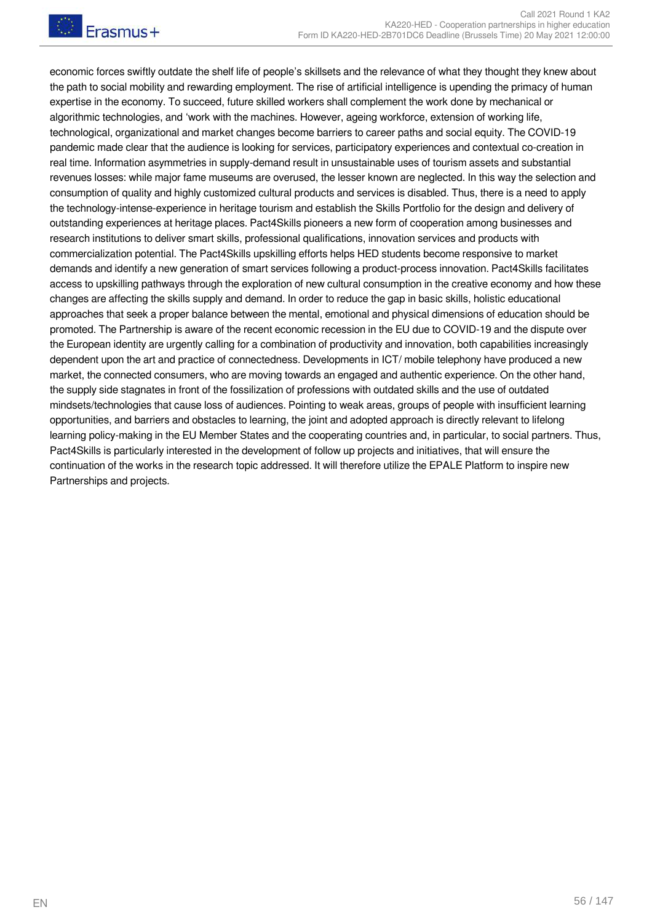economic forces swiftly outdate the shelf life of people's skillsets and the relevance of what they thought they knew about the path to social mobility and rewarding employment. The rise of artificial intelligence is upending the primacy of human expertise in the economy. To succeed, future skilled workers shall complement the work done by mechanical or algorithmic technologies, and 'work with the machines. However, ageing workforce, extension of working life, technological, organizational and market changes become barriers to career paths and social equity. The COVID-19 pandemic made clear that the audience is looking for services, participatory experiences and contextual co-creation in real time. Information asymmetries in supply-demand result in unsustainable uses of tourism assets and substantial revenues losses: while major fame museums are overused, the lesser known are neglected. In this way the selection and consumption of quality and highly customized cultural products and services is disabled. Thus, there is a need to apply the technology-intense-experience in heritage tourism and establish the Skills Portfolio for the design and delivery of outstanding experiences at heritage places. Pact4Skills pioneers a new form of cooperation among businesses and research institutions to deliver smart skills, professional qualifications, innovation services and products with commercialization potential. The Pact4Skills upskilling efforts helps HED students become responsive to market demands and identify a new generation of smart services following a product-process innovation. Pact4Skills facilitates access to upskilling pathways through the exploration of new cultural consumption in the creative economy and how these changes are affecting the skills supply and demand. In order to reduce the gap in basic skills, holistic educational approaches that seek a proper balance between the mental, emotional and physical dimensions of education should be promoted. The Partnership is aware of the recent economic recession in the EU due to COVID-19 and the dispute over the European identity are urgently calling for a combination of productivity and innovation, both capabilities increasingly dependent upon the art and practice of connectedness. Developments in ICT/ mobile telephony have produced a new market, the connected consumers, who are moving towards an engaged and authentic experience. On the other hand, the supply side stagnates in front of the fossilization of professions with outdated skills and the use of outdated mindsets/technologies that cause loss of audiences. Pointing to weak areas, groups of people with insufficient learning opportunities, and barriers and obstacles to learning, the joint and adopted approach is directly relevant to lifelong learning policy-making in the EU Member States and the cooperating countries and, in particular, to social partners. Thus, Pact4Skills is particularly interested in the development of follow up projects and initiatives, that will ensure the continuation of the works in the research topic addressed. It will therefore utilize the EPALE Platform to inspire new Partnerships and projects.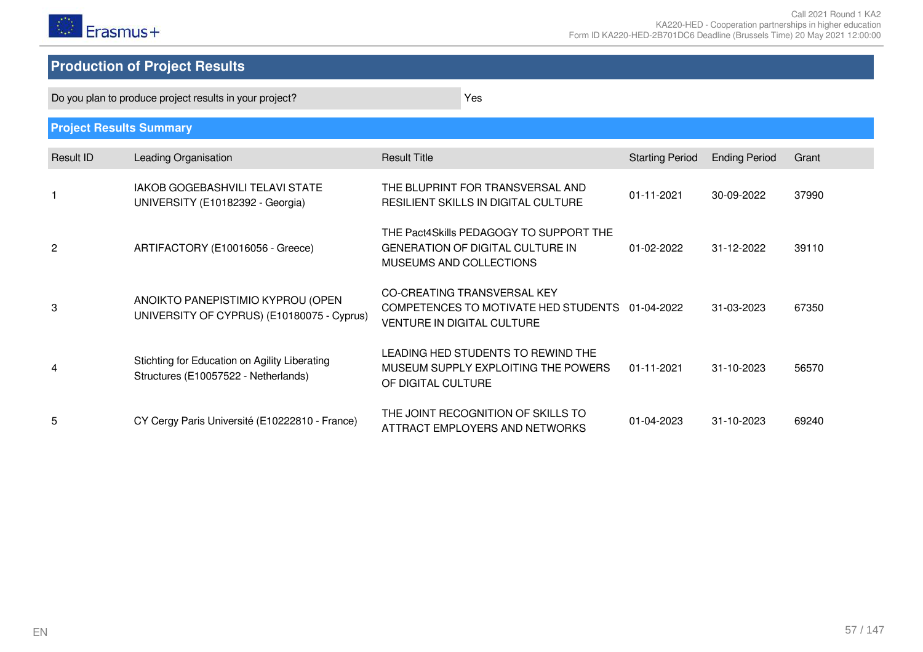

# **Production of Project Results**

Do you plan to produce project results in your project? The state of the state of the Yes

| <b>Project Results Summary</b> |                                                                                       |                                                                                                                     |                        |                      |       |
|--------------------------------|---------------------------------------------------------------------------------------|---------------------------------------------------------------------------------------------------------------------|------------------------|----------------------|-------|
| Result ID                      | Leading Organisation                                                                  | <b>Result Title</b>                                                                                                 | <b>Starting Period</b> | <b>Ending Period</b> | Grant |
|                                | <b>IAKOB GOGEBASHVILI TELAVI STATE</b><br>UNIVERSITY (E10182392 - Georgia)            | THE BLUPRINT FOR TRANSVERSAL AND<br>RESILIENT SKILLS IN DIGITAL CULTURE                                             | 01-11-2021             | 30-09-2022           | 37990 |
| 2                              | ARTIFACTORY (E10016056 - Greece)                                                      | THE Pact4Skills PEDAGOGY TO SUPPORT THE<br><b>GENERATION OF DIGITAL CULTURE IN</b><br>MUSEUMS AND COLLECTIONS       | 01-02-2022             | 31-12-2022           | 39110 |
| 3                              | ANOIKTO PANEPISTIMIO KYPROU (OPEN<br>UNIVERSITY OF CYPRUS) (E10180075 - Cyprus)       | CO-CREATING TRANSVERSAL KEY<br>COMPETENCES TO MOTIVATE HED STUDENTS 01-04-2022<br><b>VENTURE IN DIGITAL CULTURE</b> |                        | 31-03-2023           | 67350 |
| 4                              | Stichting for Education on Agility Liberating<br>Structures (E10057522 - Netherlands) | LEADING HED STUDENTS TO REWIND THE<br>MUSEUM SUPPLY EXPLOITING THE POWERS<br>OF DIGITAL CULTURE                     | 01-11-2021             | 31-10-2023           | 56570 |
| 5                              | CY Cergy Paris Université (E10222810 - France)                                        | THE JOINT RECOGNITION OF SKILLS TO<br>ATTRACT EMPLOYERS AND NETWORKS                                                | 01-04-2023             | 31-10-2023           | 69240 |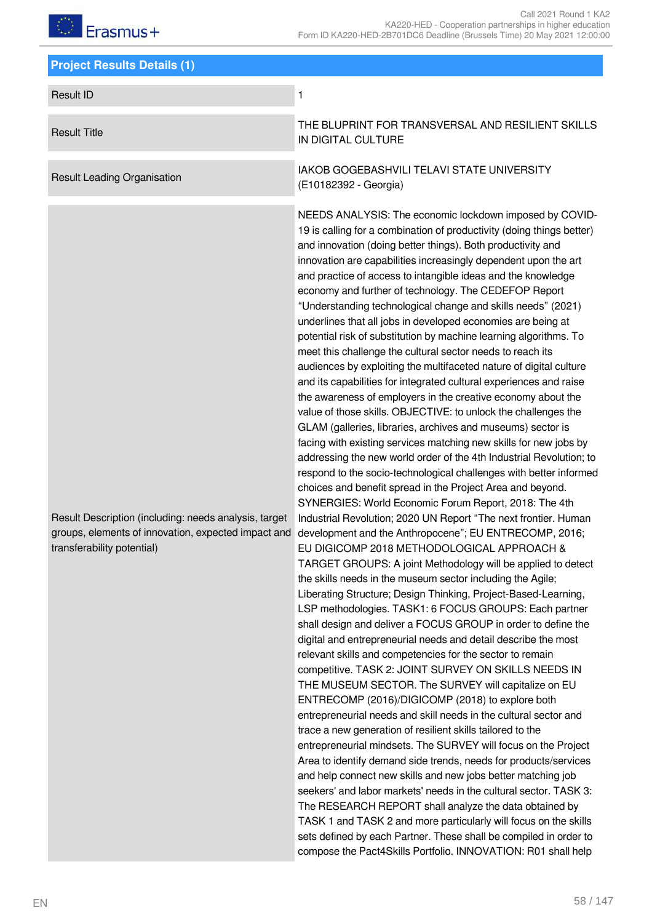| <b>Project Results Details (1)</b>                                                                                                         |                                                                                                                                                                                                                                                                                                                                                                                                                                                                                                                                                                                                                                                                                                                                                                                                                                                                                                                                                                                                                                                                                                                                                                                                                                                                                                                                                                                                                                                                                                                                                                                                                                                                                                                                                                                                                                                                                                                                                                                                                                                                                                                                                                                                                                                                                                                                                                                                                                                                                                                                                                                                                                                                                                                                                                                                                                               |
|--------------------------------------------------------------------------------------------------------------------------------------------|-----------------------------------------------------------------------------------------------------------------------------------------------------------------------------------------------------------------------------------------------------------------------------------------------------------------------------------------------------------------------------------------------------------------------------------------------------------------------------------------------------------------------------------------------------------------------------------------------------------------------------------------------------------------------------------------------------------------------------------------------------------------------------------------------------------------------------------------------------------------------------------------------------------------------------------------------------------------------------------------------------------------------------------------------------------------------------------------------------------------------------------------------------------------------------------------------------------------------------------------------------------------------------------------------------------------------------------------------------------------------------------------------------------------------------------------------------------------------------------------------------------------------------------------------------------------------------------------------------------------------------------------------------------------------------------------------------------------------------------------------------------------------------------------------------------------------------------------------------------------------------------------------------------------------------------------------------------------------------------------------------------------------------------------------------------------------------------------------------------------------------------------------------------------------------------------------------------------------------------------------------------------------------------------------------------------------------------------------------------------------------------------------------------------------------------------------------------------------------------------------------------------------------------------------------------------------------------------------------------------------------------------------------------------------------------------------------------------------------------------------------------------------------------------------------------------------------------------------|
| <b>Result ID</b>                                                                                                                           | 1                                                                                                                                                                                                                                                                                                                                                                                                                                                                                                                                                                                                                                                                                                                                                                                                                                                                                                                                                                                                                                                                                                                                                                                                                                                                                                                                                                                                                                                                                                                                                                                                                                                                                                                                                                                                                                                                                                                                                                                                                                                                                                                                                                                                                                                                                                                                                                                                                                                                                                                                                                                                                                                                                                                                                                                                                                             |
| <b>Result Title</b>                                                                                                                        | THE BLUPRINT FOR TRANSVERSAL AND RESILIENT SKILLS<br>IN DIGITAL CULTURE                                                                                                                                                                                                                                                                                                                                                                                                                                                                                                                                                                                                                                                                                                                                                                                                                                                                                                                                                                                                                                                                                                                                                                                                                                                                                                                                                                                                                                                                                                                                                                                                                                                                                                                                                                                                                                                                                                                                                                                                                                                                                                                                                                                                                                                                                                                                                                                                                                                                                                                                                                                                                                                                                                                                                                       |
| <b>Result Leading Organisation</b>                                                                                                         | IAKOB GOGEBASHVILI TELAVI STATE UNIVERSITY<br>(E10182392 - Georgia)                                                                                                                                                                                                                                                                                                                                                                                                                                                                                                                                                                                                                                                                                                                                                                                                                                                                                                                                                                                                                                                                                                                                                                                                                                                                                                                                                                                                                                                                                                                                                                                                                                                                                                                                                                                                                                                                                                                                                                                                                                                                                                                                                                                                                                                                                                                                                                                                                                                                                                                                                                                                                                                                                                                                                                           |
| Result Description (including: needs analysis, target<br>groups, elements of innovation, expected impact and<br>transferability potential) | NEEDS ANALYSIS: The economic lockdown imposed by COVID-<br>19 is calling for a combination of productivity (doing things better)<br>and innovation (doing better things). Both productivity and<br>innovation are capabilities increasingly dependent upon the art<br>and practice of access to intangible ideas and the knowledge<br>economy and further of technology. The CEDEFOP Report<br>"Understanding technological change and skills needs" (2021)<br>underlines that all jobs in developed economies are being at<br>potential risk of substitution by machine learning algorithms. To<br>meet this challenge the cultural sector needs to reach its<br>audiences by exploiting the multifaceted nature of digital culture<br>and its capabilities for integrated cultural experiences and raise<br>the awareness of employers in the creative economy about the<br>value of those skills. OBJECTIVE: to unlock the challenges the<br>GLAM (galleries, libraries, archives and museums) sector is<br>facing with existing services matching new skills for new jobs by<br>addressing the new world order of the 4th Industrial Revolution; to<br>respond to the socio-technological challenges with better informed<br>choices and benefit spread in the Project Area and beyond.<br>SYNERGIES: World Economic Forum Report, 2018: The 4th<br>Industrial Revolution; 2020 UN Report "The next frontier. Human<br>development and the Anthropocene"; EU ENTRECOMP, 2016;<br>EU DIGICOMP 2018 METHODOLOGICAL APPROACH &<br>TARGET GROUPS: A joint Methodology will be applied to detect<br>the skills needs in the museum sector including the Agile;<br>Liberating Structure; Design Thinking, Project-Based-Learning,<br>LSP methodologies. TASK1: 6 FOCUS GROUPS: Each partner<br>shall design and deliver a FOCUS GROUP in order to define the<br>digital and entrepreneurial needs and detail describe the most<br>relevant skills and competencies for the sector to remain<br>competitive. TASK 2: JOINT SURVEY ON SKILLS NEEDS IN<br>THE MUSEUM SECTOR. The SURVEY will capitalize on EU<br>ENTRECOMP (2016)/DIGICOMP (2018) to explore both<br>entrepreneurial needs and skill needs in the cultural sector and<br>trace a new generation of resilient skills tailored to the<br>entrepreneurial mindsets. The SURVEY will focus on the Project<br>Area to identify demand side trends, needs for products/services<br>and help connect new skills and new jobs better matching job<br>seekers' and labor markets' needs in the cultural sector. TASK 3:<br>The RESEARCH REPORT shall analyze the data obtained by<br>TASK 1 and TASK 2 and more particularly will focus on the skills<br>sets defined by each Partner. These shall be compiled in order to<br>compose the Pact4Skills Portfolio. INNOVATION: R01 shall help |

58 / 147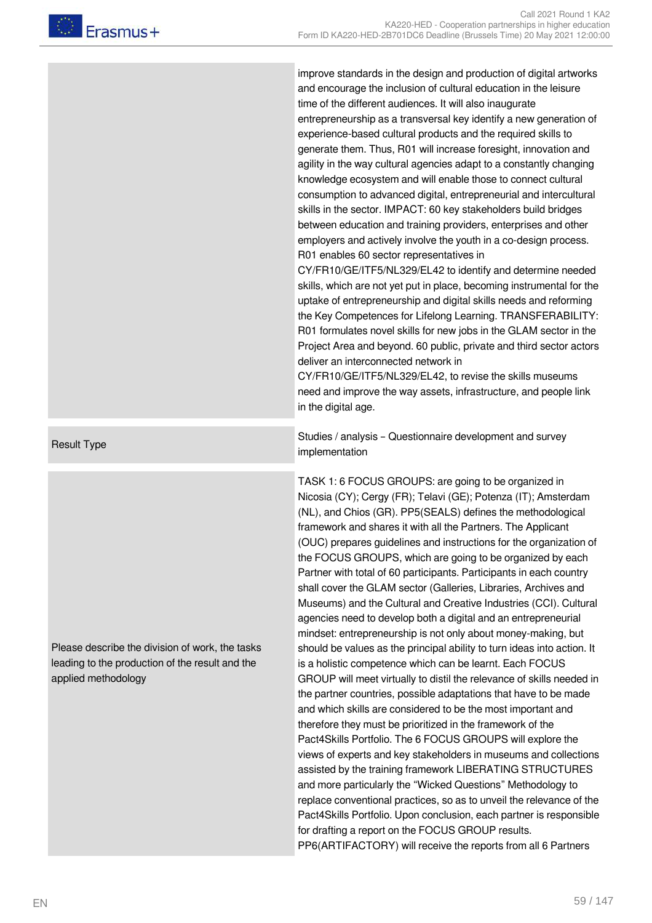improve standards in the design and production of digital artworks and encourage the inclusion of cultural education in the leisure time of the different audiences. It will also inaugurate entrepreneurship as a transversal key identify a new generation of experience-based cultural products and the required skills to generate them. Thus, R01 will increase foresight, innovation and agility in the way cultural agencies adapt to a constantly changing knowledge ecosystem and will enable those to connect cultural consumption to advanced digital, entrepreneurial and intercultural skills in the sector. IMPACT: 60 key stakeholders build bridges between education and training providers, enterprises and other employers and actively involve the youth in a co-design process. R01 enables 60 sector representatives in

CY/FR10/GE/ITF5/NL329/EL42 to identify and determine needed skills, which are not yet put in place, becoming instrumental for the uptake of entrepreneurship and digital skills needs and reforming the Key Competences for Lifelong Learning. TRANSFERABILITY: R01 formulates novel skills for new jobs in the GLAM sector in the Project Area and beyond. 60 public, private and third sector actors deliver an interconnected network in

CY/FR10/GE/ITF5/NL329/EL42, to revise the skills museums need and improve the way assets, infrastructure, and people link in the digital age.

Result Type Studies / analysis – Questionnaire development and survey implementation

> TASK 1: 6 FOCUS GROUPS: are going to be organized in Nicosia (CY); Cergy (FR); Telavi (GE); Potenza (IT); Amsterdam (NL), and Chios (GR). PP5(SEALS) defines the methodological framework and shares it with all the Partners. The Applicant (OUC) prepares guidelines and instructions for the organization of the FOCUS GROUPS, which are going to be organized by each Partner with total of 60 participants. Participants in each country shall cover the GLAM sector (Galleries, Libraries, Archives and Museums) and the Cultural and Creative Industries (CCI). Cultural agencies need to develop both a digital and an entrepreneurial mindset: entrepreneurship is not only about money-making, but should be values as the principal ability to turn ideas into action. It is a holistic competence which can be learnt. Each FOCUS GROUP will meet virtually to distil the relevance of skills needed in the partner countries, possible adaptations that have to be made and which skills are considered to be the most important and therefore they must be prioritized in the framework of the Pact4Skills Portfolio. The 6 FOCUS GROUPS will explore the views of experts and key stakeholders in museums and collections assisted by the training framework LIBERATING STRUCTURES and more particularly the "Wicked Questions" Methodology to replace conventional practices, so as to unveil the relevance of the Pact4Skills Portfolio. Upon conclusion, each partner is responsible for drafting a report on the FOCUS GROUP results. PP6(ARTIFACTORY) will receive the reports from all 6 Partners

Please describe the division of work, the tasks leading to the production of the result and the applied methodology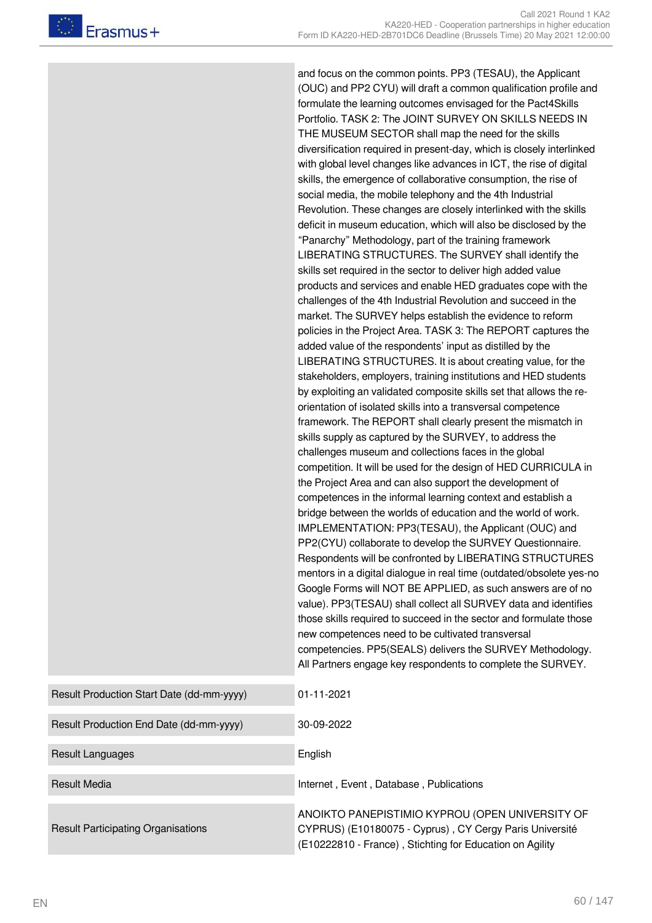and focus on the common points. PP3 (TESAU), the Applicant (OUC) and PP2 CYU) will draft a common qualification profile and formulate the learning outcomes envisaged for the Pact4Skills Portfolio. TASK 2: The JOINT SURVEY ON SKILLS NEEDS IN THE MUSEUM SECTOR shall map the need for the skills diversification required in present-day, which is closely interlinked with global level changes like advances in ICT, the rise of digital skills, the emergence of collaborative consumption, the rise of social media, the mobile telephony and the 4th Industrial Revolution. These changes are closely interlinked with the skills deficit in museum education, which will also be disclosed by the "Panarchy" Methodology, part of the training framework LIBERATING STRUCTURES. The SURVEY shall identify the skills set required in the sector to deliver high added value products and services and enable HED graduates cope with the challenges of the 4th Industrial Revolution and succeed in the market. The SURVEY helps establish the evidence to reform policies in the Project Area. TASK 3: The REPORT captures the added value of the respondents' input as distilled by the LIBERATING STRUCTURES. It is about creating value, for the stakeholders, employers, training institutions and HED students by exploiting an validated composite skills set that allows the reorientation of isolated skills into a transversal competence framework. The REPORT shall clearly present the mismatch in skills supply as captured by the SURVEY, to address the challenges museum and collections faces in the global competition. It will be used for the design of HED CURRICULA in the Project Area and can also support the development of competences in the informal learning context and establish a bridge between the worlds of education and the world of work. IMPLEMENTATION: PP3(TESAU), the Applicant (OUC) and PP2(CYU) collaborate to develop the SURVEY Questionnaire. Respondents will be confronted by LIBERATING STRUCTURES mentors in a digital dialogue in real time (outdated/obsolete yes-no Google Forms will NOT BE APPLIED, as such answers are of no value). PP3(TESAU) shall collect all SURVEY data and identifies those skills required to succeed in the sector and formulate those new competences need to be cultivated transversal competencies. PP5(SEALS) delivers the SURVEY Methodology. All Partners engage key respondents to complete the SURVEY. Result Production Start Date (dd-mm-yyyy) 01-11-2021 Result Production End Date (dd-mm-yyyy) 30-09-2022 Result Languages **English** 

Result Media **Internet , Event , Database , Publications** Internet , Event , Database , Publications

ANOIKTO PANEPISTIMIO KYPROU (OPEN UNIVERSITY OF CYPRUS) (E10180075 - Cyprus) , CY Cergy Paris Université (E10222810 - France) , Stichting for Education on Agility

Result Participating Organisations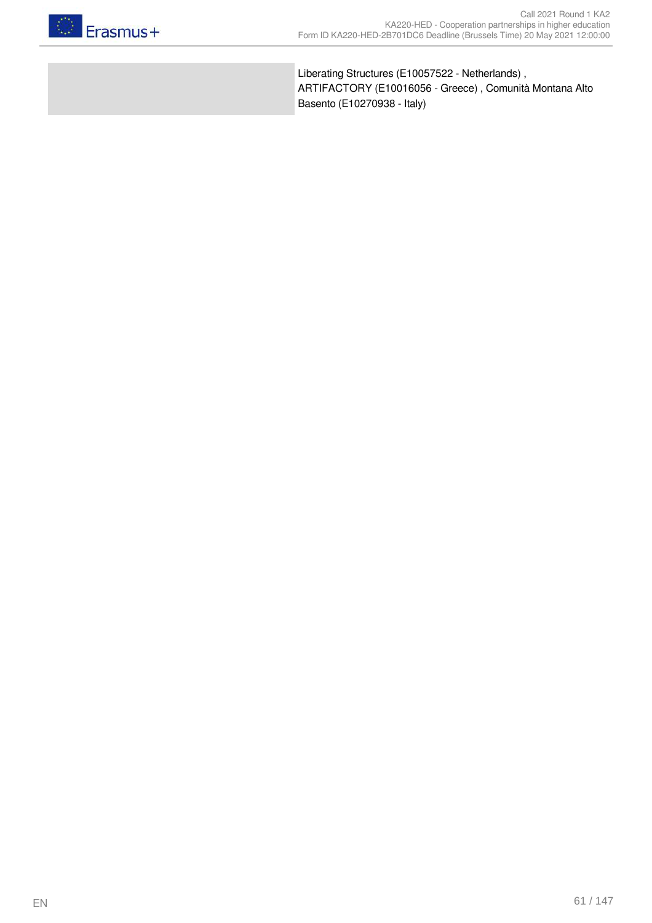

Liberating Structures (E10057522 - Netherlands) , ARTIFACTORY (E10016056 - Greece) , Comunità Montana Alto Basento (E10270938 - Italy)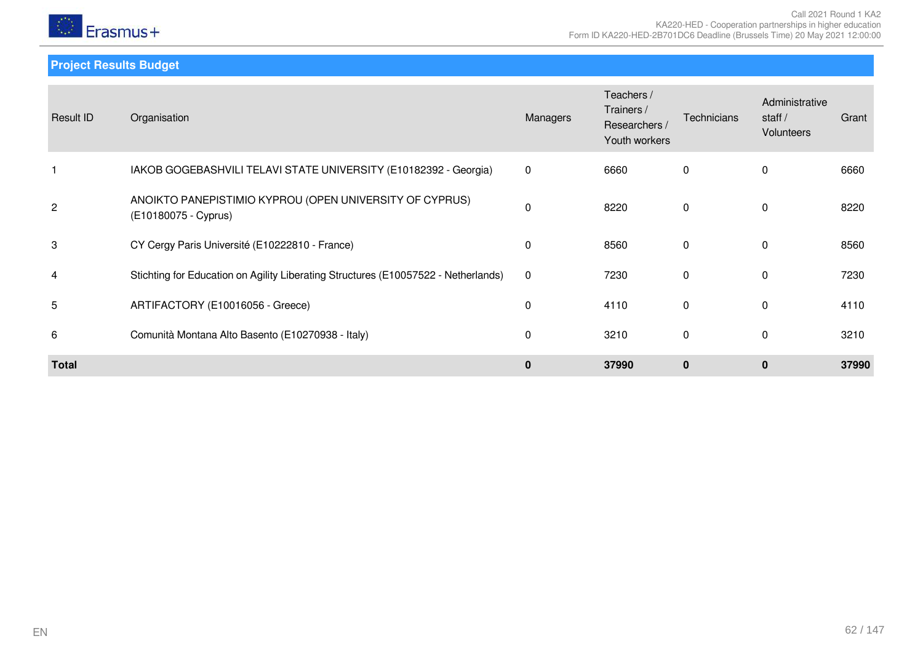

**Project Results Budget**

| Result ID      | Organisation                                                                       | Managers    | Teachers /<br>Trainers /<br>Researchers /<br>Youth workers | <b>Technicians</b> | Administrative<br>staff $/$<br>Volunteers | Grant |
|----------------|------------------------------------------------------------------------------------|-------------|------------------------------------------------------------|--------------------|-------------------------------------------|-------|
|                | IAKOB GOGEBASHVILI TELAVI STATE UNIVERSITY (E10182392 - Georgia)                   | $\mathbf 0$ | 6660                                                       | 0                  | 0                                         | 6660  |
| $\overline{c}$ | ANOIKTO PANEPISTIMIO KYPROU (OPEN UNIVERSITY OF CYPRUS)<br>(E10180075 - Cyprus)    | $\mathbf 0$ | 8220                                                       | $\mathbf{0}$       | $\mathbf{0}$                              | 8220  |
| 3              | CY Cergy Paris Université (E10222810 - France)                                     | $\mathbf 0$ | 8560                                                       | $\mathbf{0}$       | $\mathbf{0}$                              | 8560  |
| 4              | Stichting for Education on Agility Liberating Structures (E10057522 - Netherlands) | $\mathbf 0$ | 7230                                                       | $\Omega$           | $\mathbf{0}$                              | 7230  |
| 5              | ARTIFACTORY (E10016056 - Greece)                                                   | $\mathbf 0$ | 4110                                                       | $\mathbf 0$        | $\mathbf{0}$                              | 4110  |
| 6              | Comunità Montana Alto Basento (E10270938 - Italy)                                  | $\mathbf 0$ | 3210                                                       | $\Omega$           | $\mathbf{0}$                              | 3210  |
| <b>Total</b>   |                                                                                    | $\mathbf 0$ | 37990                                                      | $\mathbf{0}$       | $\bf{0}$                                  | 37990 |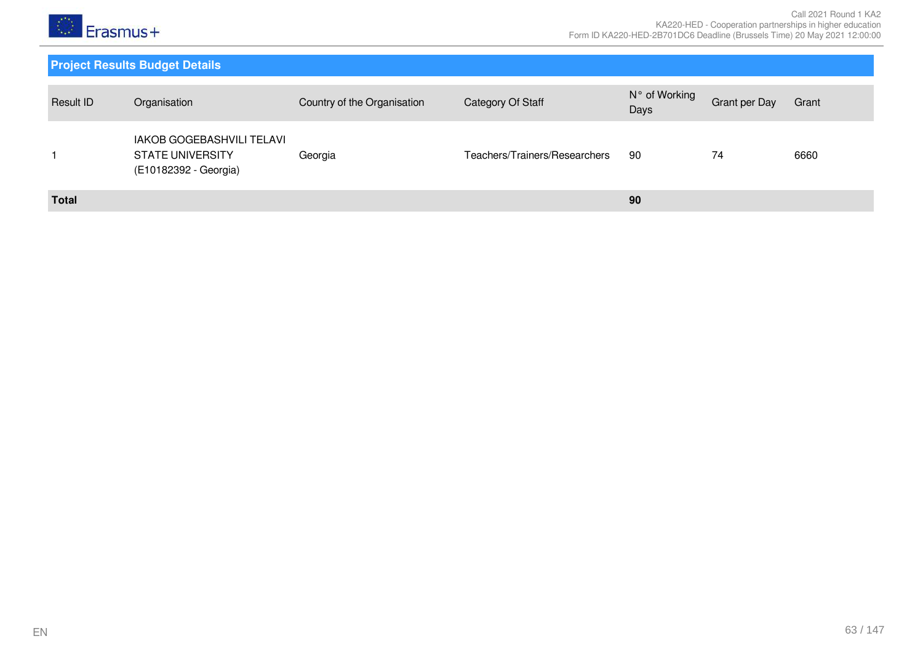

| Result ID    | Organisation                                                                  | Country of the Organisation | Category Of Staff             | N° of Working<br>Days | Grant per Day | Grant |
|--------------|-------------------------------------------------------------------------------|-----------------------------|-------------------------------|-----------------------|---------------|-------|
|              | IAKOB GOGEBASHVILI TELAVI<br><b>STATE UNIVERSITY</b><br>(E10182392 - Georgia) | Georgia                     | Teachers/Trainers/Researchers | 90                    | 74            | 6660  |
| <b>Total</b> |                                                                               |                             |                               | 90                    |               |       |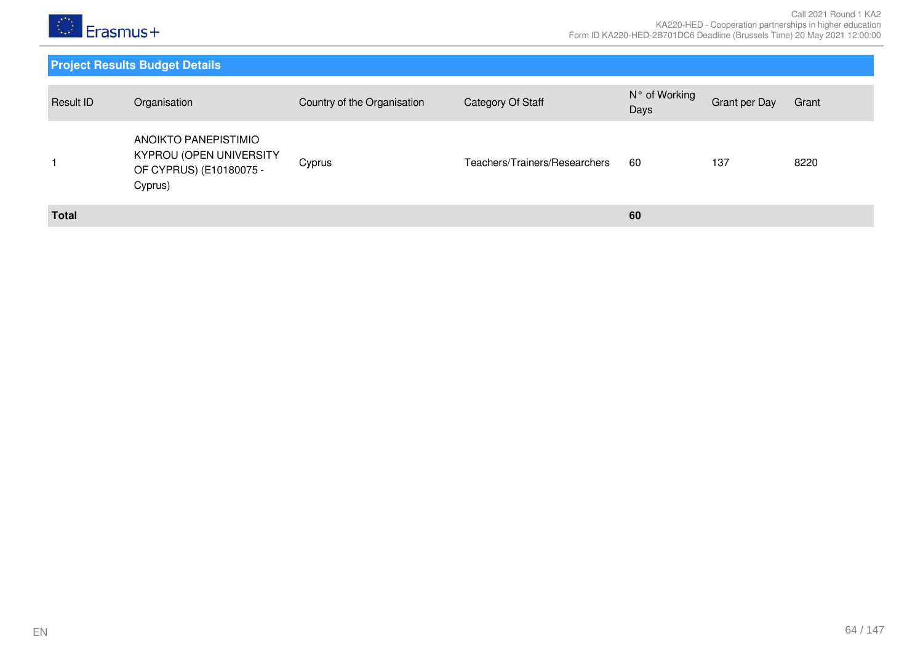

| Result ID    | Organisation                                                                          | Country of the Organisation | Category Of Staff             | N° of Working<br>Days | <b>Grant per Day</b> | Grant |
|--------------|---------------------------------------------------------------------------------------|-----------------------------|-------------------------------|-----------------------|----------------------|-------|
|              | ANOIKTO PANEPISTIMIO<br>KYPROU (OPEN UNIVERSITY<br>OF CYPRUS) (E10180075 -<br>Cyprus) | Cyprus                      | Teachers/Trainers/Researchers | 60                    | 137                  | 8220  |
| <b>Total</b> |                                                                                       |                             |                               | 60                    |                      |       |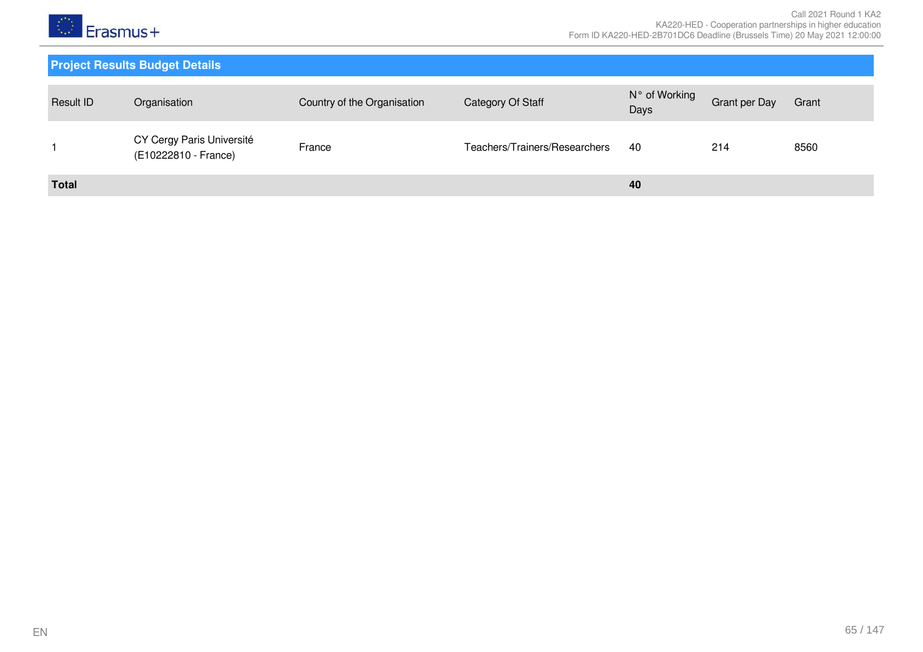

| Result ID    | Organisation                                      | Country of the Organisation | Category Of Staff             | N° of Working<br>Days | Grant per Day | Grant |
|--------------|---------------------------------------------------|-----------------------------|-------------------------------|-----------------------|---------------|-------|
|              | CY Cergy Paris Université<br>(E10222810 - France) | France                      | Teachers/Trainers/Researchers | -40                   | 214           | 8560  |
| <b>Total</b> |                                                   |                             |                               | 40                    |               |       |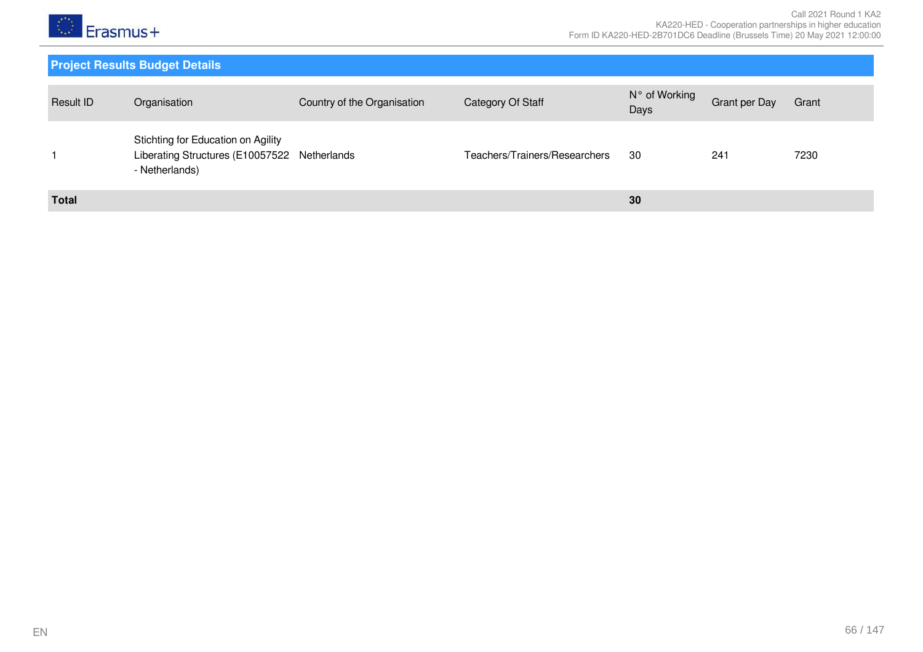

| Result ID    | Organisation                                                                                         | Country of the Organisation | Category Of Staff             | N° of Working<br>Days | Grant per Day | Grant |
|--------------|------------------------------------------------------------------------------------------------------|-----------------------------|-------------------------------|-----------------------|---------------|-------|
|              | Stichting for Education on Agility<br>Liberating Structures (E10057522 Netherlands<br>- Netherlands) |                             | Teachers/Trainers/Researchers | 30                    | 241           | 7230  |
| <b>Total</b> |                                                                                                      |                             |                               | 30                    |               |       |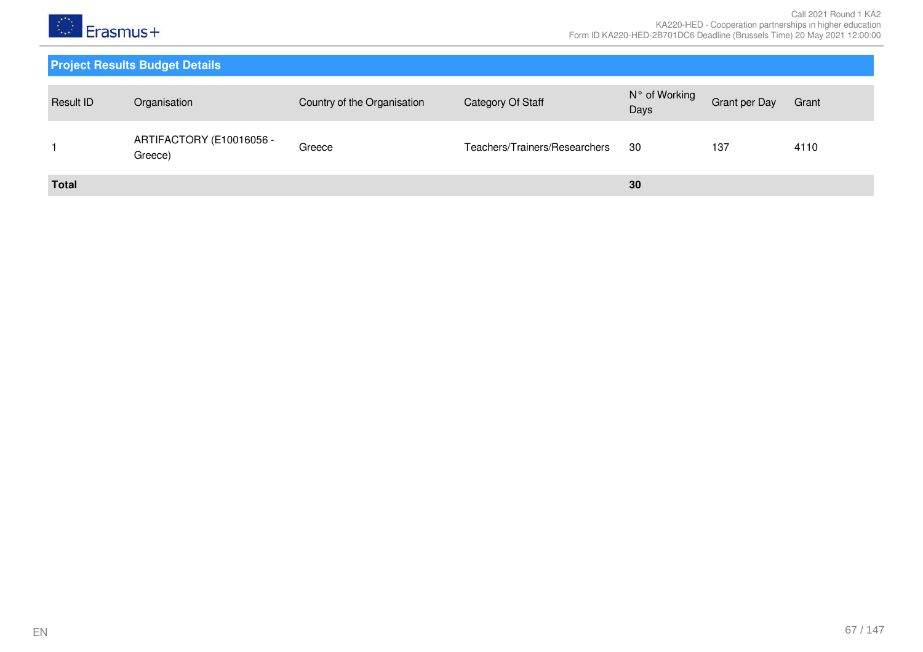

| Result ID    | Organisation                        | Country of the Organisation | Category Of Staff             | N° of Working<br>Days | Grant per Day | Grant |
|--------------|-------------------------------------|-----------------------------|-------------------------------|-----------------------|---------------|-------|
|              | ARTIFACTORY (E10016056 -<br>Greece) | Greece                      | Teachers/Trainers/Researchers | 30                    | 137           | 4110  |
| <b>Total</b> |                                     |                             |                               | 30                    |               |       |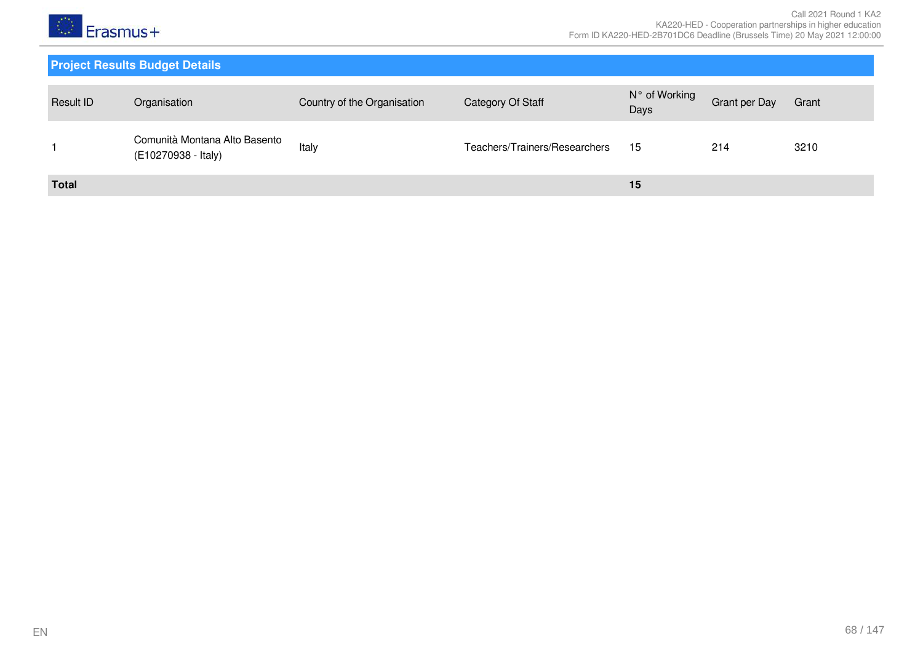

| <b>Result ID</b> | Organisation                                         | Country of the Organisation | Category Of Staff             | N° of Working<br>Days | <b>Grant per Day</b> | Grant |
|------------------|------------------------------------------------------|-----------------------------|-------------------------------|-----------------------|----------------------|-------|
|                  | Comunità Montana Alto Basento<br>(E10270938 - Italy) | Italy                       | Teachers/Trainers/Researchers | 15                    | 214                  | 3210  |
| <b>Total</b>     |                                                      |                             |                               | 15                    |                      |       |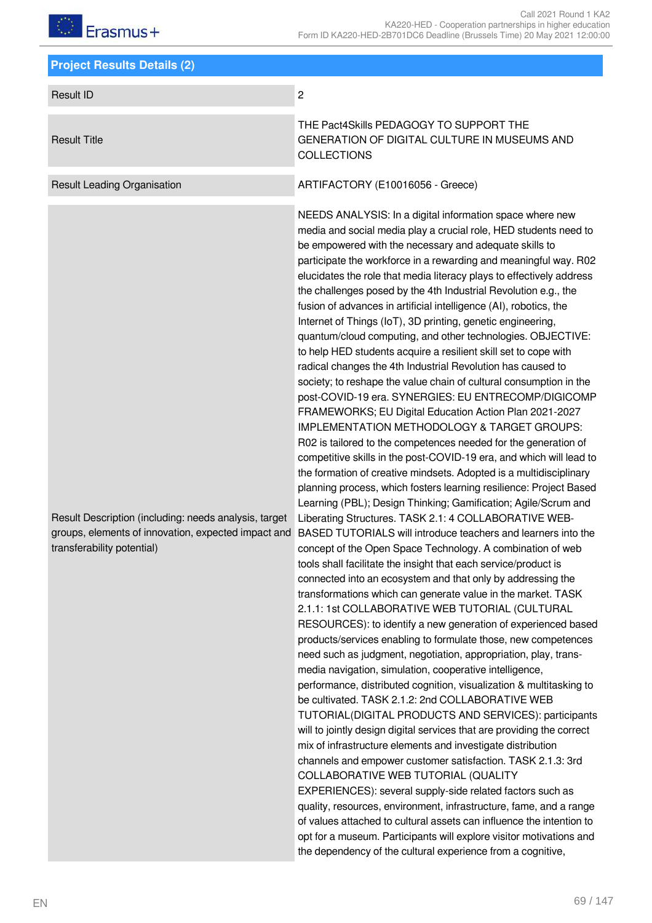| <b>Project Results Details (2)</b>                                                                                                         |                                                                                                                                                                                                                                                                                                                                                                                                                                                                                                                                                                                                                                                                                                                                                                                                                                                                                                                                                                                                                                                                                                                                                                                                                                                                                                                                                                                                                                                                                                                                                                                                                                                                                                                                                                                                                                                                                                                                                                                                                                                                                                                                                                                                                                                                                                                                                                                                                                                                                                                                                                                                                                                                                                                                                                                                                                            |
|--------------------------------------------------------------------------------------------------------------------------------------------|--------------------------------------------------------------------------------------------------------------------------------------------------------------------------------------------------------------------------------------------------------------------------------------------------------------------------------------------------------------------------------------------------------------------------------------------------------------------------------------------------------------------------------------------------------------------------------------------------------------------------------------------------------------------------------------------------------------------------------------------------------------------------------------------------------------------------------------------------------------------------------------------------------------------------------------------------------------------------------------------------------------------------------------------------------------------------------------------------------------------------------------------------------------------------------------------------------------------------------------------------------------------------------------------------------------------------------------------------------------------------------------------------------------------------------------------------------------------------------------------------------------------------------------------------------------------------------------------------------------------------------------------------------------------------------------------------------------------------------------------------------------------------------------------------------------------------------------------------------------------------------------------------------------------------------------------------------------------------------------------------------------------------------------------------------------------------------------------------------------------------------------------------------------------------------------------------------------------------------------------------------------------------------------------------------------------------------------------------------------------------------------------------------------------------------------------------------------------------------------------------------------------------------------------------------------------------------------------------------------------------------------------------------------------------------------------------------------------------------------------------------------------------------------------------------------------------------------------|
| <b>Result ID</b>                                                                                                                           | $\overline{c}$                                                                                                                                                                                                                                                                                                                                                                                                                                                                                                                                                                                                                                                                                                                                                                                                                                                                                                                                                                                                                                                                                                                                                                                                                                                                                                                                                                                                                                                                                                                                                                                                                                                                                                                                                                                                                                                                                                                                                                                                                                                                                                                                                                                                                                                                                                                                                                                                                                                                                                                                                                                                                                                                                                                                                                                                                             |
| <b>Result Title</b>                                                                                                                        | THE Pact4Skills PEDAGOGY TO SUPPORT THE<br>GENERATION OF DIGITAL CULTURE IN MUSEUMS AND<br><b>COLLECTIONS</b>                                                                                                                                                                                                                                                                                                                                                                                                                                                                                                                                                                                                                                                                                                                                                                                                                                                                                                                                                                                                                                                                                                                                                                                                                                                                                                                                                                                                                                                                                                                                                                                                                                                                                                                                                                                                                                                                                                                                                                                                                                                                                                                                                                                                                                                                                                                                                                                                                                                                                                                                                                                                                                                                                                                              |
| <b>Result Leading Organisation</b>                                                                                                         | ARTIFACTORY (E10016056 - Greece)                                                                                                                                                                                                                                                                                                                                                                                                                                                                                                                                                                                                                                                                                                                                                                                                                                                                                                                                                                                                                                                                                                                                                                                                                                                                                                                                                                                                                                                                                                                                                                                                                                                                                                                                                                                                                                                                                                                                                                                                                                                                                                                                                                                                                                                                                                                                                                                                                                                                                                                                                                                                                                                                                                                                                                                                           |
| Result Description (including: needs analysis, target<br>groups, elements of innovation, expected impact and<br>transferability potential) | NEEDS ANALYSIS: In a digital information space where new<br>media and social media play a crucial role, HED students need to<br>be empowered with the necessary and adequate skills to<br>participate the workforce in a rewarding and meaningful way. R02<br>elucidates the role that media literacy plays to effectively address<br>the challenges posed by the 4th Industrial Revolution e.g., the<br>fusion of advances in artificial intelligence (AI), robotics, the<br>Internet of Things (IoT), 3D printing, genetic engineering,<br>quantum/cloud computing, and other technologies. OBJECTIVE:<br>to help HED students acquire a resilient skill set to cope with<br>radical changes the 4th Industrial Revolution has caused to<br>society; to reshape the value chain of cultural consumption in the<br>post-COVID-19 era. SYNERGIES: EU ENTRECOMP/DIGICOMP<br>FRAMEWORKS; EU Digital Education Action Plan 2021-2027<br>IMPLEMENTATION METHODOLOGY & TARGET GROUPS:<br>R02 is tailored to the competences needed for the generation of<br>competitive skills in the post-COVID-19 era, and which will lead to<br>the formation of creative mindsets. Adopted is a multidisciplinary<br>planning process, which fosters learning resilience: Project Based<br>Learning (PBL); Design Thinking; Gamification; Agile/Scrum and<br>Liberating Structures. TASK 2.1: 4 COLLABORATIVE WEB-<br>BASED TUTORIALS will introduce teachers and learners into the<br>concept of the Open Space Technology. A combination of web<br>tools shall facilitate the insight that each service/product is<br>connected into an ecosystem and that only by addressing the<br>transformations which can generate value in the market. TASK<br>2.1.1: 1st COLLABORATIVE WEB TUTORIAL (CULTURAL<br>RESOURCES): to identify a new generation of experienced based<br>products/services enabling to formulate those, new competences<br>need such as judgment, negotiation, appropriation, play, trans-<br>media navigation, simulation, cooperative intelligence,<br>performance, distributed cognition, visualization & multitasking to<br>be cultivated. TASK 2.1.2: 2nd COLLABORATIVE WEB<br>TUTORIAL(DIGITAL PRODUCTS AND SERVICES): participants<br>will to jointly design digital services that are providing the correct<br>mix of infrastructure elements and investigate distribution<br>channels and empower customer satisfaction. TASK 2.1.3: 3rd<br>COLLABORATIVE WEB TUTORIAL (QUALITY<br>EXPERIENCES): several supply-side related factors such as<br>quality, resources, environment, infrastructure, fame, and a range<br>of values attached to cultural assets can influence the intention to<br>opt for a museum. Participants will explore visitor motivations and<br>the dependency of the cultural experience from a cognitive, |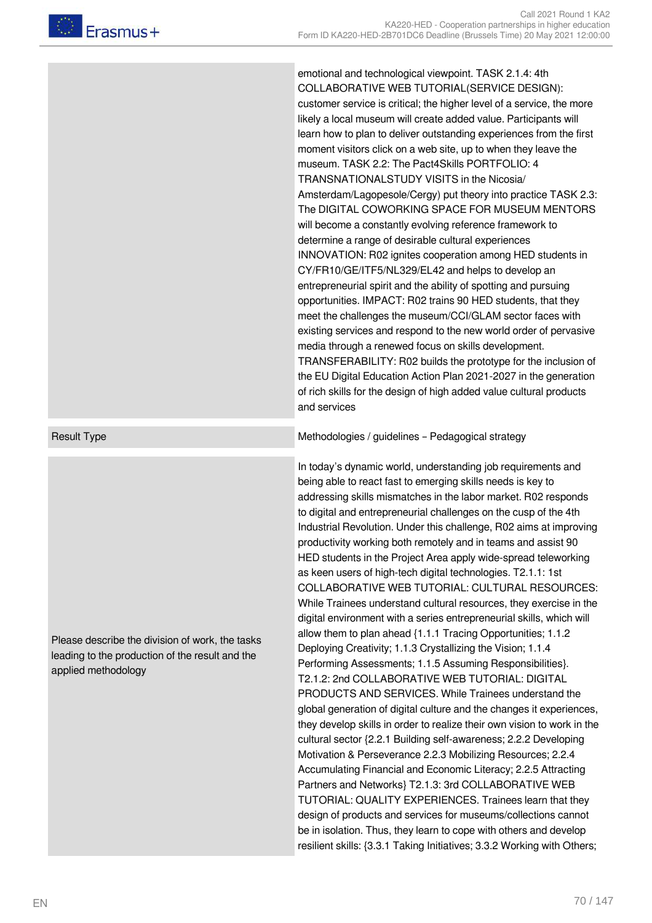emotional and technological viewpoint. TASK 2.1.4: 4th COLLABORATIVE WEB TUTORIAL(SERVICE DESIGN): customer service is critical; the higher level of a service, the more likely a local museum will create added value. Participants will learn how to plan to deliver outstanding experiences from the first moment visitors click on a web site, up to when they leave the museum. TASK 2.2: The Pact4Skills PORTFOLIO: 4 TRANSNATIONALSTUDY VISITS in the Nicosia/ Amsterdam/Lagopesole/Cergy) put theory into practice TASK 2.3: The DIGITAL COWORKING SPACE FOR MUSEUM MENTORS will become a constantly evolving reference framework to determine a range of desirable cultural experiences INNOVATION: R02 ignites cooperation among HED students in CY/FR10/GE/ITF5/NL329/EL42 and helps to develop an entrepreneurial spirit and the ability of spotting and pursuing opportunities. IMPACT: R02 trains 90 HED students, that they meet the challenges the museum/CCI/GLAM sector faces with existing services and respond to the new world order of pervasive media through a renewed focus on skills development. TRANSFERABILITY: R02 builds the prototype for the inclusion of the EU Digital Education Action Plan 2021-2027 in the generation of rich skills for the design of high added value cultural products and services

Please describe the division of work, the tasks leading to the production of the result and the applied methodology

Result Type **Methodologies / guidelines – Pedagogical strategy** Methodologies / guidelines – Pedagogical strategy

In today's dynamic world, understanding job requirements and being able to react fast to emerging skills needs is key to addressing skills mismatches in the labor market. R02 responds to digital and entrepreneurial challenges on the cusp of the 4th Industrial Revolution. Under this challenge, R02 aims at improving productivity working both remotely and in teams and assist 90 HED students in the Project Area apply wide-spread teleworking as keen users of high-tech digital technologies. T2.1.1: 1st COLLABORATIVE WEB TUTORIAL: CULTURAL RESOURCES: While Trainees understand cultural resources, they exercise in the digital environment with a series entrepreneurial skills, which will allow them to plan ahead {1.1.1 Tracing Opportunities; 1.1.2 Deploying Creativity; 1.1.3 Crystallizing the Vision; 1.1.4 Performing Assessments; 1.1.5 Assuming Responsibilities}. T2.1.2: 2nd COLLABORATIVE WEB TUTORIAL: DIGITAL PRODUCTS AND SERVICES. While Trainees understand the global generation of digital culture and the changes it experiences, they develop skills in order to realize their own vision to work in the cultural sector {2.2.1 Building self-awareness; 2.2.2 Developing Motivation & Perseverance 2.2.3 Mobilizing Resources; 2.2.4 Accumulating Financial and Economic Literacy; 2.2.5 Attracting Partners and Networks} T2.1.3: 3rd COLLABORATIVE WEB TUTORIAL: QUALITY EXPERIENCES. Trainees learn that they design of products and services for museums/collections cannot be in isolation. Thus, they learn to cope with others and develop resilient skills: {3.3.1 Taking Initiatives; 3.3.2 Working with Others;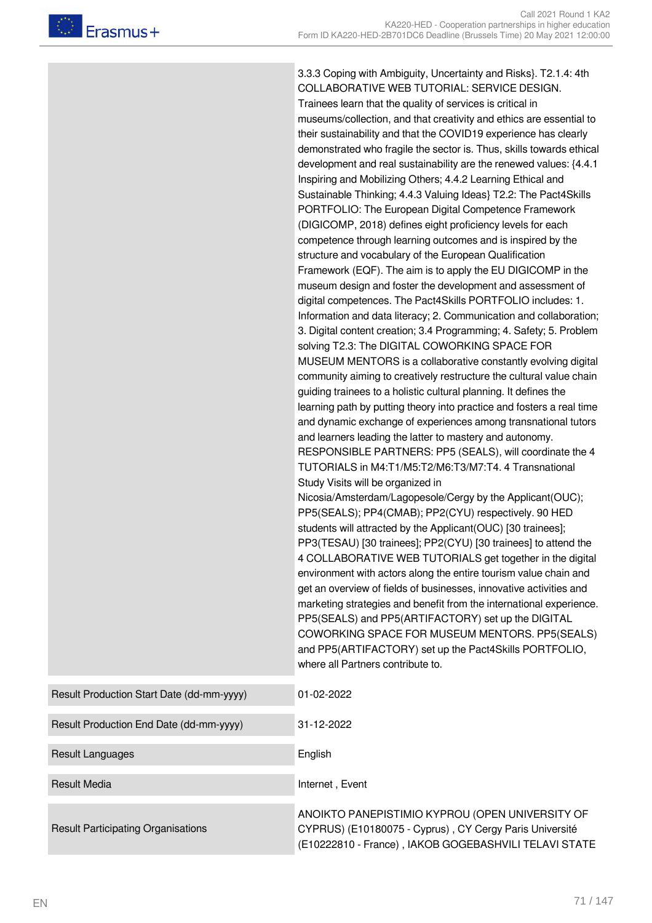3.3.3 Coping with Ambiguity, Uncertainty and Risks}. T2.1.4: 4th COLLABORATIVE WEB TUTORIAL: SERVICE DESIGN. Trainees learn that the quality of services is critical in museums/collection, and that creativity and ethics are essential to their sustainability and that the COVID19 experience has clearly demonstrated who fragile the sector is. Thus, skills towards ethical development and real sustainability are the renewed values: {4.4.1 Inspiring and Mobilizing Others; 4.4.2 Learning Ethical and Sustainable Thinking; 4.4.3 Valuing Ideas} T2.2: The Pact4Skills PORTFOLIO: The European Digital Competence Framework (DIGICOMP, 2018) defines eight proficiency levels for each competence through learning outcomes and is inspired by the structure and vocabulary of the European Qualification Framework (EQF). The aim is to apply the EU DIGICOMP in the museum design and foster the development and assessment of digital competences. The Pact4Skills PORTFOLIO includes: 1. Information and data literacy; 2. Communication and collaboration; 3. Digital content creation; 3.4 Programming; 4. Safety; 5. Problem solving T2.3: The DIGITAL COWORKING SPACE FOR MUSEUM MENTORS is a collaborative constantly evolving digital community aiming to creatively restructure the cultural value chain guiding trainees to a holistic cultural planning. It defines the learning path by putting theory into practice and fosters a real time and dynamic exchange of experiences among transnational tutors and learners leading the latter to mastery and autonomy. RESPONSIBLE PARTNERS: PP5 (SEALS), will coordinate the 4 TUTORIALS in M4:T1/M5:T2/M6:T3/M7:T4. 4 Transnational Study Visits will be organized in Nicosia/Amsterdam/Lagopesole/Cergy by the Applicant(OUC); PP5(SEALS); PP4(CMAB); PP2(CYU) respectively. 90 HED students will attracted by the Applicant(OUC) [30 trainees]; PP3(TESAU) [30 trainees]; PP2(CYU) [30 trainees] to attend the 4 COLLABORATIVE WEB TUTORIALS get together in the digital environment with actors along the entire tourism value chain and get an overview of fields of businesses, innovative activities and marketing strategies and benefit from the international experience. PP5(SEALS) and PP5(ARTIFACTORY) set up the DIGITAL COWORKING SPACE FOR MUSEUM MENTORS. PP5(SEALS) and PP5(ARTIFACTORY) set up the Pact4Skills PORTFOLIO, where all Partners contribute to.

| Result Production Start Date (dd-mm-yyyy) | 01-02-2022                                                                                                                                                          |
|-------------------------------------------|---------------------------------------------------------------------------------------------------------------------------------------------------------------------|
| Result Production End Date (dd-mm-yyyy)   | 31-12-2022                                                                                                                                                          |
| Result Languages                          | English                                                                                                                                                             |
| <b>Result Media</b>                       | Internet, Event                                                                                                                                                     |
| <b>Result Participating Organisations</b> | ANOIKTO PANEPISTIMIO KYPROU (OPEN UNIVERSITY OF<br>CYPRUS) (E10180075 - Cyprus), CY Cergy Paris Université<br>(E10222810 - France), IAKOB GOGEBASHVILI TELAVI STATE |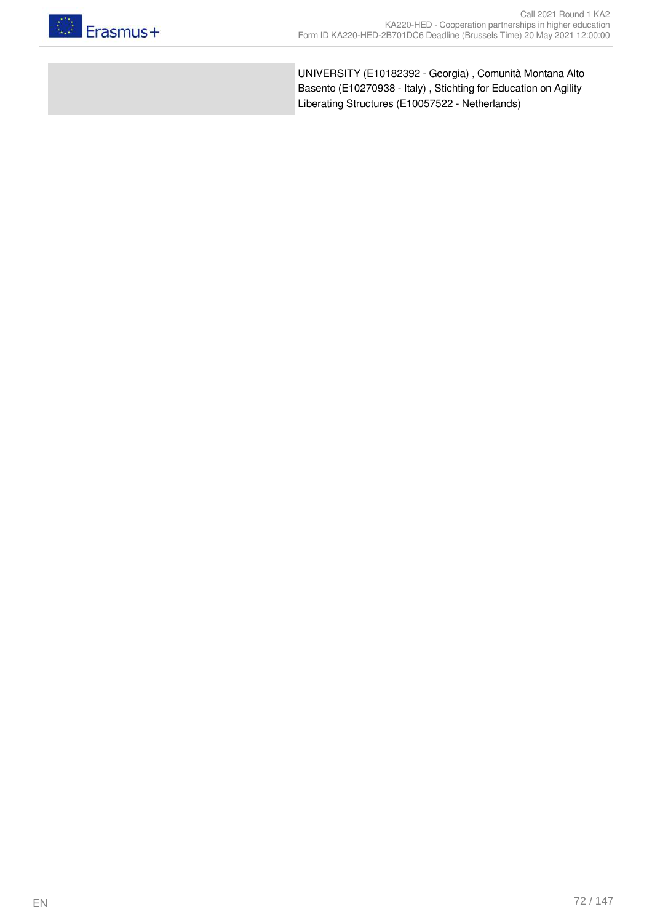

UNIVERSITY (E10182392 - Georgia) , Comunità Montana Alto Basento (E10270938 - Italy) , Stichting for Education on Agility Liberating Structures (E10057522 - Netherlands)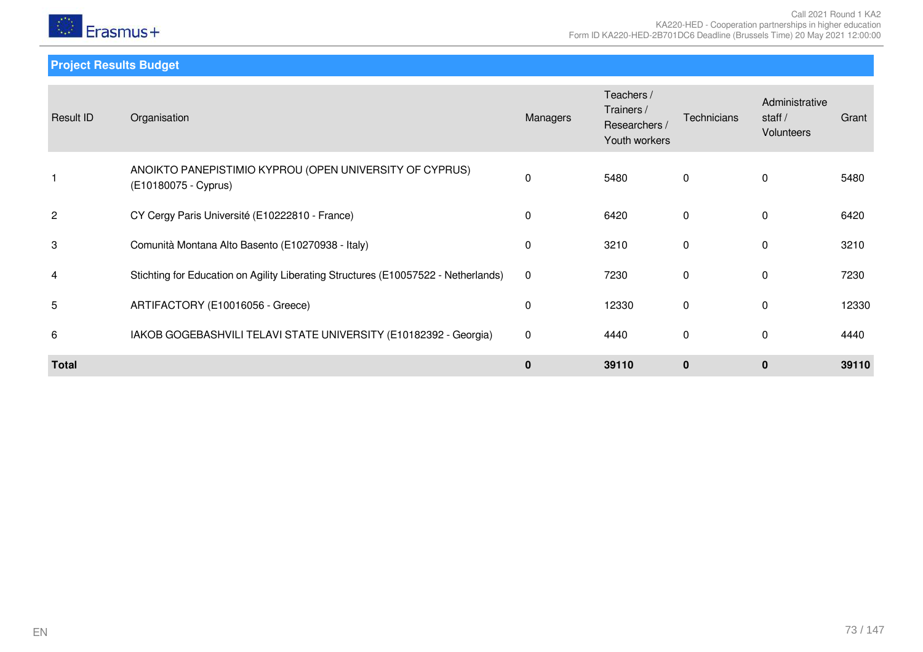

**Project Results Budget**

| Result ID      | Organisation                                                                       | Managers     | Teachers /<br>Trainers /<br>Researchers /<br>Youth workers | Technicians  | Administrative<br>staff $/$<br><b>Volunteers</b> | Grant |
|----------------|------------------------------------------------------------------------------------|--------------|------------------------------------------------------------|--------------|--------------------------------------------------|-------|
|                | ANOIKTO PANEPISTIMIO KYPROU (OPEN UNIVERSITY OF CYPRUS)<br>(E10180075 - Cyprus)    | 0            | 5480                                                       | $\mathbf{0}$ | $\Omega$                                         | 5480  |
| $\overline{c}$ | CY Cergy Paris Université (E10222810 - France)                                     | $\mathbf{0}$ | 6420                                                       | $\mathbf{0}$ | $\Omega$                                         | 6420  |
| 3              | Comunità Montana Alto Basento (E10270938 - Italy)                                  | 0            | 3210                                                       | $\mathbf 0$  | $\Omega$                                         | 3210  |
| 4              | Stichting for Education on Agility Liberating Structures (E10057522 - Netherlands) | $\mathbf 0$  | 7230                                                       | 0            | $\Omega$                                         | 7230  |
| 5              | ARTIFACTORY (E10016056 - Greece)                                                   | 0            | 12330                                                      | 0            | $\mathbf 0$                                      | 12330 |
| 6              | IAKOB GOGEBASHVILI TELAVI STATE UNIVERSITY (E10182392 - Georgia)                   | $\mathbf 0$  | 4440                                                       | 0            | $\Omega$                                         | 4440  |
| <b>Total</b>   |                                                                                    | $\mathbf 0$  | 39110                                                      | $\mathbf{0}$ | $\mathbf{0}$                                     | 39110 |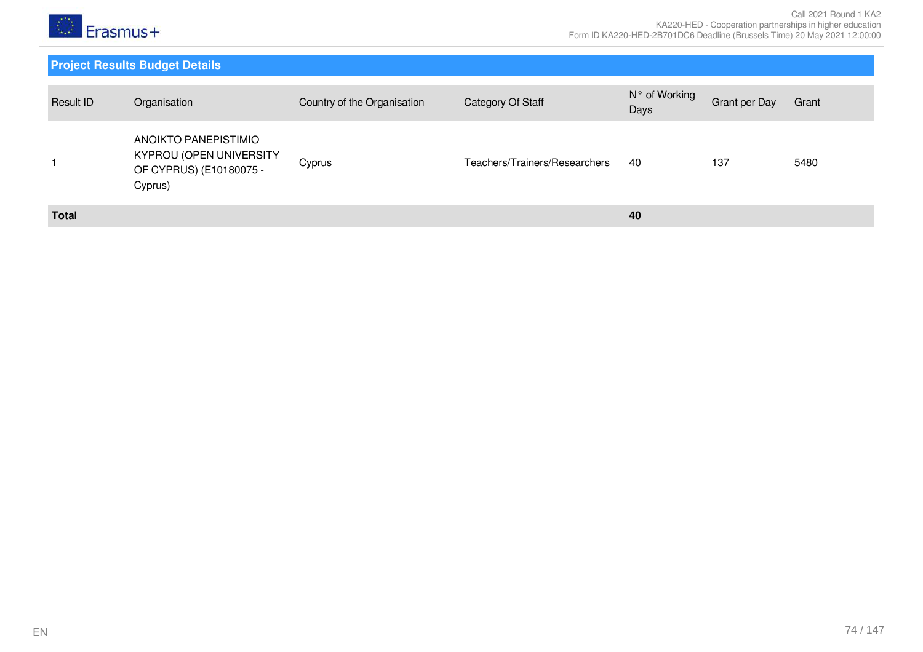

| Result ID    | Organisation                                                                          | Country of the Organisation | Category Of Staff             | N° of Working<br>Days | Grant per Day | Grant |
|--------------|---------------------------------------------------------------------------------------|-----------------------------|-------------------------------|-----------------------|---------------|-------|
|              | ANOIKTO PANEPISTIMIO<br>KYPROU (OPEN UNIVERSITY<br>OF CYPRUS) (E10180075 -<br>Cyprus) | Cyprus                      | Teachers/Trainers/Researchers | 40                    | 137           | 5480  |
| <b>Total</b> |                                                                                       |                             |                               | 40                    |               |       |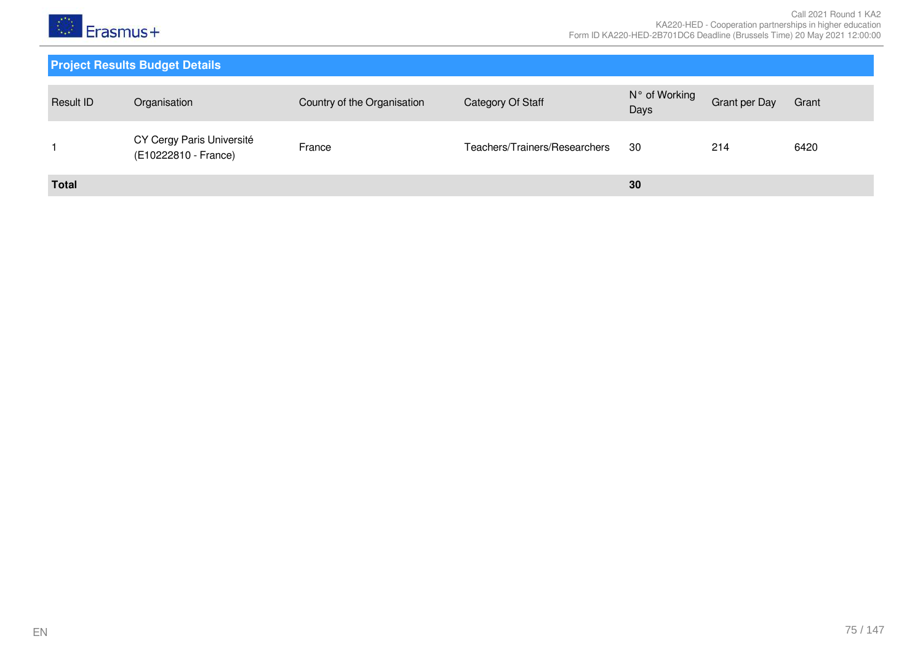

| Result ID    | Organisation                                      | Country of the Organisation | Category Of Staff             | N° of Working<br>Days | Grant per Day | Grant |
|--------------|---------------------------------------------------|-----------------------------|-------------------------------|-----------------------|---------------|-------|
|              | CY Cergy Paris Université<br>(E10222810 - France) | France                      | Teachers/Trainers/Researchers | 30                    | 214           | 6420  |
| <b>Total</b> |                                                   |                             |                               | 30                    |               |       |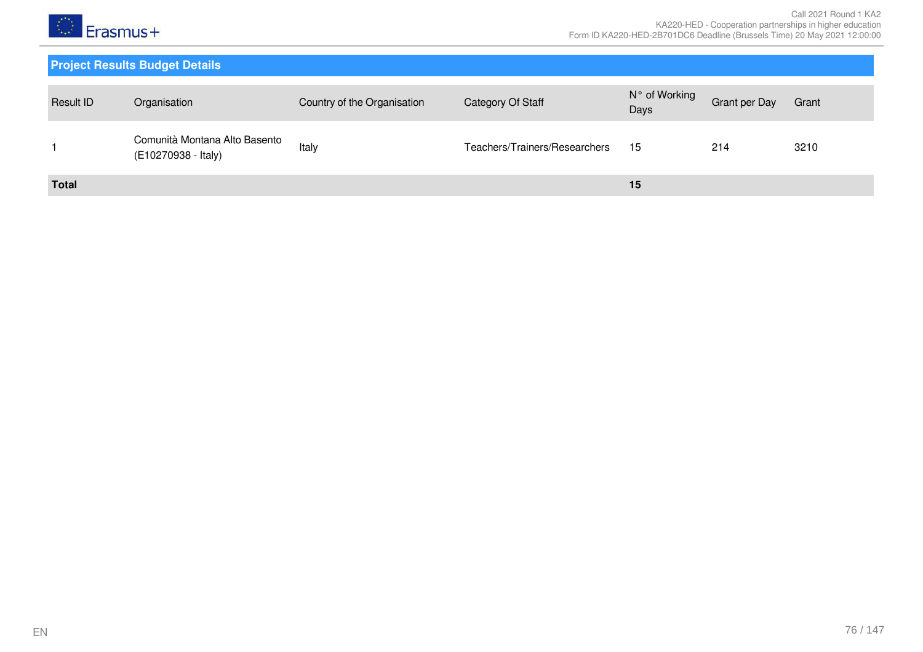

| <b>Result ID</b> | Organisation                                         | Country of the Organisation | Category Of Staff             | N° of Working<br>Days | <b>Grant per Day</b> | Grant |
|------------------|------------------------------------------------------|-----------------------------|-------------------------------|-----------------------|----------------------|-------|
|                  | Comunità Montana Alto Basento<br>(E10270938 - Italy) | Italy                       | Teachers/Trainers/Researchers | 15                    | 214                  | 3210  |
| <b>Total</b>     |                                                      |                             |                               | 15                    |                      |       |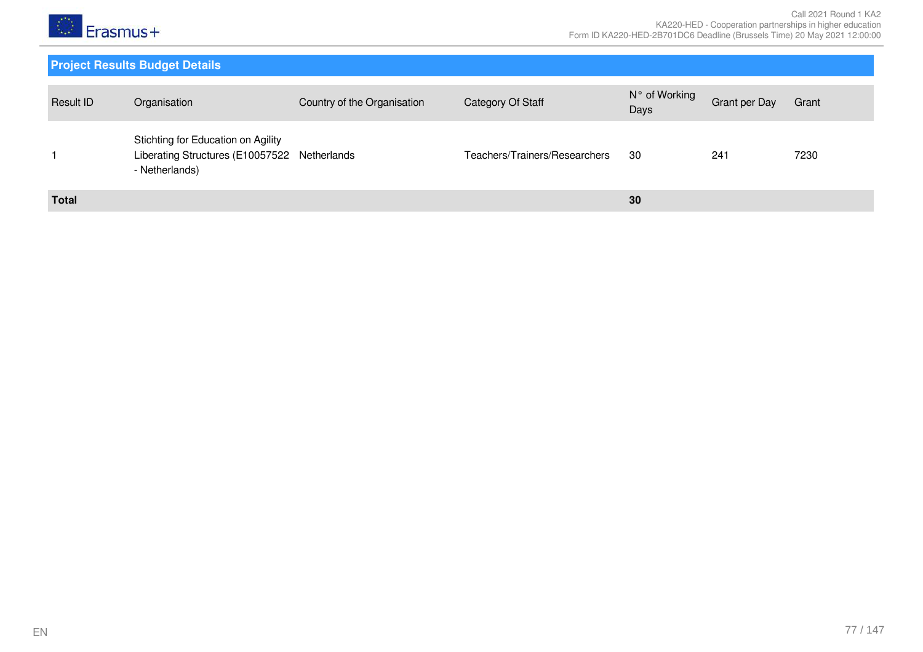

| Result ID    | Organisation                                                                                         | Country of the Organisation | Category Of Staff             | N° of Working<br>Days | Grant per Day | Grant |
|--------------|------------------------------------------------------------------------------------------------------|-----------------------------|-------------------------------|-----------------------|---------------|-------|
|              | Stichting for Education on Agility<br>Liberating Structures (E10057522 Netherlands<br>- Netherlands) |                             | Teachers/Trainers/Researchers | 30                    | 241           | 7230  |
| <b>Total</b> |                                                                                                      |                             |                               | 30                    |               |       |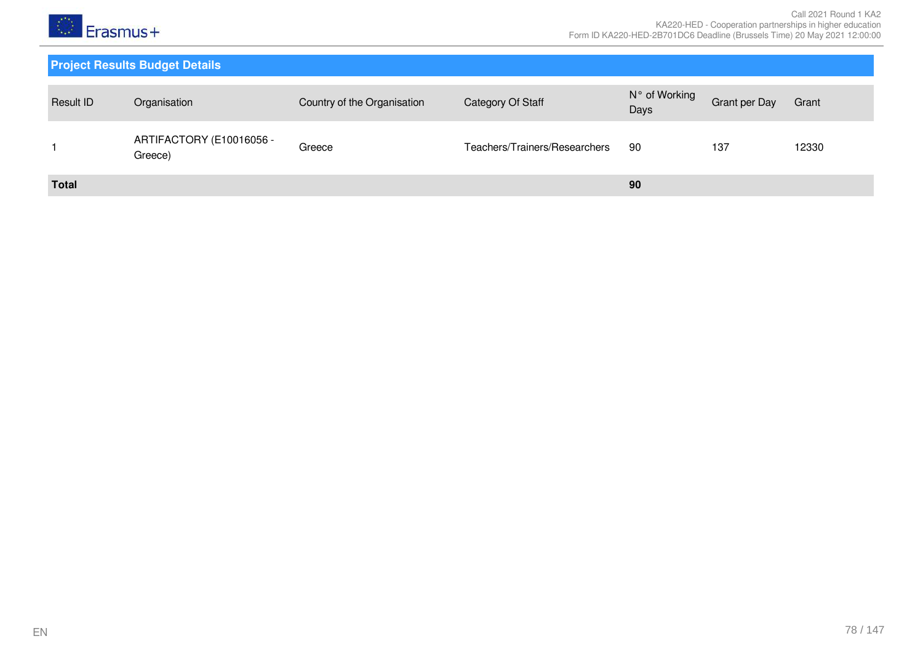

| Result ID    | Organisation                        | Country of the Organisation | Category Of Staff             | N° of Working<br>Days | Grant per Day | Grant |
|--------------|-------------------------------------|-----------------------------|-------------------------------|-----------------------|---------------|-------|
|              | ARTIFACTORY (E10016056 -<br>Greece) | Greece                      | Teachers/Trainers/Researchers | -90                   | 137           | 12330 |
| <b>Total</b> |                                     |                             |                               | 90                    |               |       |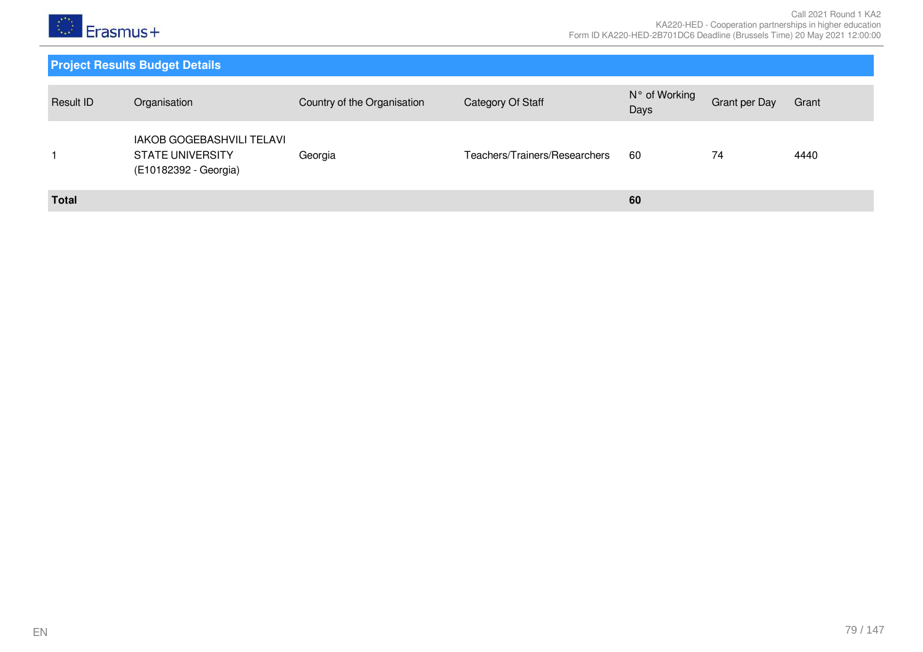

| Result ID    | Organisation                                                                  | Country of the Organisation | Category Of Staff             | N° of Working<br>Days | <b>Grant per Day</b> | Grant |
|--------------|-------------------------------------------------------------------------------|-----------------------------|-------------------------------|-----------------------|----------------------|-------|
|              | IAKOB GOGEBASHVILI TELAVI<br><b>STATE UNIVERSITY</b><br>(E10182392 - Georgia) | Georgia                     | Teachers/Trainers/Researchers | 60                    | 74                   | 4440  |
| <b>Total</b> |                                                                               |                             |                               | 60                    |                      |       |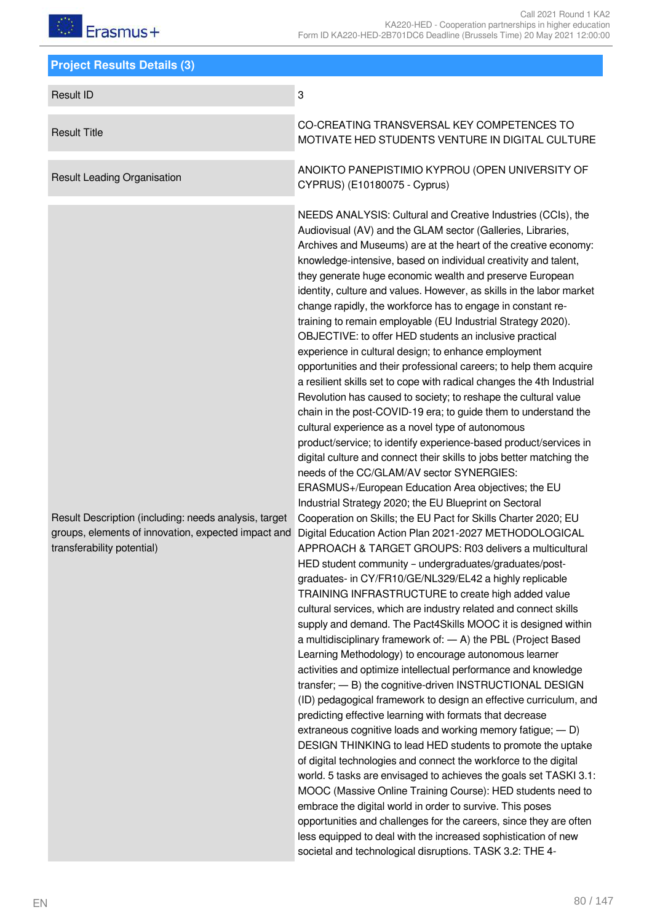| <b>Project Results Details (3)</b>                                                                                                         |                                                                                                                                                                                                                                                                                                                                                                                                                                                                                                                                                                                                                                                                                                                                                                                                                                                                                                                                                                                                                                                                                                                                                                                                                                                                                                                                                                                                                                                                                                                                                                                                                                                                                                                                                                                                                                                                                                                                                                                                                                                                                                                                                                                                                                                                                                                                                                                                                                                                                                                                                                                                                                                                                                                                                                                                                      |
|--------------------------------------------------------------------------------------------------------------------------------------------|----------------------------------------------------------------------------------------------------------------------------------------------------------------------------------------------------------------------------------------------------------------------------------------------------------------------------------------------------------------------------------------------------------------------------------------------------------------------------------------------------------------------------------------------------------------------------------------------------------------------------------------------------------------------------------------------------------------------------------------------------------------------------------------------------------------------------------------------------------------------------------------------------------------------------------------------------------------------------------------------------------------------------------------------------------------------------------------------------------------------------------------------------------------------------------------------------------------------------------------------------------------------------------------------------------------------------------------------------------------------------------------------------------------------------------------------------------------------------------------------------------------------------------------------------------------------------------------------------------------------------------------------------------------------------------------------------------------------------------------------------------------------------------------------------------------------------------------------------------------------------------------------------------------------------------------------------------------------------------------------------------------------------------------------------------------------------------------------------------------------------------------------------------------------------------------------------------------------------------------------------------------------------------------------------------------------------------------------------------------------------------------------------------------------------------------------------------------------------------------------------------------------------------------------------------------------------------------------------------------------------------------------------------------------------------------------------------------------------------------------------------------------------------------------------------------------|
| <b>Result ID</b>                                                                                                                           | 3                                                                                                                                                                                                                                                                                                                                                                                                                                                                                                                                                                                                                                                                                                                                                                                                                                                                                                                                                                                                                                                                                                                                                                                                                                                                                                                                                                                                                                                                                                                                                                                                                                                                                                                                                                                                                                                                                                                                                                                                                                                                                                                                                                                                                                                                                                                                                                                                                                                                                                                                                                                                                                                                                                                                                                                                                    |
| <b>Result Title</b>                                                                                                                        | CO-CREATING TRANSVERSAL KEY COMPETENCES TO<br>MOTIVATE HED STUDENTS VENTURE IN DIGITAL CULTURE                                                                                                                                                                                                                                                                                                                                                                                                                                                                                                                                                                                                                                                                                                                                                                                                                                                                                                                                                                                                                                                                                                                                                                                                                                                                                                                                                                                                                                                                                                                                                                                                                                                                                                                                                                                                                                                                                                                                                                                                                                                                                                                                                                                                                                                                                                                                                                                                                                                                                                                                                                                                                                                                                                                       |
| <b>Result Leading Organisation</b>                                                                                                         | ANOIKTO PANEPISTIMIO KYPROU (OPEN UNIVERSITY OF<br>CYPRUS) (E10180075 - Cyprus)                                                                                                                                                                                                                                                                                                                                                                                                                                                                                                                                                                                                                                                                                                                                                                                                                                                                                                                                                                                                                                                                                                                                                                                                                                                                                                                                                                                                                                                                                                                                                                                                                                                                                                                                                                                                                                                                                                                                                                                                                                                                                                                                                                                                                                                                                                                                                                                                                                                                                                                                                                                                                                                                                                                                      |
| Result Description (including: needs analysis, target<br>groups, elements of innovation, expected impact and<br>transferability potential) | NEEDS ANALYSIS: Cultural and Creative Industries (CCIs), the<br>Audiovisual (AV) and the GLAM sector (Galleries, Libraries,<br>Archives and Museums) are at the heart of the creative economy:<br>knowledge-intensive, based on individual creativity and talent,<br>they generate huge economic wealth and preserve European<br>identity, culture and values. However, as skills in the labor market<br>change rapidly, the workforce has to engage in constant re-<br>training to remain employable (EU Industrial Strategy 2020).<br>OBJECTIVE: to offer HED students an inclusive practical<br>experience in cultural design; to enhance employment<br>opportunities and their professional careers; to help them acquire<br>a resilient skills set to cope with radical changes the 4th Industrial<br>Revolution has caused to society; to reshape the cultural value<br>chain in the post-COVID-19 era; to guide them to understand the<br>cultural experience as a novel type of autonomous<br>product/service; to identify experience-based product/services in<br>digital culture and connect their skills to jobs better matching the<br>needs of the CC/GLAM/AV sector SYNERGIES:<br>ERASMUS+/European Education Area objectives; the EU<br>Industrial Strategy 2020; the EU Blueprint on Sectoral<br>Cooperation on Skills; the EU Pact for Skills Charter 2020; EU<br>Digital Education Action Plan 2021-2027 METHODOLOGICAL<br>APPROACH & TARGET GROUPS: R03 delivers a multicultural<br>HED student community - undergraduates/graduates/post-<br>graduates- in CY/FR10/GE/NL329/EL42 a highly replicable<br>TRAINING INFRASTRUCTURE to create high added value<br>cultural services, which are industry related and connect skills<br>supply and demand. The Pact4Skills MOOC it is designed within<br>a multidisciplinary framework of: $-$ A) the PBL (Project Based<br>Learning Methodology) to encourage autonomous learner<br>activities and optimize intellectual performance and knowledge<br>transfer; - B) the cognitive-driven INSTRUCTIONAL DESIGN<br>(ID) pedagogical framework to design an effective curriculum, and<br>predicting effective learning with formats that decrease<br>extraneous cognitive loads and working memory fatigue; - D)<br>DESIGN THINKING to lead HED students to promote the uptake<br>of digital technologies and connect the workforce to the digital<br>world. 5 tasks are envisaged to achieves the goals set TASKI 3.1:<br>MOOC (Massive Online Training Course): HED students need to<br>embrace the digital world in order to survive. This poses<br>opportunities and challenges for the careers, since they are often<br>less equipped to deal with the increased sophistication of new<br>societal and technological disruptions. TASK 3.2: THE 4- |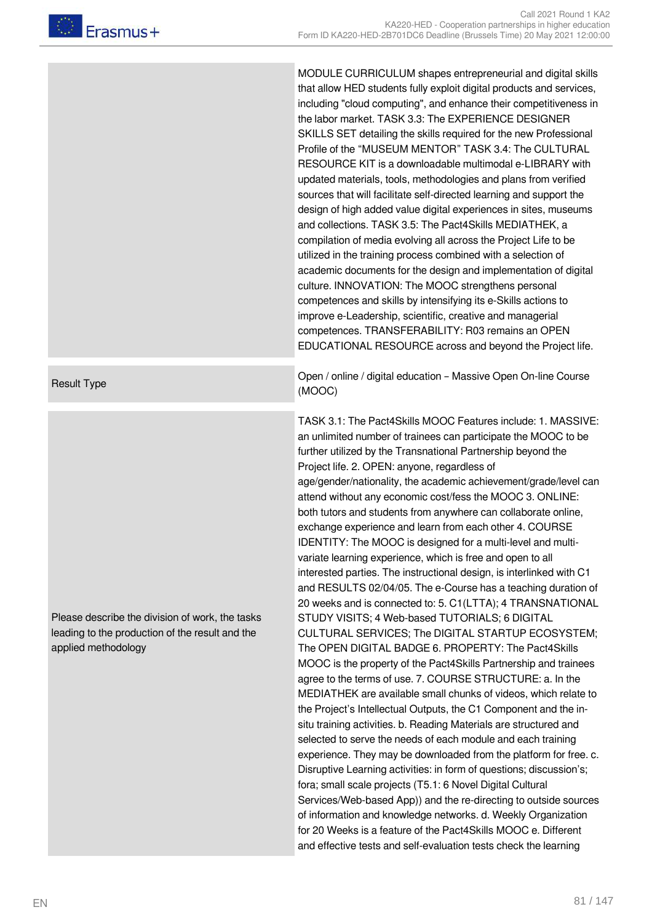MODULE CURRICULUM shapes entrepreneurial and digital skills that allow HED students fully exploit digital products and services, including "cloud computing", and enhance their competitiveness in the labor market. TASK 3.3: The EXPERIENCE DESIGNER SKILLS SET detailing the skills required for the new Professional Profile of the "MUSEUM MENTOR" TASK 3.4: The CULTURAL RESOURCE KIT is a downloadable multimodal e-LIBRARY with updated materials, tools, methodologies and plans from verified sources that will facilitate self-directed learning and support the design of high added value digital experiences in sites, museums and collections. TASK 3.5: The Pact4Skills MEDIATHEK, a compilation of media evolving all across the Project Life to be utilized in the training process combined with a selection of academic documents for the design and implementation of digital culture. INNOVATION: The MOOC strengthens personal competences and skills by intensifying its e-Skills actions to improve e-Leadership, scientific, creative and managerial competences. TRANSFERABILITY: R03 remains an OPEN EDUCATIONAL RESOURCE across and beyond the Project life.

Result Type **Open / online / digital education – Massive Open On-line Course** (MOOC)

> TASK 3.1: The Pact4Skills MOOC Features include: 1. MASSIVE: an unlimited number of trainees can participate the MOOC to be further utilized by the Transnational Partnership beyond the Project life. 2. OPEN: anyone, regardless of age/gender/nationality, the academic achievement/grade/level can attend without any economic cost/fess the MOOC 3. ONLINE: both tutors and students from anywhere can collaborate online, exchange experience and learn from each other 4. COURSE IDENTITY: The MOOC is designed for a multi-level and multivariate learning experience, which is free and open to all interested parties. The instructional design, is interlinked with C1 and RESULTS 02/04/05. The e-Course has a teaching duration of 20 weeks and is connected to: 5. C1(LTTA); 4 TRANSNATIONAL STUDY VISITS; 4 Web-based TUTORIALS; 6 DIGITAL CULTURAL SERVICES; The DIGITAL STARTUP ECOSYSTEM; The OPEN DIGITAL BADGE 6. PROPERTY: The Pact4Skills MOOC is the property of the Pact4Skills Partnership and trainees agree to the terms of use. 7. COURSE STRUCTURE: a. In the MEDIATHEK are available small chunks of videos, which relate to the Project's Intellectual Outputs, the C1 Component and the insitu training activities. b. Reading Materials are structured and selected to serve the needs of each module and each training experience. They may be downloaded from the platform for free. c. Disruptive Learning activities: in form of questions; discussion's; fora; small scale projects (T5.1: 6 Novel Digital Cultural Services/Web-based App)) and the re-directing to outside sources of information and knowledge networks. d. Weekly Organization for 20 Weeks is a feature of the Pact4Skills MOOC e. Different and effective tests and self-evaluation tests check the learning

Please describe the division of work, the tasks leading to the production of the result and the applied methodology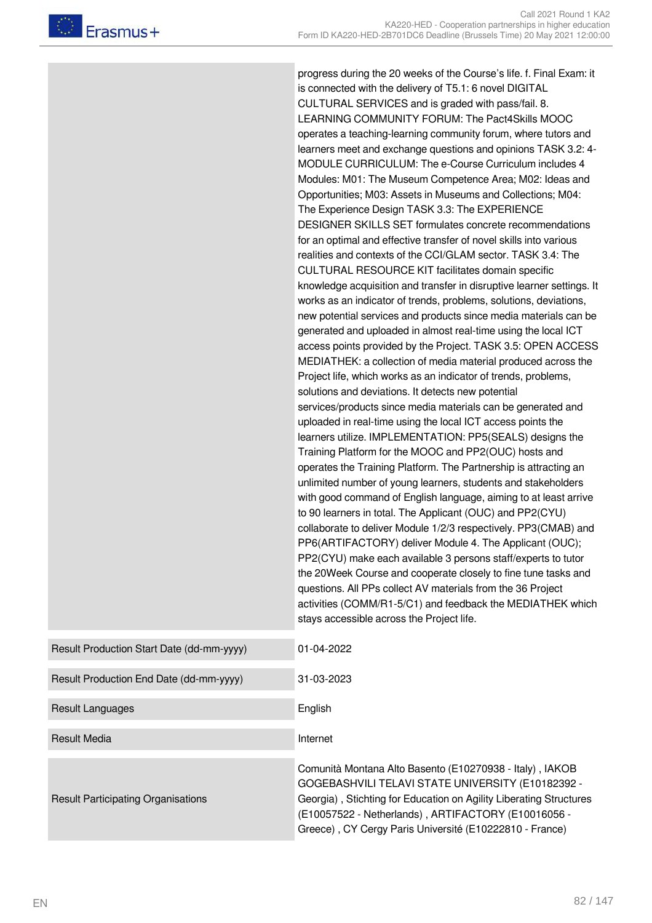progress during the 20 weeks of the Course's life. f. Final Exam: it is connected with the delivery of T5.1: 6 novel DIGITAL CULTURAL SERVICES and is graded with pass/fail. 8. LEARNING COMMUNITY FORUM: The Pact4Skills MOOC operates a teaching-learning community forum, where tutors and learners meet and exchange questions and opinions TASK 3.2: 4- MODULE CURRICULUM: The e-Course Curriculum includes 4 Modules: M01: The Museum Competence Area; M02: Ideas and Opportunities; M03: Assets in Museums and Collections; M04: The Experience Design TASK 3.3: The EXPERIENCE DESIGNER SKILLS SET formulates concrete recommendations for an optimal and effective transfer of novel skills into various realities and contexts of the CCI/GLAM sector. TASK 3.4: The CULTURAL RESOURCE KIT facilitates domain specific knowledge acquisition and transfer in disruptive learner settings. It works as an indicator of trends, problems, solutions, deviations, new potential services and products since media materials can be generated and uploaded in almost real-time using the local ICT access points provided by the Project. TASK 3.5: OPEN ACCESS MEDIATHEK: a collection of media material produced across the Project life, which works as an indicator of trends, problems, solutions and deviations. It detects new potential services/products since media materials can be generated and uploaded in real-time using the local ICT access points the learners utilize. IMPLEMENTATION: PP5(SEALS) designs the Training Platform for the MOOC and PP2(OUC) hosts and operates the Training Platform. The Partnership is attracting an unlimited number of young learners, students and stakeholders with good command of English language, aiming to at least arrive to 90 learners in total. The Applicant (OUC) and PP2(CYU) collaborate to deliver Module 1/2/3 respectively. PP3(CMAB) and PP6(ARTIFACTORY) deliver Module 4. The Applicant (OUC); PP2(CYU) make each available 3 persons staff/experts to tutor the 20Week Course and cooperate closely to fine tune tasks and questions. All PPs collect AV materials from the 36 Project activities (COMM/R1-5/C1) and feedback the MEDIATHEK which stays accessible across the Project life.

| Result Production Start Date (dd-mm-yyyy) | 01-04-2022                                                                                                                                                                                                                                                                                            |
|-------------------------------------------|-------------------------------------------------------------------------------------------------------------------------------------------------------------------------------------------------------------------------------------------------------------------------------------------------------|
| Result Production End Date (dd-mm-yyyy)   | 31-03-2023                                                                                                                                                                                                                                                                                            |
| Result Languages                          | English                                                                                                                                                                                                                                                                                               |
| <b>Result Media</b>                       | Internet                                                                                                                                                                                                                                                                                              |
| <b>Result Participating Organisations</b> | Comunità Montana Alto Basento (E10270938 - Italy), IAKOB<br>GOGEBASHVILI TELAVI STATE UNIVERSITY (E10182392 -<br>Georgia), Stichting for Education on Agility Liberating Structures<br>(E10057522 - Netherlands), ARTIFACTORY (E10016056 -<br>Greece), CY Cergy Paris Université (E10222810 - France) |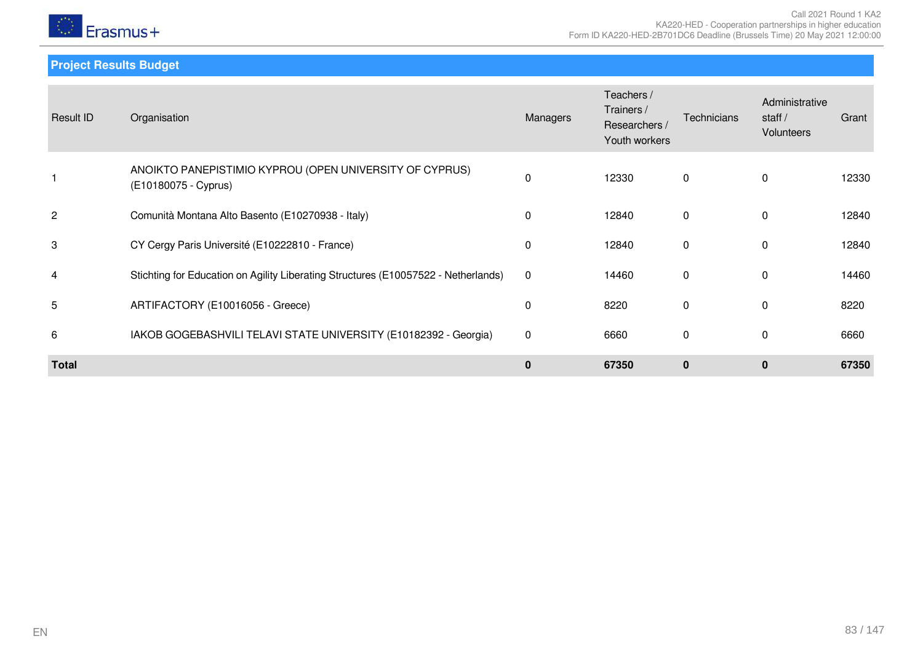

**Project Results Budget**

| Result ID      | Organisation                                                                       | Managers     | Teachers /<br>Trainers /<br>Researchers /<br>Youth workers | Technicians  | Administrative<br>staff $/$<br><b>Volunteers</b> | Grant |
|----------------|------------------------------------------------------------------------------------|--------------|------------------------------------------------------------|--------------|--------------------------------------------------|-------|
|                | ANOIKTO PANEPISTIMIO KYPROU (OPEN UNIVERSITY OF CYPRUS)<br>(E10180075 - Cyprus)    | 0            | 12330                                                      | 0            | $\Omega$                                         | 12330 |
| $\overline{c}$ | Comunità Montana Alto Basento (E10270938 - Italy)                                  | $\mathbf{0}$ | 12840                                                      | $\mathbf{0}$ | $\Omega$                                         | 12840 |
| 3              | CY Cergy Paris Université (E10222810 - France)                                     | 0            | 12840                                                      | 0            | $\Omega$                                         | 12840 |
| 4              | Stichting for Education on Agility Liberating Structures (E10057522 - Netherlands) | $\mathbf 0$  | 14460                                                      | 0            | $\Omega$                                         | 14460 |
| 5              | ARTIFACTORY (E10016056 - Greece)                                                   | 0            | 8220                                                       | 0            | $\mathbf{0}$                                     | 8220  |
| 6              | IAKOB GOGEBASHVILI TELAVI STATE UNIVERSITY (E10182392 - Georgia)                   | $\mathbf 0$  | 6660                                                       | 0            | $\Omega$                                         | 6660  |
| <b>Total</b>   |                                                                                    | $\mathbf 0$  | 67350                                                      | $\mathbf{0}$ | $\mathbf{0}$                                     | 67350 |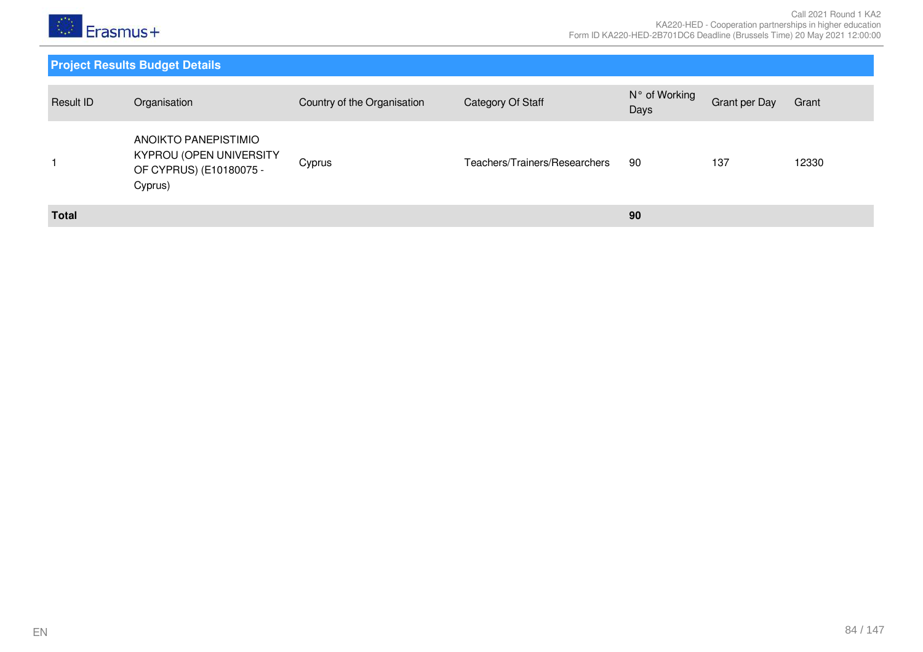

| Result ID    | Organisation                                                                          | Country of the Organisation | Category Of Staff             | N° of Working<br>Days | Grant per Day | Grant |
|--------------|---------------------------------------------------------------------------------------|-----------------------------|-------------------------------|-----------------------|---------------|-------|
|              | ANOIKTO PANEPISTIMIO<br>KYPROU (OPEN UNIVERSITY<br>OF CYPRUS) (E10180075 -<br>Cyprus) | Cyprus                      | Teachers/Trainers/Researchers | 90                    | 137           | 12330 |
| <b>Total</b> |                                                                                       |                             |                               | 90                    |               |       |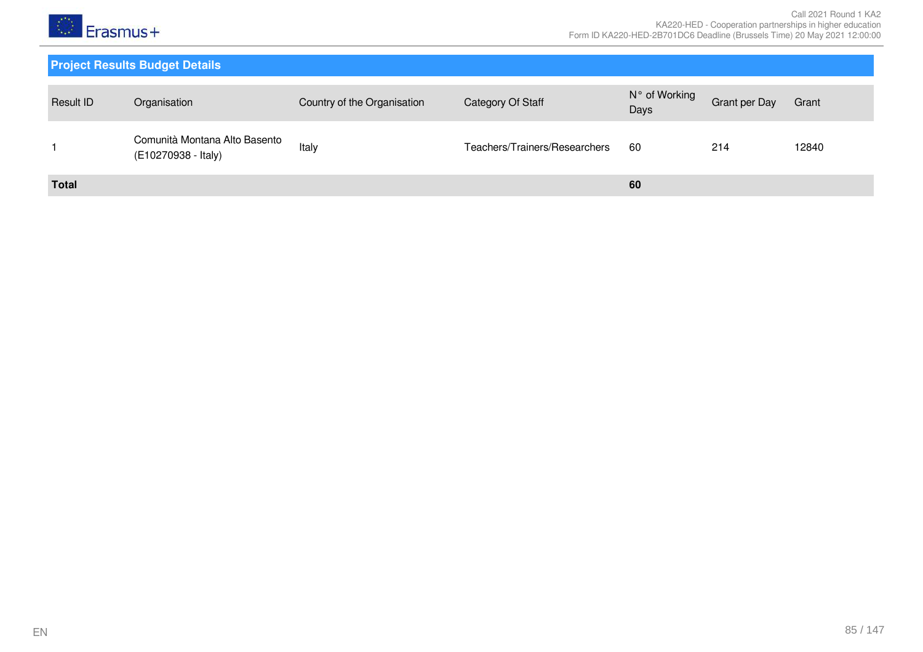

| <b>Result ID</b> | Organisation                                         | Country of the Organisation | Category Of Staff             | N° of Working<br>Days | <b>Grant per Day</b> | Grant |
|------------------|------------------------------------------------------|-----------------------------|-------------------------------|-----------------------|----------------------|-------|
|                  | Comunità Montana Alto Basento<br>(E10270938 - Italy) | Italy                       | Teachers/Trainers/Researchers | -60                   | 214                  | 12840 |
| <b>Total</b>     |                                                      |                             |                               | 60                    |                      |       |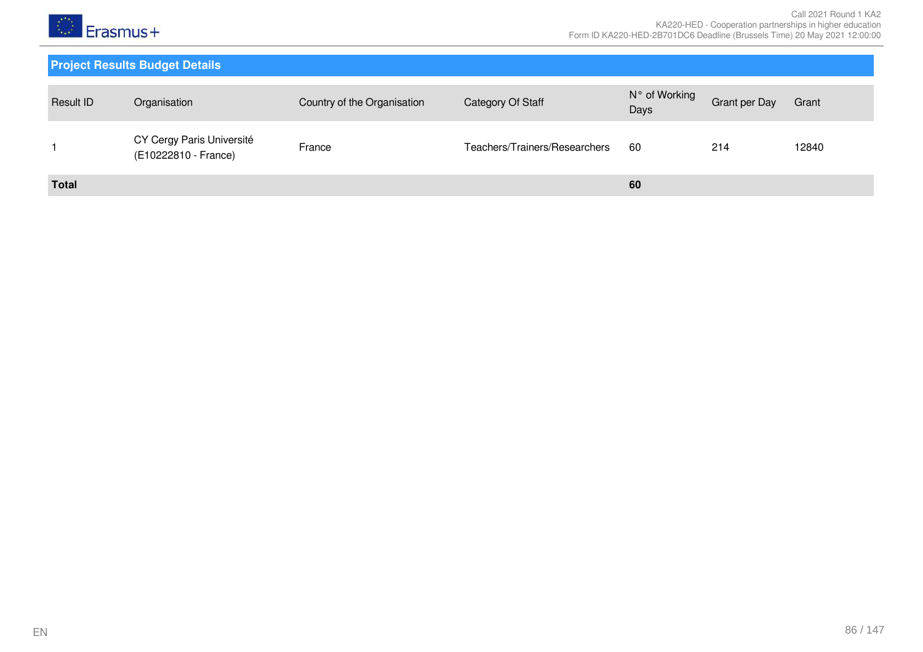

| Result ID    | Organisation                                      | Country of the Organisation | Category Of Staff             | N° of Working<br>Days | <b>Grant per Day</b> | Grant |
|--------------|---------------------------------------------------|-----------------------------|-------------------------------|-----------------------|----------------------|-------|
|              | CY Cergy Paris Université<br>(E10222810 - France) | France                      | Teachers/Trainers/Researchers | -60                   | 214                  | 12840 |
| <b>Total</b> |                                                   |                             |                               | 60                    |                      |       |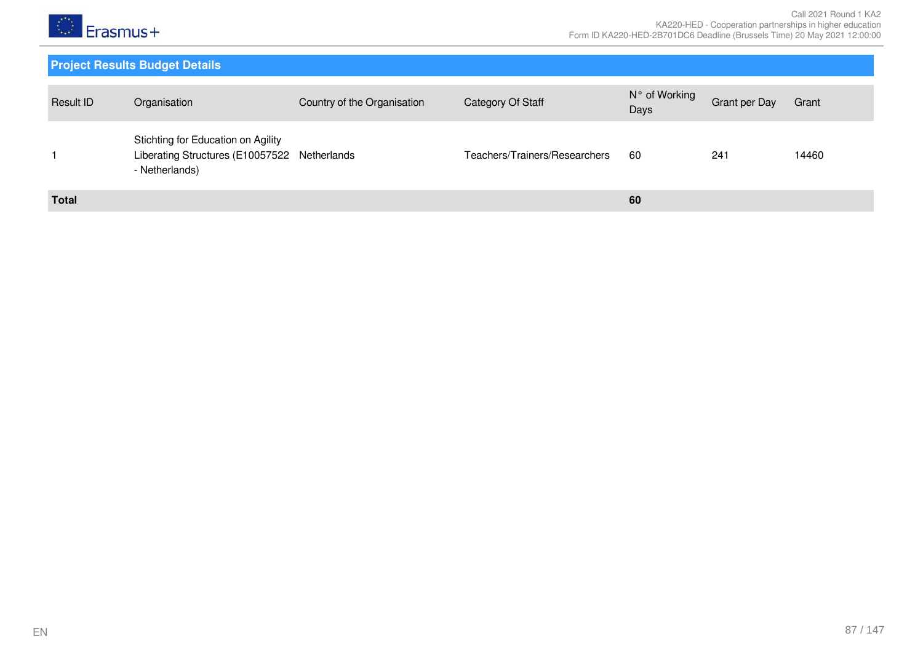

| Result ID    | Organisation                                                                                         | Country of the Organisation | Category Of Staff             | N° of Working<br>Days | Grant per Day | Grant |
|--------------|------------------------------------------------------------------------------------------------------|-----------------------------|-------------------------------|-----------------------|---------------|-------|
|              | Stichting for Education on Agility<br>Liberating Structures (E10057522 Netherlands<br>- Netherlands) |                             | Teachers/Trainers/Researchers | 60                    | 241           | 14460 |
| <b>Total</b> |                                                                                                      |                             |                               | 60                    |               |       |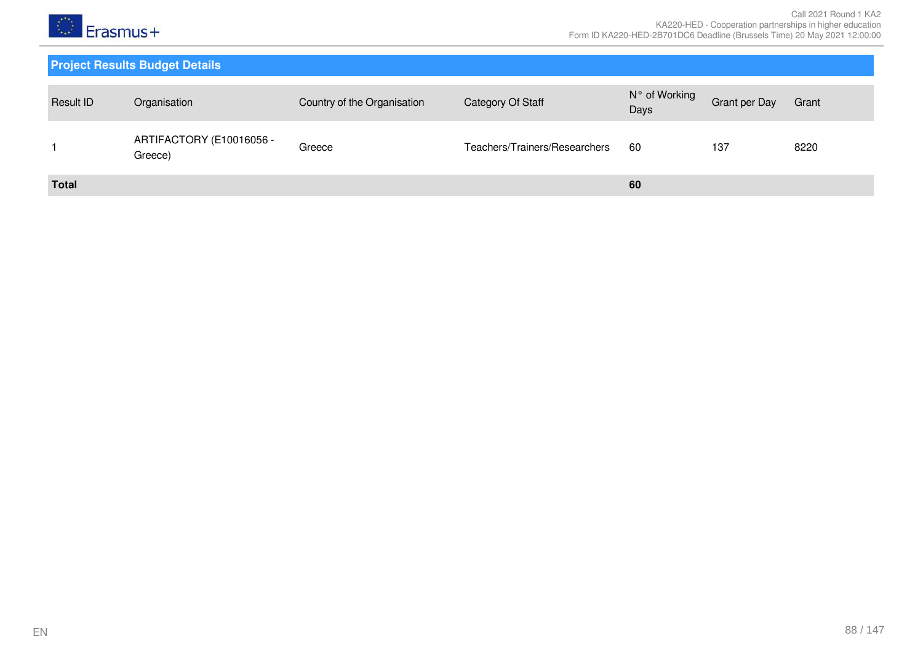

| Result ID    | Organisation                        | Country of the Organisation | Category Of Staff             | N° of Working<br>Days | Grant per Day | Grant |
|--------------|-------------------------------------|-----------------------------|-------------------------------|-----------------------|---------------|-------|
|              | ARTIFACTORY (E10016056 -<br>Greece) | Greece                      | Teachers/Trainers/Researchers | 60                    | 137           | 8220  |
| <b>Total</b> |                                     |                             |                               | 60                    |               |       |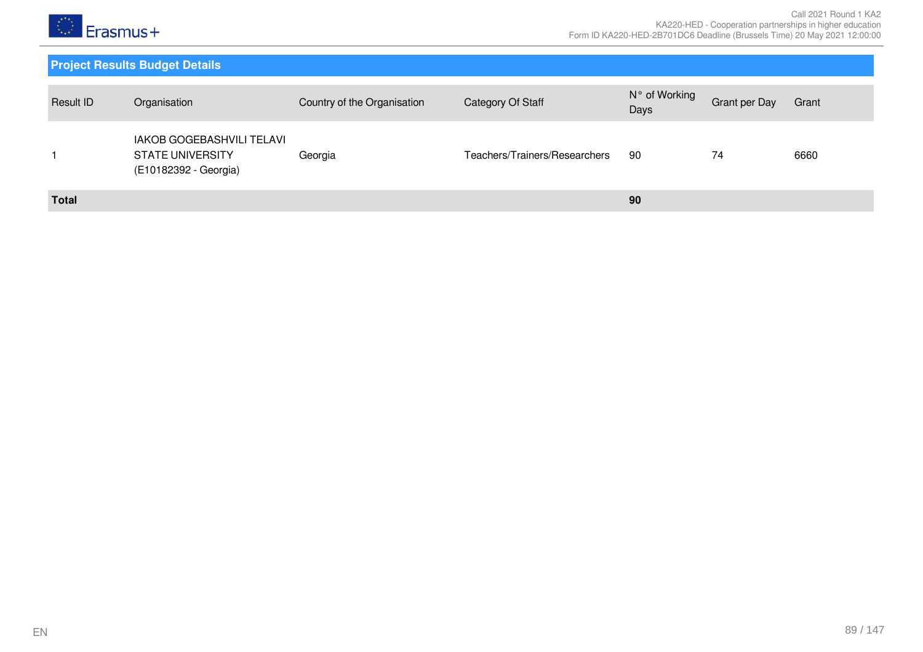

| Result ID    | Organisation                                                                         | Country of the Organisation | Category Of Staff             | N° of Working<br>Days | Grant per Day | Grant |
|--------------|--------------------------------------------------------------------------------------|-----------------------------|-------------------------------|-----------------------|---------------|-------|
|              | <b>IAKOB GOGEBASHVILI TELAVI</b><br><b>STATE UNIVERSITY</b><br>(E10182392 - Georgia) | Georgia                     | Teachers/Trainers/Researchers | 90                    | 74            | 6660  |
| <b>Total</b> |                                                                                      |                             |                               | 90                    |               |       |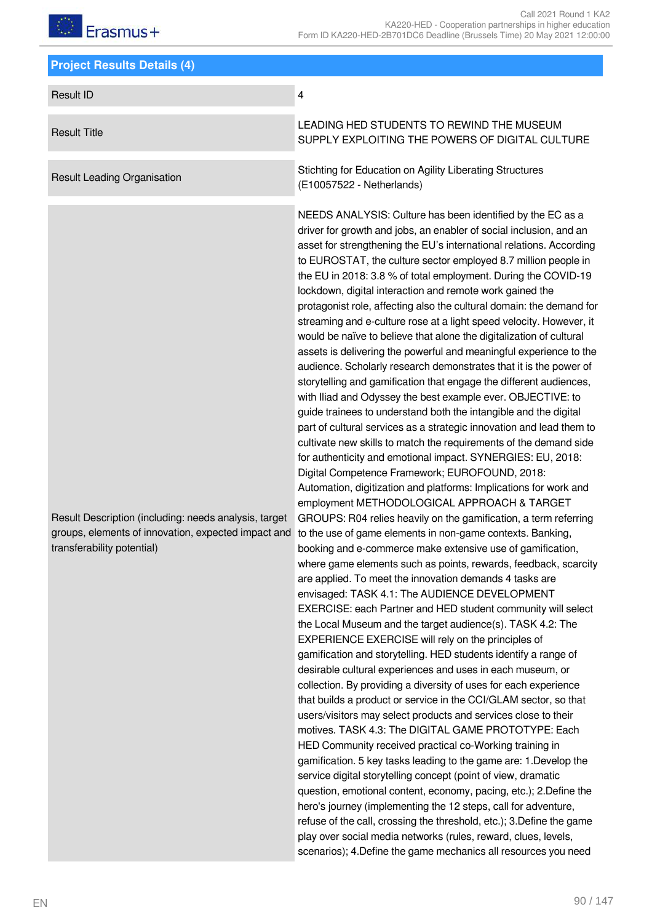| <b>Project Results Details (4)</b>                                                                                                         |                                                                                                                                                                                                                                                                                                                                                                                                                                                                                                                                                                                                                                                                                                                                                                                                                                                                                                                                                                                                                                                                                                                                                                                                                                                                                                                                                                                                                                                                                                                                                                                                                                                                                                                                                                                                                                                                                                                                                                                                                                                                                                                                                                                                                                                                                                                                                                                                                                                                                                                                                                                                                                                                                                                                                                                                                                                                                                |
|--------------------------------------------------------------------------------------------------------------------------------------------|------------------------------------------------------------------------------------------------------------------------------------------------------------------------------------------------------------------------------------------------------------------------------------------------------------------------------------------------------------------------------------------------------------------------------------------------------------------------------------------------------------------------------------------------------------------------------------------------------------------------------------------------------------------------------------------------------------------------------------------------------------------------------------------------------------------------------------------------------------------------------------------------------------------------------------------------------------------------------------------------------------------------------------------------------------------------------------------------------------------------------------------------------------------------------------------------------------------------------------------------------------------------------------------------------------------------------------------------------------------------------------------------------------------------------------------------------------------------------------------------------------------------------------------------------------------------------------------------------------------------------------------------------------------------------------------------------------------------------------------------------------------------------------------------------------------------------------------------------------------------------------------------------------------------------------------------------------------------------------------------------------------------------------------------------------------------------------------------------------------------------------------------------------------------------------------------------------------------------------------------------------------------------------------------------------------------------------------------------------------------------------------------------------------------------------------------------------------------------------------------------------------------------------------------------------------------------------------------------------------------------------------------------------------------------------------------------------------------------------------------------------------------------------------------------------------------------------------------------------------------------------------------|
| <b>Result ID</b>                                                                                                                           | $\overline{\mathbf{4}}$                                                                                                                                                                                                                                                                                                                                                                                                                                                                                                                                                                                                                                                                                                                                                                                                                                                                                                                                                                                                                                                                                                                                                                                                                                                                                                                                                                                                                                                                                                                                                                                                                                                                                                                                                                                                                                                                                                                                                                                                                                                                                                                                                                                                                                                                                                                                                                                                                                                                                                                                                                                                                                                                                                                                                                                                                                                                        |
| <b>Result Title</b>                                                                                                                        | LEADING HED STUDENTS TO REWIND THE MUSEUM<br>SUPPLY EXPLOITING THE POWERS OF DIGITAL CULTURE                                                                                                                                                                                                                                                                                                                                                                                                                                                                                                                                                                                                                                                                                                                                                                                                                                                                                                                                                                                                                                                                                                                                                                                                                                                                                                                                                                                                                                                                                                                                                                                                                                                                                                                                                                                                                                                                                                                                                                                                                                                                                                                                                                                                                                                                                                                                                                                                                                                                                                                                                                                                                                                                                                                                                                                                   |
| <b>Result Leading Organisation</b>                                                                                                         | Stichting for Education on Agility Liberating Structures<br>(E10057522 - Netherlands)                                                                                                                                                                                                                                                                                                                                                                                                                                                                                                                                                                                                                                                                                                                                                                                                                                                                                                                                                                                                                                                                                                                                                                                                                                                                                                                                                                                                                                                                                                                                                                                                                                                                                                                                                                                                                                                                                                                                                                                                                                                                                                                                                                                                                                                                                                                                                                                                                                                                                                                                                                                                                                                                                                                                                                                                          |
| Result Description (including: needs analysis, target<br>groups, elements of innovation, expected impact and<br>transferability potential) | NEEDS ANALYSIS: Culture has been identified by the EC as a<br>driver for growth and jobs, an enabler of social inclusion, and an<br>asset for strengthening the EU's international relations. According<br>to EUROSTAT, the culture sector employed 8.7 million people in<br>the EU in 2018: 3.8 % of total employment. During the COVID-19<br>lockdown, digital interaction and remote work gained the<br>protagonist role, affecting also the cultural domain: the demand for<br>streaming and e-culture rose at a light speed velocity. However, it<br>would be naïve to believe that alone the digitalization of cultural<br>assets is delivering the powerful and meaningful experience to the<br>audience. Scholarly research demonstrates that it is the power of<br>storytelling and gamification that engage the different audiences,<br>with Iliad and Odyssey the best example ever. OBJECTIVE: to<br>guide trainees to understand both the intangible and the digital<br>part of cultural services as a strategic innovation and lead them to<br>cultivate new skills to match the requirements of the demand side<br>for authenticity and emotional impact. SYNERGIES: EU, 2018:<br>Digital Competence Framework; EUROFOUND, 2018:<br>Automation, digitization and platforms: Implications for work and<br>employment METHODOLOGICAL APPROACH & TARGET<br>GROUPS: R04 relies heavily on the gamification, a term referring<br>to the use of game elements in non-game contexts. Banking,<br>booking and e-commerce make extensive use of gamification,<br>where game elements such as points, rewards, feedback, scarcity<br>are applied. To meet the innovation demands 4 tasks are<br>envisaged: TASK 4.1: The AUDIENCE DEVELOPMENT<br>EXERCISE: each Partner and HED student community will select<br>the Local Museum and the target audience(s). TASK 4.2: The<br>EXPERIENCE EXERCISE will rely on the principles of<br>gamification and storytelling. HED students identify a range of<br>desirable cultural experiences and uses in each museum, or<br>collection. By providing a diversity of uses for each experience<br>that builds a product or service in the CCI/GLAM sector, so that<br>users/visitors may select products and services close to their<br>motives. TASK 4.3: The DIGITAL GAME PROTOTYPE: Each<br>HED Community received practical co-Working training in<br>gamification. 5 key tasks leading to the game are: 1. Develop the<br>service digital storytelling concept (point of view, dramatic<br>question, emotional content, economy, pacing, etc.); 2.Define the<br>hero's journey (implementing the 12 steps, call for adventure,<br>refuse of the call, crossing the threshold, etc.); 3. Define the game<br>play over social media networks (rules, reward, clues, levels,<br>scenarios); 4. Define the game mechanics all resources you need |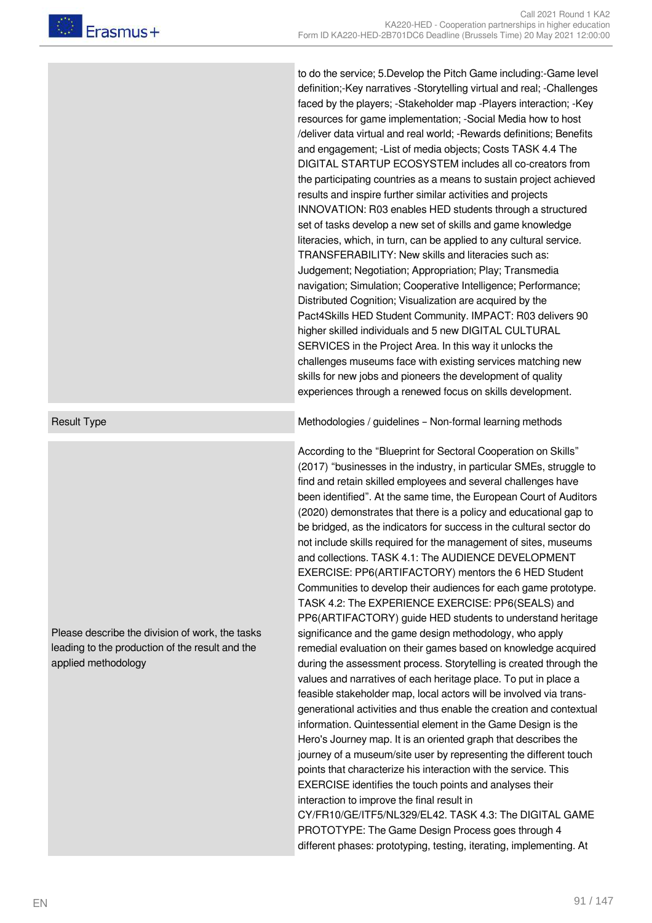to do the service; 5.Develop the Pitch Game including:-Game level definition;-Key narratives -Storytelling virtual and real; -Challenges faced by the players; -Stakeholder map -Players interaction; -Key resources for game implementation; -Social Media how to host /deliver data virtual and real world; -Rewards definitions; Benefits and engagement; -List of media objects; Costs TASK 4.4 The DIGITAL STARTUP ECOSYSTEM includes all co-creators from the participating countries as a means to sustain project achieved results and inspire further similar activities and projects INNOVATION: R03 enables HED students through a structured set of tasks develop a new set of skills and game knowledge literacies, which, in turn, can be applied to any cultural service. TRANSFERABILITY: New skills and literacies such as: Judgement; Negotiation; Appropriation; Play; Transmedia navigation; Simulation; Cooperative Intelligence; Performance; Distributed Cognition; Visualization are acquired by the Pact4Skills HED Student Community. IMPACT: R03 delivers 90 higher skilled individuals and 5 new DIGITAL CULTURAL SERVICES in the Project Area. In this way it unlocks the challenges museums face with existing services matching new skills for new jobs and pioneers the development of quality experiences through a renewed focus on skills development.

Please describe the division of work, the tasks leading to the production of the result and the applied methodology

Result Type **Methodologies / guidelines – Non-formal learning methods** 

According to the "Blueprint for Sectoral Cooperation on Skills" (2017) "businesses in the industry, in particular SMEs, struggle to find and retain skilled employees and several challenges have been identified". At the same time, the European Court of Auditors (2020) demonstrates that there is a policy and educational gap to be bridged, as the indicators for success in the cultural sector do not include skills required for the management of sites, museums and collections. TASK 4.1: The AUDIENCE DEVELOPMENT EXERCISE: PP6(ARTIFACTORY) mentors the 6 HED Student Communities to develop their audiences for each game prototype. TASK 4.2: The EXPERIENCE EXERCISE: PP6(SEALS) and PP6(ARTIFACTORY) guide HED students to understand heritage significance and the game design methodology, who apply remedial evaluation on their games based on knowledge acquired during the assessment process. Storytelling is created through the values and narratives of each heritage place. To put in place a feasible stakeholder map, local actors will be involved via transgenerational activities and thus enable the creation and contextual information. Quintessential element in the Game Design is the Hero's Journey map. It is an oriented graph that describes the journey of a museum/site user by representing the different touch points that characterize his interaction with the service. This EXERCISE identifies the touch points and analyses their interaction to improve the final result in CY/FR10/GE/ITF5/NL329/EL42. TASK 4.3: The DIGITAL GAME PROTOTYPE: The Game Design Process goes through 4 different phases: prototyping, testing, iterating, implementing. At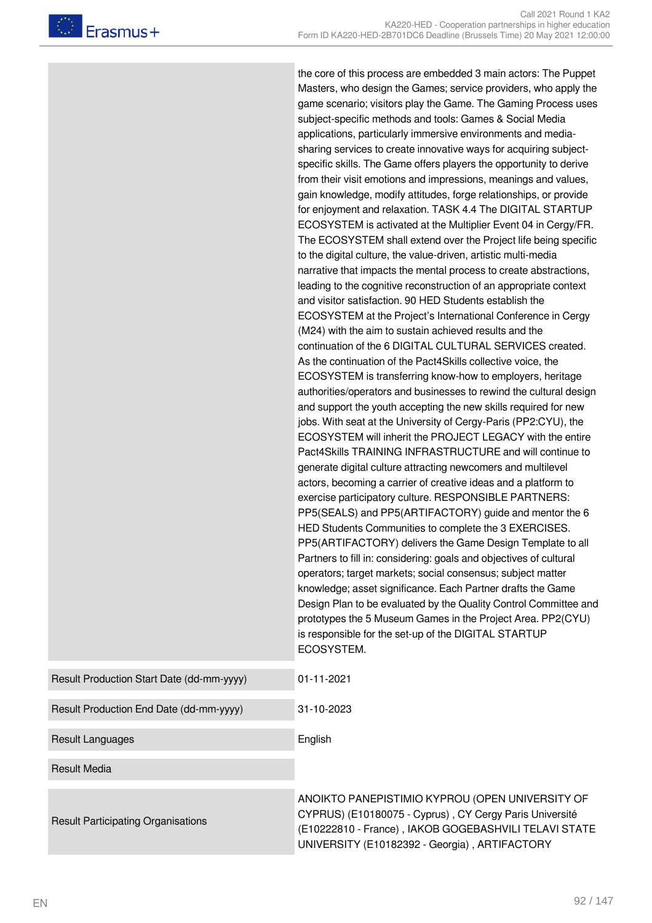the core of this process are embedded 3 main actors: The Puppet Masters, who design the Games; service providers, who apply the game scenario; visitors play the Game. The Gaming Process uses subject-specific methods and tools: Games & Social Media applications, particularly immersive environments and mediasharing services to create innovative ways for acquiring subjectspecific skills. The Game offers players the opportunity to derive from their visit emotions and impressions, meanings and values, gain knowledge, modify attitudes, forge relationships, or provide for enjoyment and relaxation. TASK 4.4 The DIGITAL STARTUP ECOSYSTEM is activated at the Multiplier Event 04 in Cergy/FR. The ECOSYSTEM shall extend over the Project life being specific to the digital culture, the value-driven, artistic multi-media narrative that impacts the mental process to create abstractions, leading to the cognitive reconstruction of an appropriate context and visitor satisfaction. 90 HED Students establish the ECOSYSTEM at the Project's International Conference in Cergy (M24) with the aim to sustain achieved results and the continuation of the 6 DIGITAL CULTURAL SERVICES created. As the continuation of the Pact4Skills collective voice, the ECOSYSTEM is transferring know-how to employers, heritage authorities/operators and businesses to rewind the cultural design and support the youth accepting the new skills required for new jobs. With seat at the University of Cergy-Paris (PP2:CYU), the ECOSYSTEM will inherit the PROJECT LEGACY with the entire Pact4Skills TRAINING INFRASTRUCTURE and will continue to generate digital culture attracting newcomers and multilevel actors, becoming a carrier of creative ideas and a platform to exercise participatory culture. RESPONSIBLE PARTNERS: PP5(SEALS) and PP5(ARTIFACTORY) guide and mentor the 6 HED Students Communities to complete the 3 EXERCISES. PP5(ARTIFACTORY) delivers the Game Design Template to all Partners to fill in: considering: goals and objectives of cultural operators; target markets; social consensus; subject matter knowledge; asset significance. Each Partner drafts the Game Design Plan to be evaluated by the Quality Control Committee and prototypes the 5 Museum Games in the Project Area. PP2(CYU) is responsible for the set-up of the DIGITAL STARTUP ECOSYSTEM.

| Result Production Start Date (dd-mm-yyyy) | $01 - 11 - 2021$                                                                                                                                                                                                    |
|-------------------------------------------|---------------------------------------------------------------------------------------------------------------------------------------------------------------------------------------------------------------------|
| Result Production End Date (dd-mm-yyyy)   | 31-10-2023                                                                                                                                                                                                          |
| Result Languages                          | English                                                                                                                                                                                                             |
| <b>Result Media</b>                       |                                                                                                                                                                                                                     |
| <b>Result Participating Organisations</b> | ANOIKTO PANEPISTIMIO KYPROU (OPEN UNIVERSITY OF<br>CYPRUS) (E10180075 - Cyprus), CY Cergy Paris Université<br>(E10222810 - France), IAKOB GOGEBASHVILI TELAVI STAT<br>UNIVERSITY (E10182392 - Georgia), ARTIFACTORY |

**TELAVI STATE**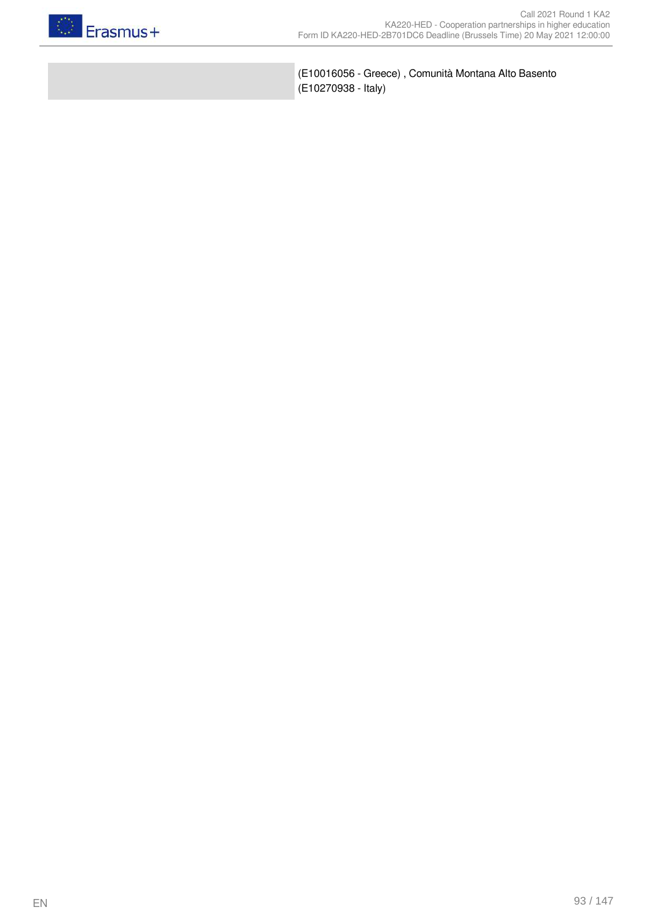

(E10016056 - Greece) , Comunità Montana Alto Basento (E10270938 - Italy)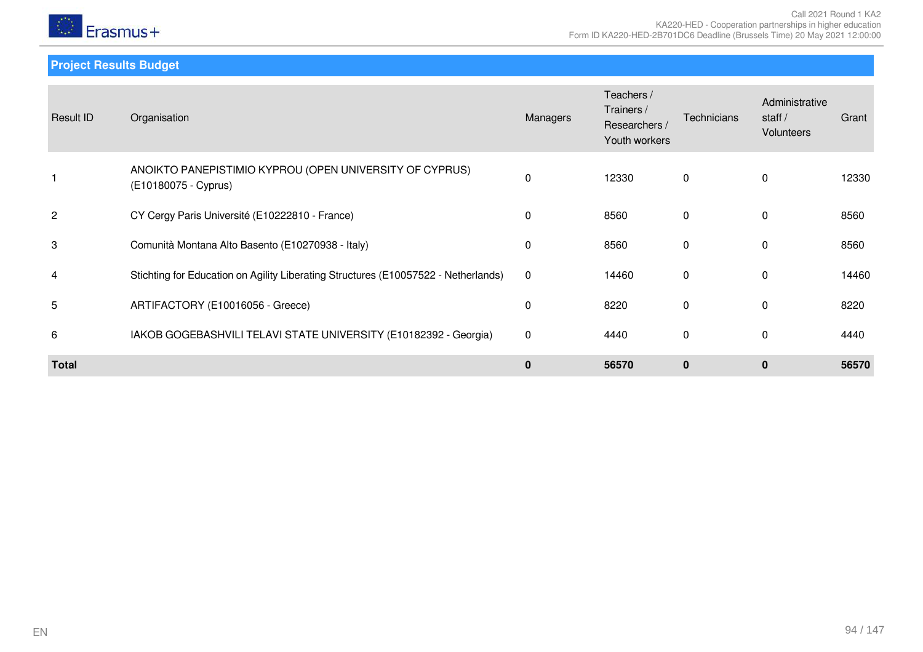

**Project Results Budget**

| Result ID      | Organisation                                                                       | Managers     | Teachers /<br>Trainers /<br>Researchers /<br>Youth workers | Technicians  | Administrative<br>staff $/$<br><b>Volunteers</b> | Grant |
|----------------|------------------------------------------------------------------------------------|--------------|------------------------------------------------------------|--------------|--------------------------------------------------|-------|
|                | ANOIKTO PANEPISTIMIO KYPROU (OPEN UNIVERSITY OF CYPRUS)<br>(E10180075 - Cyprus)    | 0            | 12330                                                      | 0            | $\Omega$                                         | 12330 |
| $\overline{c}$ | CY Cergy Paris Université (E10222810 - France)                                     | $\mathbf{0}$ | 8560                                                       | $\mathbf{0}$ | $\Omega$                                         | 8560  |
| 3              | Comunità Montana Alto Basento (E10270938 - Italy)                                  | 0            | 8560                                                       | 0            | $\Omega$                                         | 8560  |
| 4              | Stichting for Education on Agility Liberating Structures (E10057522 - Netherlands) | $\mathbf 0$  | 14460                                                      | 0            | $\Omega$                                         | 14460 |
| 5              | ARTIFACTORY (E10016056 - Greece)                                                   | 0            | 8220                                                       | 0            | $\mathbf{0}$                                     | 8220  |
| 6              | IAKOB GOGEBASHVILI TELAVI STATE UNIVERSITY (E10182392 - Georgia)                   | $\mathbf 0$  | 4440                                                       | 0            | $\Omega$                                         | 4440  |
| <b>Total</b>   |                                                                                    | $\mathbf 0$  | 56570                                                      | $\mathbf{0}$ | $\mathbf{0}$                                     | 56570 |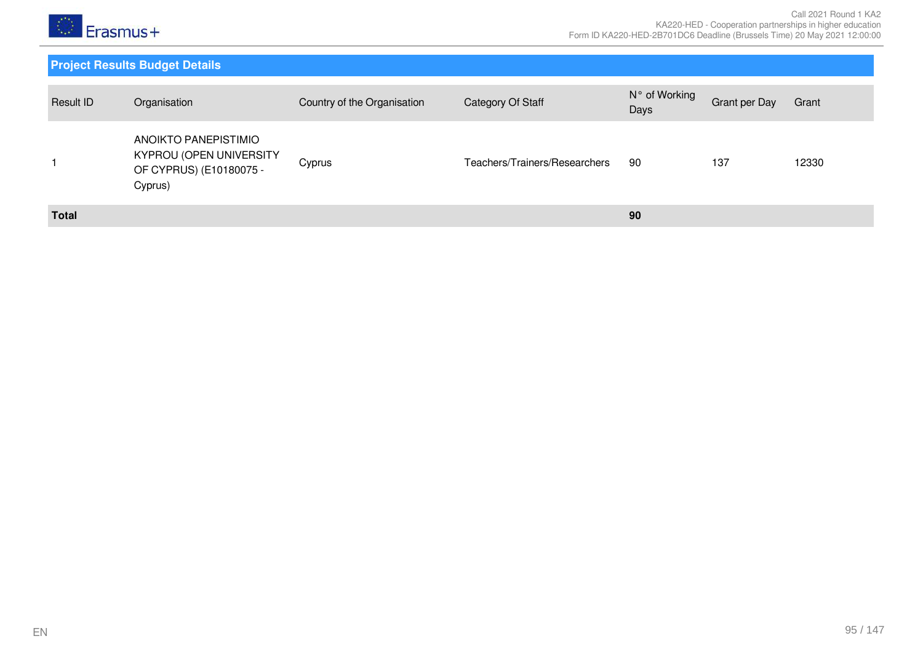

| Result ID    | Organisation                                                                          | Country of the Organisation | Category Of Staff             | N° of Working<br>Days | Grant per Day | Grant |
|--------------|---------------------------------------------------------------------------------------|-----------------------------|-------------------------------|-----------------------|---------------|-------|
|              | ANOIKTO PANEPISTIMIO<br>KYPROU (OPEN UNIVERSITY<br>OF CYPRUS) (E10180075 -<br>Cyprus) | Cyprus                      | Teachers/Trainers/Researchers | 90                    | 137           | 12330 |
| <b>Total</b> |                                                                                       |                             |                               | 90                    |               |       |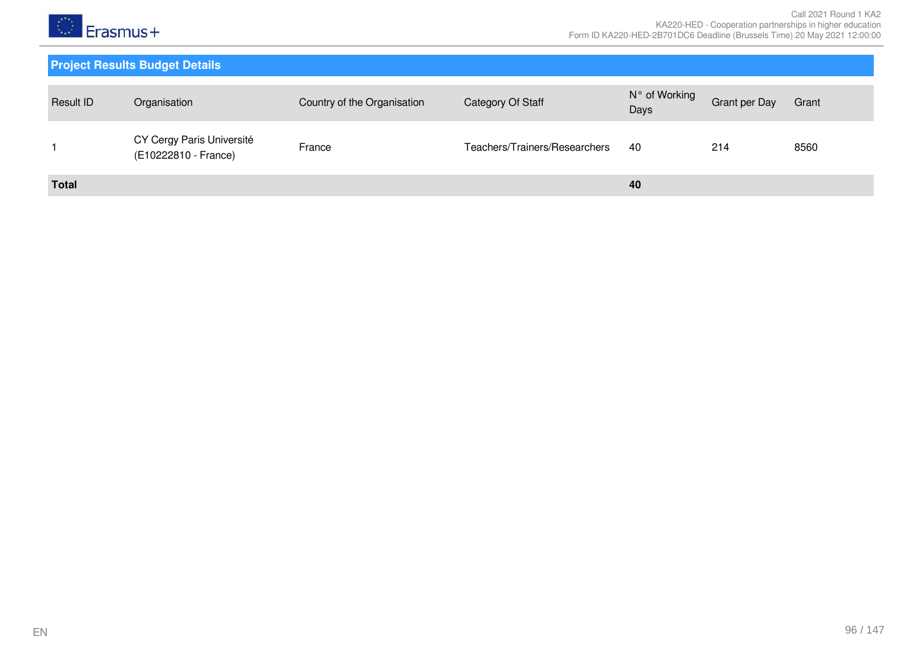

| Result ID    | Organisation                                      | Country of the Organisation | Category Of Staff             | N° of Working<br>Days | Grant per Day | Grant |
|--------------|---------------------------------------------------|-----------------------------|-------------------------------|-----------------------|---------------|-------|
|              | CY Cergy Paris Université<br>(E10222810 - France) | France                      | Teachers/Trainers/Researchers | -40                   | 214           | 8560  |
| <b>Total</b> |                                                   |                             |                               | 40                    |               |       |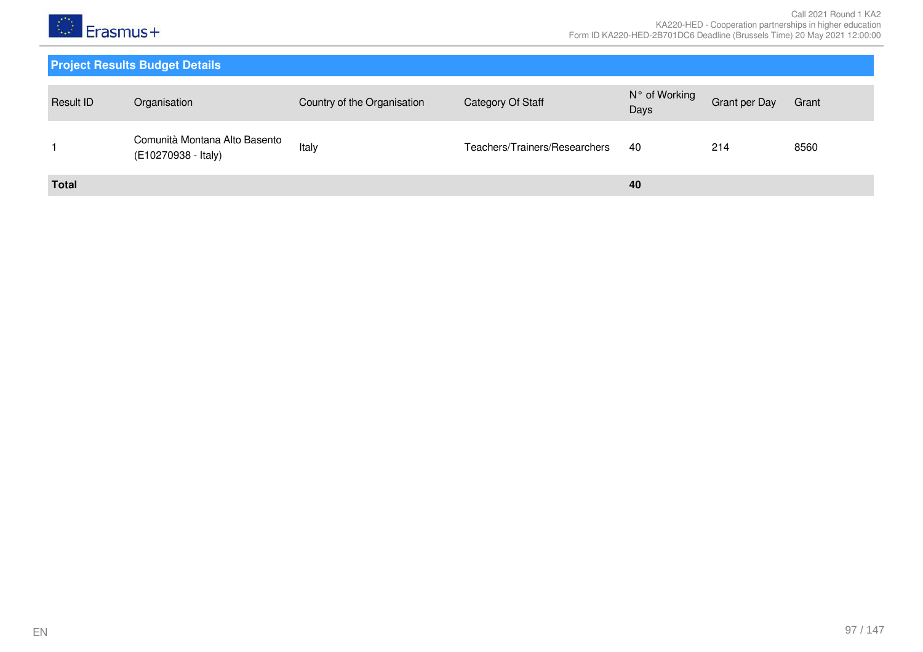

| <b>Result ID</b> | Organisation                                         | Country of the Organisation | Category Of Staff             | N° of Working<br>Days | <b>Grant per Day</b> | Grant |
|------------------|------------------------------------------------------|-----------------------------|-------------------------------|-----------------------|----------------------|-------|
|                  | Comunità Montana Alto Basento<br>(E10270938 - Italy) | Italy                       | Teachers/Trainers/Researchers | -40                   | 214                  | 8560  |
| <b>Total</b>     |                                                      |                             |                               | 40                    |                      |       |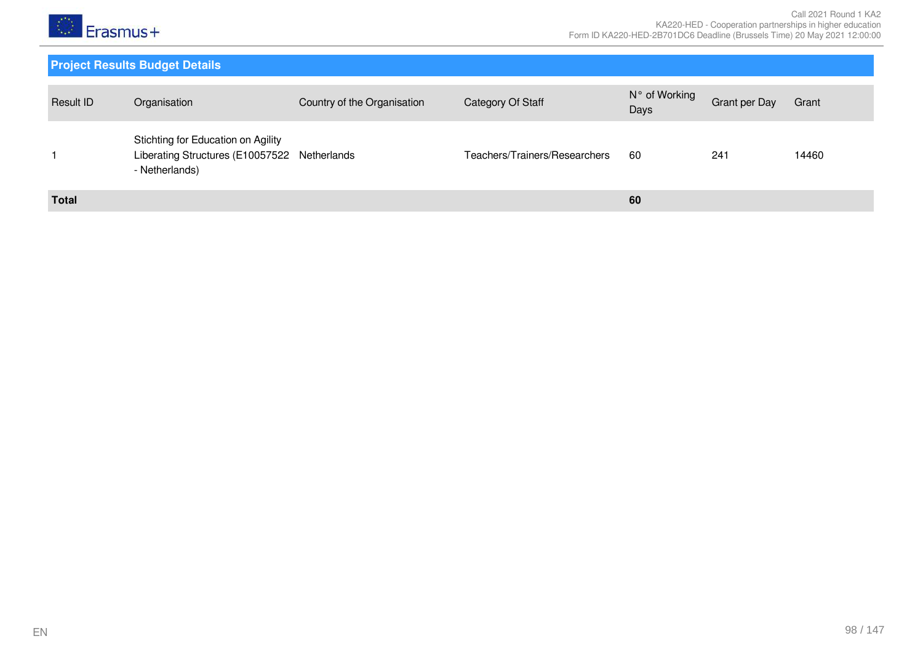

| Result ID    | Organisation                                                                                         | Country of the Organisation | Category Of Staff             | N° of Working<br>Days | Grant per Day | Grant |
|--------------|------------------------------------------------------------------------------------------------------|-----------------------------|-------------------------------|-----------------------|---------------|-------|
|              | Stichting for Education on Agility<br>Liberating Structures (E10057522 Netherlands<br>- Netherlands) |                             | Teachers/Trainers/Researchers | 60                    | 241           | 14460 |
| <b>Total</b> |                                                                                                      |                             |                               | 60                    |               |       |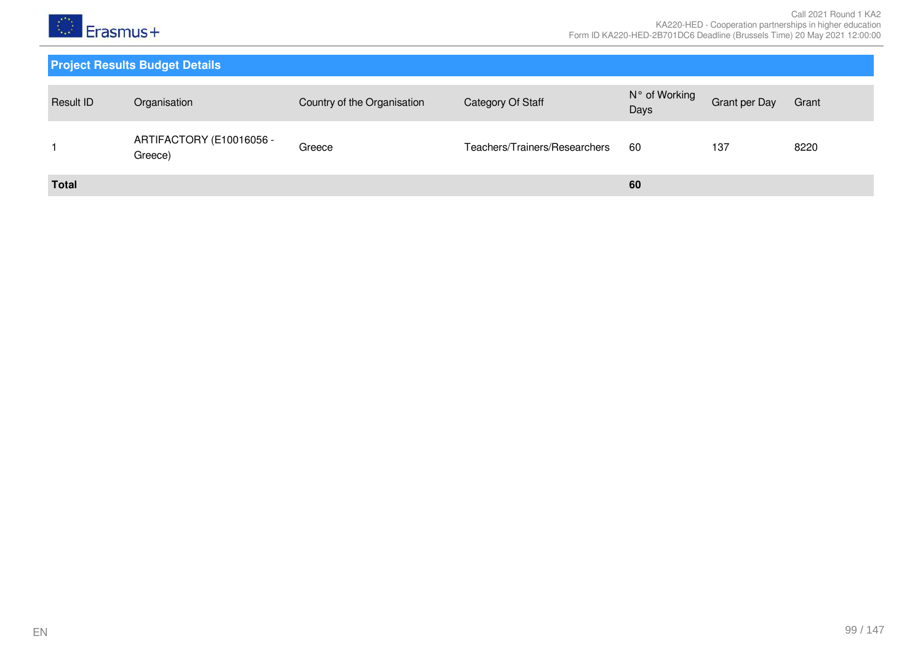

| <b>Result ID</b> | Organisation                        | Country of the Organisation | Category Of Staff             | N° of Working<br>Days | Grant per Day | Grant |
|------------------|-------------------------------------|-----------------------------|-------------------------------|-----------------------|---------------|-------|
|                  | ARTIFACTORY (E10016056 -<br>Greece) | Greece                      | Teachers/Trainers/Researchers | 60                    | 137           | 8220  |
| <b>Total</b>     |                                     |                             |                               | 60                    |               |       |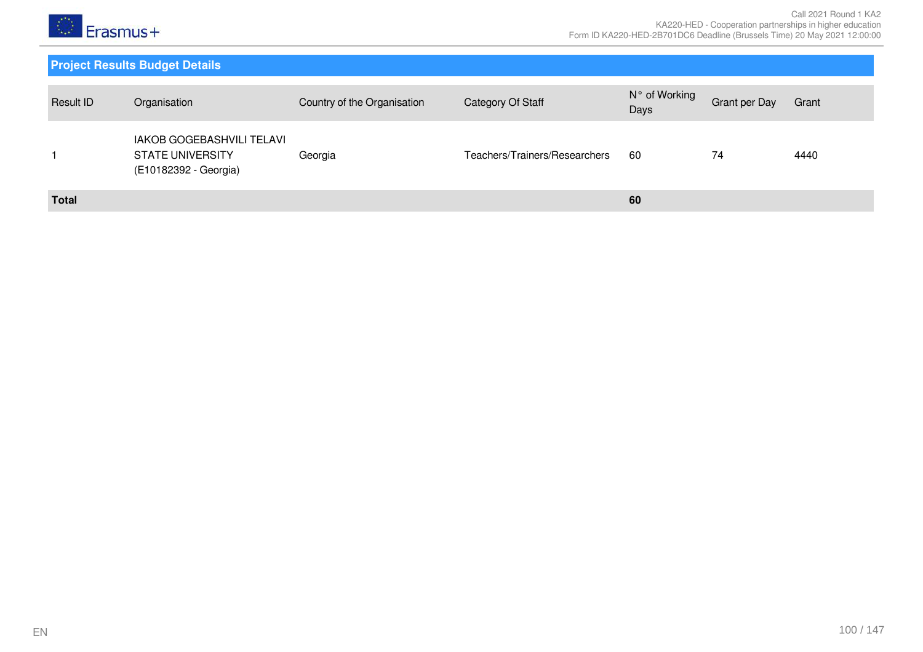

| Result ID    | Organisation                                                                         | Country of the Organisation | Category Of Staff             | N° of Working<br>Days | <b>Grant per Day</b> | Grant |
|--------------|--------------------------------------------------------------------------------------|-----------------------------|-------------------------------|-----------------------|----------------------|-------|
|              | <b>IAKOB GOGEBASHVILI TELAVI</b><br><b>STATE UNIVERSITY</b><br>(E10182392 - Georgia) | Georgia                     | Teachers/Trainers/Researchers | 60                    | 74                   | 4440  |
| <b>Total</b> |                                                                                      |                             |                               | 60                    |                      |       |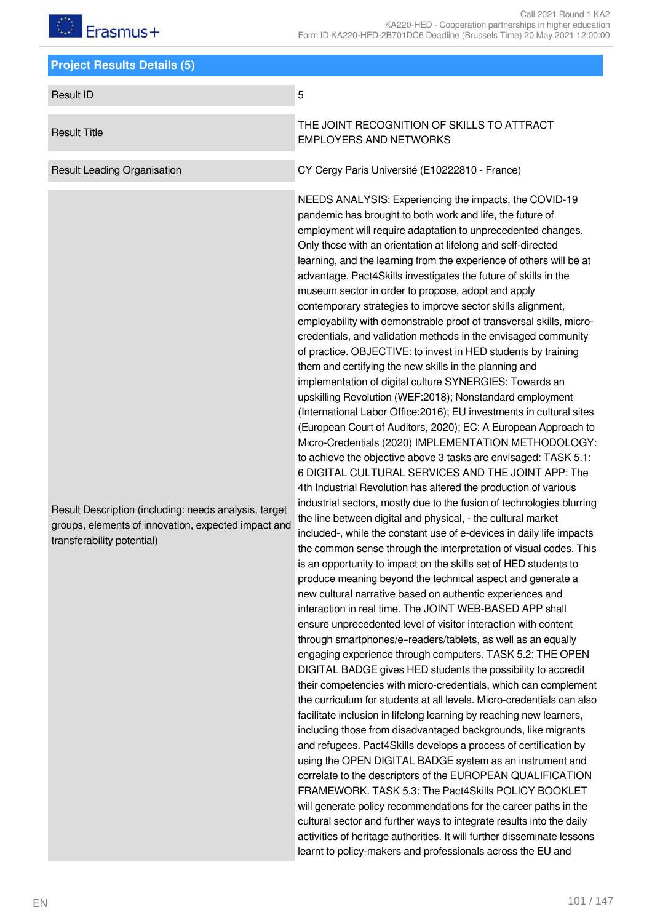# $F$ rasmus+

| <b>Project Results Details (5)</b>                                                                                                         |                                                                                                                                                                                                                                                                                                                                                                                                                                                                                                                                                                                                                                                                                                                                                                                                                                                                                                                                                                                                                                                                                                                                                                                                                                                                                                                                                                                                                                                                                                                                                                                                                                                                                                                                                                                                                                                                                                                                                                                                                                                                                                                                                                                                                                                                                                                                                                                                                                                                                                                                                                                                                                                                                                                                                                                                                                                                                                                                                           |  |  |  |  |  |
|--------------------------------------------------------------------------------------------------------------------------------------------|-----------------------------------------------------------------------------------------------------------------------------------------------------------------------------------------------------------------------------------------------------------------------------------------------------------------------------------------------------------------------------------------------------------------------------------------------------------------------------------------------------------------------------------------------------------------------------------------------------------------------------------------------------------------------------------------------------------------------------------------------------------------------------------------------------------------------------------------------------------------------------------------------------------------------------------------------------------------------------------------------------------------------------------------------------------------------------------------------------------------------------------------------------------------------------------------------------------------------------------------------------------------------------------------------------------------------------------------------------------------------------------------------------------------------------------------------------------------------------------------------------------------------------------------------------------------------------------------------------------------------------------------------------------------------------------------------------------------------------------------------------------------------------------------------------------------------------------------------------------------------------------------------------------------------------------------------------------------------------------------------------------------------------------------------------------------------------------------------------------------------------------------------------------------------------------------------------------------------------------------------------------------------------------------------------------------------------------------------------------------------------------------------------------------------------------------------------------------------------------------------------------------------------------------------------------------------------------------------------------------------------------------------------------------------------------------------------------------------------------------------------------------------------------------------------------------------------------------------------------------------------------------------------------------------------------------------------------|--|--|--|--|--|
| <b>Result ID</b>                                                                                                                           | 5                                                                                                                                                                                                                                                                                                                                                                                                                                                                                                                                                                                                                                                                                                                                                                                                                                                                                                                                                                                                                                                                                                                                                                                                                                                                                                                                                                                                                                                                                                                                                                                                                                                                                                                                                                                                                                                                                                                                                                                                                                                                                                                                                                                                                                                                                                                                                                                                                                                                                                                                                                                                                                                                                                                                                                                                                                                                                                                                                         |  |  |  |  |  |
| <b>Result Title</b>                                                                                                                        | THE JOINT RECOGNITION OF SKILLS TO ATTRACT<br><b>EMPLOYERS AND NETWORKS</b>                                                                                                                                                                                                                                                                                                                                                                                                                                                                                                                                                                                                                                                                                                                                                                                                                                                                                                                                                                                                                                                                                                                                                                                                                                                                                                                                                                                                                                                                                                                                                                                                                                                                                                                                                                                                                                                                                                                                                                                                                                                                                                                                                                                                                                                                                                                                                                                                                                                                                                                                                                                                                                                                                                                                                                                                                                                                               |  |  |  |  |  |
| <b>Result Leading Organisation</b>                                                                                                         | CY Cergy Paris Université (E10222810 - France)                                                                                                                                                                                                                                                                                                                                                                                                                                                                                                                                                                                                                                                                                                                                                                                                                                                                                                                                                                                                                                                                                                                                                                                                                                                                                                                                                                                                                                                                                                                                                                                                                                                                                                                                                                                                                                                                                                                                                                                                                                                                                                                                                                                                                                                                                                                                                                                                                                                                                                                                                                                                                                                                                                                                                                                                                                                                                                            |  |  |  |  |  |
| Result Description (including: needs analysis, target<br>groups, elements of innovation, expected impact and<br>transferability potential) | NEEDS ANALYSIS: Experiencing the impacts, the COVID-19<br>pandemic has brought to both work and life, the future of<br>employment will require adaptation to unprecedented changes.<br>Only those with an orientation at lifelong and self-directed<br>learning, and the learning from the experience of others will be at<br>advantage. Pact4Skills investigates the future of skills in the<br>museum sector in order to propose, adopt and apply<br>contemporary strategies to improve sector skills alignment,<br>employability with demonstrable proof of transversal skills, micro-<br>credentials, and validation methods in the envisaged community<br>of practice. OBJECTIVE: to invest in HED students by training<br>them and certifying the new skills in the planning and<br>implementation of digital culture SYNERGIES: Towards an<br>upskilling Revolution (WEF:2018); Nonstandard employment<br>(International Labor Office: 2016); EU investments in cultural sites<br>(European Court of Auditors, 2020); EC: A European Approach to<br>Micro-Credentials (2020) IMPLEMENTATION METHODOLOGY:<br>to achieve the objective above 3 tasks are envisaged: TASK 5.1:<br>6 DIGITAL CULTURAL SERVICES AND THE JOINT APP: The<br>4th Industrial Revolution has altered the production of various<br>industrial sectors, mostly due to the fusion of technologies blurring<br>the line between digital and physical, - the cultural market<br>included-, while the constant use of e-devices in daily life impacts<br>the common sense through the interpretation of visual codes. This<br>is an opportunity to impact on the skills set of HED students to<br>produce meaning beyond the technical aspect and generate a<br>new cultural narrative based on authentic experiences and<br>interaction in real time. The JOINT WEB-BASED APP shall<br>ensure unprecedented level of visitor interaction with content<br>through smartphones/e-readers/tablets, as well as an equally<br>engaging experience through computers. TASK 5.2: THE OPEN<br>DIGITAL BADGE gives HED students the possibility to accredit<br>their competencies with micro-credentials, which can complement<br>the curriculum for students at all levels. Micro-credentials can also<br>facilitate inclusion in lifelong learning by reaching new learners,<br>including those from disadvantaged backgrounds, like migrants<br>and refugees. Pact4Skills develops a process of certification by<br>using the OPEN DIGITAL BADGE system as an instrument and<br>correlate to the descriptors of the EUROPEAN QUALIFICATION<br>FRAMEWORK. TASK 5.3: The Pact4Skills POLICY BOOKLET<br>will generate policy recommendations for the career paths in the<br>cultural sector and further ways to integrate results into the daily<br>activities of heritage authorities. It will further disseminate lessons<br>learnt to policy-makers and professionals across the EU and |  |  |  |  |  |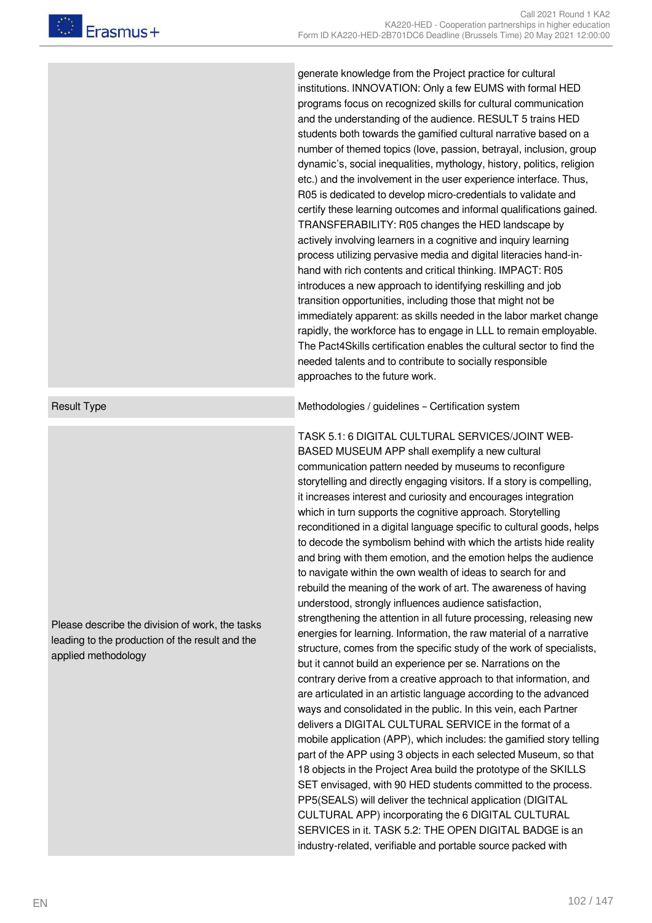generate knowledge from the Project practice for cultural institutions. INNOVATION: Only a few EUMS with formal HED programs focus on recognized skills for cultural communication and the understanding of the audience. RESULT 5 trains HED students both towards the gamified cultural narrative based on a number of themed topics (love, passion, betrayal, inclusion, group dynamic's, social inequalities, mythology, history, politics, religion etc.) and the involvement in the user experience interface. Thus, R05 is dedicated to develop micro-credentials to validate and certify these learning outcomes and informal qualifications gained. TRANSFERABILITY: R05 changes the HED landscape by actively involving learners in a cognitive and inquiry learning process utilizing pervasive media and digital literacies hand-inhand with rich contents and critical thinking. IMPACT: R05 introduces a new approach to identifying reskilling and job transition opportunities, including those that might not be immediately apparent: as skills needed in the labor market change rapidly, the workforce has to engage in LLL to remain employable. The Pact4Skills certification enables the cultural sector to find the needed talents and to contribute to socially responsible approaches to the future work.

Result Type **Methodologies / guidelines – Certification system** Methodologies / guidelines – Certification system

TASK 5.1: 6 DIGITAL CULTURAL SERVICES/JOINT WEB-BASED MUSEUM APP shall exemplify a new cultural communication pattern needed by museums to reconfigure storytelling and directly engaging visitors. If a story is compelling, it increases interest and curiosity and encourages integration which in turn supports the cognitive approach. Storytelling reconditioned in a digital language specific to cultural goods, helps to decode the symbolism behind with which the artists hide reality and bring with them emotion, and the emotion helps the audience to navigate within the own wealth of ideas to search for and rebuild the meaning of the work of art. The awareness of having understood, strongly influences audience satisfaction, strengthening the attention in all future processing, releasing new energies for learning. Information, the raw material of a narrative structure, comes from the specific study of the work of specialists, but it cannot build an experience per se. Narrations on the contrary derive from a creative approach to that information, and are articulated in an artistic language according to the advanced ways and consolidated in the public. In this vein, each Partner delivers a DIGITAL CULTURAL SERVICE in the format of a mobile application (APP), which includes: the gamified story telling part of the APP using 3 objects in each selected Museum, so that 18 objects in the Project Area build the prototype of the SKILLS SET envisaged, with 90 HED students committed to the process. PP5(SEALS) will deliver the technical application (DIGITAL CULTURAL APP) incorporating the 6 DIGITAL CULTURAL SERVICES in it. TASK 5.2: THE OPEN DIGITAL BADGE is an industry-related, verifiable and portable source packed with

Please describe the division of work, the tasks leading to the production of the result and the applied methodology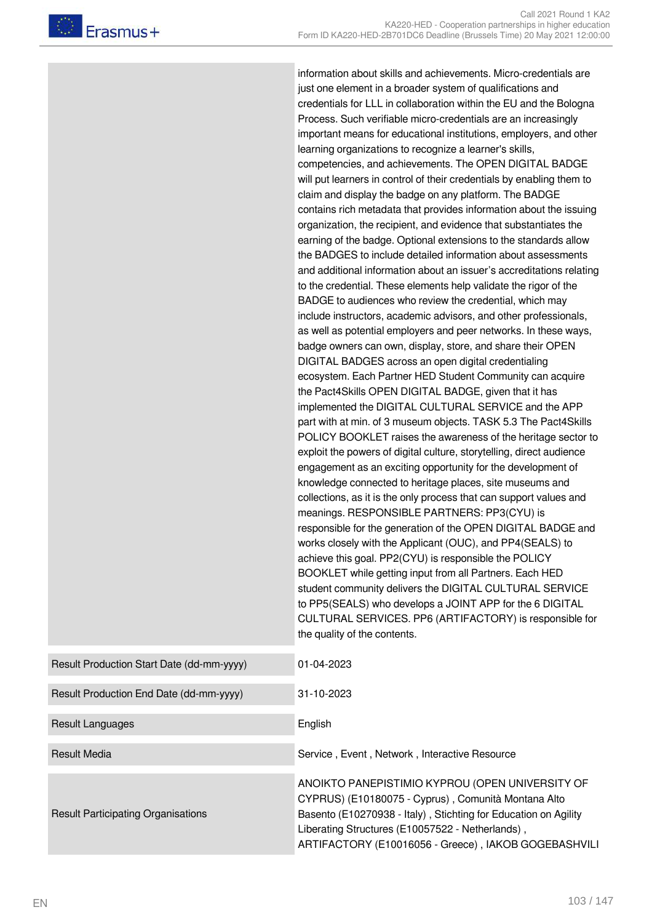information about skills and achievements. Micro-credentials are just one element in a broader system of qualifications and credentials for LLL in collaboration within the EU and the Bologna Process. Such verifiable micro-credentials are an increasingly important means for educational institutions, employers, and other learning organizations to recognize a learner's skills, competencies, and achievements. The OPEN DIGITAL BADGE will put learners in control of their credentials by enabling them to claim and display the badge on any platform. The BADGE contains rich metadata that provides information about the issuing organization, the recipient, and evidence that substantiates the earning of the badge. Optional extensions to the standards allow the BADGES to include detailed information about assessments and additional information about an issuer's accreditations relating to the credential. These elements help validate the rigor of the BADGE to audiences who review the credential, which may include instructors, academic advisors, and other professionals, as well as potential employers and peer networks. In these ways, badge owners can own, display, store, and share their OPEN DIGITAL BADGES across an open digital credentialing ecosystem. Each Partner HED Student Community can acquire the Pact4Skills OPEN DIGITAL BADGE, given that it has implemented the DIGITAL CULTURAL SERVICE and the APP part with at min. of 3 museum objects. TASK 5.3 The Pact4Skills POLICY BOOKLET raises the awareness of the heritage sector to exploit the powers of digital culture, storytelling, direct audience engagement as an exciting opportunity for the development of knowledge connected to heritage places, site museums and collections, as it is the only process that can support values and meanings. RESPONSIBLE PARTNERS: PP3(CYU) is responsible for the generation of the OPEN DIGITAL BADGE and works closely with the Applicant (OUC), and PP4(SEALS) to achieve this goal. PP2(CYU) is responsible the POLICY BOOKLET while getting input from all Partners. Each HED student community delivers the DIGITAL CULTURAL SERVICE to PP5(SEALS) who develops a JOINT APP for the 6 DIGITAL CULTURAL SERVICES. PP6 (ARTIFACTORY) is responsible for the quality of the contents.

| Result Production Start Date (dd-mm-yyyy) | 01-04-2023                                                                                                                                                                                                                                                                            |
|-------------------------------------------|---------------------------------------------------------------------------------------------------------------------------------------------------------------------------------------------------------------------------------------------------------------------------------------|
| Result Production End Date (dd-mm-yyyy)   | 31-10-2023                                                                                                                                                                                                                                                                            |
| Result Languages                          | English                                                                                                                                                                                                                                                                               |
| <b>Result Media</b>                       | Service, Event, Network, Interactive Resource                                                                                                                                                                                                                                         |
| <b>Result Participating Organisations</b> | ANOIKTO PANEPISTIMIO KYPROU (OPEN UNIVERSITY OF<br>CYPRUS) (E10180075 - Cyprus), Comunità Montana Alto<br>Basento (E10270938 - Italy), Stichting for Education on Agility<br>Liberating Structures (E10057522 - Netherlands),<br>ARTIFACTORY (E10016056 - Greece), IAKOB GOGEBASHVILI |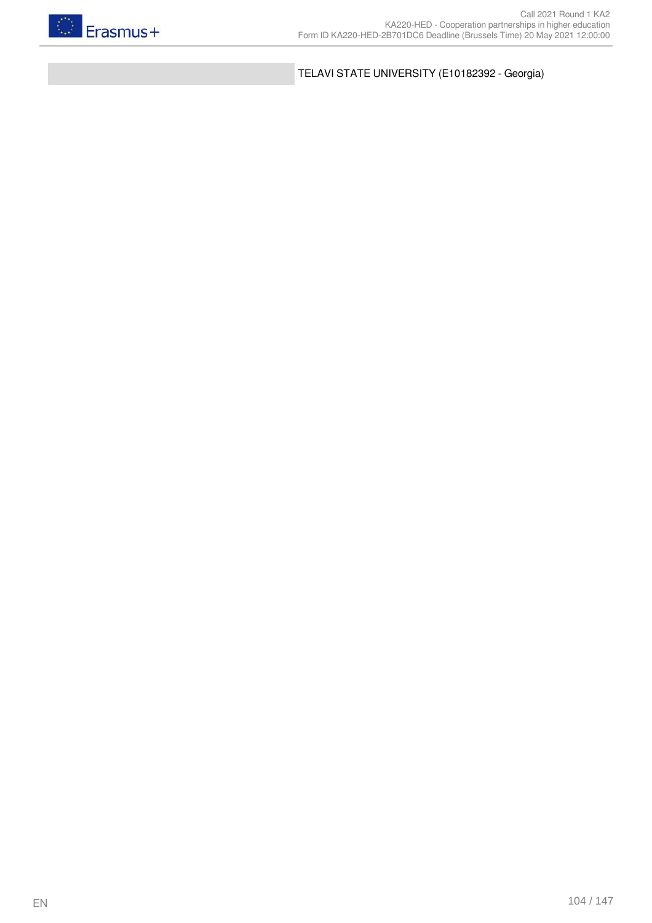

TELAVI STATE UNIVERSITY (E10182392 - Georgia)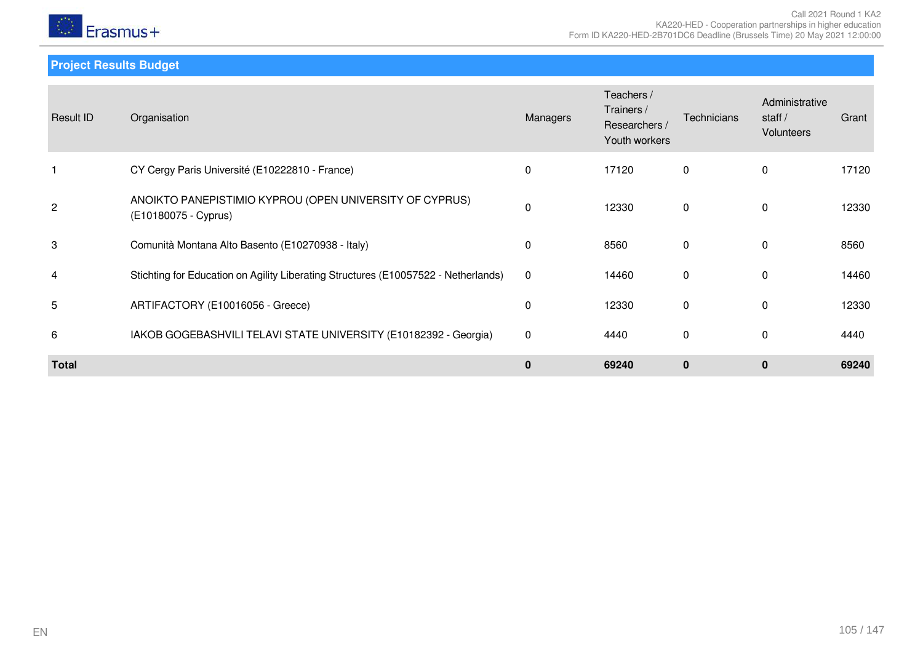

**Project Results Budget**

| Result ID      | Organisation                                                                       | Managers | Teachers /<br>Trainers /<br>Researchers /<br>Youth workers | Technicians  | Administrative<br>staff $/$<br>Volunteers | Grant |
|----------------|------------------------------------------------------------------------------------|----------|------------------------------------------------------------|--------------|-------------------------------------------|-------|
|                | CY Cergy Paris Université (E10222810 - France)                                     | 0        | 17120                                                      | 0            | 0                                         | 17120 |
| $\overline{c}$ | ANOIKTO PANEPISTIMIO KYPROU (OPEN UNIVERSITY OF CYPRUS)<br>(E10180075 - Cyprus)    | 0        | 12330                                                      | 0            | $\Omega$                                  | 12330 |
| 3              | Comunità Montana Alto Basento (E10270938 - Italy)                                  | 0        | 8560                                                       | 0            | $\Omega$                                  | 8560  |
| 4              | Stichting for Education on Agility Liberating Structures (E10057522 - Netherlands) | 0        | 14460                                                      | $\mathbf 0$  | $\Omega$                                  | 14460 |
| 5              | ARTIFACTORY (E10016056 - Greece)                                                   | 0        | 12330                                                      | 0            | $\mathbf{0}$                              | 12330 |
| 6              | IAKOB GOGEBASHVILI TELAVI STATE UNIVERSITY (E10182392 - Georgia)                   | 0        | 4440                                                       | 0            | $\mathbf{0}$                              | 4440  |
| <b>Total</b>   |                                                                                    | 0        | 69240                                                      | $\mathbf{0}$ | $\mathbf{0}$                              | 69240 |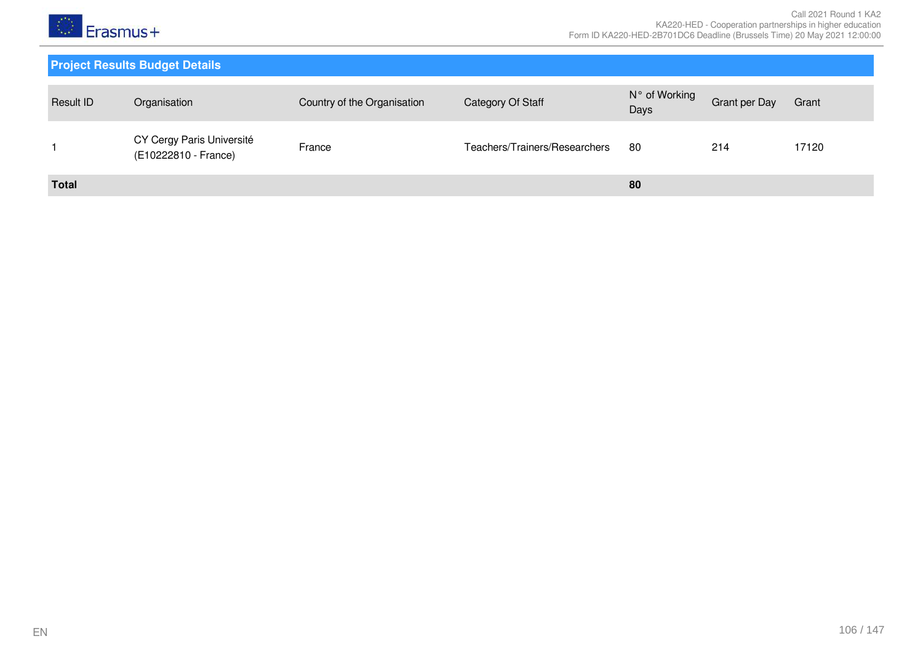

| Result ID    | Organisation                                      | Country of the Organisation | Category Of Staff             | N° of Working<br>Days | Grant per Day | Grant |
|--------------|---------------------------------------------------|-----------------------------|-------------------------------|-----------------------|---------------|-------|
|              | CY Cergy Paris Université<br>(E10222810 - France) | France                      | Teachers/Trainers/Researchers | 80                    | 214           | 17120 |
| <b>Total</b> |                                                   |                             |                               | 80                    |               |       |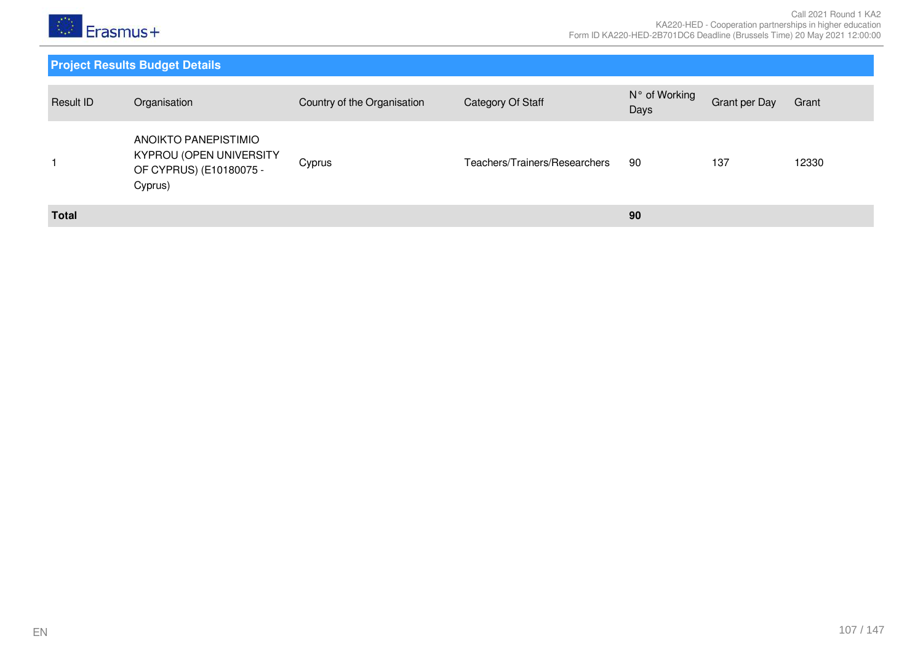

| Result ID    | Organisation                                                                          | Country of the Organisation | Category Of Staff             | N° of Working<br>Days | Grant per Day | Grant |
|--------------|---------------------------------------------------------------------------------------|-----------------------------|-------------------------------|-----------------------|---------------|-------|
|              | ANOIKTO PANEPISTIMIO<br>KYPROU (OPEN UNIVERSITY<br>OF CYPRUS) (E10180075 -<br>Cyprus) | Cyprus                      | Teachers/Trainers/Researchers | 90                    | 137           | 12330 |
| <b>Total</b> |                                                                                       |                             |                               | 90                    |               |       |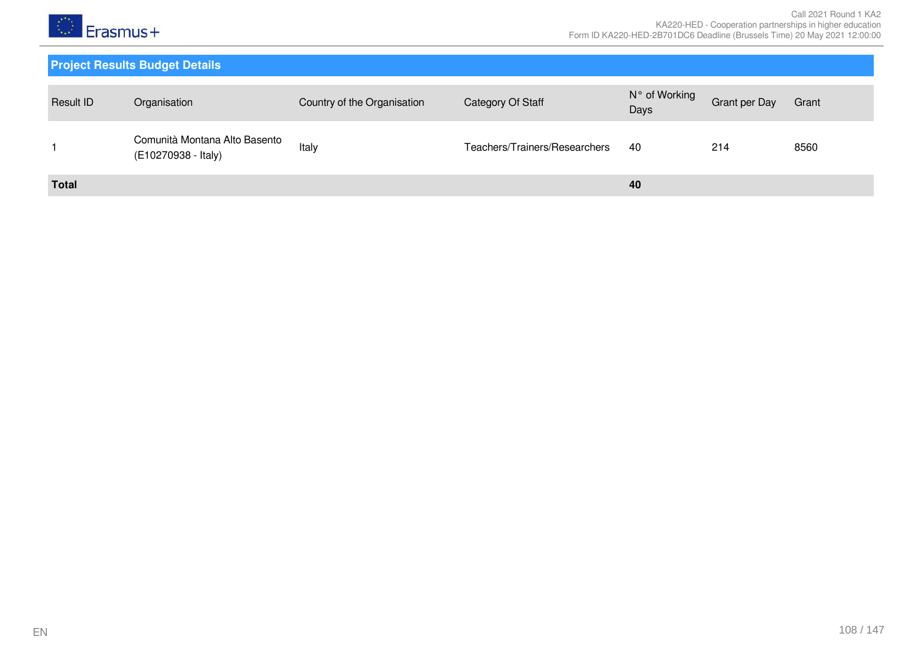

| <b>Result ID</b> | Organisation                                         | Country of the Organisation | Category Of Staff             | N° of Working<br>Days | <b>Grant per Day</b> | Grant |
|------------------|------------------------------------------------------|-----------------------------|-------------------------------|-----------------------|----------------------|-------|
|                  | Comunità Montana Alto Basento<br>(E10270938 - Italy) | Italy                       | Teachers/Trainers/Researchers | -40                   | 214                  | 8560  |
| <b>Total</b>     |                                                      |                             |                               | 40                    |                      |       |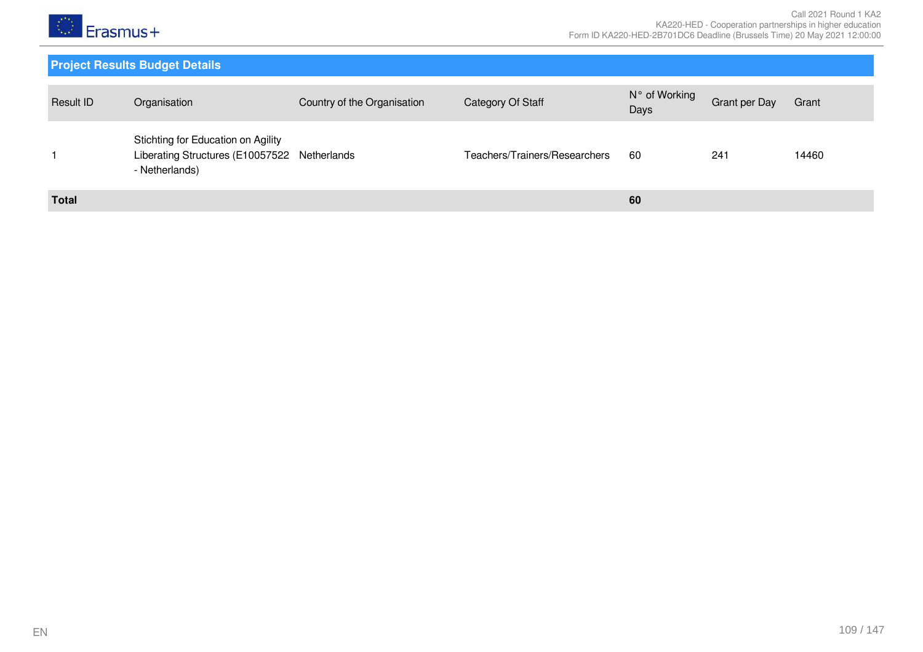

# **Project Results Budget Details**

| Result ID    | Organisation                                                                                         | Country of the Organisation | Category Of Staff             | N° of Working<br>Days | Grant per Day | Grant |
|--------------|------------------------------------------------------------------------------------------------------|-----------------------------|-------------------------------|-----------------------|---------------|-------|
|              | Stichting for Education on Agility<br>Liberating Structures (E10057522 Netherlands<br>- Netherlands) |                             | Teachers/Trainers/Researchers | 60                    | $24 -$        | 14460 |
| <b>Total</b> |                                                                                                      |                             |                               | 60                    |               |       |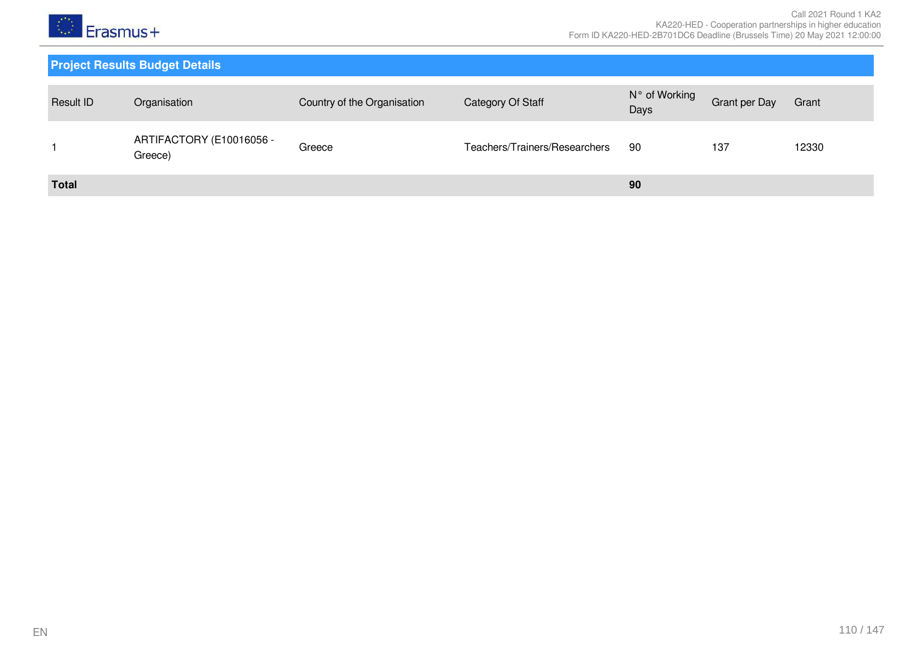

# **Project Results Budget Details**

| Result ID    | Organisation                        | Country of the Organisation | Category Of Staff             | N° of Working<br>Days | Grant per Day | Grant |
|--------------|-------------------------------------|-----------------------------|-------------------------------|-----------------------|---------------|-------|
|              | ARTIFACTORY (E10016056 -<br>Greece) | Greece                      | Teachers/Trainers/Researchers | -90                   | 137           | 12330 |
| <b>Total</b> |                                     |                             |                               | 90                    |               |       |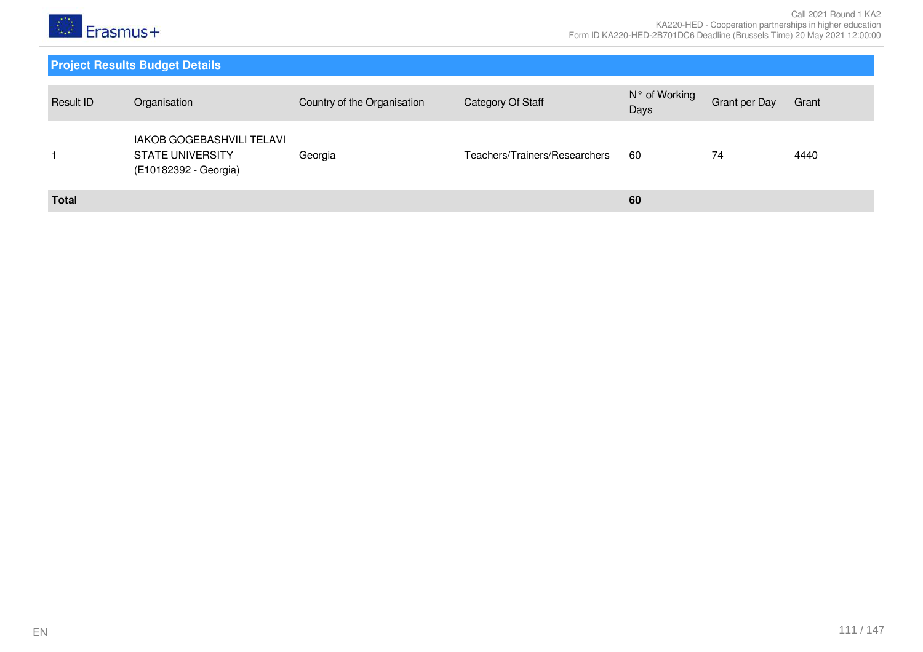

# **Project Results Budget Details**

| Result ID    | Organisation                                                                         | Country of the Organisation | Category Of Staff             | N° of Working<br>Days | <b>Grant per Day</b> | Grant |
|--------------|--------------------------------------------------------------------------------------|-----------------------------|-------------------------------|-----------------------|----------------------|-------|
|              | <b>IAKOB GOGEBASHVILI TELAVI</b><br><b>STATE UNIVERSITY</b><br>(E10182392 - Georgia) | Georgia                     | Teachers/Trainers/Researchers | 60                    | 74                   | 4440  |
| <b>Total</b> |                                                                                      |                             |                               | 60                    |                      |       |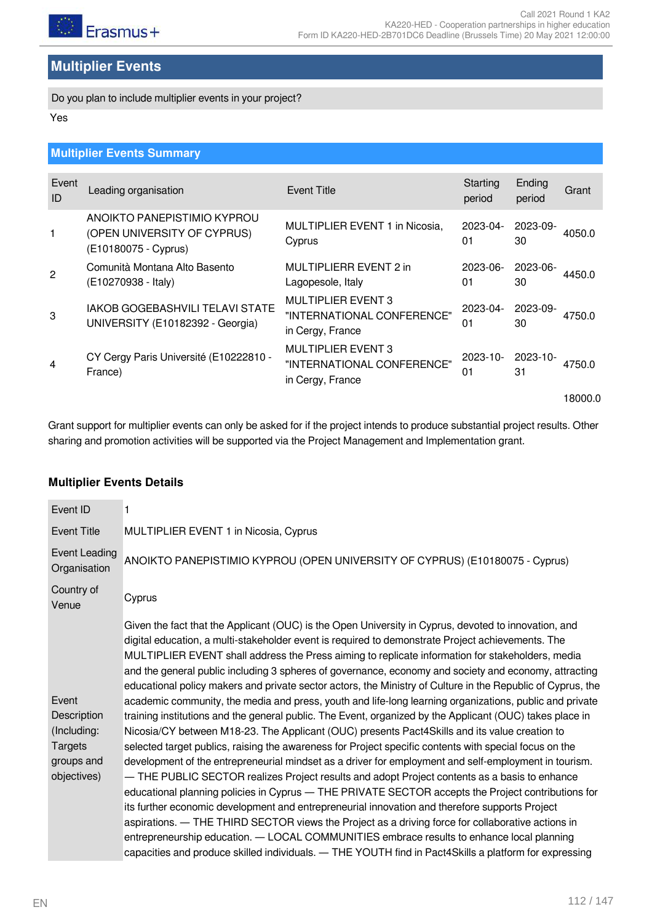# **Multiplier Events**

Do you plan to include multiplier events in your project?

Yes

# **Multiplier Events Summary**

| Event<br>ID    | Leading organisation                                                               | <b>Event Title</b>                                                          | Starting<br>period  | Ending<br>period    | Grant   |
|----------------|------------------------------------------------------------------------------------|-----------------------------------------------------------------------------|---------------------|---------------------|---------|
| 1              | ANOIKTO PANEPISTIMIO KYPROU<br>(OPEN UNIVERSITY OF CYPRUS)<br>(E10180075 - Cyprus) | MULTIPLIER EVENT 1 in Nicosia,<br>Cyprus                                    | $2023 - 04$<br>01   | 2023-09-<br>30      | 4050.0  |
| 2              | Comunità Montana Alto Basento<br>(E10270938 - Italy)                               | MULTIPLIERR EVENT 2 in<br>Lagopesole, Italy                                 | 2023-06-<br>01      | 2023-06-<br>30      | 4450.0  |
| 3              | IAKOB GOGEBASHVILI TELAVI STATE<br>UNIVERSITY (E10182392 - Georgia)                | <b>MULTIPLIER EVENT 3</b><br>"INTERNATIONAL CONFERENCE"<br>in Cergy, France | $2023 - 04 -$<br>01 | 2023-09-<br>30      | 4750.0  |
| $\overline{4}$ | CY Cergy Paris Université (E10222810 -<br>France)                                  | <b>MULTIPLIER EVENT 3</b><br>"INTERNATIONAL CONFERENCE"<br>in Cergy, France | $2023 - 10 -$<br>01 | $2023 - 10 -$<br>31 | 4750.0  |
|                |                                                                                    |                                                                             |                     |                     | 18000.0 |
|                |                                                                                    |                                                                             |                     |                     |         |

Grant support for multiplier events can only be asked for if the project intends to produce substantial project results. Other sharing and promotion activities will be supported via the Project Management and Implementation grant.

#### **Multiplier Events Details**

| Event ID                                                                           | 1                                                                                                                                                                                                                                                                                                                                                                                                                                                                                                                                                                                                                                                                                                                                                                                                                                                                                                                                                                                                                                                                                                                                                                                                                                                                                                                                                                                                                                                                                                                                                                                                                                                                                                    |
|------------------------------------------------------------------------------------|------------------------------------------------------------------------------------------------------------------------------------------------------------------------------------------------------------------------------------------------------------------------------------------------------------------------------------------------------------------------------------------------------------------------------------------------------------------------------------------------------------------------------------------------------------------------------------------------------------------------------------------------------------------------------------------------------------------------------------------------------------------------------------------------------------------------------------------------------------------------------------------------------------------------------------------------------------------------------------------------------------------------------------------------------------------------------------------------------------------------------------------------------------------------------------------------------------------------------------------------------------------------------------------------------------------------------------------------------------------------------------------------------------------------------------------------------------------------------------------------------------------------------------------------------------------------------------------------------------------------------------------------------------------------------------------------------|
| <b>Event Title</b>                                                                 | MULTIPLIER EVENT 1 in Nicosia, Cyprus                                                                                                                                                                                                                                                                                                                                                                                                                                                                                                                                                                                                                                                                                                                                                                                                                                                                                                                                                                                                                                                                                                                                                                                                                                                                                                                                                                                                                                                                                                                                                                                                                                                                |
| Event Leading<br>Organisation                                                      | ANOIKTO PANEPISTIMIO KYPROU (OPEN UNIVERSITY OF CYPRUS) (E10180075 - Cyprus)                                                                                                                                                                                                                                                                                                                                                                                                                                                                                                                                                                                                                                                                                                                                                                                                                                                                                                                                                                                                                                                                                                                                                                                                                                                                                                                                                                                                                                                                                                                                                                                                                         |
| Country of<br>Venue                                                                | Cyprus                                                                                                                                                                                                                                                                                                                                                                                                                                                                                                                                                                                                                                                                                                                                                                                                                                                                                                                                                                                                                                                                                                                                                                                                                                                                                                                                                                                                                                                                                                                                                                                                                                                                                               |
| Event<br>Description<br>(Including:<br><b>Targets</b><br>groups and<br>objectives) | Given the fact that the Applicant (OUC) is the Open University in Cyprus, devoted to innovation, and<br>digital education, a multi-stakeholder event is required to demonstrate Project achievements. The<br>MULTIPLIER EVENT shall address the Press aiming to replicate information for stakeholders, media<br>and the general public including 3 spheres of governance, economy and society and economy, attracting<br>educational policy makers and private sector actors, the Ministry of Culture in the Republic of Cyprus, the<br>academic community, the media and press, youth and life-long learning organizations, public and private<br>training institutions and the general public. The Event, organized by the Applicant (OUC) takes place in<br>Nicosia/CY between M18-23. The Applicant (OUC) presents Pact4Skills and its value creation to<br>selected target publics, raising the awareness for Project specific contents with special focus on the<br>development of the entrepreneurial mindset as a driver for employment and self-employment in tourism.<br>- THE PUBLIC SECTOR realizes Project results and adopt Project contents as a basis to enhance<br>educational planning policies in Cyprus - THE PRIVATE SECTOR accepts the Project contributions for<br>its further economic development and entrepreneurial innovation and therefore supports Project<br>aspirations. — THE THIRD SECTOR views the Project as a driving force for collaborative actions in<br>entrepreneurship education. - LOCAL COMMUNITIES embrace results to enhance local planning<br>capacities and produce skilled individuals. - THE YOUTH find in Pact4Skills a platform for expressing |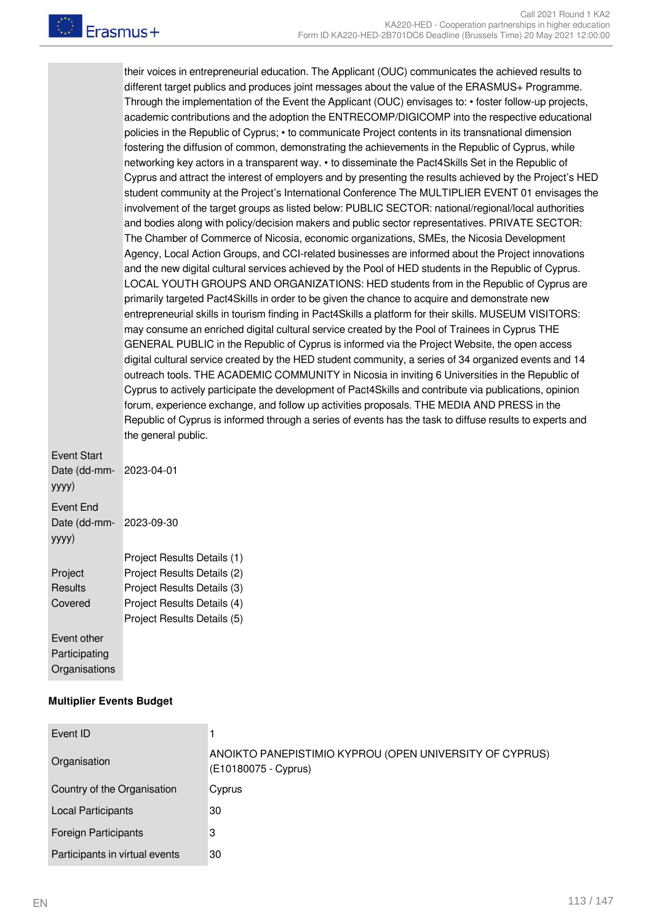their voices in entrepreneurial education. The Applicant (OUC) communicates the achieved results to different target publics and produces joint messages about the value of the ERASMUS+ Programme. Through the implementation of the Event the Applicant (OUC) envisages to: • foster follow-up projects, academic contributions and the adoption the ENTRECOMP/DIGICOMP into the respective educational policies in the Republic of Cyprus; • to communicate Project contents in its transnational dimension fostering the diffusion of common, demonstrating the achievements in the Republic of Cyprus, while networking key actors in a transparent way. • to disseminate the Pact4Skills Set in the Republic of Cyprus and attract the interest of employers and by presenting the results achieved by the Project's HED student community at the Project's International Conference The MULTIPLIER EVENT 01 envisages the involvement of the target groups as listed below: PUBLIC SECTOR: national/regional/local authorities and bodies along with policy/decision makers and public sector representatives. PRIVATE SECTOR: The Chamber of Commerce of Nicosia, economic organizations, SMEs, the Nicosia Development Agency, Local Action Groups, and CCI-related businesses are informed about the Project innovations and the new digital cultural services achieved by the Pool of HED students in the Republic of Cyprus. LOCAL YOUTH GROUPS AND ORGANIZATIONS: HED students from in the Republic of Cyprus are primarily targeted Pact4Skills in order to be given the chance to acquire and demonstrate new entrepreneurial skills in tourism finding in Pact4Skills a platform for their skills. MUSEUM VISITORS: may consume an enriched digital cultural service created by the Pool of Trainees in Cyprus THE GENERAL PUBLIC in the Republic of Cyprus is informed via the Project Website, the open access digital cultural service created by the HED student community, a series of 34 organized events and 14 outreach tools. THE ACADEMIC COMMUNITY in Nicosia in inviting 6 Universities in the Republic of Cyprus to actively participate the development of Pact4Skills and contribute via publications, opinion forum, experience exchange, and follow up activities proposals. THE MEDIA AND PRESS in the Republic of Cyprus is informed through a series of events has the task to diffuse results to experts and the general public.

Event Start Date (dd-mmyyyy) 2023-04-01 Event End Date (dd-mmyyyy) 2023-09-30 Project **Results** Covered Project Results Details (1) Project Results Details (2) Project Results Details (3) Project Results Details (4) Project Results Details (5) Event other **Participating Organisations** 

#### **Multiplier Events Budget**

| Event ID                       |                                                                                 |
|--------------------------------|---------------------------------------------------------------------------------|
| Organisation                   | ANOIKTO PANEPISTIMIO KYPROU (OPEN UNIVERSITY OF CYPRUS)<br>(E10180075 - Cyprus) |
| Country of the Organisation    | Cyprus                                                                          |
| <b>Local Participants</b>      | 30                                                                              |
| <b>Foreign Participants</b>    | 3                                                                               |
| Participants in virtual events | 30                                                                              |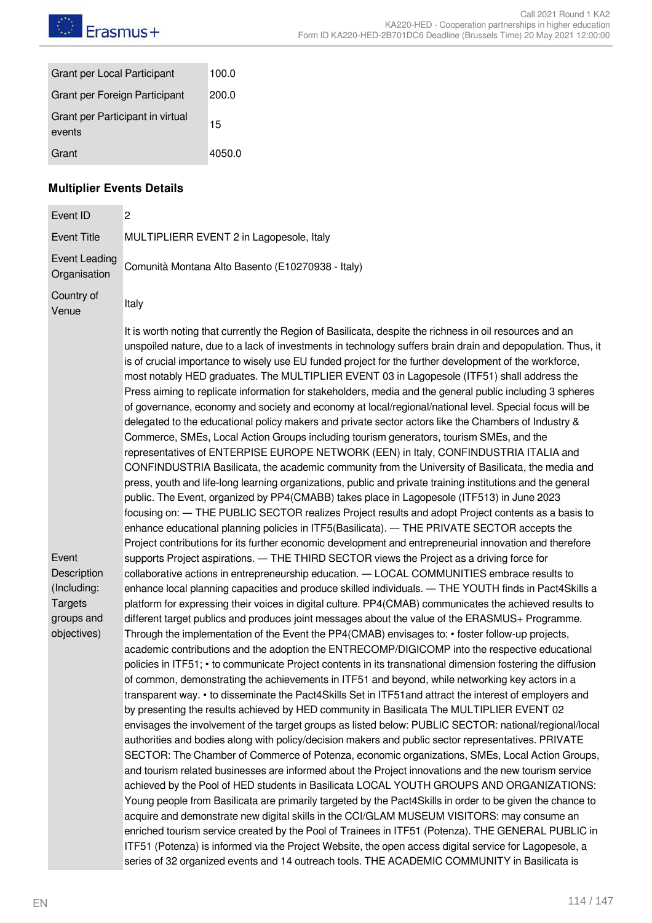| Grant per Local Participant                | 100.0  |
|--------------------------------------------|--------|
| Grant per Foreign Participant              | 200.0  |
| Grant per Participant in virtual<br>events | 15     |
| Grant                                      | 4050.0 |

# **Multiplier Events Details**

| Event ID                                                                           | 2                                                                                                                                                                                                                                                                                                                                                                                                                                                                                                                                                                                                                                                                                                                                                                                                                                                                                                                                                                                                                                                                                                                                                                                                                                                                                                                                                                                                                                                                                                                                                                                                                                                                                                                                                                                                                                                                                                                                                                                                                                                                                                                                                                                                   |
|------------------------------------------------------------------------------------|-----------------------------------------------------------------------------------------------------------------------------------------------------------------------------------------------------------------------------------------------------------------------------------------------------------------------------------------------------------------------------------------------------------------------------------------------------------------------------------------------------------------------------------------------------------------------------------------------------------------------------------------------------------------------------------------------------------------------------------------------------------------------------------------------------------------------------------------------------------------------------------------------------------------------------------------------------------------------------------------------------------------------------------------------------------------------------------------------------------------------------------------------------------------------------------------------------------------------------------------------------------------------------------------------------------------------------------------------------------------------------------------------------------------------------------------------------------------------------------------------------------------------------------------------------------------------------------------------------------------------------------------------------------------------------------------------------------------------------------------------------------------------------------------------------------------------------------------------------------------------------------------------------------------------------------------------------------------------------------------------------------------------------------------------------------------------------------------------------------------------------------------------------------------------------------------------------|
| <b>Event Title</b>                                                                 | MULTIPLIERR EVENT 2 in Lagopesole, Italy                                                                                                                                                                                                                                                                                                                                                                                                                                                                                                                                                                                                                                                                                                                                                                                                                                                                                                                                                                                                                                                                                                                                                                                                                                                                                                                                                                                                                                                                                                                                                                                                                                                                                                                                                                                                                                                                                                                                                                                                                                                                                                                                                            |
| <b>Event Leading</b><br>Organisation                                               | Comunità Montana Alto Basento (E10270938 - Italy)                                                                                                                                                                                                                                                                                                                                                                                                                                                                                                                                                                                                                                                                                                                                                                                                                                                                                                                                                                                                                                                                                                                                                                                                                                                                                                                                                                                                                                                                                                                                                                                                                                                                                                                                                                                                                                                                                                                                                                                                                                                                                                                                                   |
| Country of<br>Venue                                                                | Italy                                                                                                                                                                                                                                                                                                                                                                                                                                                                                                                                                                                                                                                                                                                                                                                                                                                                                                                                                                                                                                                                                                                                                                                                                                                                                                                                                                                                                                                                                                                                                                                                                                                                                                                                                                                                                                                                                                                                                                                                                                                                                                                                                                                               |
|                                                                                    | It is worth noting that currently the Region of Basilicata, despite the richness in oil resources and an<br>unspoiled nature, due to a lack of investments in technology suffers brain drain and depopulation. Thus, it<br>is of crucial importance to wisely use EU funded project for the further development of the workforce,<br>most notably HED graduates. The MULTIPLIER EVENT 03 in Lagopesole (ITF51) shall address the<br>Press aiming to replicate information for stakeholders, media and the general public including 3 spheres<br>of governance, economy and society and economy at local/regional/national level. Special focus will be<br>delegated to the educational policy makers and private sector actors like the Chambers of Industry &<br>Commerce, SMEs, Local Action Groups including tourism generators, tourism SMEs, and the<br>representatives of ENTERPISE EUROPE NETWORK (EEN) in Italy, CONFINDUSTRIA ITALIA and<br>CONFINDUSTRIA Basilicata, the academic community from the University of Basilicata, the media and<br>press, youth and life-long learning organizations, public and private training institutions and the general<br>public. The Event, organized by PP4(CMABB) takes place in Lagopesole (ITF513) in June 2023<br>focusing on: - THE PUBLIC SECTOR realizes Project results and adopt Project contents as a basis to<br>enhance educational planning policies in ITF5(Basilicata). - THE PRIVATE SECTOR accepts the<br>Project contributions for its further economic development and entrepreneurial innovation and therefore                                                                                                                                                                                                                                                                                                                                                                                                                                                                                                                                                                                                                 |
| Event<br>Description<br>(Including:<br><b>Targets</b><br>groups and<br>objectives) | supports Project aspirations. - THE THIRD SECTOR views the Project as a driving force for<br>collaborative actions in entrepreneurship education. - LOCAL COMMUNITIES embrace results to<br>enhance local planning capacities and produce skilled individuals. - THE YOUTH finds in Pact4Skills a<br>platform for expressing their voices in digital culture. PP4(CMAB) communicates the achieved results to<br>different target publics and produces joint messages about the value of the ERASMUS+ Programme.<br>Through the implementation of the Event the PP4(CMAB) envisages to: • foster follow-up projects,<br>academic contributions and the adoption the ENTRECOMP/DIGICOMP into the respective educational<br>policies in ITF51; • to communicate Project contents in its transnational dimension fostering the diffusion<br>of common, demonstrating the achievements in ITF51 and beyond, while networking key actors in a<br>transparent way. • to disseminate the Pact4Skills Set in ITF51 and attract the interest of employers and<br>by presenting the results achieved by HED community in Basilicata The MULTIPLIER EVENT 02<br>envisages the involvement of the target groups as listed below: PUBLIC SECTOR: national/regional/local<br>authorities and bodies along with policy/decision makers and public sector representatives. PRIVATE<br>SECTOR: The Chamber of Commerce of Potenza, economic organizations, SMEs, Local Action Groups,<br>and tourism related businesses are informed about the Project innovations and the new tourism service<br>achieved by the Pool of HED students in Basilicata LOCAL YOUTH GROUPS AND ORGANIZATIONS:<br>Young people from Basilicata are primarily targeted by the Pact4Skills in order to be given the chance to<br>acquire and demonstrate new digital skills in the CCI/GLAM MUSEUM VISITORS: may consume an<br>enriched tourism service created by the Pool of Trainees in ITF51 (Potenza). THE GENERAL PUBLIC in<br>ITF51 (Potenza) is informed via the Project Website, the open access digital service for Lagopesole, a<br>series of 32 organized events and 14 outreach tools. THE ACADEMIC COMMUNITY in Basilicata is |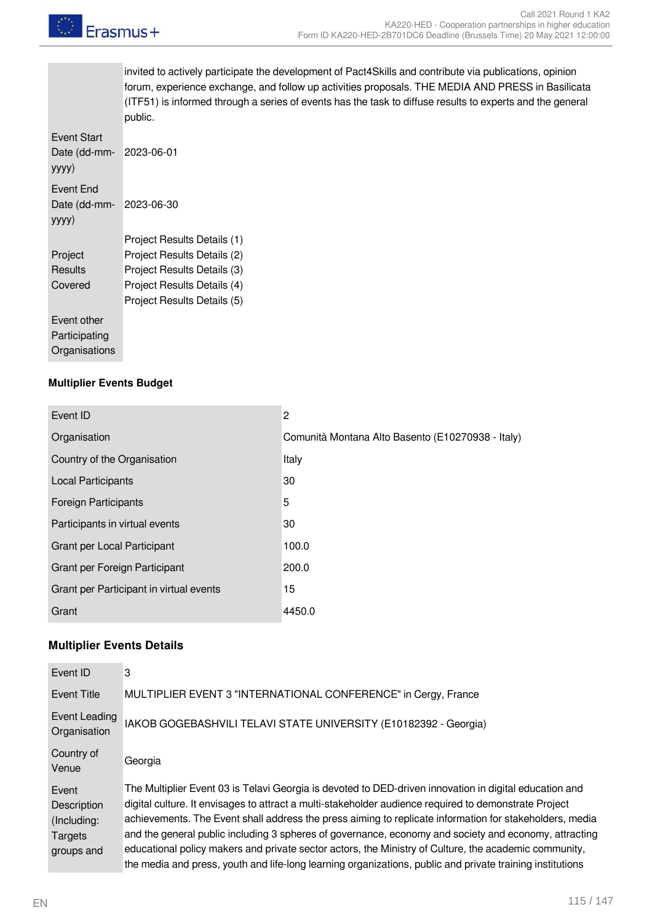

invited to actively participate the development of Pact4Skills and contribute via publications, opinion forum, experience exchange, and follow up activities proposals. THE MEDIA AND PRESS in Basilicata (ITF51) is informed through a series of events has the task to diffuse results to experts and the general public.

| Event Start<br>Date (dd-mm-<br>yyyy)                 | 2023-06-01                  |
|------------------------------------------------------|-----------------------------|
| <b>Fvent Fnd</b><br>Date (dd-mm-<br>yyyy)            | 2023-06-30                  |
|                                                      | Project Results Details (1) |
| Project                                              | Project Results Details (2) |
| Results                                              | Project Results Details (3) |
| Covered                                              | Project Results Details (4) |
|                                                      | Project Results Details (5) |
| <b>Fvent other</b><br>Participating<br>Organisations |                             |

#### **Multiplier Events Budget**

| Event ID                                | $\overline{c}$                                    |
|-----------------------------------------|---------------------------------------------------|
| Organisation                            | Comunità Montana Alto Basento (E10270938 - Italy) |
| Country of the Organisation             | Italy                                             |
| <b>Local Participants</b>               | 30                                                |
| <b>Foreign Participants</b>             | 5                                                 |
| Participants in virtual events          | 30                                                |
| Grant per Local Participant             | 100.0                                             |
| Grant per Foreign Participant           | 200.0                                             |
| Grant per Participant in virtual events | 15                                                |
| Grant                                   | 4450.0                                            |

#### **Multiplier Events Details**

| Event ID                                                     | 3                                                                                                                                                                                                                                                                                                                                                                                                                                                                                                                                                                                                                                                         |
|--------------------------------------------------------------|-----------------------------------------------------------------------------------------------------------------------------------------------------------------------------------------------------------------------------------------------------------------------------------------------------------------------------------------------------------------------------------------------------------------------------------------------------------------------------------------------------------------------------------------------------------------------------------------------------------------------------------------------------------|
| Event Title                                                  | MULTIPLIER EVENT 3 "INTERNATIONAL CONFERENCE" in Cergy, France                                                                                                                                                                                                                                                                                                                                                                                                                                                                                                                                                                                            |
| Event Leading<br>Organisation                                | IAKOB GOGEBASHVILI TELAVI STATE UNIVERSITY (E10182392 - Georgia)                                                                                                                                                                                                                                                                                                                                                                                                                                                                                                                                                                                          |
| Country of<br>Venue                                          | Georgia                                                                                                                                                                                                                                                                                                                                                                                                                                                                                                                                                                                                                                                   |
| Event<br>Description<br>(Including:<br>Targets<br>groups and | The Multiplier Event 03 is Telavi Georgia is devoted to DED-driven innovation in digital education and<br>digital culture. It envisages to attract a multi-stakeholder audience required to demonstrate Project<br>achievements. The Event shall address the press aiming to replicate information for stakeholders, media<br>and the general public including 3 spheres of governance, economy and society and economy, attracting<br>educational policy makers and private sector actors, the Ministry of Culture, the academic community,<br>the media and press, youth and life-long learning organizations, public and private training institutions |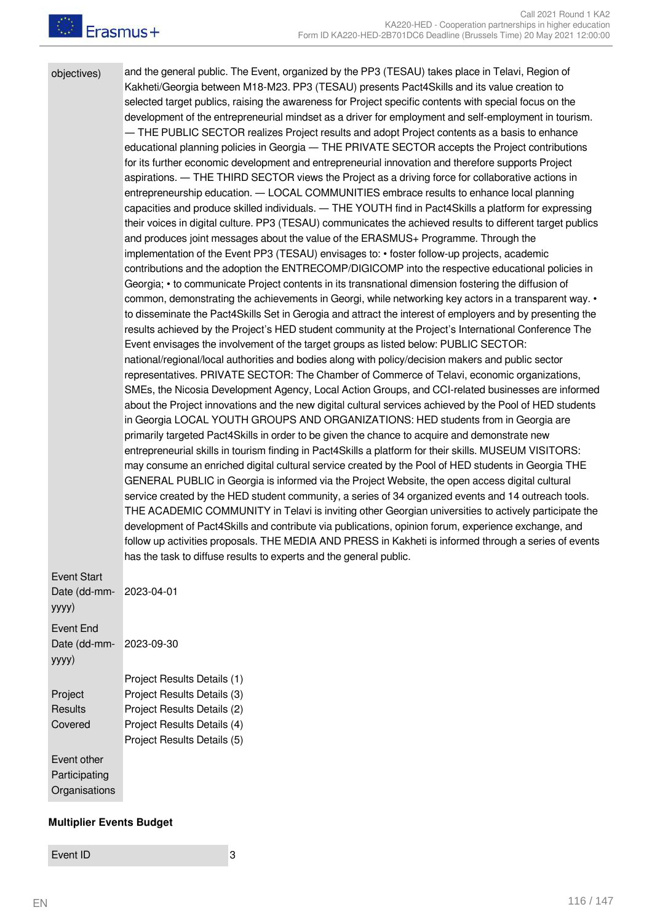objectives) and the general public. The Event, organized by the PP3 (TESAU) takes place in Telavi, Region of Kakheti/Georgia between M18-M23. PP3 (TESAU) presents Pact4Skills and its value creation to selected target publics, raising the awareness for Project specific contents with special focus on the development of the entrepreneurial mindset as a driver for employment and self-employment in tourism. THE PUBLIC SECTOR realizes Project results and adopt Project contents as a basis to enhance educational planning policies in Georgia ― THE PRIVATE SECTOR accepts the Project contributions for its further economic development and entrepreneurial innovation and therefore supports Project aspirations. ― THE THIRD SECTOR views the Project as a driving force for collaborative actions in entrepreneurship education. ― LOCAL COMMUNITIES embrace results to enhance local planning capacities and produce skilled individuals. ― THE YOUTH find in Pact4Skills a platform for expressing their voices in digital culture. PP3 (TESAU) communicates the achieved results to different target publics and produces joint messages about the value of the ERASMUS+ Programme. Through the implementation of the Event PP3 (TESAU) envisages to: • foster follow-up projects, academic contributions and the adoption the ENTRECOMP/DIGICOMP into the respective educational policies in Georgia; • to communicate Project contents in its transnational dimension fostering the diffusion of common, demonstrating the achievements in Georgi, while networking key actors in a transparent way. • to disseminate the Pact4Skills Set in Gerogia and attract the interest of employers and by presenting the results achieved by the Project's HED student community at the Project's International Conference The Event envisages the involvement of the target groups as listed below: PUBLIC SECTOR: national/regional/local authorities and bodies along with policy/decision makers and public sector representatives. PRIVATE SECTOR: The Chamber of Commerce of Telavi, economic organizations, SMEs, the Nicosia Development Agency, Local Action Groups, and CCI-related businesses are informed about the Project innovations and the new digital cultural services achieved by the Pool of HED students in Georgia LOCAL YOUTH GROUPS AND ORGANIZATIONS: HED students from in Georgia are primarily targeted Pact4Skills in order to be given the chance to acquire and demonstrate new entrepreneurial skills in tourism finding in Pact4Skills a platform for their skills. MUSEUM VISITORS: may consume an enriched digital cultural service created by the Pool of HED students in Georgia THE GENERAL PUBLIC in Georgia is informed via the Project Website, the open access digital cultural service created by the HED student community, a series of 34 organized events and 14 outreach tools. THE ACADEMIC COMMUNITY in Telavi is inviting other Georgian universities to actively participate the development of Pact4Skills and contribute via publications, opinion forum, experience exchange, and follow up activities proposals. THE MEDIA AND PRESS in Kakheti is informed through a series of events has the task to diffuse results to experts and the general public. Event Start Date (dd-mmyyyy) 2023-04-01 Event End Date (dd-mmyyyy) 2023-09-30 Project Results Details (1)

Project **Results** Covered Project Results Details (3) Project Results Details (2) Project Results Details (4) Project Results Details (5) Event other **Participating Organisations** 

#### **Multiplier Events Budget**

Event ID 3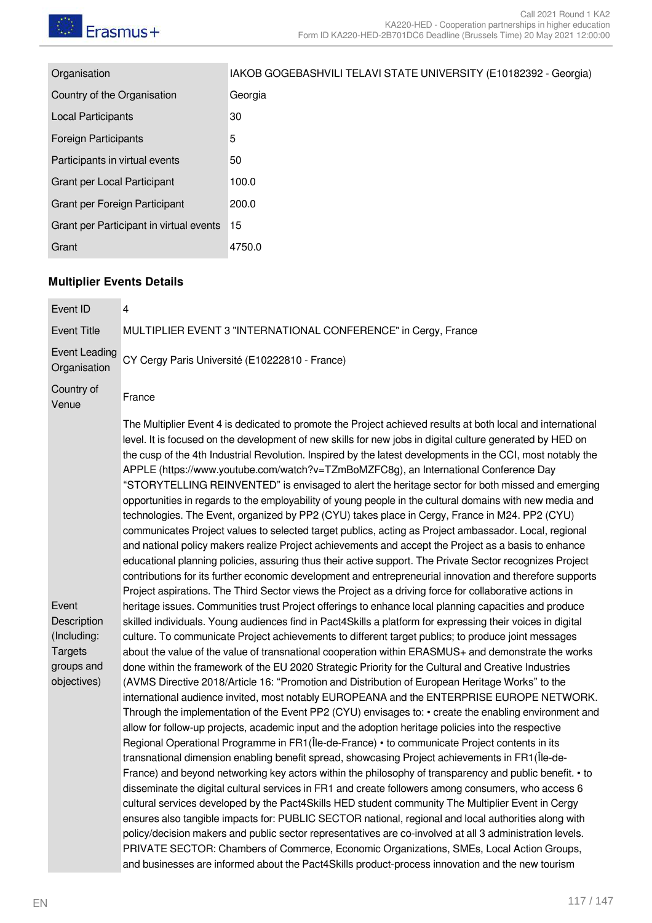| Organisation                            | IAKOB GOGEBASHVILI TELAVI STATE UNIVERSITY (E10182392 - Georgia) |
|-----------------------------------------|------------------------------------------------------------------|
| Country of the Organisation             | Georgia                                                          |
| <b>Local Participants</b>               | 30                                                               |
| <b>Foreign Participants</b>             | 5                                                                |
| Participants in virtual events          | 50                                                               |
| Grant per Local Participant             | 100.0                                                            |
| Grant per Foreign Participant           | 200.0                                                            |
| Grant per Participant in virtual events | 15                                                               |
| Grant                                   | 4750.0                                                           |
|                                         |                                                                  |

## **Multiplier Events Details**

| Event ID                             | 4                                                                                                                                                                                                                                                                                                                                                                                                                                                                                                                                                                                                                                                                                                                                                                                                                                                                                                                                                                                                                                                                                                                                                                                                                                                                                                                                                                                                              |
|--------------------------------------|----------------------------------------------------------------------------------------------------------------------------------------------------------------------------------------------------------------------------------------------------------------------------------------------------------------------------------------------------------------------------------------------------------------------------------------------------------------------------------------------------------------------------------------------------------------------------------------------------------------------------------------------------------------------------------------------------------------------------------------------------------------------------------------------------------------------------------------------------------------------------------------------------------------------------------------------------------------------------------------------------------------------------------------------------------------------------------------------------------------------------------------------------------------------------------------------------------------------------------------------------------------------------------------------------------------------------------------------------------------------------------------------------------------|
| <b>Event Title</b>                   | MULTIPLIER EVENT 3 "INTERNATIONAL CONFERENCE" in Cergy, France                                                                                                                                                                                                                                                                                                                                                                                                                                                                                                                                                                                                                                                                                                                                                                                                                                                                                                                                                                                                                                                                                                                                                                                                                                                                                                                                                 |
| <b>Event Leading</b><br>Organisation | CY Cergy Paris Université (E10222810 - France)                                                                                                                                                                                                                                                                                                                                                                                                                                                                                                                                                                                                                                                                                                                                                                                                                                                                                                                                                                                                                                                                                                                                                                                                                                                                                                                                                                 |
| Country of<br>Venue                  | France                                                                                                                                                                                                                                                                                                                                                                                                                                                                                                                                                                                                                                                                                                                                                                                                                                                                                                                                                                                                                                                                                                                                                                                                                                                                                                                                                                                                         |
| Event                                | The Multiplier Event 4 is dedicated to promote the Project achieved results at both local and international<br>level. It is focused on the development of new skills for new jobs in digital culture generated by HED on<br>the cusp of the 4th Industrial Revolution. Inspired by the latest developments in the CCI, most notably the<br>APPLE (https://www.youtube.com/watch?v=TZmBoMZFC8g), an International Conference Day<br>"STORYTELLING REINVENTED" is envisaged to alert the heritage sector for both missed and emerging<br>opportunities in regards to the employability of young people in the cultural domains with new media and<br>technologies. The Event, organized by PP2 (CYU) takes place in Cergy, France in M24. PP2 (CYU)<br>communicates Project values to selected target publics, acting as Project ambassador. Local, regional<br>and national policy makers realize Project achievements and accept the Project as a basis to enhance<br>educational planning policies, assuring thus their active support. The Private Sector recognizes Project<br>contributions for its further economic development and entrepreneurial innovation and therefore supports<br>Project aspirations. The Third Sector views the Project as a driving force for collaborative actions in<br>heritage issues. Communities trust Project offerings to enhance local planning capacities and produce |
| Description<br>(Including:           | skilled individuals. Young audiences find in Pact4Skills a platform for expressing their voices in digital<br>culture. To communicate Project achievements to different target publics; to produce joint messages                                                                                                                                                                                                                                                                                                                                                                                                                                                                                                                                                                                                                                                                                                                                                                                                                                                                                                                                                                                                                                                                                                                                                                                              |
| <b>Targets</b><br>groups and         | about the value of the value of transnational cooperation within ERASMUS+ and demonstrate the works<br>done within the framework of the EU 2020 Strategic Priority for the Cultural and Creative Industries                                                                                                                                                                                                                                                                                                                                                                                                                                                                                                                                                                                                                                                                                                                                                                                                                                                                                                                                                                                                                                                                                                                                                                                                    |
| objectives)                          | (AVMS Directive 2018/Article 16: "Promotion and Distribution of European Heritage Works" to the<br>international audience invited, most notably EUROPEANA and the ENTERPRISE EUROPE NETWORK.<br>Through the implementation of the Event PP2 (CYU) envisages to: • create the enabling environment and<br>allow for follow-up projects, academic input and the adoption heritage policies into the respective<br>Regional Operational Programme in FR1 (Île-de-France) • to communicate Project contents in its<br>transnational dimension enabling benefit spread, showcasing Project achievements in FR1(Île-de-<br>France) and beyond networking key actors within the philosophy of transparency and public benefit. • to<br>disseminate the digital cultural services in FR1 and create followers among consumers, who access 6<br>cultural services developed by the Pact4Skills HED student community The Multiplier Event in Cergy<br>ensures also tangible impacts for: PUBLIC SECTOR national, regional and local authorities along with<br>policy/decision makers and public sector representatives are co-involved at all 3 administration levels.<br>PRIVATE SECTOR: Chambers of Commerce, Economic Organizations, SMEs, Local Action Groups,<br>and businesses are informed about the Pact4Skills product-process innovation and the new tourism                                                  |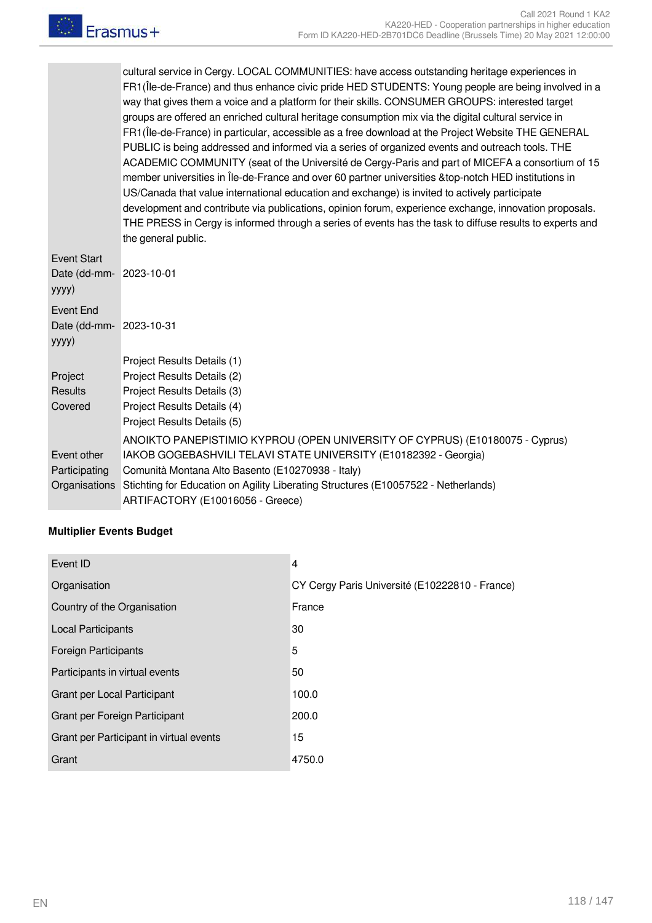cultural service in Cergy. LOCAL COMMUNITIES: have access outstanding heritage experiences in FR1(Île-de-France) and thus enhance civic pride HED STUDENTS: Young people are being involved in a way that gives them a voice and a platform for their skills. CONSUMER GROUPS: interested target groups are offered an enriched cultural heritage consumption mix via the digital cultural service in FR1(Île-de-France) in particular, accessible as a free download at the Project Website THE GENERAL PUBLIC is being addressed and informed via a series of organized events and outreach tools. THE ACADEMIC COMMUNITY (seat of the Université de Cergy-Paris and part of MICEFA a consortium of 15 member universities in Île-de-France and over 60 partner universities &top-notch HED institutions in US/Canada that value international education and exchange) is invited to actively participate development and contribute via publications, opinion forum, experience exchange, innovation proposals. THE PRESS in Cergy is informed through a series of events has the task to diffuse results to experts and the general public.

| Event Start<br>Date (dd-mm- 2023-10-01<br>yyyy) |                                                                                    |
|-------------------------------------------------|------------------------------------------------------------------------------------|
| Event End                                       |                                                                                    |
| Date (dd-mm- 2023-10-31                         |                                                                                    |
| yyyy)                                           |                                                                                    |
|                                                 | Project Results Details (1)                                                        |
| Project                                         | Project Results Details (2)                                                        |
| <b>Results</b>                                  | Project Results Details (3)                                                        |
| Covered                                         | Project Results Details (4)                                                        |
|                                                 | Project Results Details (5)                                                        |
|                                                 | ANOIKTO PANEPISTIMIO KYPROU (OPEN UNIVERSITY OF CYPRUS) (E10180075 - Cyprus)       |
| Event other                                     | IAKOB GOGEBASHVILI TELAVI STATE UNIVERSITY (E10182392 - Georgia)                   |
| Participating                                   | Comunità Montana Alto Basento (E10270938 - Italy)                                  |
| Organisations                                   | Stichting for Education on Agility Liberating Structures (E10057522 - Netherlands) |
|                                                 | ARTIFACTORY (E10016056 - Greece)                                                   |

#### **Multiplier Events Budget**

| Event ID                                | $\overline{4}$                                 |
|-----------------------------------------|------------------------------------------------|
| Organisation                            | CY Cergy Paris Université (E10222810 - France) |
| Country of the Organisation             | France                                         |
| <b>Local Participants</b>               | 30                                             |
| <b>Foreign Participants</b>             | 5                                              |
| Participants in virtual events          | 50                                             |
| Grant per Local Participant             | 100.0                                          |
| Grant per Foreign Participant           | 200.0                                          |
| Grant per Participant in virtual events | 15                                             |
| Grant                                   | 4750.0                                         |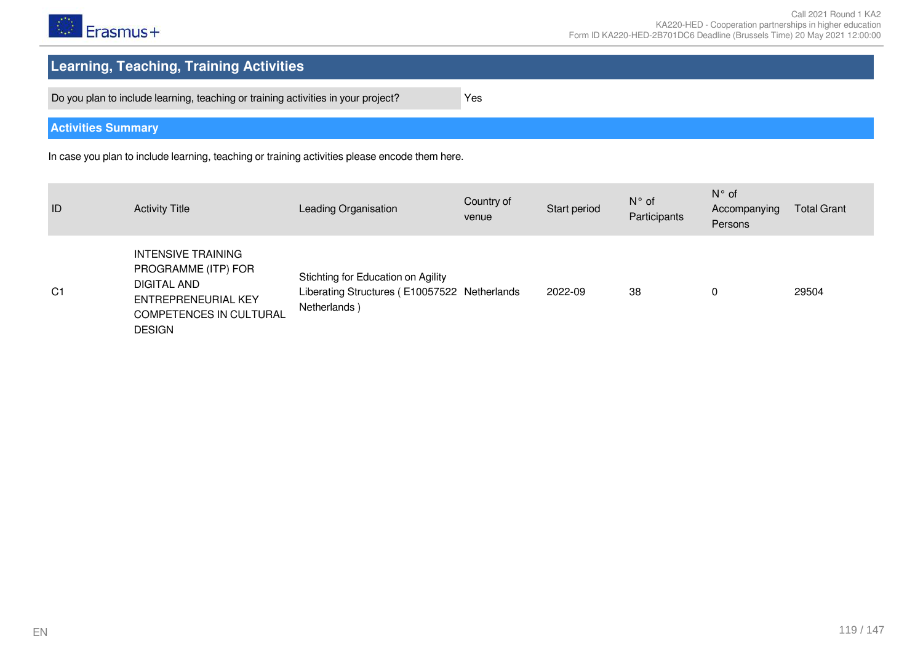

# **Learning, Teaching, Training Activities**

Do you plan to include learning, teaching or training activities in your project? Yes

**Activities Summary**

In case you plan to include learning, teaching or training activities please encode them here.

| ID             | <b>Activity Title</b>                                                                                                              | Leading Organisation                                                                               | Country of<br>venue | Start period | $N^{\circ}$ of<br>Participants | $N^{\circ}$ of<br>Accompanying<br>Persons | <b>Total Grant</b> |
|----------------|------------------------------------------------------------------------------------------------------------------------------------|----------------------------------------------------------------------------------------------------|---------------------|--------------|--------------------------------|-------------------------------------------|--------------------|
| C <sub>1</sub> | <b>INTENSIVE TRAINING</b><br>PROGRAMME (ITP) FOR<br>DIGITAL AND<br>ENTREPRENEURIAL KEY<br>COMPETENCES IN CULTURAL<br><b>DESIGN</b> | Stichting for Education on Agility<br>Liberating Structures (E10057522 Netherlands<br>Netherlands) |                     | 2022-09      | 38                             | 0                                         | 29504              |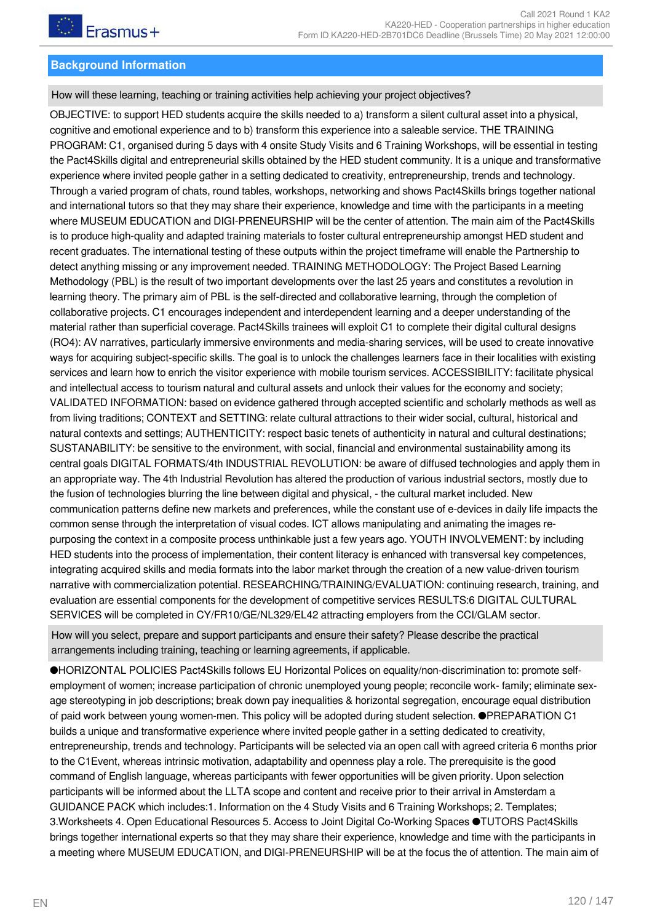#### **Background Information**

How will these learning, teaching or training activities help achieving your project objectives?

OBJECTIVE: to support HED students acquire the skills needed to a) transform a silent cultural asset into a physical, cognitive and emotional experience and to b) transform this experience into a saleable service. THE TRAINING PROGRAM: C1, organised during 5 days with 4 onsite Study Visits and 6 Training Workshops, will be essential in testing the Pact4Skills digital and entrepreneurial skills obtained by the HED student community. It is a unique and transformative experience where invited people gather in a setting dedicated to creativity, entrepreneurship, trends and technology. Through a varied program of chats, round tables, workshops, networking and shows Pact4Skills brings together national and international tutors so that they may share their experience, knowledge and time with the participants in a meeting where MUSEUM EDUCATION and DIGI-PRENEURSHIP will be the center of attention. The main aim of the Pact4Skills is to produce high-quality and adapted training materials to foster cultural entrepreneurship amongst HED student and recent graduates. The international testing of these outputs within the project timeframe will enable the Partnership to detect anything missing or any improvement needed. TRAINING METHODOLOGY: The Project Based Learning Methodology (PBL) is the result of two important developments over the last 25 years and constitutes a revolution in learning theory. The primary aim of PBL is the self-directed and collaborative learning, through the completion of collaborative projects. C1 encourages independent and interdependent learning and a deeper understanding of the material rather than superficial coverage. Pact4Skills trainees will exploit C1 to complete their digital cultural designs (RO4): AV narratives, particularly immersive environments and media-sharing services, will be used to create innovative ways for acquiring subject-specific skills. The goal is to unlock the challenges learners face in their localities with existing services and learn how to enrich the visitor experience with mobile tourism services. ACCESSIBILITY: facilitate physical and intellectual access to tourism natural and cultural assets and unlock their values for the economy and society; VALIDATED INFORMATION: based on evidence gathered through accepted scientific and scholarly methods as well as from living traditions; CONTEXT and SETTING: relate cultural attractions to their wider social, cultural, historical and natural contexts and settings; AUTHENTICITY: respect basic tenets of authenticity in natural and cultural destinations; SUSTANABILITY: be sensitive to the environment, with social, financial and environmental sustainability among its central goals DIGITAL FORMATS/4th INDUSTRIAL REVOLUTION: be aware of diffused technologies and apply them in an appropriate way. The 4th Industrial Revolution has altered the production of various industrial sectors, mostly due to the fusion of technologies blurring the line between digital and physical, - the cultural market included. New communication patterns define new markets and preferences, while the constant use of e-devices in daily life impacts the common sense through the interpretation of visual codes. ICT allows manipulating and animating the images repurposing the context in a composite process unthinkable just a few years ago. YOUTH INVOLVEMENT: by including HED students into the process of implementation, their content literacy is enhanced with transversal key competences, integrating acquired skills and media formats into the labor market through the creation of a new value-driven tourism narrative with commercialization potential. RESEARCHING/TRAINING/EVALUATION: continuing research, training, and evaluation are essential components for the development of competitive services RESULTS:6 DIGITAL CULTURAL SERVICES will be completed in CY/FR10/GE/NL329/EL42 attracting employers from the CCI/GLAM sector.

How will you select, prepare and support participants and ensure their safety? Please describe the practical arrangements including training, teaching or learning agreements, if applicable.

●HORIZONTAL POLICIES Pact4Skills follows EU Horizontal Polices on equality/non-discrimination to: promote selfemployment of women; increase participation of chronic unemployed young people; reconcile work- family; eliminate sexage stereotyping in job descriptions; break down pay inequalities & horizontal segregation, encourage equal distribution of paid work between young women-men. This policy will be adopted during student selection. ●PREPARATION C1 builds a unique and transformative experience where invited people gather in a setting dedicated to creativity, entrepreneurship, trends and technology. Participants will be selected via an open call with agreed criteria 6 months prior to the C1Event, whereas intrinsic motivation, adaptability and openness play a role. The prerequisite is the good command of English language, whereas participants with fewer opportunities will be given priority. Upon selection participants will be informed about the LLTA scope and content and receive prior to their arrival in Amsterdam a GUIDANCE PACK which includes:1. Information on the 4 Study Visits and 6 Training Workshops; 2. Templates; 3.Worksheets 4. Open Educational Resources 5. Access to Joint Digital Co-Working Spaces ●TUTORS Pact4Skills brings together international experts so that they may share their experience, knowledge and time with the participants in a meeting where MUSEUM EDUCATION, and DIGI-PRENEURSHIP will be at the focus the of attention. The main aim of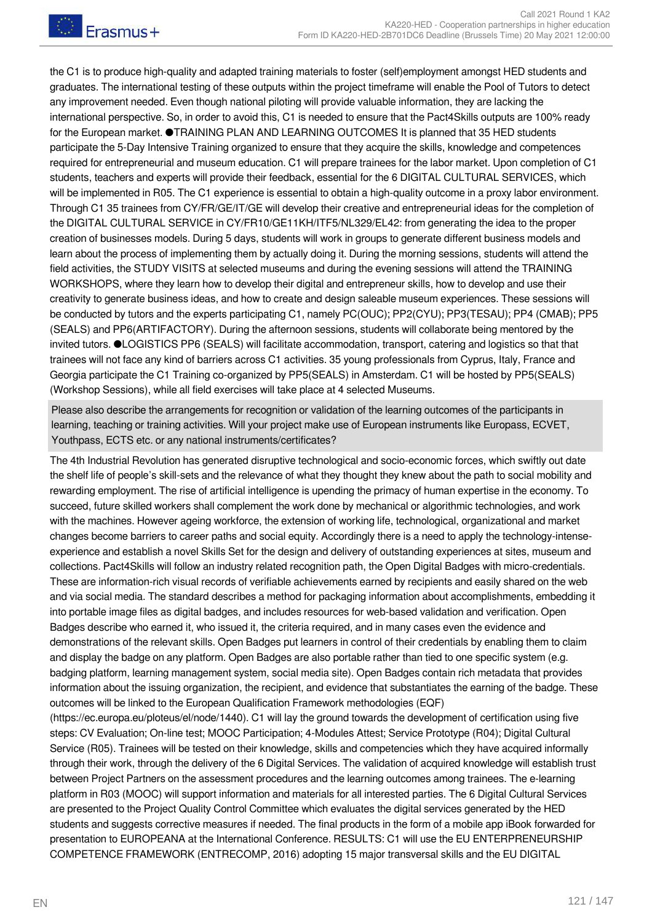the C1 is to produce high-quality and adapted training materials to foster (self)employment amongst HED students and graduates. The international testing of these outputs within the project timeframe will enable the Pool of Tutors to detect any improvement needed. Even though national piloting will provide valuable information, they are lacking the international perspective. So, in order to avoid this, C1 is needed to ensure that the Pact4Skills outputs are 100% ready for the European market. ●TRAINING PLAN AND LEARNING OUTCOMES It is planned that 35 HED students participate the 5-Day Intensive Training organized to ensure that they acquire the skills, knowledge and competences required for entrepreneurial and museum education. C1 will prepare trainees for the labor market. Upon completion of C1 students, teachers and experts will provide their feedback, essential for the 6 DIGITAL CULTURAL SERVICES, which will be implemented in R05. The C1 experience is essential to obtain a high-quality outcome in a proxy labor environment. Through C1 35 trainees from CY/FR/GE/IT/GE will develop their creative and entrepreneurial ideas for the completion of the DIGITAL CULTURAL SERVICE in CY/FR10/GE11ΚΗ/ITF5/NL329/EL42: from generating the idea to the proper creation of businesses models. During 5 days, students will work in groups to generate different business models and learn about the process of implementing them by actually doing it. During the morning sessions, students will attend the field activities, the STUDY VISITS at selected museums and during the evening sessions will attend the TRAINING WORKSHOPS, where they learn how to develop their digital and entrepreneur skills, how to develop and use their creativity to generate business ideas, and how to create and design saleable museum experiences. These sessions will be conducted by tutors and the experts participating C1, namely PC(OUC); PP2(CYU); PP3(TESAU); PP4 (CMAB); PP5 (SEALS) and PP6(ARTIFACTORY). During the afternoon sessions, students will collaborate being mentored by the invited tutors. ●LOGISTICS PP6 (SEALS) will facilitate accommodation, transport, catering and logistics so that that trainees will not face any kind of barriers across C1 activities. 35 young professionals from Cyprus, Italy, France and Georgia participate the C1 Training co-organized by PP5(SEALS) in Amsterdam. C1 will be hosted by PP5(SEALS) (Workshop Sessions), while all field exercises will take place at 4 selected Museums.

Please also describe the arrangements for recognition or validation of the learning outcomes of the participants in learning, teaching or training activities. Will your project make use of European instruments like Europass, ECVET, Youthpass, ECTS etc. or any national instruments/certificates?

The 4th Industrial Revolution has generated disruptive technological and socio-economic forces, which swiftly out date the shelf life of people's skill-sets and the relevance of what they thought they knew about the path to social mobility and rewarding employment. The rise of artificial intelligence is upending the primacy of human expertise in the economy. To succeed, future skilled workers shall complement the work done by mechanical or algorithmic technologies, and work with the machines. However ageing workforce, the extension of working life, technological, organizational and market changes become barriers to career paths and social equity. Accordingly there is a need to apply the technology-intenseexperience and establish a novel Skills Set for the design and delivery of outstanding experiences at sites, museum and collections. Pact4Skills will follow an industry related recognition path, the Open Digital Badges with micro-credentials. These are information-rich visual records of verifiable achievements earned by recipients and easily shared on the web and via social media. The standard describes a method for packaging information about accomplishments, embedding it into portable image files as digital badges, and includes resources for web-based validation and verification. Open Badges describe who earned it, who issued it, the criteria required, and in many cases even the evidence and demonstrations of the relevant skills. Open Badges put learners in control of their credentials by enabling them to claim and display the badge on any platform. Open Badges are also portable rather than tied to one specific system (e.g. badging platform, learning management system, social media site). Open Badges contain rich metadata that provides information about the issuing organization, the recipient, and evidence that substantiates the earning of the badge. These outcomes will be linked to the European Qualification Framework methodologies (EQF)

(https://ec.europa.eu/ploteus/el/node/1440). C1 will lay the ground towards the development of certification using five steps: CV Evaluation; On-line test; MOOC Participation; 4-Modules Attest; Service Prototype (R04); Digital Cultural Service (R05). Trainees will be tested on their knowledge, skills and competencies which they have acquired informally through their work, through the delivery of the 6 Digital Services. The validation of acquired knowledge will establish trust between Project Partners on the assessment procedures and the learning outcomes among trainees. The e-learning platform in R03 (MOOC) will support information and materials for all interested parties. The 6 Digital Cultural Services are presented to the Project Quality Control Committee which evaluates the digital services generated by the HED students and suggests corrective measures if needed. The final products in the form of a mobile app iBook forwarded for presentation to EUROPEANA at the International Conference. RESULTS: C1 will use the EU ENTERPRENEURSHIP COMPETENCE FRAMEWORK (ENTRECOMP, 2016) adopting 15 major transversal skills and the EU DIGITAL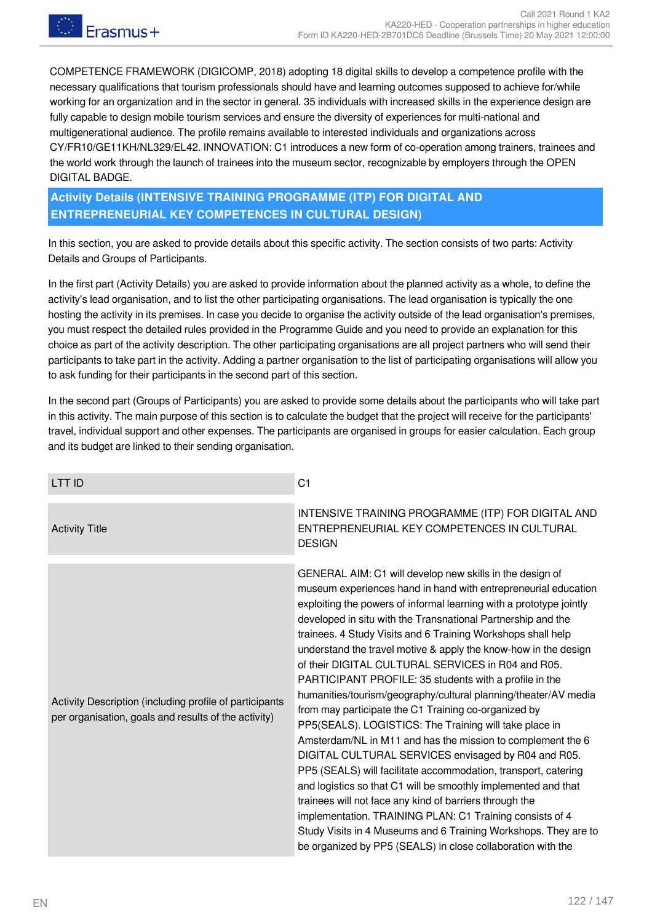COMPETENCE FRAMEWORK (DIGICOMP, 2018) adopting 18 digital skills to develop a competence profile with the necessary qualifications that tourism professionals should have and learning outcomes supposed to achieve for/while working for an organization and in the sector in general. 35 individuals with increased skills in the experience design are fully capable to design mobile tourism services and ensure the diversity of experiences for multi-national and multigenerational audience. The profile remains available to interested individuals and organizations across CY/FR10/GE11ΚΗ/NL329/EL42. INNOVATION: C1 introduces a new form of co-operation among trainers, trainees and the world work through the launch of trainees into the museum sector, recognizable by employers through the OPEN DIGITAL BADGE.

**Activity Details (INTENSIVE TRAINING PROGRAMME (ITP) FOR DIGITAL AND ENTREPRENEURIAL KEY COMPETENCES IN CULTURAL DESIGN)**

In this section, you are asked to provide details about this specific activity. The section consists of two parts: Activity Details and Groups of Participants.

In the first part (Activity Details) you are asked to provide information about the planned activity as a whole, to define the activity's lead organisation, and to list the other participating organisations. The lead organisation is typically the one hosting the activity in its premises. In case you decide to organise the activity outside of the lead organisation's premises, you must respect the detailed rules provided in the Programme Guide and you need to provide an explanation for this choice as part of the activity description. The other participating organisations are all project partners who will send their participants to take part in the activity. Adding a partner organisation to the list of participating organisations will allow you to ask funding for their participants in the second part of this section.

In the second part (Groups of Participants) you are asked to provide some details about the participants who will take part in this activity. The main purpose of this section is to calculate the budget that the project will receive for the participants' travel, individual support and other expenses. The participants are organised in groups for easier calculation. Each group and its budget are linked to their sending organisation.

| <b>LTTID</b>                                                                                                    | C <sub>1</sub>                                                                                                                                                                                                                                                                                                                                                                                                                                                                                                                                                                                                                                                                                                                                                                                                                                                                                                                                                                                                                                                                                                                                                                                                               |
|-----------------------------------------------------------------------------------------------------------------|------------------------------------------------------------------------------------------------------------------------------------------------------------------------------------------------------------------------------------------------------------------------------------------------------------------------------------------------------------------------------------------------------------------------------------------------------------------------------------------------------------------------------------------------------------------------------------------------------------------------------------------------------------------------------------------------------------------------------------------------------------------------------------------------------------------------------------------------------------------------------------------------------------------------------------------------------------------------------------------------------------------------------------------------------------------------------------------------------------------------------------------------------------------------------------------------------------------------------|
| <b>Activity Title</b>                                                                                           | INTENSIVE TRAINING PROGRAMME (ITP) FOR DIGITAL AND<br>ENTREPRENEURIAL KEY COMPETENCES IN CULTURAL<br><b>DESIGN</b>                                                                                                                                                                                                                                                                                                                                                                                                                                                                                                                                                                                                                                                                                                                                                                                                                                                                                                                                                                                                                                                                                                           |
| Activity Description (including profile of participants<br>per organisation, goals and results of the activity) | GENERAL AIM: C1 will develop new skills in the design of<br>museum experiences hand in hand with entrepreneurial education<br>exploiting the powers of informal learning with a prototype jointly<br>developed in situ with the Transnational Partnership and the<br>trainees. 4 Study Visits and 6 Training Workshops shall help<br>understand the travel motive & apply the know-how in the design<br>of their DIGITAL CULTURAL SERVICES in R04 and R05.<br>PARTICIPANT PROFILE: 35 students with a profile in the<br>humanities/tourism/geography/cultural planning/theater/AV media<br>from may participate the C1 Training co-organized by<br>PP5(SEALS). LOGISTICS: The Training will take place in<br>Amsterdam/NL in M11 and has the mission to complement the 6<br>DIGITAL CULTURAL SERVICES envisaged by R04 and R05.<br>PP5 (SEALS) will facilitate accommodation, transport, catering<br>and logistics so that C1 will be smoothly implemented and that<br>trainees will not face any kind of barriers through the<br>implementation. TRAINING PLAN: C1 Training consists of 4<br>Study Visits in 4 Museums and 6 Training Workshops. They are to<br>be organized by PP5 (SEALS) in close collaboration with the |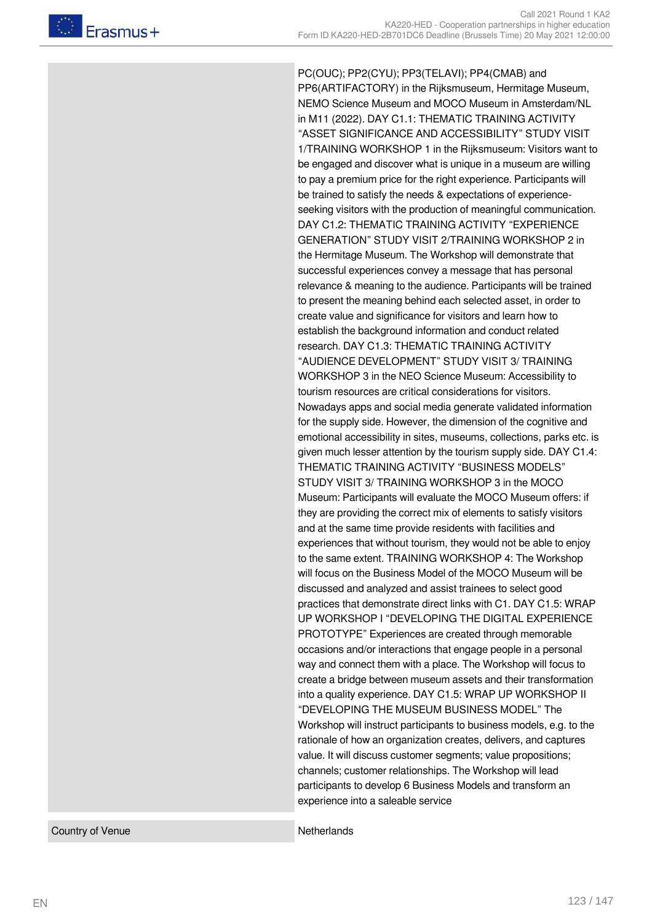PC(OUC); PP2(CYU); PP3(TELAVI); PP4(CMAB) and PP6(ARTIFACTORY) in the Rijksmuseum, Hermitage Museum, NEMO Science Museum and MOCO Museum in Amsterdam/NL in M11 (2022). DAY C1.1: THEMATIC TRAINING ACTIVITY "ASSET SIGNIFICANCE AND ACCESSIBILITY" STUDY VISIT 1/TRAINING WORKSHOP 1 in the Rijksmuseum: Visitors want to be engaged and discover what is unique in a museum are willing to pay a premium price for the right experience. Participants will be trained to satisfy the needs & expectations of experienceseeking visitors with the production of meaningful communication. DAY C1.2: THEMATIC TRAINING ACTIVITY "EXPERIENCE GENERATION" STUDY VISIT 2/TRAINING WORKSHOP 2 in the Hermitage Museum. The Workshop will demonstrate that successful experiences convey a message that has personal relevance & meaning to the audience. Participants will be trained to present the meaning behind each selected asset, in order to create value and significance for visitors and learn how to establish the background information and conduct related research. DAY C1.3: THEMATIC TRAINING ACTIVITY "AUDIENCE DEVELOPMENT" STUDY VISIT 3/ TRAINING WORKSHOP 3 in the NEO Science Museum: Accessibility to tourism resources are critical considerations for visitors. Nowadays apps and social media generate validated information for the supply side. However, the dimension of the cognitive and emotional accessibility in sites, museums, collections, parks etc. is given much lesser attention by the tourism supply side. DAY C1.4: THEMATIC TRAINING ACTIVITY "BUSINESS MODELS" STUDY VISIT 3/ TRAINING WORKSHOP 3 in the MOCO Museum: Participants will evaluate the MOCO Museum offers: if they are providing the correct mix of elements to satisfy visitors and at the same time provide residents with facilities and experiences that without tourism, they would not be able to enjoy to the same extent. TRAINING WORKSHOP 4: The Workshop will focus on the Business Model of the MOCO Museum will be discussed and analyzed and assist trainees to select good practices that demonstrate direct links with C1. DAY C1.5: WRAP UP WORKSHOP I "DEVELOPING THE DIGITAL EXPERIENCE PROTOTYPE" Experiences are created through memorable occasions and/or interactions that engage people in a personal way and connect them with a place. The Workshop will focus to create a bridge between museum assets and their transformation into a quality experience. DAY C1.5: WRAP UP WORKSHOP II "DEVELOPING THE MUSEUM BUSINESS MODEL" The Workshop will instruct participants to business models, e.g. to the rationale of how an organization creates, delivers, and captures value. It will discuss customer segments; value propositions; channels; customer relationships. The Workshop will lead participants to develop 6 Business Models and transform an experience into a saleable service

Country of Venue Netherlands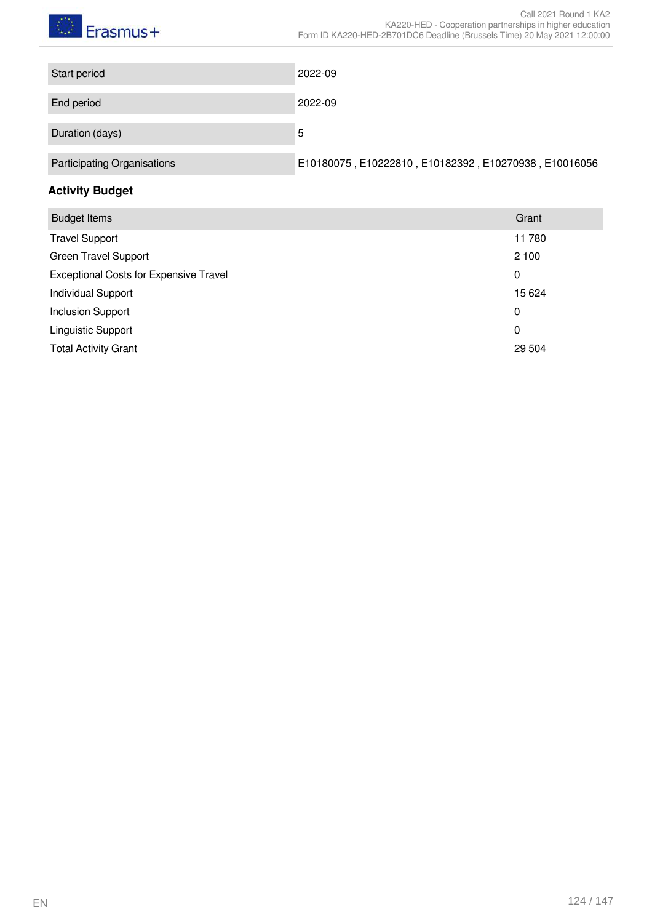# $\bigcirc$  Erasmus+

| Start period                | 2022-09                                               |
|-----------------------------|-------------------------------------------------------|
|                             |                                                       |
| End period                  | 2022-09                                               |
|                             |                                                       |
| Duration (days)             | 5                                                     |
|                             |                                                       |
| Participating Organisations | E10180075, E10222810, E10182392, E10270938, E10016056 |

# **Activity Budget**

| <b>Budget Items</b>                           | Grant  |
|-----------------------------------------------|--------|
| <b>Travel Support</b>                         | 11780  |
| <b>Green Travel Support</b>                   | 2 100  |
| <b>Exceptional Costs for Expensive Travel</b> | 0      |
| <b>Individual Support</b>                     | 15 624 |
| <b>Inclusion Support</b>                      | 0      |
| Linguistic Support                            | 0      |
| <b>Total Activity Grant</b>                   | 29 504 |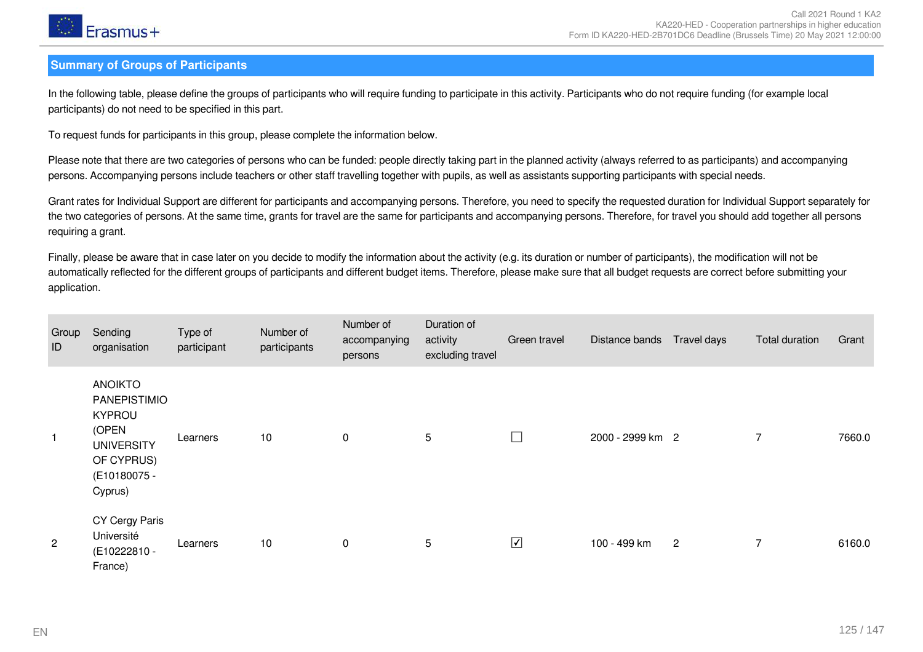

#### **Summary of Groups of Participants**

In the following table, please define the groups of participants who will require funding to participate in this activity. Participants who do not require funding (for example local participants) do not need to be specified in this part.

To request funds for participants in this group, please complete the information below.

Please note that there are two categories of persons who can be funded: people directly taking part in the planned activity (always referred to as participants) and accompanying persons. Accompanying persons include teachers or other staff travelling together with pupils, as well as assistants supporting participants with special needs.

Grant rates for Individual Support are different for participants and accompanying persons. Therefore, you need to specify the requested duration for Individual Support separately for the two categories of persons. At the same time, grants for travel are the same for participants and accompanying persons. Therefore, for travel you should add together all persons requiring a grant.

Finally, please be aware that in case later on you decide to modify the information about the activity (e.g. its duration or number of participants), the modification will not be automatically reflected for the different groups of participants and different budget items. Therefore, please make sure that all budget requests are correct before submitting your application.

| Group<br>ID    | Sending<br>organisation                                                                                                | Type of<br>participant | Number of<br>participants | Number of<br>accompanying<br>persons | Duration of<br>activity<br>excluding travel | Green travel                 | Distance bands   | Travel days    | Total duration | Grant  |
|----------------|------------------------------------------------------------------------------------------------------------------------|------------------------|---------------------------|--------------------------------------|---------------------------------------------|------------------------------|------------------|----------------|----------------|--------|
|                | <b>ANOIKTO</b><br>PANEPISTIMIO<br><b>KYPROU</b><br>(OPEN<br><b>UNIVERSITY</b><br>OF CYPRUS)<br>(E10180075 -<br>Cyprus) | Learners               | 10                        | $\mathbf 0$                          | 5                                           | $\Box$                       | 2000 - 2999 km 2 |                | 7              | 7660.0 |
| $\overline{c}$ | CY Cergy Paris<br>Université<br>(E10222810 -<br>France)                                                                | Learners               | 10                        | $\mathbf 0$                          | 5                                           | $\boxed{\blacktriangledown}$ | 100 - 499 km     | $\overline{2}$ | $\overline{7}$ | 6160.0 |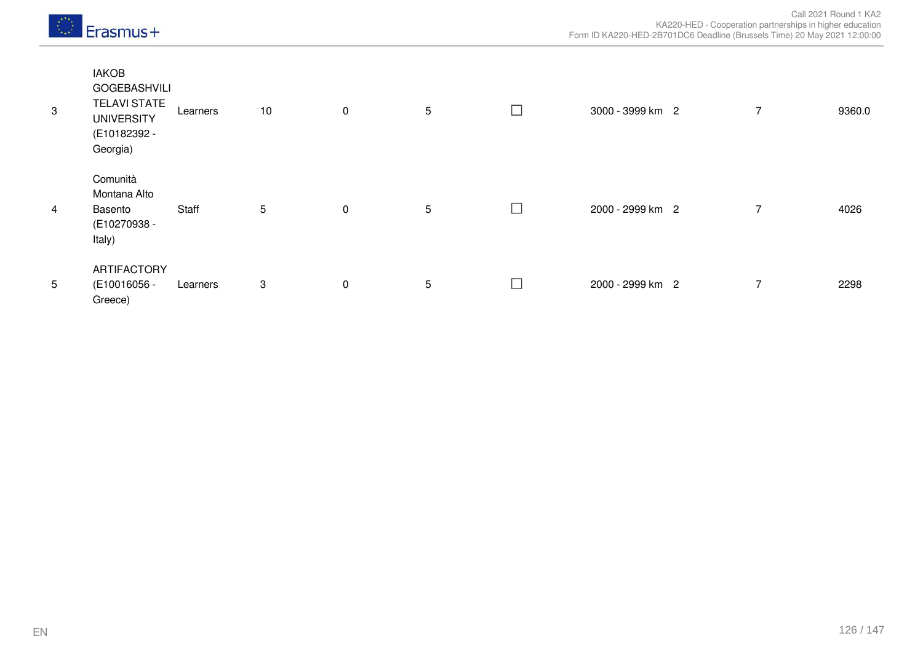|  | $E$ Frasmus+ |
|--|--------------|
|--|--------------|

| $\sqrt{3}$     | <b>IAKOB</b><br><b>GOGEBASHVILI</b><br><b>TELAVI STATE</b><br><b>UNIVERSITY</b><br>(E10182392 -<br>Georgia) | Learners | 10         | $\mathbf 0$ | 5 | L            | 3000 - 3999 km 2 | $\overline{7}$ | 9360.0 |
|----------------|-------------------------------------------------------------------------------------------------------------|----------|------------|-------------|---|--------------|------------------|----------------|--------|
| $\overline{4}$ | Comunità<br>Montana Alto<br>Basento<br>(E10270938 -<br>Italy)                                               | Staff    | $\sqrt{5}$ | $\mathbf 0$ | 5 | L            | 2000 - 2999 km 2 | $\overline{ }$ | 4026   |
| 5              | ARTIFACTORY<br>(E10016056 -<br>Greece)                                                                      | Learners | 3          | $\mathbf 0$ | 5 | $\mathbf{L}$ | 2000 - 2999 km 2 | $\overline{7}$ | 2298   |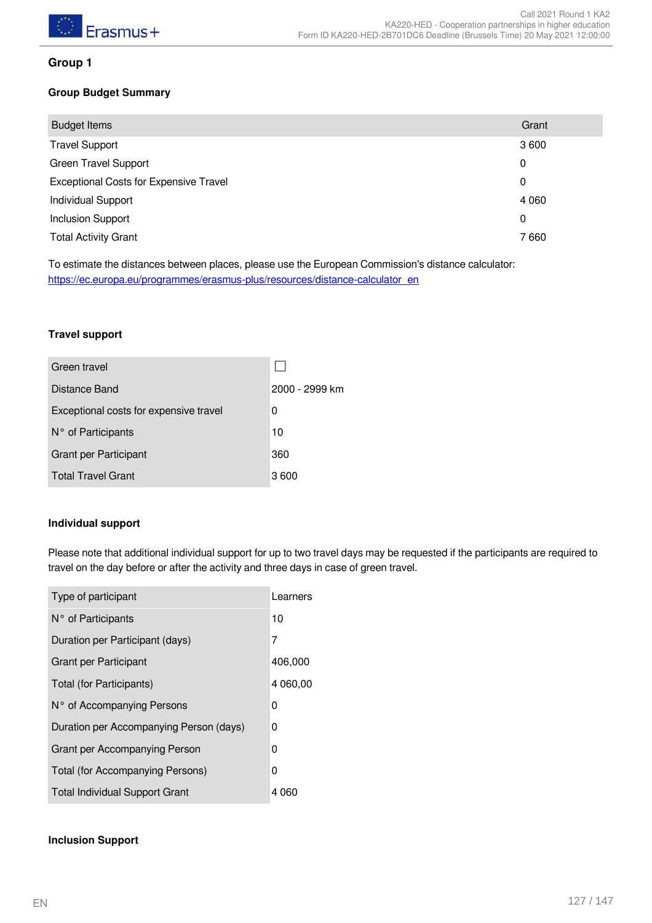

#### **Group 1**

#### **Group Budget Summary**

| <b>Budget Items</b>                           | Grant       |
|-----------------------------------------------|-------------|
| <b>Travel Support</b>                         | 3600        |
| <b>Green Travel Support</b>                   | 0           |
| <b>Exceptional Costs for Expensive Travel</b> | $\mathbf 0$ |
| <b>Individual Support</b>                     | 4 0 6 0     |
| <b>Inclusion Support</b>                      | 0           |
| <b>Total Activity Grant</b>                   | 7660        |

To estimate the distances between places, please use the European Commission's distance calculator: [https://ec.europa.eu/programmes/erasmus-plus/resources/distance-calculator\\_en](https://ec.europa.eu/programmes/erasmus-plus/resources/distance-calculator_en)

#### **Travel support**

| Green travel                           |                |
|----------------------------------------|----------------|
| Distance Band                          | 2000 - 2999 km |
| Exceptional costs for expensive travel | 0              |
| N° of Participants                     | 10             |
| Grant per Participant                  | 360            |
| <b>Total Travel Grant</b>              | 3600           |

#### **Individual support**

Please note that additional individual support for up to two travel days may be requested if the participants are required to travel on the day before or after the activity and three days in case of green travel.

| Type of participant                     | Learners |
|-----------------------------------------|----------|
| $N^{\circ}$ of Participants             | 10       |
| Duration per Participant (days)         | 7        |
| <b>Grant per Participant</b>            | 406,000  |
| Total (for Participants)                | 4 060,00 |
| N° of Accompanying Persons              | 0        |
| Duration per Accompanying Person (days) | 0        |
| Grant per Accompanying Person           | 0        |
| Total (for Accompanying Persons)        | 0        |
| <b>Total Individual Support Grant</b>   | 4 060    |

#### **Inclusion Support**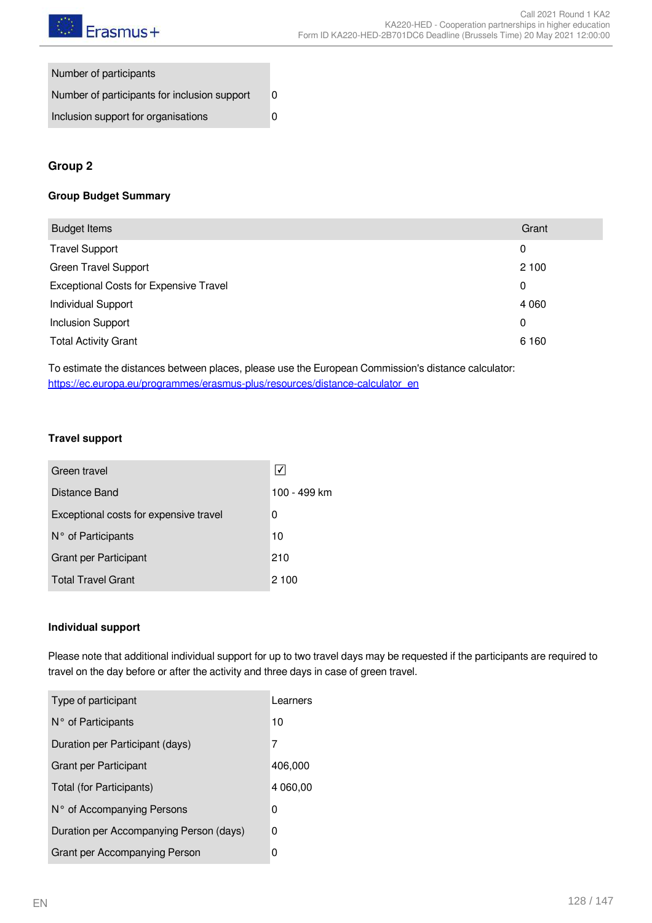

| Number of participants                       |   |
|----------------------------------------------|---|
| Number of participants for inclusion support | 0 |
| Inclusion support for organisations          |   |

#### **Group 2**

#### **Group Budget Summary**

| <b>Budget Items</b>                           | Grant   |
|-----------------------------------------------|---------|
| <b>Travel Support</b>                         | 0       |
| <b>Green Travel Support</b>                   | 2 100   |
| <b>Exceptional Costs for Expensive Travel</b> | 0       |
| <b>Individual Support</b>                     | 4 0 6 0 |
| <b>Inclusion Support</b>                      | 0       |
| <b>Total Activity Grant</b>                   | 6 1 6 0 |
|                                               |         |

To estimate the distances between places, please use the European Commission's distance calculator: [https://ec.europa.eu/programmes/erasmus-plus/resources/distance-calculator\\_en](https://ec.europa.eu/programmes/erasmus-plus/resources/distance-calculator_en)

#### **Travel support**

| Green travel                           |              |
|----------------------------------------|--------------|
| Distance Band                          | 100 - 499 km |
| Exceptional costs for expensive travel | 0            |
| N° of Participants                     | 10           |
| <b>Grant per Participant</b>           | 210          |
| <b>Total Travel Grant</b>              | 2 100        |

#### **Individual support**

Please note that additional individual support for up to two travel days may be requested if the participants are required to travel on the day before or after the activity and three days in case of green travel.

| Type of participant                     | Learners |
|-----------------------------------------|----------|
| $N^{\circ}$ of Participants             | 10       |
| Duration per Participant (days)         | 7        |
| Grant per Participant                   | 406,000  |
| Total (for Participants)                | 4 060,00 |
| N° of Accompanying Persons              | 0        |
| Duration per Accompanying Person (days) | 0        |
| Grant per Accompanying Person           | 0        |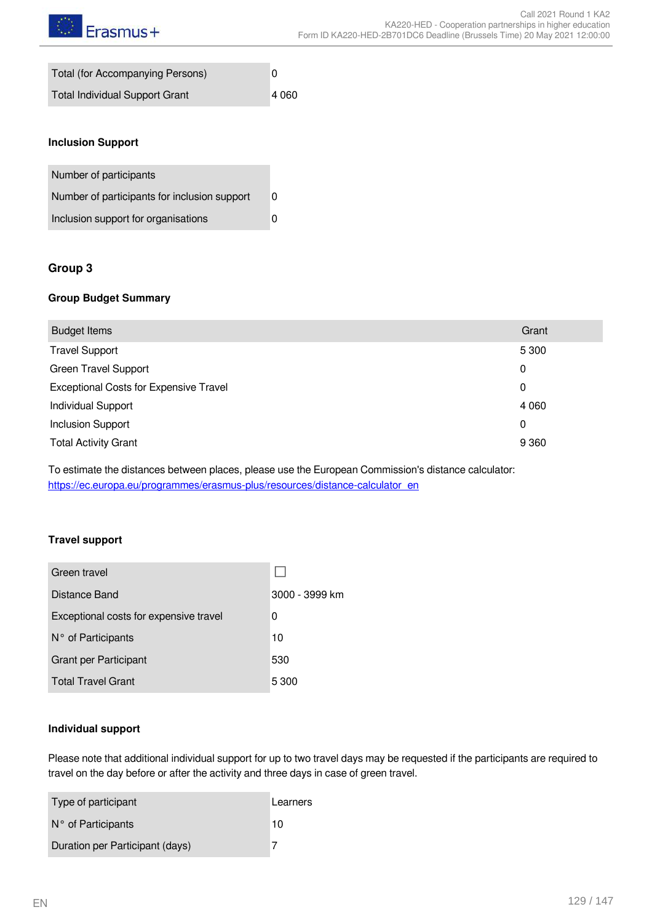| Total (for Accompanying Persons)      | 0       |
|---------------------------------------|---------|
| <b>Total Individual Support Grant</b> | 4 0 6 0 |

#### **Inclusion Support**

| Number of participants                       |   |
|----------------------------------------------|---|
| Number of participants for inclusion support | 0 |
| Inclusion support for organisations          |   |

#### **Group 3**

#### **Group Budget Summary**

| <b>Budget Items</b>                           | Grant   |
|-----------------------------------------------|---------|
| <b>Travel Support</b>                         | 5 3 0 0 |
| <b>Green Travel Support</b>                   | 0       |
| <b>Exceptional Costs for Expensive Travel</b> | 0       |
| <b>Individual Support</b>                     | 4 0 6 0 |
| <b>Inclusion Support</b>                      | 0       |
| <b>Total Activity Grant</b>                   | 9 3 6 0 |

To estimate the distances between places, please use the European Commission's distance calculator: [https://ec.europa.eu/programmes/erasmus-plus/resources/distance-calculator\\_en](https://ec.europa.eu/programmes/erasmus-plus/resources/distance-calculator_en)

#### **Travel support**

| Green travel                           |                |
|----------------------------------------|----------------|
| Distance Band                          | 3000 - 3999 km |
| Exceptional costs for expensive travel | 0              |
| N° of Participants                     | 10             |
| Grant per Participant                  | 530            |
| <b>Total Travel Grant</b>              | 5 300          |

#### **Individual support**

Please note that additional individual support for up to two travel days may be requested if the participants are required to travel on the day before or after the activity and three days in case of green travel.

| Type of participant             | Learners |
|---------------------------------|----------|
| $N^{\circ}$ of Participants     | 10       |
| Duration per Participant (days) |          |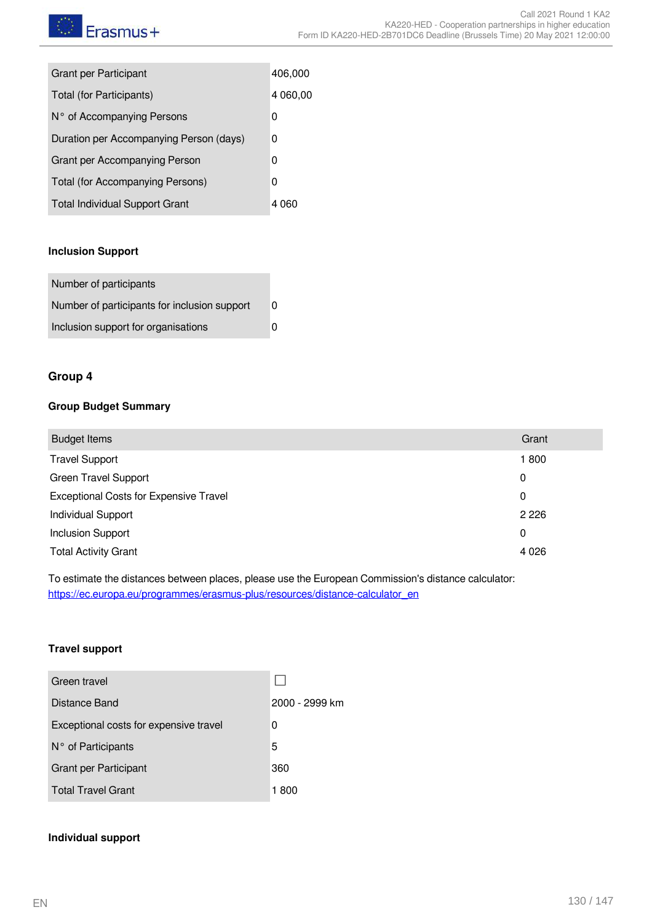| <b>Grant per Participant</b>            | 406,000  |
|-----------------------------------------|----------|
| Total (for Participants)                | 4 060,00 |
| N° of Accompanying Persons              | 0        |
| Duration per Accompanying Person (days) | 0        |
| Grant per Accompanying Person           | 0        |
| Total (for Accompanying Persons)        | 0        |
| <b>Total Individual Support Grant</b>   | 4 060    |

#### **Inclusion Support**

| Number of participants                       |  |
|----------------------------------------------|--|
| Number of participants for inclusion support |  |
| Inclusion support for organisations          |  |

#### **Group 4**

#### **Group Budget Summary**

| <b>Budget Items</b>                           | Grant   |
|-----------------------------------------------|---------|
| <b>Travel Support</b>                         | 1800    |
| <b>Green Travel Support</b>                   | 0       |
| <b>Exceptional Costs for Expensive Travel</b> | 0       |
| <b>Individual Support</b>                     | 2 2 2 6 |
| <b>Inclusion Support</b>                      | 0       |
| <b>Total Activity Grant</b>                   | 4 0 2 6 |
|                                               |         |

To estimate the distances between places, please use the European Commission's distance calculator: [https://ec.europa.eu/programmes/erasmus-plus/resources/distance-calculator\\_en](https://ec.europa.eu/programmes/erasmus-plus/resources/distance-calculator_en)

#### **Travel support**

| Green travel                           |                |
|----------------------------------------|----------------|
| Distance Band                          | 2000 - 2999 km |
| Exceptional costs for expensive travel | 0              |
| N° of Participants                     | 5              |
| <b>Grant per Participant</b>           | 360            |
| <b>Total Travel Grant</b>              | 1 800          |

#### **Individual support**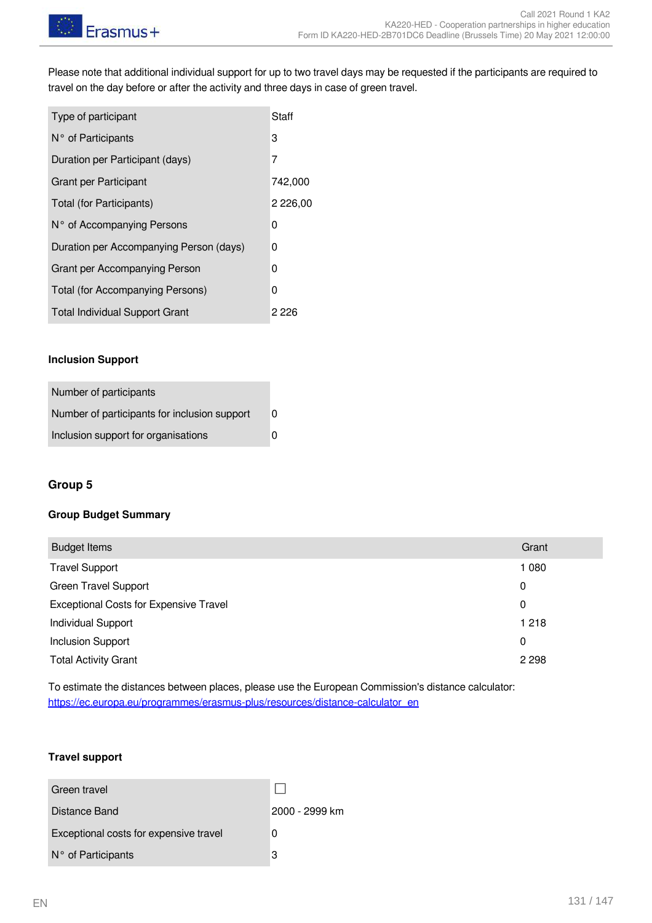Please note that additional individual support for up to two travel days may be requested if the participants are required to travel on the day before or after the activity and three days in case of green travel.

| Type of participant                     | Staff       |
|-----------------------------------------|-------------|
| $N^{\circ}$ of Participants             | 3           |
| Duration per Participant (days)         | 7           |
| Grant per Participant                   | 742,000     |
| Total (for Participants)                | 2 2 2 6 ,00 |
| N° of Accompanying Persons              | 0           |
| Duration per Accompanying Person (days) | 0           |
| Grant per Accompanying Person           | 0           |
| Total (for Accompanying Persons)        | 0           |
| <b>Total Individual Support Grant</b>   | 2 2 2 6     |

#### **Inclusion Support**

| Number of participants                       |   |
|----------------------------------------------|---|
| Number of participants for inclusion support | 0 |
| Inclusion support for organisations          | ŋ |

#### **Group 5**

#### **Group Budget Summary**

| <b>Budget Items</b>                           | Grant   |
|-----------------------------------------------|---------|
| <b>Travel Support</b>                         | 1 0 8 0 |
| <b>Green Travel Support</b>                   | 0       |
| <b>Exceptional Costs for Expensive Travel</b> | 0       |
| <b>Individual Support</b>                     | 1 2 1 8 |
| <b>Inclusion Support</b>                      | 0       |
| <b>Total Activity Grant</b>                   | 2 2 9 8 |

To estimate the distances between places, please use the European Commission's distance calculator: [https://ec.europa.eu/programmes/erasmus-plus/resources/distance-calculator\\_en](https://ec.europa.eu/programmes/erasmus-plus/resources/distance-calculator_en)

#### **Travel support**

Green travel  $\Box$ Distance Band 2000 - 2999 km Exceptional costs for expensive travel 0 N° of Participants 3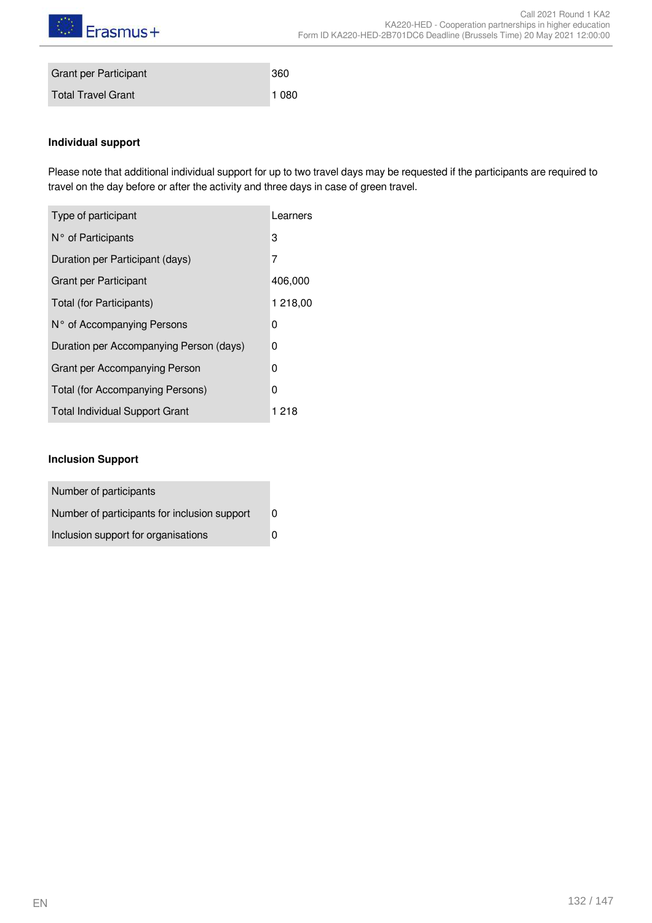

| <b>Grant per Participant</b> | 360     |
|------------------------------|---------|
| Total Travel Grant           | 1 0 8 0 |

#### **Individual support**

Please note that additional individual support for up to two travel days may be requested if the participants are required to travel on the day before or after the activity and three days in case of green travel.

| Type of participant                     | Learners |
|-----------------------------------------|----------|
| $N^{\circ}$ of Participants             | 3        |
| Duration per Participant (days)         | 7        |
| <b>Grant per Participant</b>            | 406,000  |
| Total (for Participants)                | 1 218,00 |
| N° of Accompanying Persons              | 0        |
| Duration per Accompanying Person (days) | 0        |
| Grant per Accompanying Person           | 0        |
| Total (for Accompanying Persons)        | 0        |
| <b>Total Individual Support Grant</b>   | 1 218    |

#### **Inclusion Support**

| Number of participants                       |   |
|----------------------------------------------|---|
| Number of participants for inclusion support | 0 |
| Inclusion support for organisations          | U |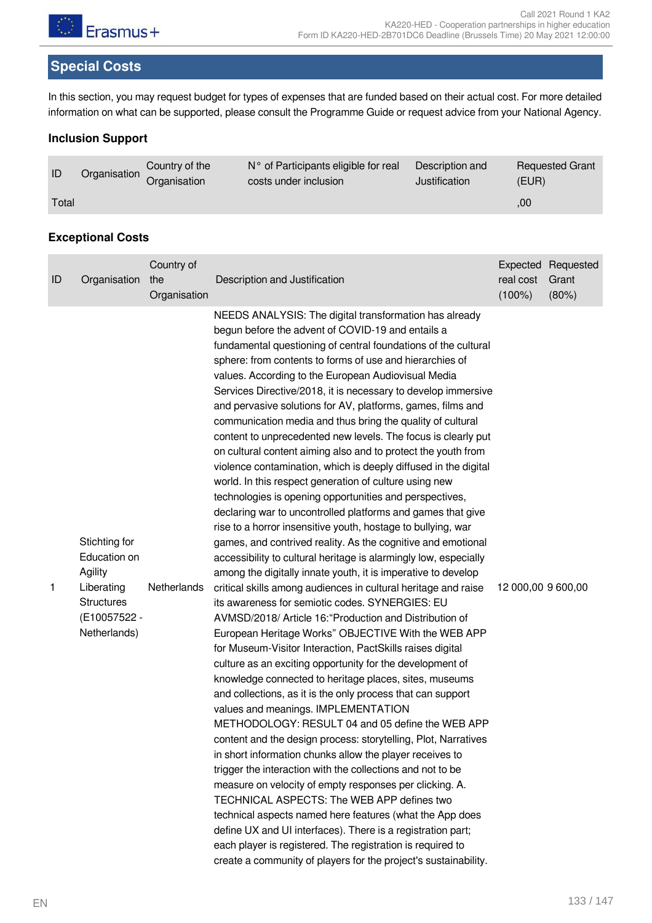

# **Special Costs**

In this section, you may request budget for types of expenses that are funded based on their actual cost. For more detailed information on what can be supported, please consult the Programme Guide or request advice from your National Agency.

#### **Inclusion Support**

| ID    | Organisation | Country of the<br>Organisation | $N^{\circ}$ of Participants eligible for real<br>costs under inclusion | Description and<br>Justification | <b>Requested Grant</b><br>(EUR) |
|-------|--------------|--------------------------------|------------------------------------------------------------------------|----------------------------------|---------------------------------|
| Total |              |                                |                                                                        |                                  | .00                             |

#### **Exceptional Costs**

| ID | Organisation                                                                                                | Country of<br>the<br>Organisation | Description and Justification                                                                                                                                                                                                                                                                                                                                                                                                                                                                                                                                                                                                                                                                                                                                                                                                                                                                                                                                                                                                                                                                                                                                                                                                                                                                                                                                                                                                                                                                                                                                                                                                                                                                                                                                                                                                                                                                                                                                                                                                                                                                                                                                                                                                                                                                                      | real cost<br>$(100\%)$ | Expected Requested<br>Grant<br>(80%) |
|----|-------------------------------------------------------------------------------------------------------------|-----------------------------------|--------------------------------------------------------------------------------------------------------------------------------------------------------------------------------------------------------------------------------------------------------------------------------------------------------------------------------------------------------------------------------------------------------------------------------------------------------------------------------------------------------------------------------------------------------------------------------------------------------------------------------------------------------------------------------------------------------------------------------------------------------------------------------------------------------------------------------------------------------------------------------------------------------------------------------------------------------------------------------------------------------------------------------------------------------------------------------------------------------------------------------------------------------------------------------------------------------------------------------------------------------------------------------------------------------------------------------------------------------------------------------------------------------------------------------------------------------------------------------------------------------------------------------------------------------------------------------------------------------------------------------------------------------------------------------------------------------------------------------------------------------------------------------------------------------------------------------------------------------------------------------------------------------------------------------------------------------------------------------------------------------------------------------------------------------------------------------------------------------------------------------------------------------------------------------------------------------------------------------------------------------------------------------------------------------------------|------------------------|--------------------------------------|
| 1  | Stichting for<br>Education on<br>Agility<br>Liberating<br><b>Structures</b><br>(E10057522 -<br>Netherlands) | Netherlands                       | NEEDS ANALYSIS: The digital transformation has already<br>begun before the advent of COVID-19 and entails a<br>fundamental questioning of central foundations of the cultural<br>sphere: from contents to forms of use and hierarchies of<br>values. According to the European Audiovisual Media<br>Services Directive/2018, it is necessary to develop immersive<br>and pervasive solutions for AV, platforms, games, films and<br>communication media and thus bring the quality of cultural<br>content to unprecedented new levels. The focus is clearly put<br>on cultural content aiming also and to protect the youth from<br>violence contamination, which is deeply diffused in the digital<br>world. In this respect generation of culture using new<br>technologies is opening opportunities and perspectives,<br>declaring war to uncontrolled platforms and games that give<br>rise to a horror insensitive youth, hostage to bullying, war<br>games, and contrived reality. As the cognitive and emotional<br>accessibility to cultural heritage is alarmingly low, especially<br>among the digitally innate youth, it is imperative to develop<br>critical skills among audiences in cultural heritage and raise<br>its awareness for semiotic codes. SYNERGIES: EU<br>AVMSD/2018/ Article 16: "Production and Distribution of<br>European Heritage Works" OBJECTIVE With the WEB APP<br>for Museum-Visitor Interaction, PactSkills raises digital<br>culture as an exciting opportunity for the development of<br>knowledge connected to heritage places, sites, museums<br>and collections, as it is the only process that can support<br>values and meanings. IMPLEMENTATION<br>METHODOLOGY: RESULT 04 and 05 define the WEB APP<br>content and the design process: storytelling, Plot, Narratives<br>in short information chunks allow the player receives to<br>trigger the interaction with the collections and not to be<br>measure on velocity of empty responses per clicking. A.<br>TECHNICAL ASPECTS: The WEB APP defines two<br>technical aspects named here features (what the App does<br>define UX and UI interfaces). There is a registration part;<br>each player is registered. The registration is required to<br>create a community of players for the project's sustainability. | 12 000,00 9 600,00     |                                      |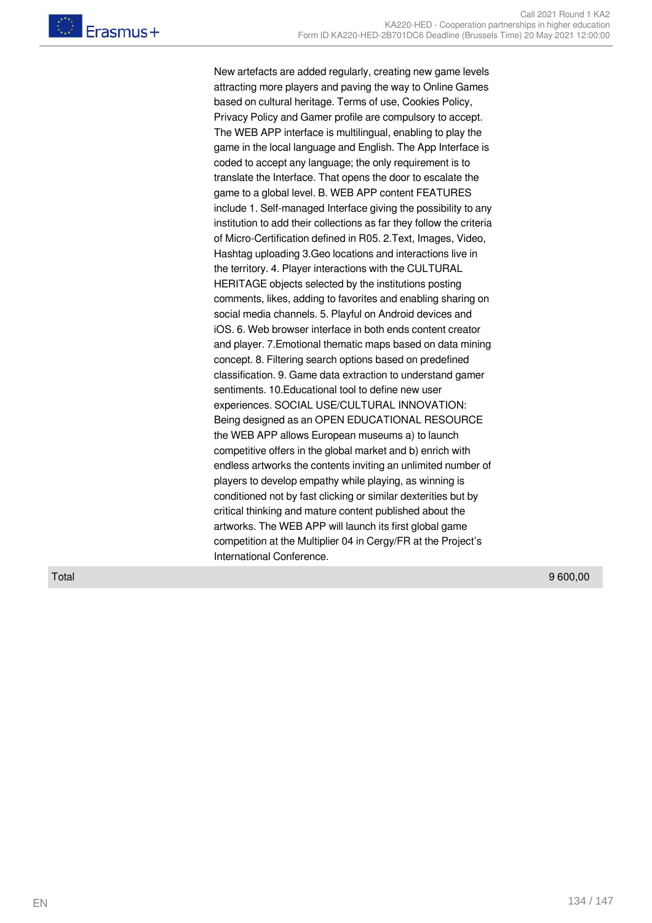New artefacts are added regularly, creating new game levels attracting more players and paving the way to Online Games based on cultural heritage. Terms of use, Cookies Policy, Privacy Policy and Gamer profile are compulsory to accept. The WEB APP interface is multilingual, enabling to play the game in the local language and English. The App Interface is coded to accept any language; the only requirement is to translate the Interface. That opens the door to escalate the game to a global level. B. WEB APP content FEATURES include 1. Self-managed Interface giving the possibility to any institution to add their collections as far they follow the criteria of Micro-Certification defined in R05. 2.Text, Images, Video, Hashtag uploading 3.Geo locations and interactions live in the territory. 4. Player interactions with the CULTURAL HERITAGE objects selected by the institutions posting comments, likes, adding to favorites and enabling sharing on social media channels. 5. Playful on Android devices and iOS. 6. Web browser interface in both ends content creator and player. 7.Emotional thematic maps based on data mining concept. 8. Filtering search options based on predefined classification. 9. Game data extraction to understand gamer sentiments. 10.Educational tool to define new user experiences. SOCIAL USE/CULTURAL INNOVATION: Being designed as an OPEN EDUCATIONAL RESOURCE the WEB APP allows European museums a) to launch competitive offers in the global market and b) enrich with endless artworks the contents inviting an unlimited number of players to develop empathy while playing, as winning is conditioned not by fast clicking or similar dexterities but by critical thinking and mature content published about the artworks. The WEB APP will launch its first global game competition at the Multiplier 04 in Cergy/FR at the Project's International Conference.

Total 9 600,00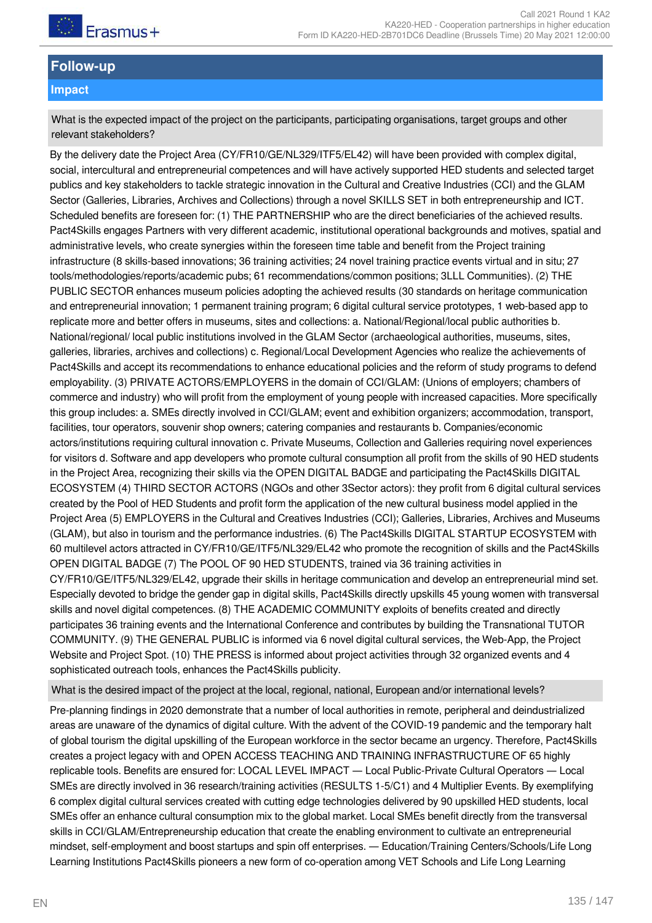

# **Follow-up**

#### **Impact**

What is the expected impact of the project on the participants, participating organisations, target groups and other relevant stakeholders?

By the delivery date the Project Area (CY/FR10/GE/NL329/ITF5/EL42) will have been provided with complex digital, social, intercultural and entrepreneurial competences and will have actively supported HED students and selected target publics and key stakeholders to tackle strategic innovation in the Cultural and Creative Industries (CCI) and the GLAM Sector (Galleries, Libraries, Archives and Collections) through a novel SKILLS SET in both entrepreneurship and ICT. Scheduled benefits are foreseen for: (1) THE PARTNERSHIP who are the direct beneficiaries of the achieved results. Pact4Skills engages Partners with very different academic, institutional operational backgrounds and motives, spatial and administrative levels, who create synergies within the foreseen time table and benefit from the Project training infrastructure (8 skills-based innovations; 36 training activities; 24 novel training practice events virtual and in situ; 27 tools/methodologies/reports/academic pubs; 61 recommendations/common positions; 3LLL Communities). (2) THE PUBLIC SECTOR enhances museum policies adopting the achieved results (30 standards on heritage communication and entrepreneurial innovation; 1 permanent training program; 6 digital cultural service prototypes, 1 web-based app to replicate more and better offers in museums, sites and collections: a. National/Regional/local public authorities b. National/regional/ local public institutions involved in the GLAM Sector (archaeological authorities, museums, sites, galleries, libraries, archives and collections) c. Regional/Local Development Agencies who realize the achievements of Pact4Skills and accept its recommendations to enhance educational policies and the reform of study programs to defend employability. (3) PRIVATE ACTORS/EMPLOYERS in the domain of CCI/GLAM: (Unions of employers; chambers of commerce and industry) who will profit from the employment of young people with increased capacities. More specifically this group includes: a. SMEs directly involved in CCI/GLAM; event and exhibition organizers; accommodation, transport, facilities, tour operators, souvenir shop owners; catering companies and restaurants b. Companies/economic actors/institutions requiring cultural innovation c. Private Museums, Collection and Galleries requiring novel experiences for visitors d. Software and app developers who promote cultural consumption all profit from the skills of 90 HED students in the Project Area, recognizing their skills via the OPEN DIGITAL BADGE and participating the Pact4Skills DIGITAL ECOSYSTEM (4) THIRD SECTOR ACTORS (NGOs and other 3Sector actors): they profit from 6 digital cultural services created by the Pool of HED Students and profit form the application of the new cultural business model applied in the Project Area (5) EMPLOYERS in the Cultural and Creatives Industries (CCI); Galleries, Libraries, Archives and Museums (GLAM), but also in tourism and the performance industries. (6) The Pact4Skills DIGITAL STARTUP ECOSYSTEM with 60 multilevel actors attracted in CY/FR10/GE/ITF5/NL329/EL42 who promote the recognition of skills and the Pact4Skills OPEN DIGITAL BADGE (7) The POOL OF 90 HED STUDENTS, trained via 36 training activities in CY/FR10/GE/ITF5/NL329/EL42, upgrade their skills in heritage communication and develop an entrepreneurial mind set. Especially devoted to bridge the gender gap in digital skills, Pact4Skills directly upskills 45 young women with transversal skills and novel digital competences. (8) THE ACADEMIC COMMUNITY exploits of benefits created and directly participates 36 training events and the International Conference and contributes by building the Transnational TUTOR COMMUNITY. (9) THE GENERAL PUBLIC is informed via 6 novel digital cultural services, the Web-App, the Project Website and Project Spot. (10) THE PRESS is informed about project activities through 32 organized events and 4 sophisticated outreach tools, enhances the Pact4Skills publicity.

What is the desired impact of the project at the local, regional, national, European and/or international levels?

Pre-planning findings in 2020 demonstrate that a number of local authorities in remote, peripheral and deindustrialized areas are unaware of the dynamics of digital culture. With the advent of the COVID-19 pandemic and the temporary halt of global tourism the digital upskilling of the European workforce in the sector became an urgency. Therefore, Pact4Skills creates a project legacy with and OPEN ACCESS TEACHING AND TRAINING INFRASTRUCTURE OF 65 highly replicable tools. Benefits are ensured for: LOCAL LEVEL IMPACT ― Local Public-Private Cultural Operators ― Local SMEs are directly involved in 36 research/training activities (RESULTS 1-5/C1) and 4 Multiplier Events. By exemplifying 6 complex digital cultural services created with cutting edge technologies delivered by 90 upskilled HED students, local SMEs offer an enhance cultural consumption mix to the global market. Local SMEs benefit directly from the transversal skills in CCI/GLAM/Entrepreneurship education that create the enabling environment to cultivate an entrepreneurial mindset, self-employment and boost startups and spin off enterprises. ― Education/Training Centers/Schools/Life Long Learning Institutions Pact4Skills pioneers a new form of co-operation among VET Schools and Life Long Learning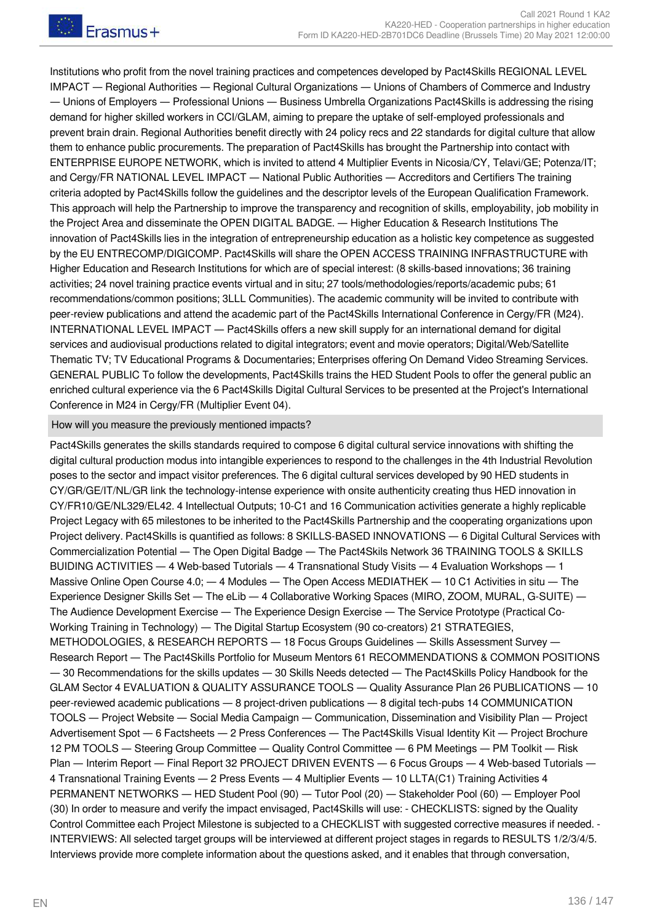Institutions who profit from the novel training practices and competences developed by Pact4Skills REGIONAL LEVEL IMPACT ― Regional Authorities ― Regional Cultural Organizations ― Unions of Chambers of Commerce and Industry ― Unions of Employers ― Professional Unions ― Business Umbrella Organizations Pact4Skills is addressing the rising demand for higher skilled workers in CCI/GLAM, aiming to prepare the uptake of self-employed professionals and prevent brain drain. Regional Authorities benefit directly with 24 policy recs and 22 standards for digital culture that allow them to enhance public procurements. The preparation of Pact4Skills has brought the Partnership into contact with ENTERPRISE EUROPE NETWORK, which is invited to attend 4 Multiplier Events in Nicosia/CY, Telavi/GE; Potenza/IT; and Cergy/FR NATIONAL LEVEL IMPACT — National Public Authorities — Accreditors and Certifiers The training criteria adopted by Pact4Skills follow the guidelines and the descriptor levels of the European Qualification Framework. This approach will help the Partnership to improve the transparency and recognition of skills, employability, job mobility in the Project Area and disseminate the OPEN DIGITAL BADGE. ― Higher Education & Research Institutions The innovation of Pact4Skills lies in the integration of entrepreneurship education as a holistic key competence as suggested by the EU ENTRECOMP/DIGICOMP. Pact4Skills will share the OPEN ACCESS TRAINING INFRASTRUCTURE with Higher Education and Research Institutions for which are of special interest: (8 skills-based innovations; 36 training activities; 24 novel training practice events virtual and in situ; 27 tools/methodologies/reports/academic pubs; 61 recommendations/common positions; 3LLL Communities). The academic community will be invited to contribute with peer-review publications and attend the academic part of the Pact4Skills International Conference in Cergy/FR (M24). INTERNATIONAL LEVEL IMPACT ― Pact4Skills offers a new skill supply for an international demand for digital services and audiovisual productions related to digital integrators; event and movie operators; Digital/Web/Satellite Thematic TV; TV Educational Programs & Documentaries; Enterprises offering On Demand Video Streaming Services. GENERAL PUBLIC To follow the developments, Pact4Skills trains the HED Student Pools to offer the general public an enriched cultural experience via the 6 Pact4Skills Digital Cultural Services to be presented at the Project's International Conference in M24 in Cergy/FR (Multiplier Event 04).

#### How will you measure the previously mentioned impacts?

Pact4Skills generates the skills standards required to compose 6 digital cultural service innovations with shifting the digital cultural production modus into intangible experiences to respond to the challenges in the 4th Industrial Revolution poses to the sector and impact visitor preferences. The 6 digital cultural services developed by 90 HED students in CY/GR/GE/IT/NL/GR link the technology-intense experience with onsite authenticity creating thus HED innovation in CY/FR10/GE/NL329/EL42. 4 Intellectual Outputs; 10-C1 and 16 Communication activities generate a highly replicable Project Legacy with 65 milestones to be inherited to the Pact4Skills Partnership and the cooperating organizations upon Project delivery. Pact4Skills is quantified as follows: 8 SKILLS-BASED INNOVATIONS ― 6 Digital Cultural Services with Commercialization Potential ― The Open Digital Badge ― The Pact4Skils Network 36 TRAINING TOOLS & SKILLS BUIDING ACTIVITIES ― 4 Web-based Tutorials ― 4 Transnational Study Visits ― 4 Evaluation Workshops ― 1 Massive Online Open Course 4.0; — 4 Modules — The Open Access MEDIATHEK — 10 C1 Activities in situ — The Experience Designer Skills Set ― The eLib ― 4 Collaborative Working Spaces (MIRO, ZOOM, MURAL, G-SUITE) ― The Audience Development Exercise ― The Experience Design Exercise ― The Service Prototype (Practical Co-Working Training in Technology) ― The Digital Startup Ecosystem (90 co-creators) 21 STRATEGIES, METHODOLOGIES, & RESEARCH REPORTS ― 18 Focus Groups Guidelines ― Skills Assessment Survey ― Research Report ― The Pact4Skills Portfolio for Museum Mentors 61 RECOMMENDATIONS & COMMON POSITIONS ― 30 Recommendations for the skills updates ― 30 Skills Needs detected ― The Pact4Skills Policy Handbook for the GLAM Sector 4 EVALUATION & QUALITY ASSURANCE TOOLS ― Quality Assurance Plan 26 PUBLICATIONS ― 10 peer-reviewed academic publications ― 8 project-driven publications ― 8 digital tech-pubs 14 COMMUNICATION TOOLS ― Project Website ― Social Media Campaign ― Communication, Dissemination and Visibility Plan ― Project Advertisement Spot ― 6 Factsheets ― 2 Press Conferences ― The Pact4Skills Visual Identity Kit ― Project Brochure 12 PM TOOLS — Steering Group Committee — Quality Control Committee — 6 PM Meetings — PM Toolkit — Risk Plan — Interim Report — Final Report 32 PROJECT DRIVEN EVENTS — 6 Focus Groups — 4 Web-based Tutorials — 4 Transnational Training Events ― 2 Press Events ― 4 Multiplier Events ― 10 LLTA(C1) Training Activities 4 PERMANENT NETWORKS ― HED Student Pool (90) ― Tutor Pool (20) ― Stakeholder Pool (60) ― Employer Pool (30) In order to measure and verify the impact envisaged, Pact4Skills will use: - CHECKLISTS: signed by the Quality Control Committee each Project Milestone is subjected to a CHECKLIST with suggested corrective measures if needed. - INTERVIEWS: All selected target groups will be interviewed at different project stages in regards to RESULTS 1/2/3/4/5. Interviews provide more complete information about the questions asked, and it enables that through conversation,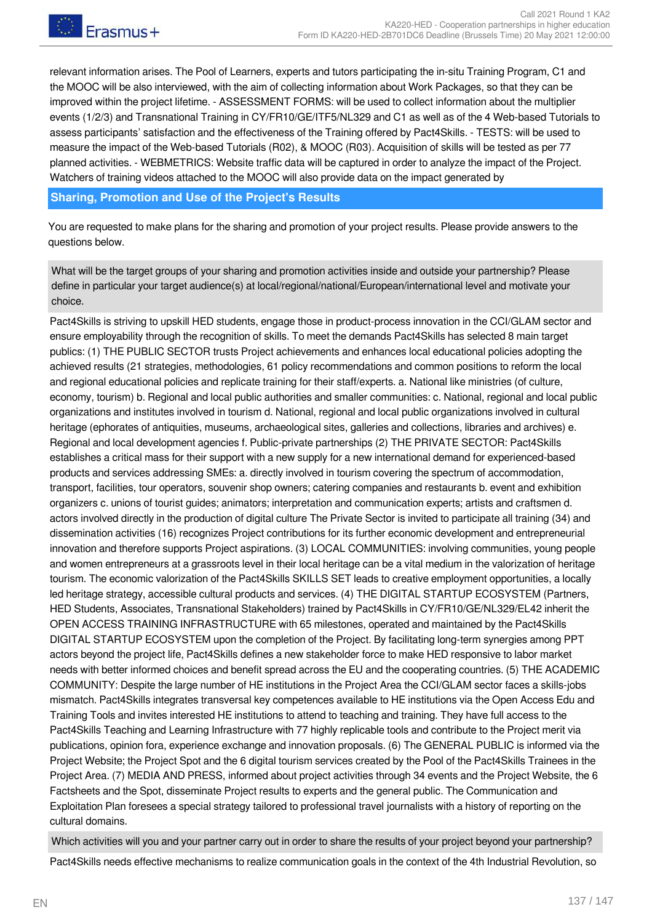relevant information arises. The Pool of Learners, experts and tutors participating the in-situ Training Program, C1 and the MOOC will be also interviewed, with the aim of collecting information about Work Packages, so that they can be improved within the project lifetime. - ASSESSMENT FORMS: will be used to collect information about the multiplier events (1/2/3) and Transnational Training in CY/FR10/GE/ITF5/NL329 and C1 as well as of the 4 Web-based Tutorials to assess participants' satisfaction and the effectiveness of the Training offered by Pact4Skills. - TESTS: will be used to measure the impact of the Web-based Tutorials (R02), & MOOC (R03). Acquisition of skills will be tested as per 77 planned activities. - WEBMETRICS: Website traffic data will be captured in order to analyze the impact of the Project. Watchers of training videos attached to the MOOC will also provide data on the impact generated by

#### **Sharing, Promotion and Use of the Project's Results**

You are requested to make plans for the sharing and promotion of your project results. Please provide answers to the questions below.

What will be the target groups of your sharing and promotion activities inside and outside your partnership? Please define in particular your target audience(s) at local/regional/national/European/international level and motivate your choice.

Pact4Skills is striving to upskill HED students, engage those in product-process innovation in the CCI/GLAM sector and ensure employability through the recognition of skills. To meet the demands Pact4Skills has selected 8 main target publics: (1) THE PUBLIC SECTOR trusts Project achievements and enhances local educational policies adopting the achieved results (21 strategies, methodologies, 61 policy recommendations and common positions to reform the local and regional educational policies and replicate training for their staff/experts. a. National like ministries (of culture, economy, tourism) b. Regional and local public authorities and smaller communities: c. National, regional and local public organizations and institutes involved in tourism d. National, regional and local public organizations involved in cultural heritage (ephorates of antiquities, museums, archaeological sites, galleries and collections, libraries and archives) e. Regional and local development agencies f. Public-private partnerships (2) THE PRIVATE SECTOR: Pact4Skills establishes a critical mass for their support with a new supply for a new international demand for experienced-based products and services addressing SMEs: a. directly involved in tourism covering the spectrum of accommodation, transport, facilities, tour operators, souvenir shop owners; catering companies and restaurants b. event and exhibition organizers c. unions of tourist guides; animators; interpretation and communication experts; artists and craftsmen d. actors involved directly in the production of digital culture The Private Sector is invited to participate all training (34) and dissemination activities (16) recognizes Project contributions for its further economic development and entrepreneurial innovation and therefore supports Project aspirations. (3) LOCAL COMMUNITIES: involving communities, young people and women entrepreneurs at a grassroots level in their local heritage can be a vital medium in the valorization of heritage tourism. The economic valorization of the Pact4Skills SKILLS SET leads to creative employment opportunities, a locally led heritage strategy, accessible cultural products and services. (4) THE DIGITAL STARTUP ECOSYSTEM (Partners, HED Students, Associates, Transnational Stakeholders) trained by Pact4Skills in CY/FR10/GE/NL329/EL42 inherit the OPEN ACCESS TRAINING INFRASTRUCTURE with 65 milestones, operated and maintained by the Pact4Skills DIGITAL STARTUP ECOSYSTEM upon the completion of the Project. By facilitating long-term synergies among PPT actors beyond the project life, Pact4Skills defines a new stakeholder force to make HED responsive to labor market needs with better informed choices and benefit spread across the EU and the cooperating countries. (5) THE ACADEMIC COMMUNITY: Despite the large number of HE institutions in the Project Area the CCI/GLAM sector faces a skills-jobs mismatch. Pact4Skills integrates transversal key competences available to HE institutions via the Open Access Edu and Training Tools and invites interested HE institutions to attend to teaching and training. They have full access to the Pact4Skills Teaching and Learning Infrastructure with 77 highly replicable tools and contribute to the Project merit via publications, opinion fora, experience exchange and innovation proposals. (6) The GENERAL PUBLIC is informed via the Project Website; the Project Spot and the 6 digital tourism services created by the Pool of the Pact4Skills Trainees in the Project Area. (7) MEDIA AND PRESS, informed about project activities through 34 events and the Project Website, the 6 Factsheets and the Spot, disseminate Project results to experts and the general public. The Communication and Exploitation Plan foresees a special strategy tailored to professional travel journalists with a history of reporting on the cultural domains.

Which activities will you and your partner carry out in order to share the results of your project beyond your partnership?

Pact4Skills needs effective mechanisms to realize communication goals in the context of the 4th Industrial Revolution, so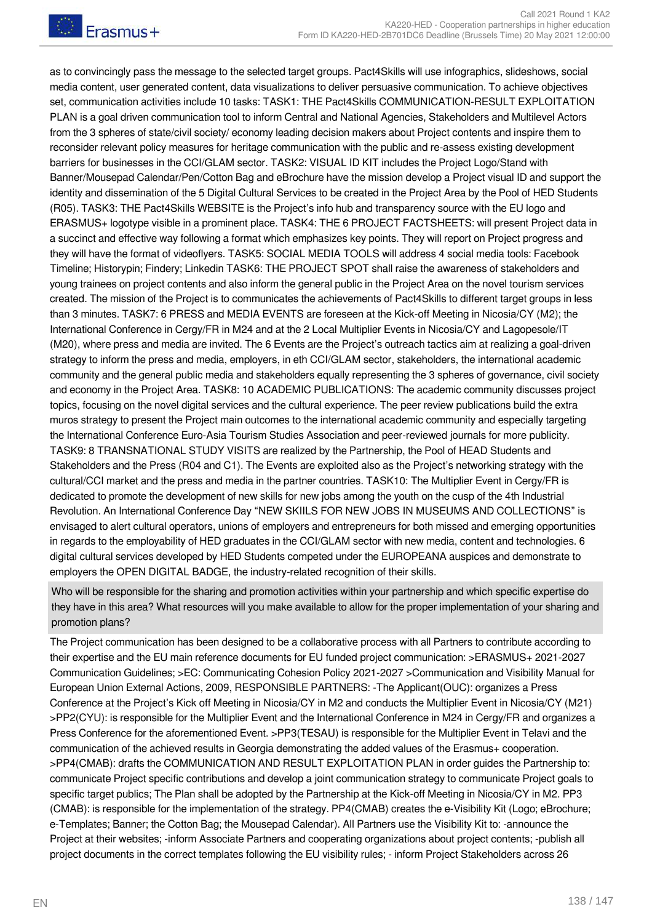as to convincingly pass the message to the selected target groups. Pact4Skills will use infographics, slideshows, social media content, user generated content, data visualizations to deliver persuasive communication. To achieve objectives set, communication activities include 10 tasks: TASK1: THE Pact4Skills COMMUNICATION-RESULT EXPLOITATION PLAN is a goal driven communication tool to inform Central and National Agencies, Stakeholders and Multilevel Actors from the 3 spheres of state/civil society/ economy leading decision makers about Project contents and inspire them to reconsider relevant policy measures for heritage communication with the public and re-assess existing development barriers for businesses in the CCI/GLAM sector. TASK2: VISUAL ID KIT includes the Project Logo/Stand with Banner/Mousepad Calendar/Pen/Cotton Bag and eBrochure have the mission develop a Project visual ID and support the identity and dissemination of the 5 Digital Cultural Services to be created in the Project Area by the Pool of HED Students (R05). TASK3: THE Pact4Skills WEBSITE is the Project's info hub and transparency source with the EU logo and ERASMUS+ logotype visible in a prominent place. TASK4: THE 6 PROJECT FACTSHEETS: will present Project data in a succinct and effective way following a format which emphasizes key points. They will report on Project progress and they will have the format of videoflyers. TASK5: SOCIAL MEDIA TOOLS will address 4 social media tools: Facebook Timeline; Historypin; Findery; Linkedin TASK6: THE PROJECT SPOT shall raise the awareness of stakeholders and young trainees on project contents and also inform the general public in the Project Area on the novel tourism services created. The mission of the Project is to communicates the achievements of Pact4Skills to different target groups in less than 3 minutes. TASK7: 6 PRESS and MEDIA EVENTS are foreseen at the Kick-off Meeting in Nicosia/CY (M2); the International Conference in Cergy/FR in M24 and at the 2 Local Multiplier Events in Nicosia/CY and Lagopesole/IT (M20), where press and media are invited. The 6 Events are the Project's outreach tactics aim at realizing a goal-driven strategy to inform the press and media, employers, in eth CCI/GLAM sector, stakeholders, the international academic community and the general public media and stakeholders equally representing the 3 spheres of governance, civil society and economy in the Project Area. TASK8: 10 ACADEMIC PUBLICATIONS: The academic community discusses project topics, focusing on the novel digital services and the cultural experience. The peer review publications build the extra muros strategy to present the Project main outcomes to the international academic community and especially targeting the International Conference Euro-Asia Tourism Studies Association and peer-reviewed journals for more publicity. TASK9: 8 TRANSNATIONAL STUDY VISITS are realized by the Partnership, the Pool of HEAD Students and Stakeholders and the Press (R04 and C1). The Events are exploited also as the Project's networking strategy with the cultural/CCI market and the press and media in the partner countries. TASK10: The Multiplier Event in Cergy/FR is dedicated to promote the development of new skills for new jobs among the youth on the cusp of the 4th Industrial Revolution. An International Conference Day "NEW SKIILS FOR NEW JOBS IN MUSEUMS AND COLLECTIONS" is envisaged to alert cultural operators, unions of employers and entrepreneurs for both missed and emerging opportunities in regards to the employability of HED graduates in the CCI/GLAM sector with new media, content and technologies. 6 digital cultural services developed by HED Students competed under the EUROPEANA auspices and demonstrate to employers the OPEN DIGITAL BADGE, the industry-related recognition of their skills.

Who will be responsible for the sharing and promotion activities within your partnership and which specific expertise do they have in this area? What resources will you make available to allow for the proper implementation of your sharing and promotion plans?

The Project communication has been designed to be a collaborative process with all Partners to contribute according to their expertise and the EU main reference documents for EU funded project communication: >ERASMUS+ 2021-2027 Communication Guidelines; >EC: Communicating Cohesion Policy 2021-2027 >Communication and Visibility Manual for European Union External Actions, 2009, RESPONSIBLE PARTNERS: -The Applicant(OUC): organizes a Press Conference at the Project's Kick off Meeting in Nicosia/CY in M2 and conducts the Multiplier Event in Nicosia/CY (M21) >PP2(CYU): is responsible for the Multiplier Event and the International Conference in M24 in Cergy/FR and organizes a Press Conference for the aforementioned Event. >PP3(TESAU) is responsible for the Multiplier Event in Telavi and the communication of the achieved results in Georgia demonstrating the added values of the Erasmus+ cooperation. >PP4(CMAB): drafts the COMMUNICATION AND RESULT EXPLOITATION PLAN in order guides the Partnership to: communicate Project specific contributions and develop a joint communication strategy to communicate Project goals to specific target publics; The Plan shall be adopted by the Partnership at the Kick-off Meeting in Nicosia/CY in M2. PP3 (CMAB): is responsible for the implementation of the strategy. PP4(CMAB) creates the e-Visibility Kit (Logo; eBrochure; e-Templates; Banner; the Cotton Bag; the Mousepad Calendar). All Partners use the Visibility Kit to: -announce the Project at their websites; -inform Associate Partners and cooperating organizations about project contents; -publish all project documents in the correct templates following the EU visibility rules; - inform Project Stakeholders across 26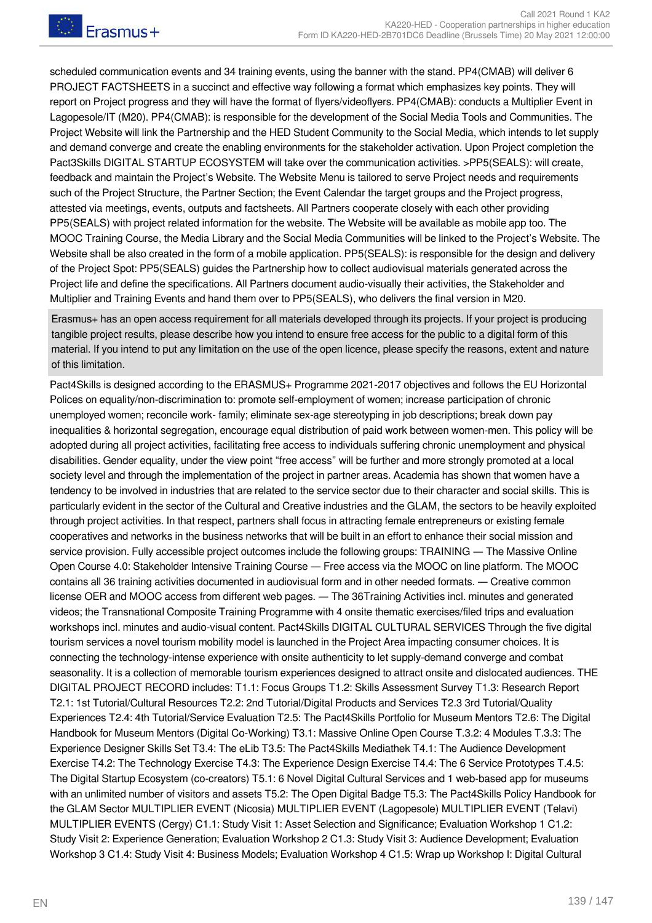scheduled communication events and 34 training events, using the banner with the stand. PP4(CMAB) will deliver 6 PROJECT FACTSHEETS in a succinct and effective way following a format which emphasizes key points. They will report on Project progress and they will have the format of flyers/videoflyers. PP4(CMAB): conducts a Multiplier Event in Lagopesole/IT (M20). PP4(CMAB): is responsible for the development of the Social Media Tools and Communities. The Project Website will link the Partnership and the HED Student Community to the Social Media, which intends to let supply and demand converge and create the enabling environments for the stakeholder activation. Upon Project completion the Pact3Skills DIGITAL STARTUP ECOSYSTEM will take over the communication activities. >PP5(SEALS): will create, feedback and maintain the Project's Website. The Website Menu is tailored to serve Project needs and requirements such of the Project Structure, the Partner Section; the Event Calendar the target groups and the Project progress, attested via meetings, events, outputs and factsheets. All Partners cooperate closely with each other providing PP5(SEALS) with project related information for the website. The Website will be available as mobile app too. The MOOC Training Course, the Media Library and the Social Media Communities will be linked to the Project's Website. The Website shall be also created in the form of a mobile application. PP5(SEALS): is responsible for the design and delivery of the Project Spot: PP5(SEALS) guides the Partnership how to collect audiovisual materials generated across the Project life and define the specifications. All Partners document audio-visually their activities, the Stakeholder and Multiplier and Training Events and hand them over to PP5(SEALS), who delivers the final version in M20.

Erasmus+ has an open access requirement for all materials developed through its projects. If your project is producing tangible project results, please describe how you intend to ensure free access for the public to a digital form of this material. If you intend to put any limitation on the use of the open licence, please specify the reasons, extent and nature of this limitation.

Pact4Skills is designed according to the ERASMUS+ Programme 2021-2017 objectives and follows the EU Horizontal Polices on equality/non-discrimination to: promote self-employment of women; increase participation of chronic unemployed women; reconcile work- family; eliminate sex-age stereotyping in job descriptions; break down pay inequalities & horizontal segregation, encourage equal distribution of paid work between women-men. This policy will be adopted during all project activities, facilitating free access to individuals suffering chronic unemployment and physical disabilities. Gender equality, under the view point "free access" will be further and more strongly promoted at a local society level and through the implementation of the project in partner areas. Academia has shown that women have a tendency to be involved in industries that are related to the service sector due to their character and social skills. This is particularly evident in the sector of the Cultural and Creative industries and the GLAM, the sectors to be heavily exploited through project activities. In that respect, partners shall focus in attracting female entrepreneurs or existing female cooperatives and networks in the business networks that will be built in an effort to enhance their social mission and service provision. Fully accessible project outcomes include the following groups: TRAINING — The Massive Online Open Course 4.0: Stakeholder Intensive Training Course ― Free access via the MOOC on line platform. The MOOC contains all 36 training activities documented in audiovisual form and in other needed formats. ― Creative common license OER and MOOC access from different web pages. ― The 36Training Activities incl. minutes and generated videos; the Transnational Composite Training Programme with 4 onsite thematic exercises/filed trips and evaluation workshops incl. minutes and audio-visual content. Pact4Skills DIGITAL CULTURAL SERVICES Through the five digital tourism services a novel tourism mobility model is launched in the Project Area impacting consumer choices. It is connecting the technology-intense experience with onsite authenticity to let supply-demand converge and combat seasonality. It is a collection of memorable tourism experiences designed to attract onsite and dislocated audiences. THE DIGITAL PROJECT RECORD includes: T1.1: Focus Groups T1.2: Skills Assessment Survey T1.3: Research Report T2.1: 1st Tutorial/Cultural Resources T2.2: 2nd Tutorial/Digital Products and Services T2.3 3rd Tutorial/Quality Experiences T2.4: 4th Tutorial/Service Evaluation T2.5: The Pact4Skills Portfolio for Museum Mentors T2.6: The Digital Handbook for Museum Mentors (Digital Co-Working) T3.1: Massive Online Open Course T.3.2: 4 Modules T.3.3: The Experience Designer Skills Set T3.4: The eLib T3.5: The Pact4Skills Mediathek T4.1: The Audience Development Exercise T4.2: The Technology Exercise T4.3: The Experience Design Exercise T4.4: The 6 Service Prototypes T.4.5: The Digital Startup Ecosystem (co-creators) T5.1: 6 Novel Digital Cultural Services and 1 web-based app for museums with an unlimited number of visitors and assets T5.2: The Open Digital Badge T5.3: The Pact4Skills Policy Handbook for the GLAM Sector MULTIPLIER EVENT (Nicosia) MULTIPLIER EVENT (Lagopesole) MULTIPLIER EVENT (Telavi) MULTIPLIER EVENTS (Cergy) C1.1: Study Visit 1: Asset Selection and Significance; Evaluation Workshop 1 C1.2: Study Visit 2: Experience Generation; Evaluation Workshop 2 C1.3: Study Visit 3: Audience Development; Evaluation Workshop 3 C1.4: Study Visit 4: Business Models; Evaluation Workshop 4 C1.5: Wrap up Workshop I: Digital Cultural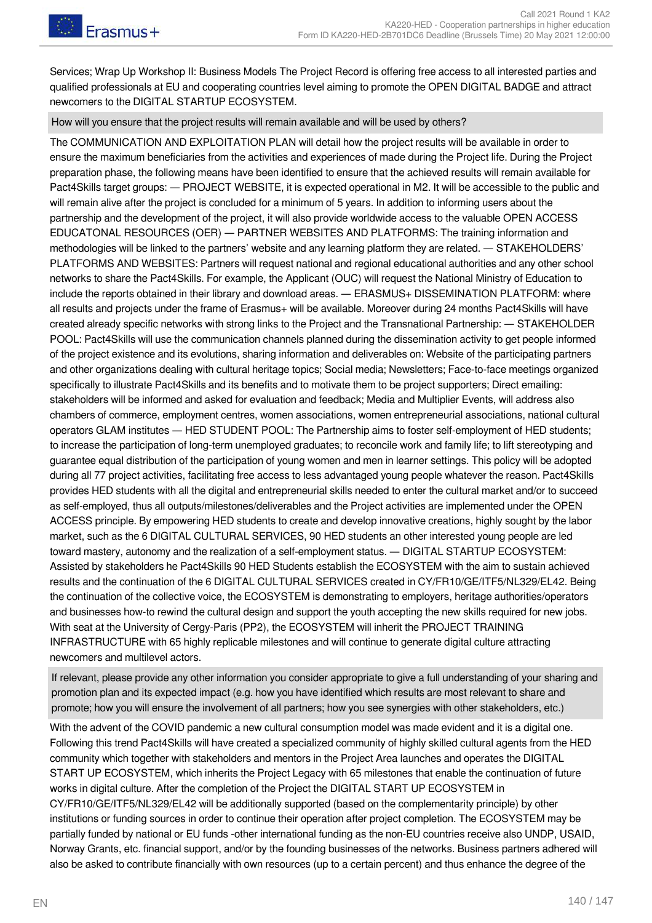Services; Wrap Up Workshop II: Business Models The Project Record is offering free access to all interested parties and qualified professionals at EU and cooperating countries level aiming to promote the OPEN DIGITAL BADGE and attract newcomers to the DIGITAL STARTUP ECOSYSTEM.

How will you ensure that the project results will remain available and will be used by others?

The COMMUNICATION AND EXPLOITATION PLAN will detail how the project results will be available in order to ensure the maximum beneficiaries from the activities and experiences of made during the Project life. During the Project preparation phase, the following means have been identified to ensure that the achieved results will remain available for Pact4Skills target groups: ― PROJECT WEBSITE, it is expected operational in M2. It will be accessible to the public and will remain alive after the project is concluded for a minimum of 5 years. In addition to informing users about the partnership and the development of the project, it will also provide worldwide access to the valuable OPEN ACCESS EDUCATONAL RESOURCES (OER) ― PARTNER WEBSITES AND PLATFORMS: The training information and methodologies will be linked to the partners' website and any learning platform they are related. ― STAKEHOLDERS' PLATFORMS AND WEBSITES: Partners will request national and regional educational authorities and any other school networks to share the Pact4Skills. For example, the Applicant (OUC) will request the National Ministry of Education to include the reports obtained in their library and download areas. — ERASMUS+ DISSEMINATION PLATFORM: where all results and projects under the frame of Erasmus+ will be available. Moreover during 24 months Pact4Skills will have created already specific networks with strong links to the Project and the Transnational Partnership: ― STAKEHOLDER POOL: Pact4Skills will use the communication channels planned during the dissemination activity to get people informed of the project existence and its evolutions, sharing information and deliverables on: Website of the participating partners and other organizations dealing with cultural heritage topics; Social media; Newsletters; Face-to-face meetings organized specifically to illustrate Pact4Skills and its benefits and to motivate them to be project supporters; Direct emailing: stakeholders will be informed and asked for evaluation and feedback; Media and Multiplier Events, will address also chambers of commerce, employment centres, women associations, women entrepreneurial associations, national cultural operators GLAM institutes ― HED STUDENT POOL: The Partnership aims to foster self-employment of HED students; to increase the participation of long-term unemployed graduates; to reconcile work and family life; to lift stereotyping and guarantee equal distribution of the participation of young women and men in learner settings. This policy will be adopted during all 77 project activities, facilitating free access to less advantaged young people whatever the reason. Pact4Skills provides HED students with all the digital and entrepreneurial skills needed to enter the cultural market and/or to succeed as self-employed, thus all outputs/milestones/deliverables and the Project activities are implemented under the OPEN ACCESS principle. By empowering HED students to create and develop innovative creations, highly sought by the labor market, such as the 6 DIGITAL CULTURAL SERVICES, 90 HED students an other interested young people are led toward mastery, autonomy and the realization of a self-employment status. ― DIGITAL STARTUP ECOSYSTEM: Assisted by stakeholders he Pact4Skills 90 HED Students establish the ECOSYSTEM with the aim to sustain achieved results and the continuation of the 6 DIGITAL CULTURAL SERVICES created in CY/FR10/GE/ITF5/NL329/EL42. Being the continuation of the collective voice, the ECOSYSTEM is demonstrating to employers, heritage authorities/operators and businesses how-to rewind the cultural design and support the youth accepting the new skills required for new jobs. With seat at the University of Cergy-Paris (PP2), the ECOSYSTEM will inherit the PROJECT TRAINING INFRASTRUCTURE with 65 highly replicable milestones and will continue to generate digital culture attracting newcomers and multilevel actors.

If relevant, please provide any other information you consider appropriate to give a full understanding of your sharing and promotion plan and its expected impact (e.g. how you have identified which results are most relevant to share and promote; how you will ensure the involvement of all partners; how you see synergies with other stakeholders, etc.)

With the advent of the COVID pandemic a new cultural consumption model was made evident and it is a digital one. Following this trend Pact4Skills will have created a specialized community of highly skilled cultural agents from the HED community which together with stakeholders and mentors in the Project Area launches and operates the DIGITAL START UP ECOSYSTEM, which inherits the Project Legacy with 65 milestones that enable the continuation of future works in digital culture. After the completion of the Project the DIGITAL START UP ECOSYSTEM in CY/FR10/GE/ITF5/NL329/EL42 will be additionally supported (based on the complementarity principle) by other institutions or funding sources in order to continue their operation after project completion. The ECOSYSTEM may be partially funded by national or EU funds -other international funding as the non-EU countries receive also UNDP, USAID, Norway Grants, etc. financial support, and/or by the founding businesses of the networks. Business partners adhered will also be asked to contribute financially with own resources (up to a certain percent) and thus enhance the degree of the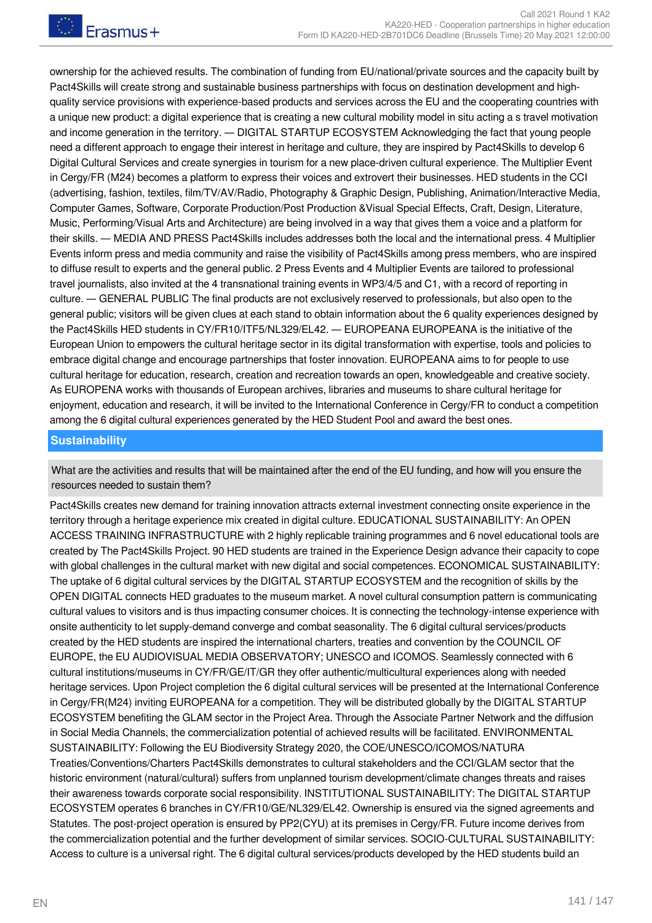ownership for the achieved results. The combination of funding from EU/national/private sources and the capacity built by Pact4Skills will create strong and sustainable business partnerships with focus on destination development and highquality service provisions with experience-based products and services across the EU and the cooperating countries with a unique new product: a digital experience that is creating a new cultural mobility model in situ acting a s travel motivation and income generation in the territory. ― DIGITAL STARTUP ECOSYSTEM Acknowledging the fact that young people need a different approach to engage their interest in heritage and culture, they are inspired by Pact4Skills to develop 6 Digital Cultural Services and create synergies in tourism for a new place-driven cultural experience. The Multiplier Event in Cergy/FR (M24) becomes a platform to express their voices and extrovert their businesses. HED students in the CCI (advertising, fashion, textiles, film/TV/AV/Radio, Photography & Graphic Design, Publishing, Animation/Interactive Media, Computer Games, Software, Corporate Production/Post Production &Visual Special Effects, Craft, Design, Literature, Music, Performing/Visual Arts and Architecture) are being involved in a way that gives them a voice and a platform for their skills. ― MEDIA AND PRESS Pact4Skills includes addresses both the local and the international press. 4 Multiplier Events inform press and media community and raise the visibility of Pact4Skills among press members, who are inspired to diffuse result to experts and the general public. 2 Press Events and 4 Multiplier Events are tailored to professional travel journalists, also invited at the 4 transnational training events in WP3/4/5 and C1, with a record of reporting in culture. ― GENERAL PUBLIC The final products are not exclusively reserved to professionals, but also open to the general public; visitors will be given clues at each stand to obtain information about the 6 quality experiences designed by the Pact4Skills HED students in CY/FR10/ITF5/NL329/EL42. ― EUROPEANA EUROPEANA is the initiative of the European Union to empowers the cultural heritage sector in its digital transformation with expertise, tools and policies to embrace digital change and encourage partnerships that foster innovation. EUROPEANA aims to for people to use cultural heritage for education, research, creation and recreation towards an open, knowledgeable and creative society. As EUROPENA works with thousands of European archives, libraries and museums to share cultural heritage for enjoyment, education and research, it will be invited to the International Conference in Cergy/FR to conduct a competition among the 6 digital cultural experiences generated by the HED Student Pool and award the best ones.

#### **Sustainability**

What are the activities and results that will be maintained after the end of the EU funding, and how will you ensure the resources needed to sustain them?

Pact4Skills creates new demand for training innovation attracts external investment connecting onsite experience in the territory through a heritage experience mix created in digital culture. EDUCATIONAL SUSTAINABILITY: An OPEN ACCESS TRAINING INFRASTRUCTURE with 2 highly replicable training programmes and 6 novel educational tools are created by The Pact4Skills Project. 90 HED students are trained in the Experience Design advance their capacity to cope with global challenges in the cultural market with new digital and social competences. ECONOMICAL SUSTAINABILITY: The uptake of 6 digital cultural services by the DIGITAL STARTUP ECOSYSTEM and the recognition of skills by the OPEN DIGITAL connects HED graduates to the museum market. A novel cultural consumption pattern is communicating cultural values to visitors and is thus impacting consumer choices. It is connecting the technology-intense experience with onsite authenticity to let supply-demand converge and combat seasonality. The 6 digital cultural services/products created by the HED students are inspired the international charters, treaties and convention by the COUNCIL OF EUROPE, the EU AUDIOVISUAL MEDIA OBSERVATORY; UNESCO and ICOMOS. Seamlessly connected with 6 cultural institutions/museums in CY/FR/GE/IT/GR they offer authentic/multicultural experiences along with needed heritage services. Upon Project completion the 6 digital cultural services will be presented at the International Conference in Cergy/FR(M24) inviting EUROPEANA for a competition. They will be distributed globally by the DIGITAL STARTUP ECOSYSTEM benefiting the GLAM sector in the Project Area. Through the Associate Partner Network and the diffusion in Social Media Channels, the commercialization potential of achieved results will be facilitated. ENVIRONMENTAL SUSTAINABILITY: Following the EU Biodiversity Strategy 2020, the COE/UNESCO/ICOMOS/NATURA Treaties/Conventions/Charters Pact4Skills demonstrates to cultural stakeholders and the CCI/GLAM sector that the historic environment (natural/cultural) suffers from unplanned tourism development/climate changes threats and raises their awareness towards corporate social responsibility. INSTITUTIONAL SUSTAINABILITY: The DIGITAL STARTUP ECOSYSTEM operates 6 branches in CY/FR10/GE/NL329/EL42. Ownership is ensured via the signed agreements and Statutes. The post-project operation is ensured by PP2(CYU) at its premises in Cergy/FR. Future income derives from the commercialization potential and the further development of similar services. SOCIO-CULTURAL SUSTAINABILITY: Access to culture is a universal right. The 6 digital cultural services/products developed by the HED students build an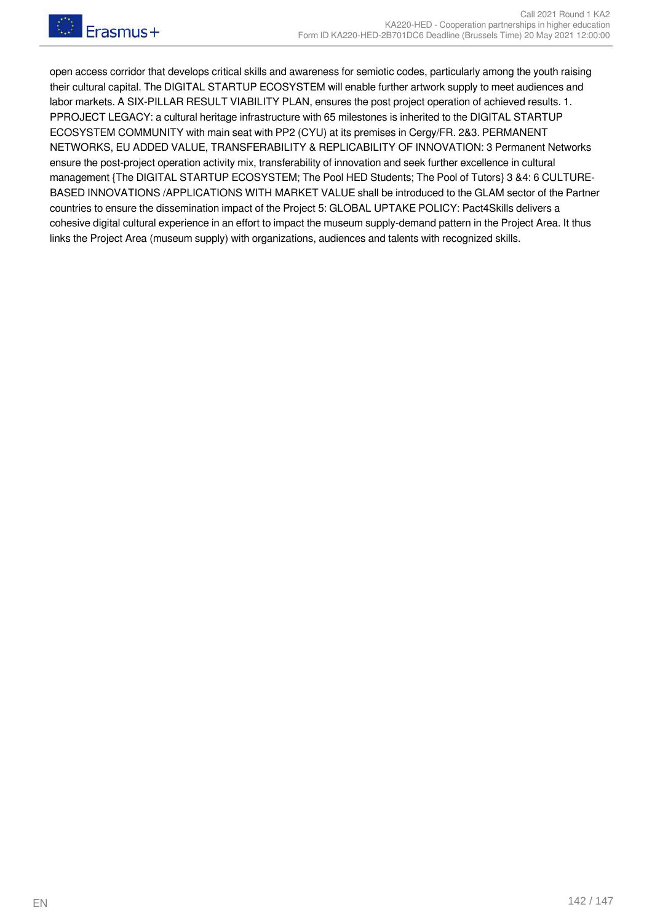open access corridor that develops critical skills and awareness for semiotic codes, particularly among the youth raising their cultural capital. The DIGITAL STARTUP ECOSYSTEM will enable further artwork supply to meet audiences and labor markets. A SIX-PILLAR RESULT VIABILITY PLAN, ensures the post project operation of achieved results. 1. PPROJECT LEGACY: a cultural heritage infrastructure with 65 milestones is inherited to the DIGITAL STARTUP ECOSYSTEM COMMUNITY with main seat with PP2 (CYU) at its premises in Cergy/FR. 2&3. PERMANENT NETWORKS, EU ADDED VALUE, TRANSFERABILITY & REPLICABILITY OF INNOVATION: 3 Permanent Networks ensure the post-project operation activity mix, transferability of innovation and seek further excellence in cultural management {The DIGITAL STARTUP ECOSYSTEM; The Pool HED Students; The Pool of Tutors} 3 &4: 6 CULTURE-BASED INNOVATIONS /APPLICATIONS WITH MARKET VALUE shall be introduced to the GLAM sector of the Partner countries to ensure the dissemination impact of the Project 5: GLOBAL UPTAKE POLICY: Pact4Skills delivers a cohesive digital cultural experience in an effort to impact the museum supply-demand pattern in the Project Area. It thus links the Project Area (museum supply) with organizations, audiences and talents with recognized skills.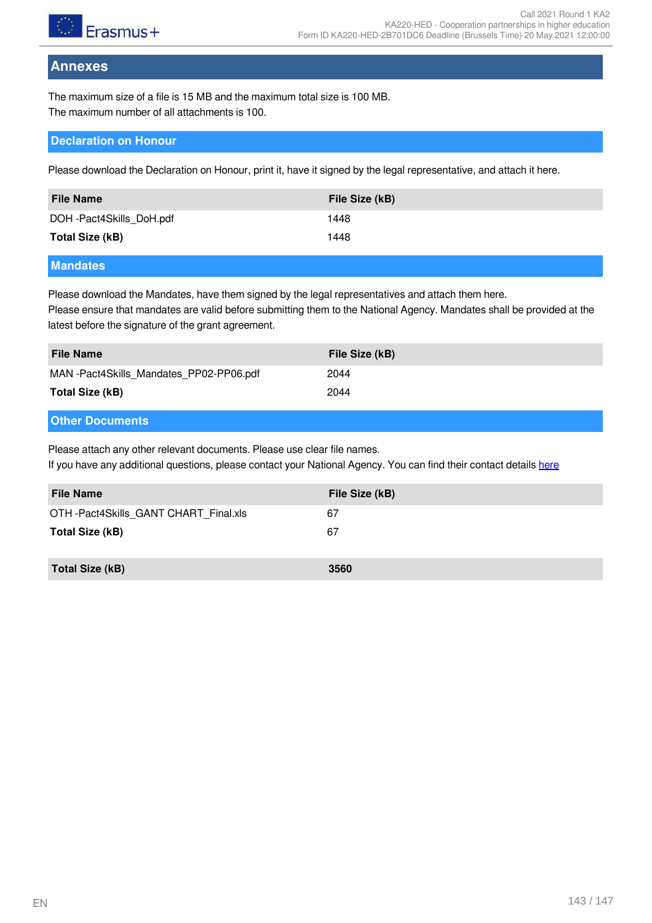

## **Annexes**

The maximum size of a file is 15 MB and the maximum total size is 100 MB. The maximum number of all attachments is 100.

#### **Declaration on Honour**

Please download the Declaration on Honour, print it, have it signed by the legal representative, and attach it here.

| <b>File Name</b>                                                                     | File Size (kB) |
|--------------------------------------------------------------------------------------|----------------|
| DOH-Pact4Skills DoH.pdf                                                              | 1448           |
| Total Size (kB)                                                                      | 1448           |
| .<br>the contract of the contract of the contract of the contract of the contract of |                |

#### **Mandates**

Please download the Mandates, have them signed by the legal representatives and attach them here. Please ensure that mandates are valid before submitting them to the National Agency. Mandates shall be provided at the latest before the signature of the grant agreement.

| <b>File Name</b>                       | File Size (kB) |
|----------------------------------------|----------------|
| MAN-Pact4Skills Mandates PP02-PP06.pdf | 2044           |
| Total Size (kB)                        | 2044           |

#### **Other Documents**

Please attach any other relevant documents. Please use clear file names.

If you have any additional questions, please contact your National Agency. You can find their contact details [here](https://ec.europa.eu/programmes/erasmus-plus/contact)

| <b>File Name</b>                      | File Size (kB) |
|---------------------------------------|----------------|
| OTH -Pact4Skills GANT CHART Final.xls | 67             |
| Total Size (kB)                       | 67             |
| Total Size (kB)                       | 3560           |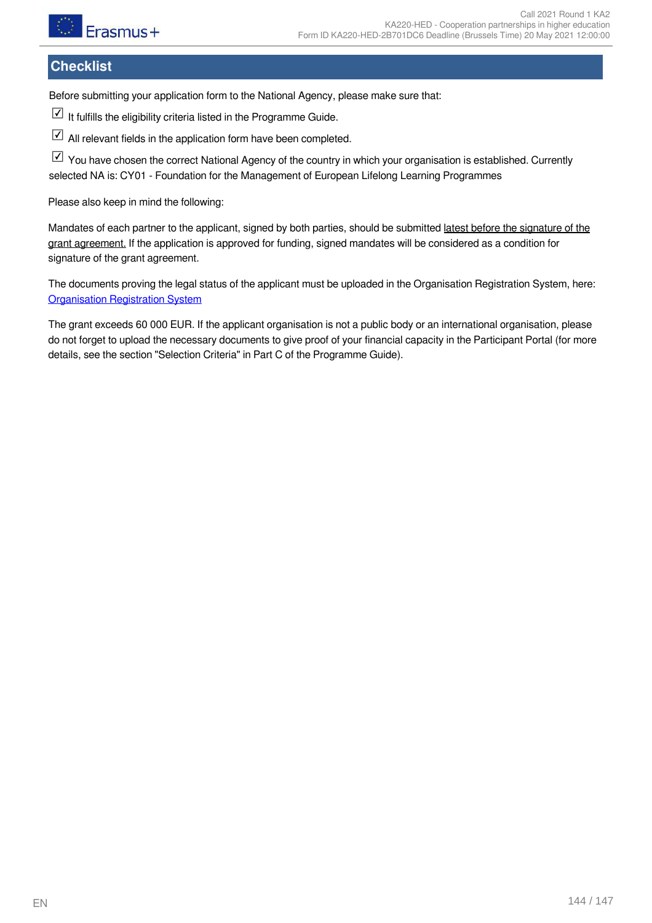

# **Checklist**

Before submitting your application form to the National Agency, please make sure that:

If fulfills the eligibility criteria listed in the Programme Guide.

 $\boxdot$  All relevant fields in the application form have been completed.

 $\boxed{\triangle}$  You have chosen the correct National Agency of the country in which your organisation is established. Currently selected NA is: CY01 - Foundation for the Management of European Lifelong Learning Programmes

Please also keep in mind the following:

Mandates of each partner to the applicant, signed by both parties, should be submitted latest before the signature of the grant agreement. If the application is approved for funding, signed mandates will be considered as a condition for signature of the grant agreement.

The documents proving the legal status of the applicant must be uploaded in the Organisation Registration System, here: [Organisation Registration System](https://webgate.ec.europa.eu/erasmus-esc/home/organisations/search-for-an-organisation)

The grant exceeds 60 000 EUR. If the applicant organisation is not a public body or an international organisation, please do not forget to upload the necessary documents to give proof of your financial capacity in the Participant Portal (for more details, see the section "Selection Criteria" in Part C of the Programme Guide).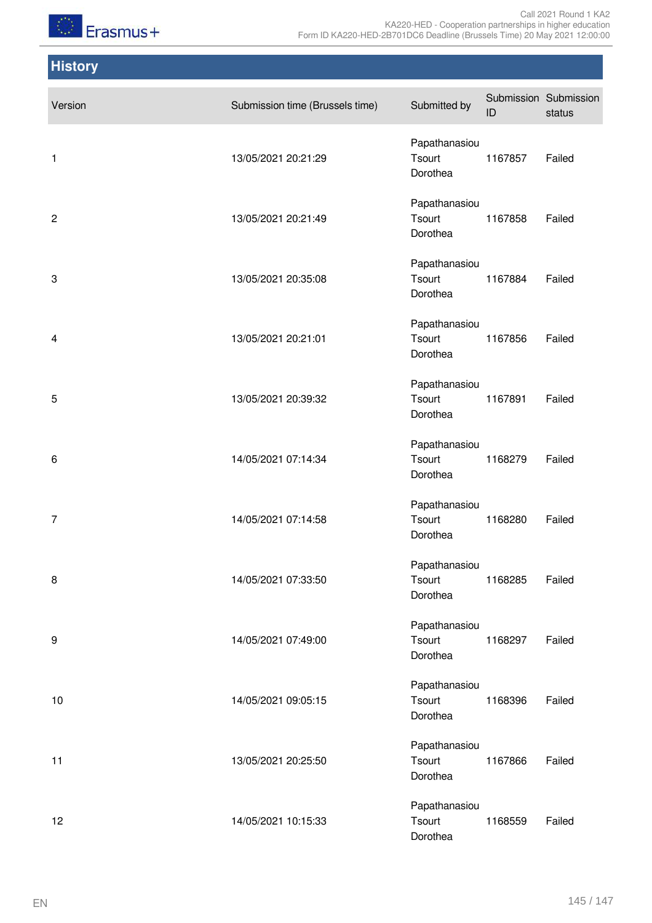

Call 2021 Round 1 KA2 KA220-HED - Cooperation partnerships in higher education Form ID KA220-HED-2B701DC6 Deadline (Brussels Time) 20 May 2021 12:00:00

## **History**

| Version        | Submission time (Brussels time) | Submitted by                        | ID      | Submission Submission<br>status |
|----------------|---------------------------------|-------------------------------------|---------|---------------------------------|
| 1              | 13/05/2021 20:21:29             | Papathanasiou<br>Tsourt<br>Dorothea | 1167857 | Failed                          |
| $\overline{c}$ | 13/05/2021 20:21:49             | Papathanasiou<br>Tsourt<br>Dorothea | 1167858 | Failed                          |
| 3              | 13/05/2021 20:35:08             | Papathanasiou<br>Tsourt<br>Dorothea | 1167884 | Failed                          |
| 4              | 13/05/2021 20:21:01             | Papathanasiou<br>Tsourt<br>Dorothea | 1167856 | Failed                          |
| 5              | 13/05/2021 20:39:32             | Papathanasiou<br>Tsourt<br>Dorothea | 1167891 | Failed                          |
| 6              | 14/05/2021 07:14:34             | Papathanasiou<br>Tsourt<br>Dorothea | 1168279 | Failed                          |
| 7              | 14/05/2021 07:14:58             | Papathanasiou<br>Tsourt<br>Dorothea | 1168280 | Failed                          |
| 8              | 14/05/2021 07:33:50             | Papathanasiou<br>Tsourt<br>Dorothea | 1168285 | Failed                          |
| 9              | 14/05/2021 07:49:00             | Papathanasiou<br>Tsourt<br>Dorothea | 1168297 | Failed                          |
| 10             | 14/05/2021 09:05:15             | Papathanasiou<br>Tsourt<br>Dorothea | 1168396 | Failed                          |
| 11             | 13/05/2021 20:25:50             | Papathanasiou<br>Tsourt<br>Dorothea | 1167866 | Failed                          |
| 12             | 14/05/2021 10:15:33             | Papathanasiou<br>Tsourt<br>Dorothea | 1168559 | Failed                          |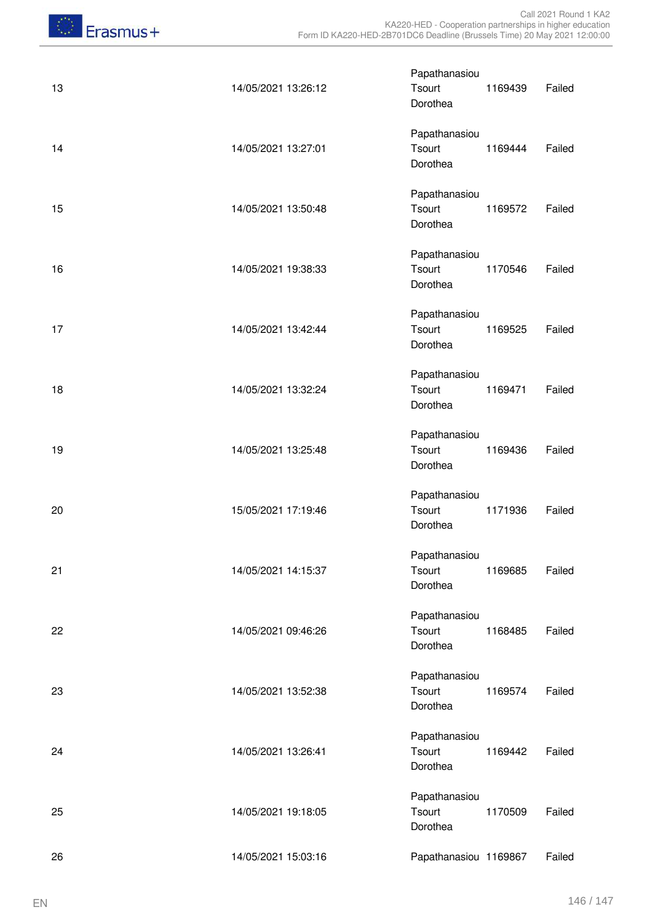| 13 | 14/05/2021 13:26:12 | Papathanasiou<br>Tsourt<br>Dorothea | 1169439 | Failed |
|----|---------------------|-------------------------------------|---------|--------|
| 14 | 14/05/2021 13:27:01 | Papathanasiou<br>Tsourt<br>Dorothea | 1169444 | Failed |
| 15 | 14/05/2021 13:50:48 | Papathanasiou<br>Tsourt<br>Dorothea | 1169572 | Failed |
| 16 | 14/05/2021 19:38:33 | Papathanasiou<br>Tsourt<br>Dorothea | 1170546 | Failed |
| 17 | 14/05/2021 13:42:44 | Papathanasiou<br>Tsourt<br>Dorothea | 1169525 | Failed |
| 18 | 14/05/2021 13:32:24 | Papathanasiou<br>Tsourt<br>Dorothea | 1169471 | Failed |
| 19 | 14/05/2021 13:25:48 | Papathanasiou<br>Tsourt<br>Dorothea | 1169436 | Failed |
| 20 | 15/05/2021 17:19:46 | Papathanasiou<br>Tsourt<br>Dorothea | 1171936 | Failed |
| 21 | 14/05/2021 14:15:37 | Papathanasiou<br>Tsourt<br>Dorothea | 1169685 | Failed |
| 22 | 14/05/2021 09:46:26 | Papathanasiou<br>Tsourt<br>Dorothea | 1168485 | Failed |
| 23 | 14/05/2021 13:52:38 | Papathanasiou<br>Tsourt<br>Dorothea | 1169574 | Failed |
| 24 | 14/05/2021 13:26:41 | Papathanasiou<br>Tsourt<br>Dorothea | 1169442 | Failed |
| 25 | 14/05/2021 19:18:05 | Papathanasiou<br>Tsourt<br>Dorothea | 1170509 | Failed |
| 26 | 14/05/2021 15:03:16 | Papathanasiou 1169867               |         | Failed |